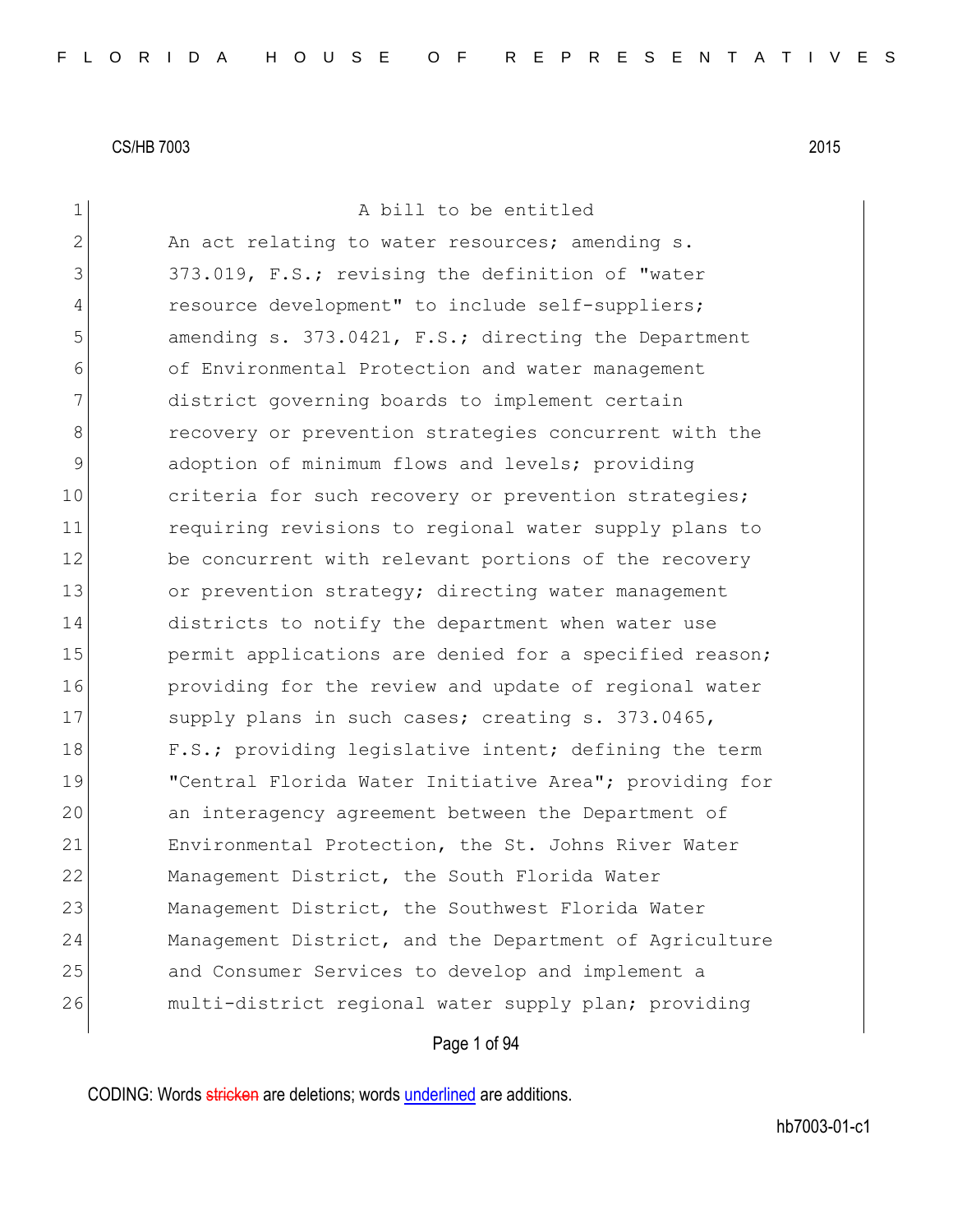| $\mathbf 1$ | A bill to be entitled                                  |
|-------------|--------------------------------------------------------|
| 2           | An act relating to water resources; amending s.        |
| 3           | 373.019, F.S.; revising the definition of "water       |
| 4           | resource development" to include self-suppliers;       |
| 5           | amending s. 373.0421, F.S.; directing the Department   |
| 6           | of Environmental Protection and water management       |
| 7           | district governing boards to implement certain         |
| 8           | recovery or prevention strategies concurrent with the  |
| $\mathsf 9$ | adoption of minimum flows and levels; providing        |
| 10          | criteria for such recovery or prevention strategies;   |
| 11          | requiring revisions to regional water supply plans to  |
| 12          | be concurrent with relevant portions of the recovery   |
| 13          | or prevention strategy; directing water management     |
| 14          | districts to notify the department when water use      |
| 15          | permit applications are denied for a specified reason; |
| 16          | providing for the review and update of regional water  |
| 17          | supply plans in such cases; creating s. 373.0465,      |
| 18          | F.S.; providing legislative intent; defining the term  |
| 19          | "Central Florida Water Initiative Area"; providing for |
| 20          | an interagency agreement between the Department of     |
| 21          | Environmental Protection, the St. Johns River Water    |
| 22          | Management District, the South Florida Water           |
| 23          | Management District, the Southwest Florida Water       |
| 24          | Management District, and the Department of Agriculture |
| 25          | and Consumer Services to develop and implement a       |
| 26          | multi-district regional water supply plan; providing   |
|             | Page 1 of 94                                           |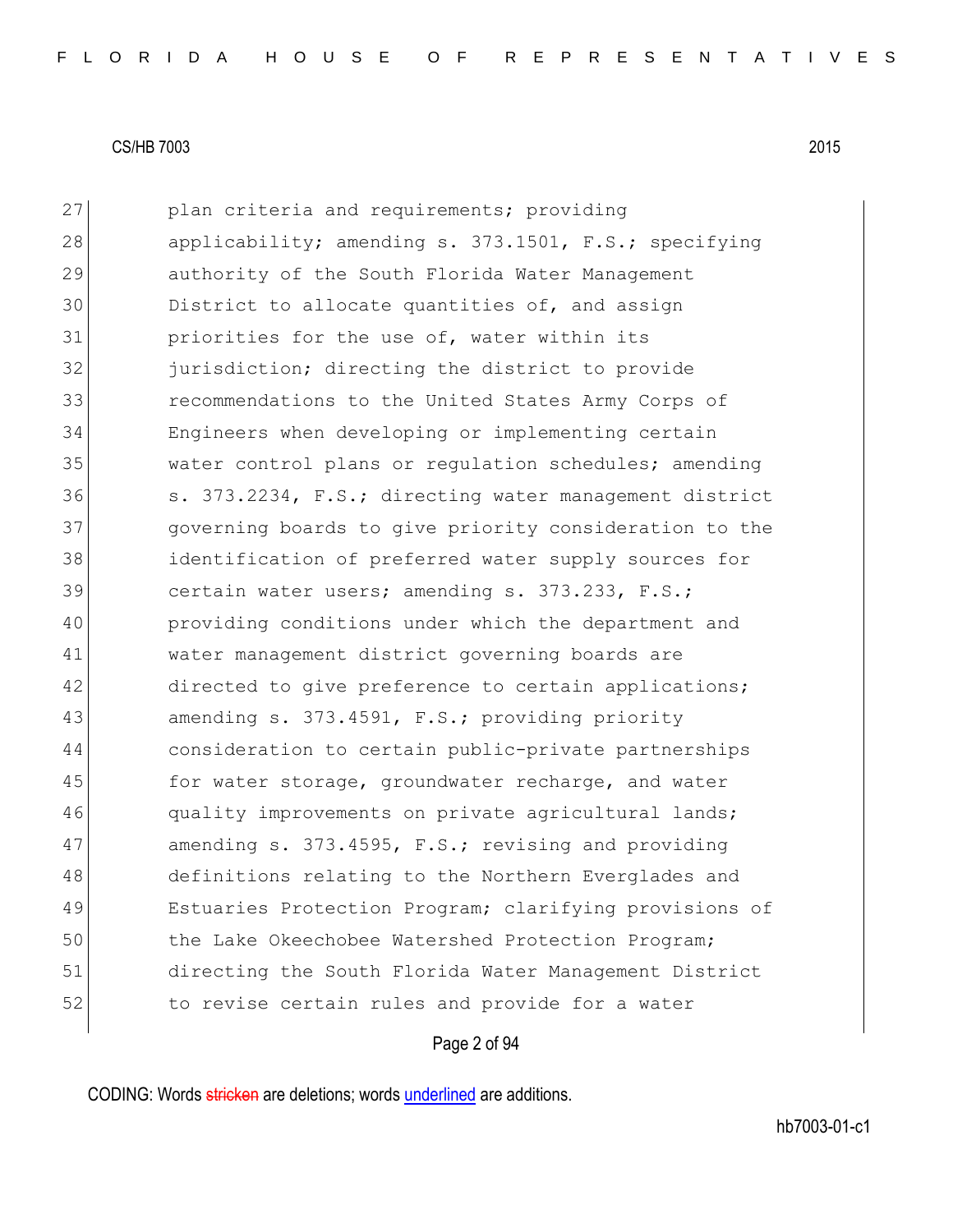27 plan criteria and requirements; providing 28 applicability; amending s. 373.1501, F.S.; specifying 29 authority of the South Florida Water Management 30 District to allocate quantities of, and assign 31 priorities for the use of, water within its 32 **jurisdiction;** directing the district to provide 33 recommendations to the United States Army Corps of 34 Engineers when developing or implementing certain 35 water control plans or regulation schedules; amending 36 s. 373.2234, F.S.; directing water management district 37 governing boards to give priority consideration to the 38 identification of preferred water supply sources for 39 certain water users; amending s. 373.233, F.S.; 40 providing conditions under which the department and 41 water management district governing boards are 42 directed to give preference to certain applications; 43 amending s. 373.4591, F.S.; providing priority 44 consideration to certain public-private partnerships 45 for water storage, groundwater recharge, and water 46 quality improvements on private agricultural lands; 47 amending s. 373.4595, F.S.; revising and providing 48 definitions relating to the Northern Everglades and 49 Estuaries Protection Program; clarifying provisions of 50 the Lake Okeechobee Watershed Protection Program; 51 directing the South Florida Water Management District 52 to revise certain rules and provide for a water

### Page 2 of 94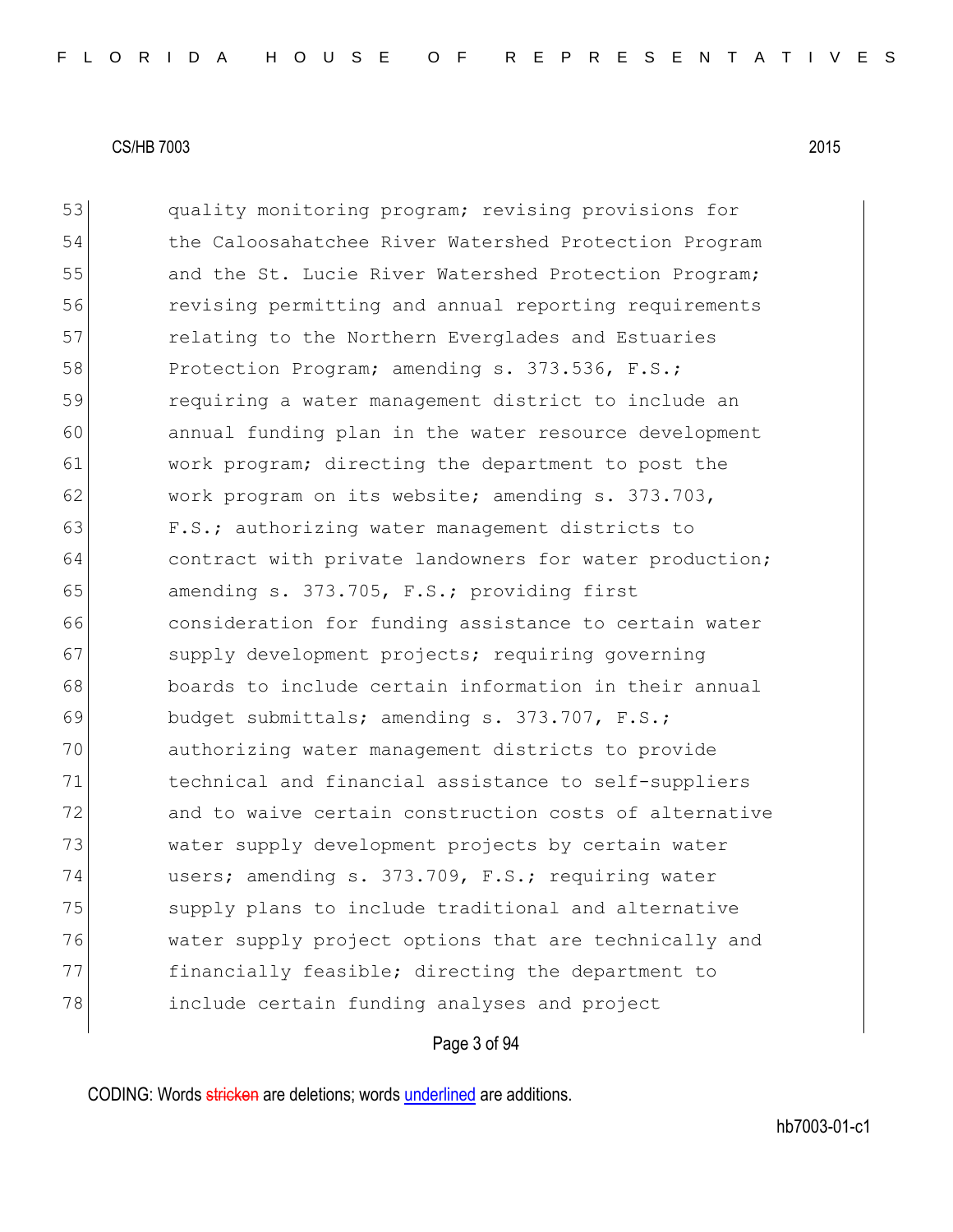53 quality monitoring program; revising provisions for 54 the Caloosahatchee River Watershed Protection Program 55 and the St. Lucie River Watershed Protection Program; 56 revising permitting and annual reporting requirements 57 **Fig.** relating to the Northern Everglades and Estuaries 58 Protection Program; amending s. 373.536, F.S.; 59 requiring a water management district to include an 60 annual funding plan in the water resource development 61 work program; directing the department to post the 62 work program on its website; amending s. 373.703, 63 F.S.; authorizing water management districts to 64 contract with private landowners for water production; 65 amending s.  $373.705$ , F.S.; providing first 66 consideration for funding assistance to certain water 67 supply development projects; requiring governing 68 boards to include certain information in their annual 69 budget submittals; amending s. 373.707, F.S.; 70 authorizing water management districts to provide 71 technical and financial assistance to self-suppliers 72 and to waive certain construction costs of alternative 73 water supply development projects by certain water 74 users; amending s. 373.709, F.S.; requiring water 75 Supply plans to include traditional and alternative 76 water supply project options that are technically and 77 financially feasible; directing the department to 78 include certain funding analyses and project

### Page 3 of 94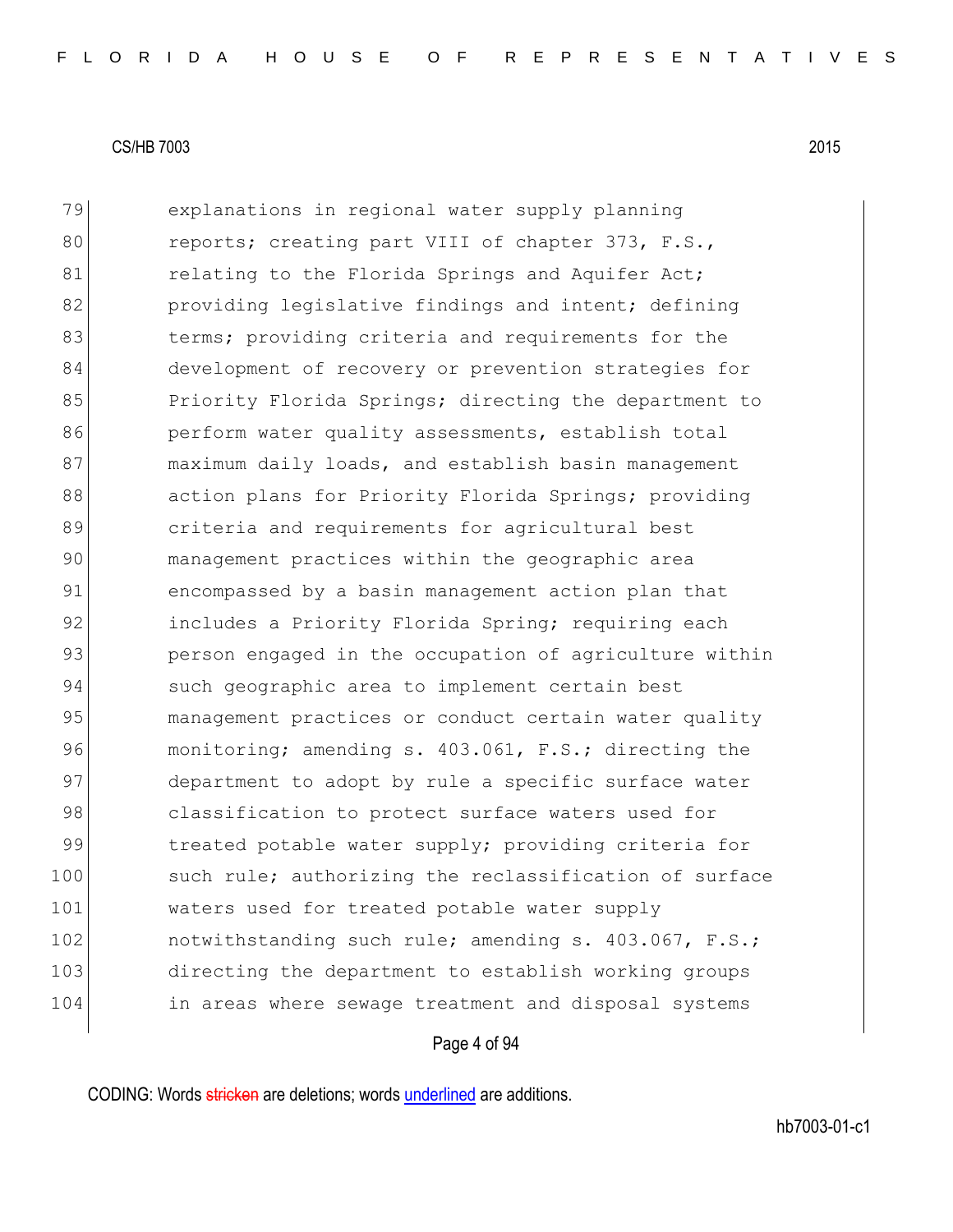79 explanations in regional water supply planning 80 reports; creating part VIII of chapter 373, F.S., 81 relating to the Florida Springs and Aquifer Act; 82 **providing legislative findings and intent; defining** 83 berms; providing criteria and requirements for the 84 development of recovery or prevention strategies for 85 Priority Florida Springs; directing the department to 86 perform water quality assessments, establish total 87 maximum daily loads, and establish basin management 88 action plans for Priority Florida Springs; providing 89 **b** criteria and requirements for agricultural best 90 management practices within the geographic area 91 encompassed by a basin management action plan that 92 includes a Priority Florida Spring; requiring each 93 person engaged in the occupation of agriculture within 94 such geographic area to implement certain best 95 management practices or conduct certain water quality 96 monitoring; amending s. 403.061, F.S.; directing the 97 department to adopt by rule a specific surface water 98 classification to protect surface waters used for 99 treated potable water supply; providing criteria for 100 such rule; authorizing the reclassification of surface 101 waters used for treated potable water supply 102 notwithstanding such rule; amending s. 403.067, F.S.; 103 directing the department to establish working groups 104 in areas where sewage treatment and disposal systems

#### Page 4 of 94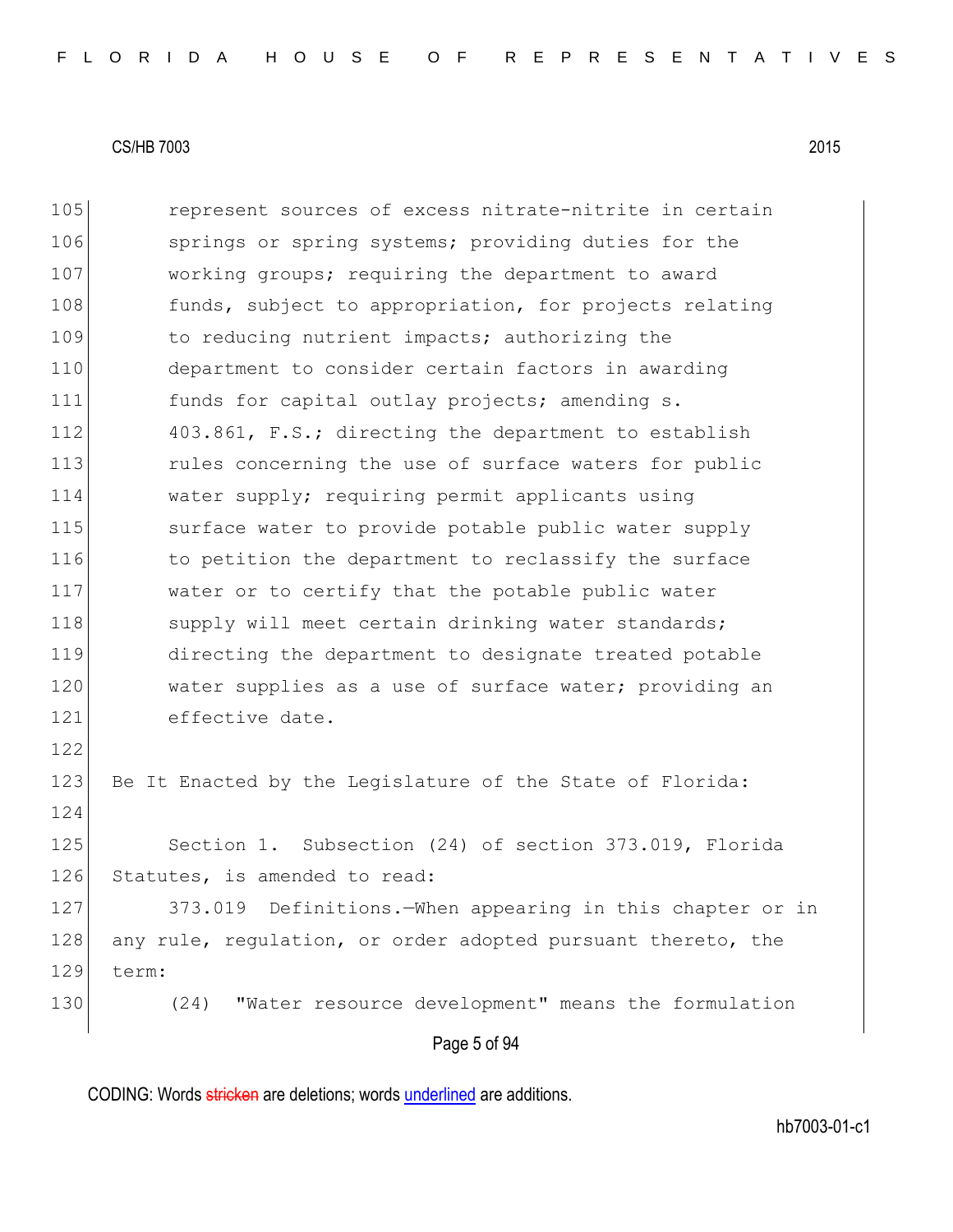105 **represent sources of excess nitrate-nitrite in certain** 106 springs or spring systems; providing duties for the 107 working groups; requiring the department to award 108 funds, subject to appropriation, for projects relating 109 109 to reducing nutrient impacts; authorizing the 110 department to consider certain factors in awarding 111 funds for capital outlay projects; amending s. 112 403.861, F.S.; directing the department to establish 113 rules concerning the use of surface waters for public 114 water supply; requiring permit applicants using 115 surface water to provide potable public water supply 116 to petition the department to reclassify the surface 117 water or to certify that the potable public water 118 supply will meet certain drinking water standards; 119 directing the department to designate treated potable 120 water supplies as a use of surface water; providing an 121 effective date. 122 123 Be It Enacted by the Legislature of the State of Florida: 124 125 Section 1. Subsection (24) of section 373.019, Florida 126 Statutes, is amended to read: 127 373.019 Definitions.—When appearing in this chapter or in 128 any rule, regulation, or order adopted pursuant thereto, the 129 term: 130 (24) "Water resource development" means the formulation

Page 5 of 94

CODING: Words stricken are deletions; words underlined are additions.

hb7003-01-c1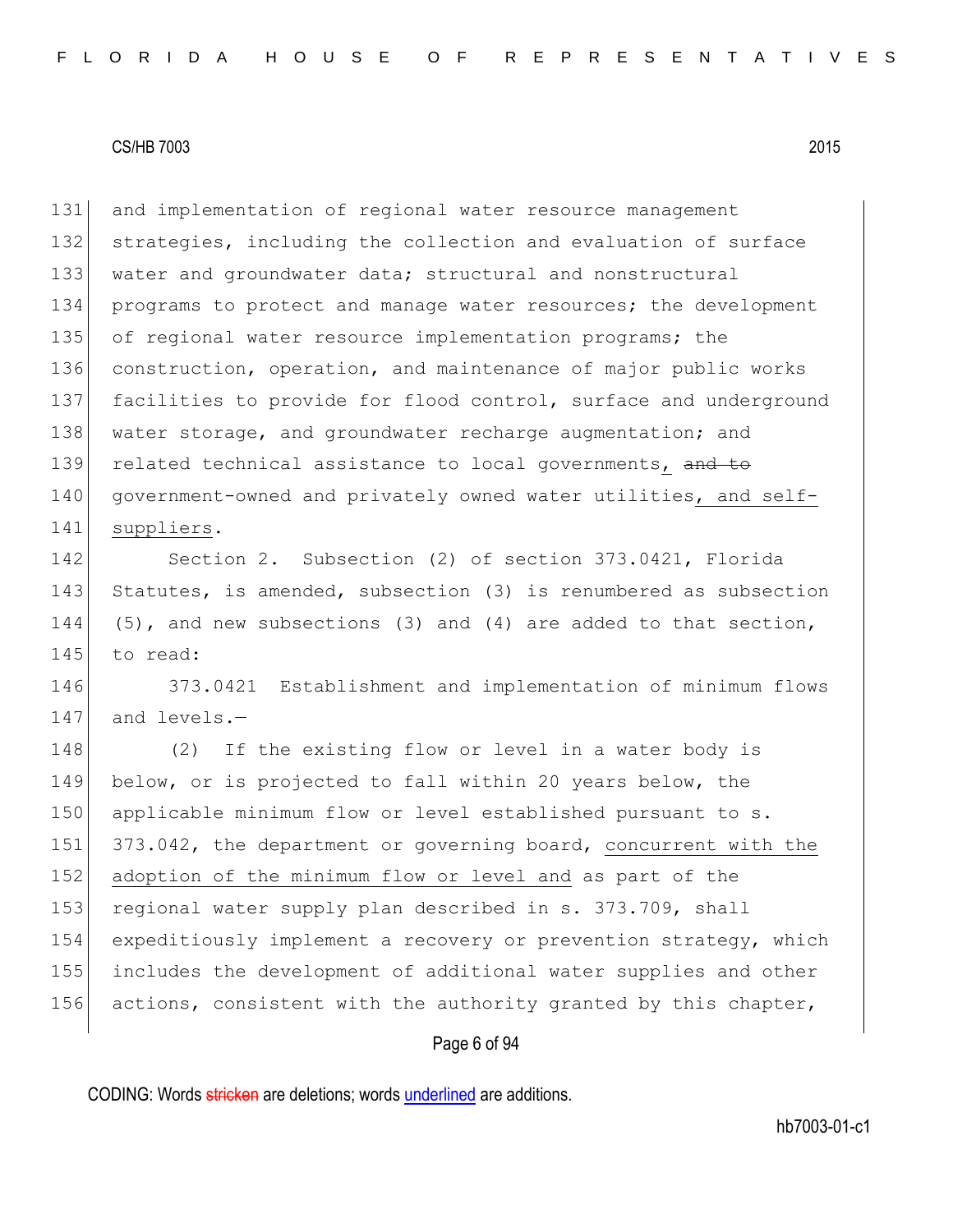131 and implementation of regional water resource management 132 strategies, including the collection and evaluation of surface 133 water and groundwater data; structural and nonstructural 134 programs to protect and manage water resources; the development 135 of regional water resource implementation programs; the 136 construction, operation, and maintenance of major public works 137 facilities to provide for flood control, surface and underground 138 water storage, and groundwater recharge augmentation; and 139 related technical assistance to local governments, and to 140 government-owned and privately owned water utilities, and self-141 suppliers.

142 Section 2. Subsection (2) of section 373.0421, Florida 143 Statutes, is amended, subsection (3) is renumbered as subsection 144 (5), and new subsections (3) and (4) are added to that section, 145 to read:

146 373.0421 Establishment and implementation of minimum flows 147 and levels.-

148 (2) If the existing flow or level in a water body is 149 below, or is projected to fall within 20 years below, the 150 applicable minimum flow or level established pursuant to s. 151 373.042, the department or governing board, concurrent with the 152 adoption of the minimum flow or level and as part of the 153 regional water supply plan described in s. 373.709, shall 154 expeditiously implement a recovery or prevention strategy, which 155 includes the development of additional water supplies and other 156 actions, consistent with the authority granted by this chapter,

# Page 6 of 94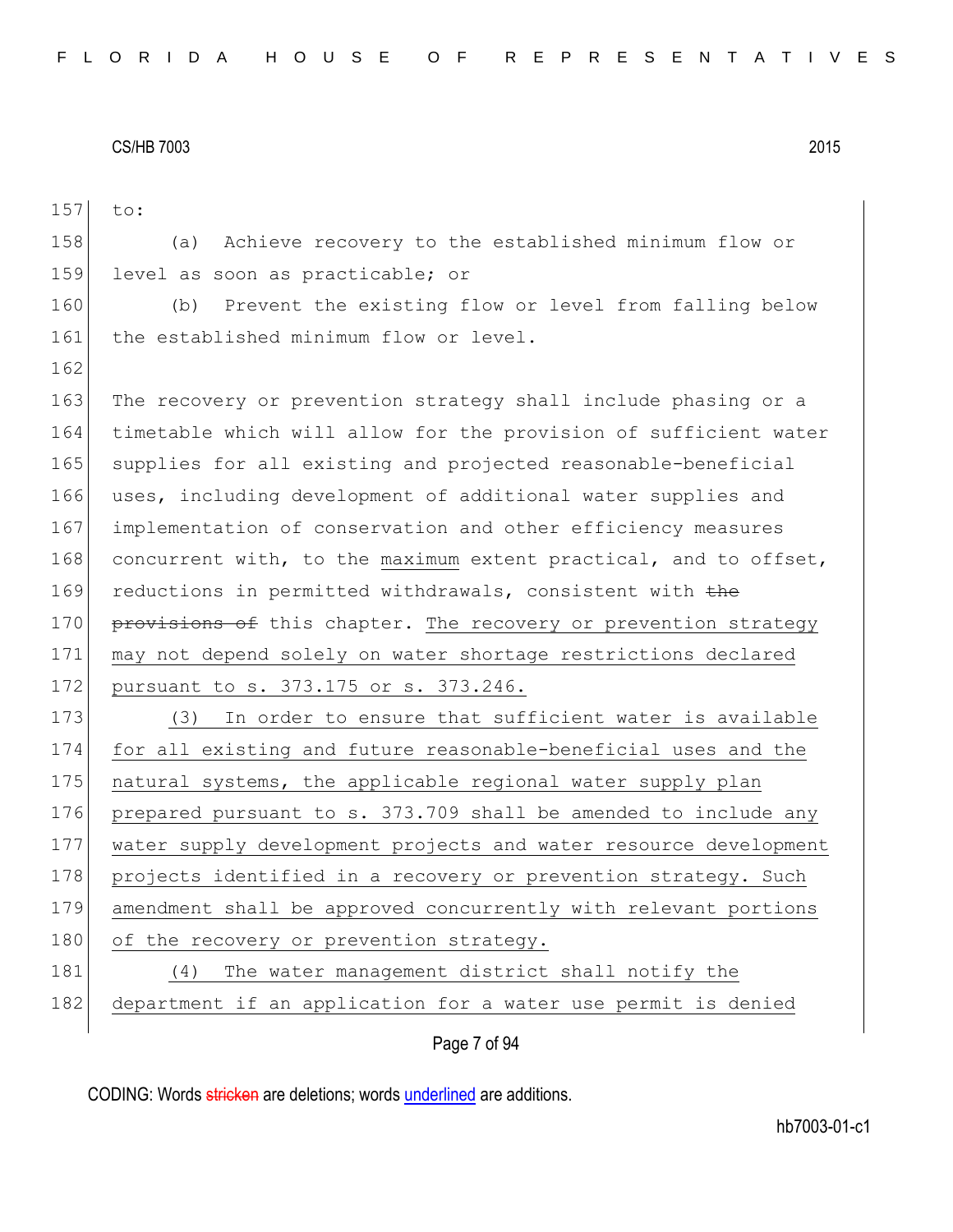157 to: 158 (a) Achieve recovery to the established minimum flow or 159 level as soon as practicable; or 160 (b) Prevent the existing flow or level from falling below 161 the established minimum flow or level. 162 163 The recovery or prevention strategy shall include phasing or a 164 timetable which will allow for the provision of sufficient water 165 supplies for all existing and projected reasonable-beneficial 166 uses, including development of additional water supplies and 167 implementation of conservation and other efficiency measures 168 concurrent with, to the maximum extent practical, and to offset, 169 reductions in permitted withdrawals, consistent with the 170 provisions of this chapter. The recovery or prevention strategy 171 may not depend solely on water shortage restrictions declared 172 pursuant to s. 373.175 or s. 373.246. 173 (3) In order to ensure that sufficient water is available 174 for all existing and future reasonable-beneficial uses and the 175 | natural systems, the applicable regional water supply plan 176 prepared pursuant to s. 373.709 shall be amended to include any 177 water supply development projects and water resource development 178 projects identified in a recovery or prevention strategy. Such 179 amendment shall be approved concurrently with relevant portions 180 of the recovery or prevention strategy. 181 (4) The water management district shall notify the 182 department if an application for a water use permit is denied

Page 7 of 94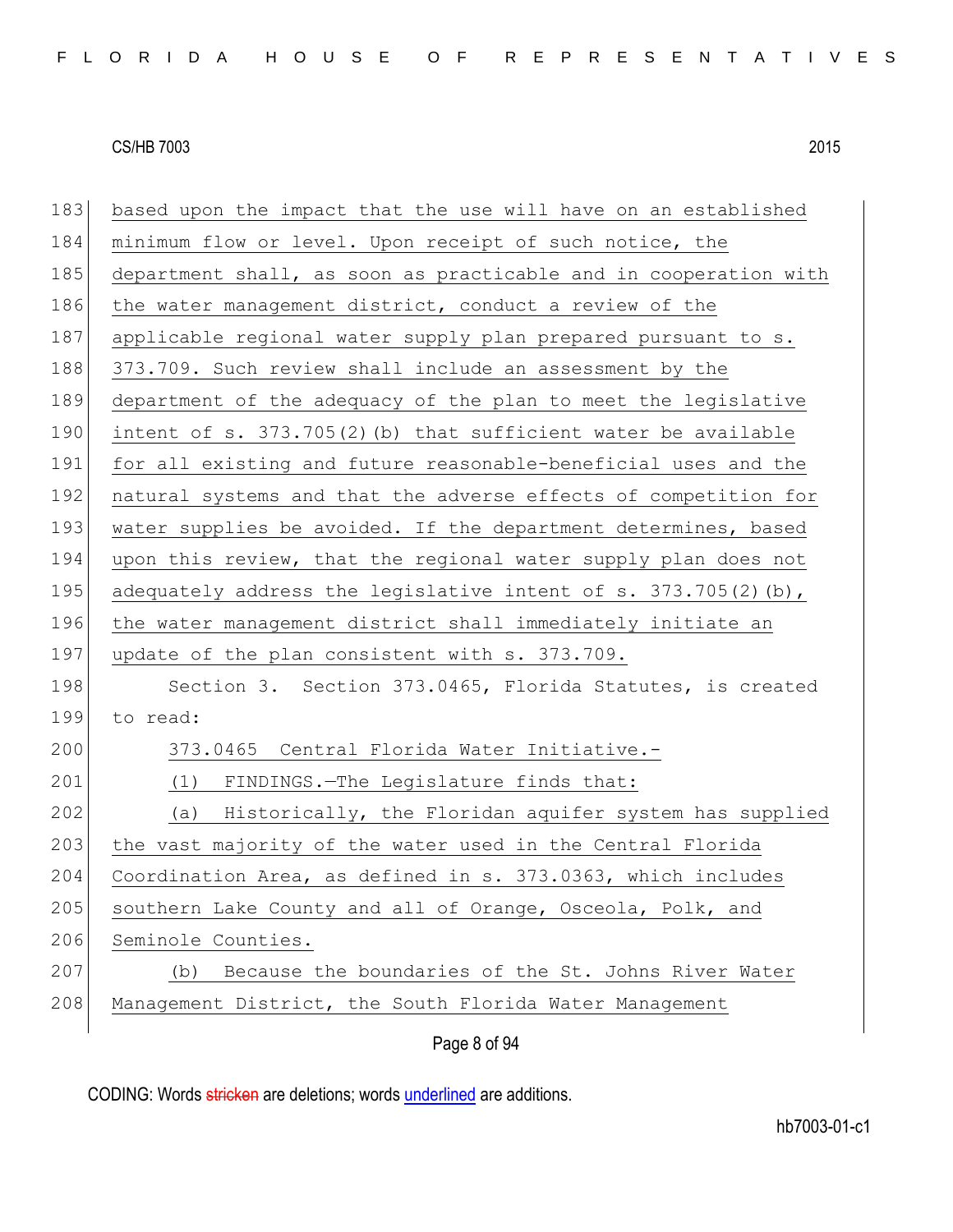| 183 | based upon the impact that the use will have on an established   |
|-----|------------------------------------------------------------------|
| 184 | minimum flow or level. Upon receipt of such notice, the          |
| 185 | department shall, as soon as practicable and in cooperation with |
| 186 | the water management district, conduct a review of the           |
| 187 | applicable regional water supply plan prepared pursuant to s.    |
| 188 | 373.709. Such review shall include an assessment by the          |
| 189 | department of the adequacy of the plan to meet the legislative   |
| 190 | intent of $s. 373.705(2)$ (b) that sufficient water be available |
| 191 | for all existing and future reasonable-beneficial uses and the   |
| 192 | natural systems and that the adverse effects of competition for  |
| 193 | water supplies be avoided. If the department determines, based   |
| 194 | upon this review, that the regional water supply plan does not   |
| 195 | adequately address the legislative intent of s. 373.705(2) (b),  |
| 196 | the water management district shall immediately initiate an      |
| 197 | update of the plan consistent with s. 373.709.                   |
| 198 | Section 3. Section 373.0465, Florida Statutes, is created        |
| 199 | to read:                                                         |
| 200 | 373.0465 Central Florida Water Initiative.-                      |
| 201 | (1) FINDINGS. - The Legislature finds that:                      |
| 202 | (a) Historically, the Floridan aquifer system has supplied       |
| 203 | the vast majority of the water used in the Central Florida       |
| 204 | Coordination Area, as defined in s. 373.0363, which includes     |
| 205 | southern Lake County and all of Orange, Osceola, Polk, and       |
| 206 | Seminole Counties.                                               |
| 207 | Because the boundaries of the St. Johns River Water<br>(b)       |
| 208 | Management District, the South Florida Water Management          |
|     | Page 8 of 94                                                     |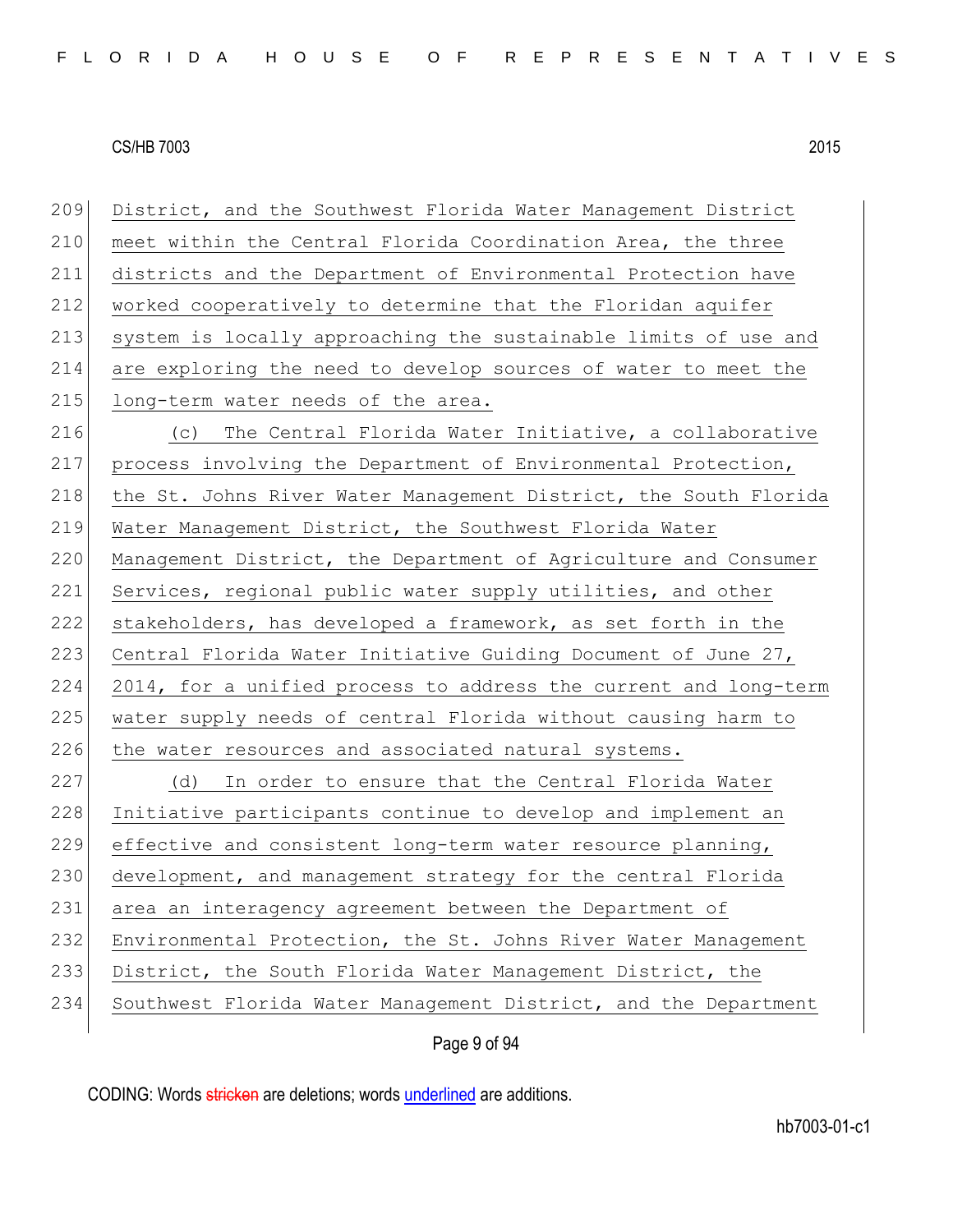Page 9 of 94 District, and the Southwest Florida Water Management District 210 meet within the Central Florida Coordination Area, the three districts and the Department of Environmental Protection have worked cooperatively to determine that the Floridan aquifer system is locally approaching the sustainable limits of use and are exploring the need to develop sources of water to meet the 215 long-term water needs of the area. (c) The Central Florida Water Initiative, a collaborative process involving the Department of Environmental Protection, 218 the St. Johns River Water Management District, the South Florida Water Management District, the Southwest Florida Water 220 Management District, the Department of Agriculture and Consumer 221 Services, regional public water supply utilities, and other stakeholders, has developed a framework, as set forth in the Central Florida Water Initiative Guiding Document of June 27, 2014, for a unified process to address the current and long-term water supply needs of central Florida without causing harm to 226 the water resources and associated natural systems. (d) In order to ensure that the Central Florida Water Initiative participants continue to develop and implement an effective and consistent long-term water resource planning, development, and management strategy for the central Florida area an interagency agreement between the Department of 232 Environmental Protection, the St. Johns River Water Management District, the South Florida Water Management District, the 234 Southwest Florida Water Management District, and the Department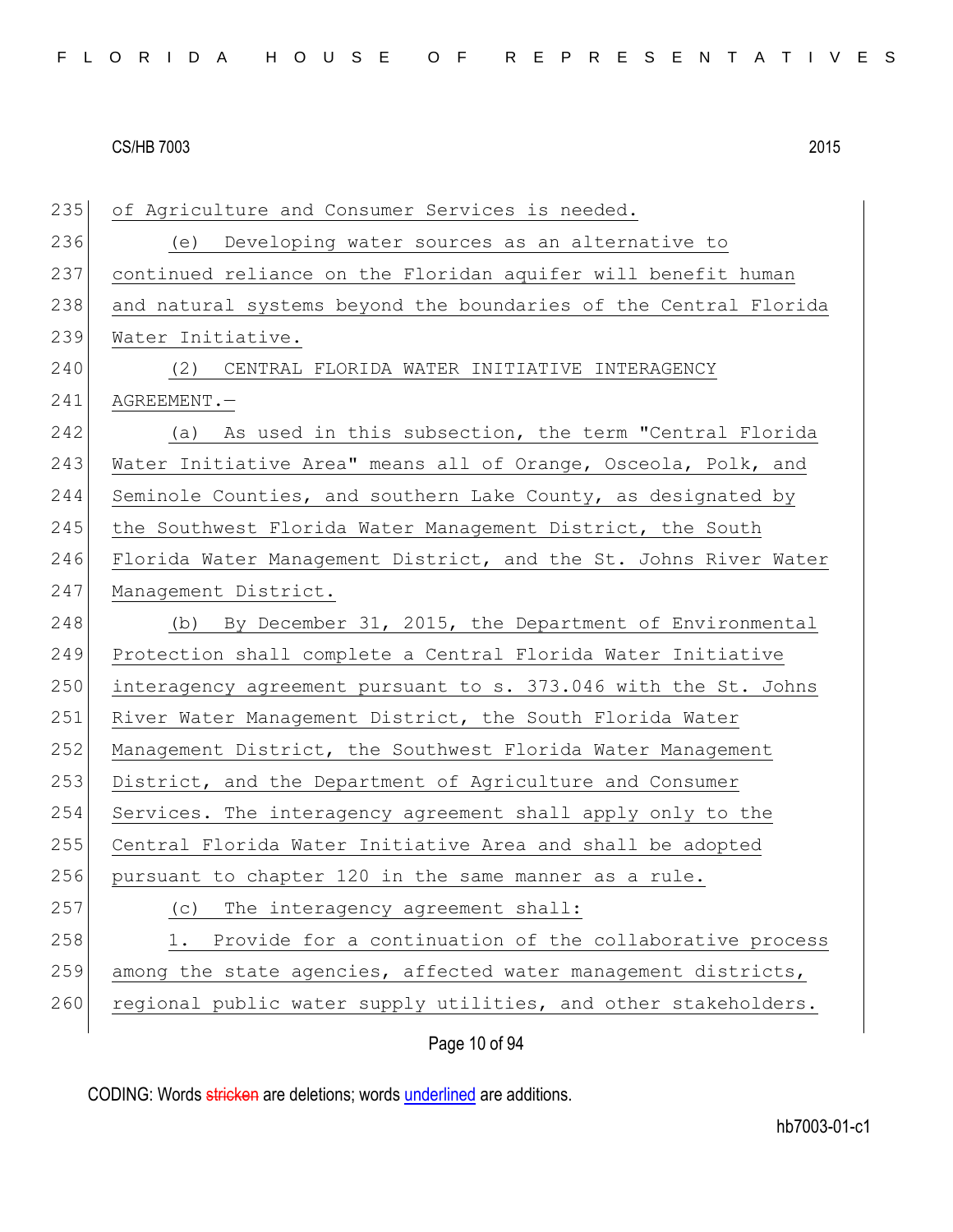| 235 | of Agriculture and Consumer Services is needed.                  |
|-----|------------------------------------------------------------------|
| 236 | Developing water sources as an alternative to<br>(e)             |
| 237 | continued reliance on the Floridan aquifer will benefit human    |
| 238 | and natural systems beyond the boundaries of the Central Florida |
| 239 | Water Initiative.                                                |
| 240 | (2) CENTRAL FLORIDA WATER INITIATIVE INTERAGENCY                 |
| 241 | AGREEMENT.                                                       |
| 242 | (a) As used in this subsection, the term "Central Florida        |
| 243 | Water Initiative Area" means all of Orange, Osceola, Polk, and   |
| 244 | Seminole Counties, and southern Lake County, as designated by    |
| 245 | the Southwest Florida Water Management District, the South       |
| 246 | Florida Water Management District, and the St. Johns River Water |
| 247 | Management District.                                             |
| 248 | (b) By December 31, 2015, the Department of Environmental        |
| 249 | Protection shall complete a Central Florida Water Initiative     |
| 250 | interagency agreement pursuant to s. 373.046 with the St. Johns  |
| 251 | River Water Management District, the South Florida Water         |
| 252 | Management District, the Southwest Florida Water Management      |
| 253 | District, and the Department of Agriculture and Consumer         |
| 254 | Services. The interagency agreement shall apply only to the      |
| 255 | Central Florida Water Initiative Area and shall be adopted       |
| 256 | pursuant to chapter 120 in the same manner as a rule.            |
| 257 | The interagency agreement shall:<br>(C)                          |
| 258 | Provide for a continuation of the collaborative process<br>1.    |
| 259 | among the state agencies, affected water management districts,   |
| 260 | regional public water supply utilities, and other stakeholders.  |

Page 10 of 94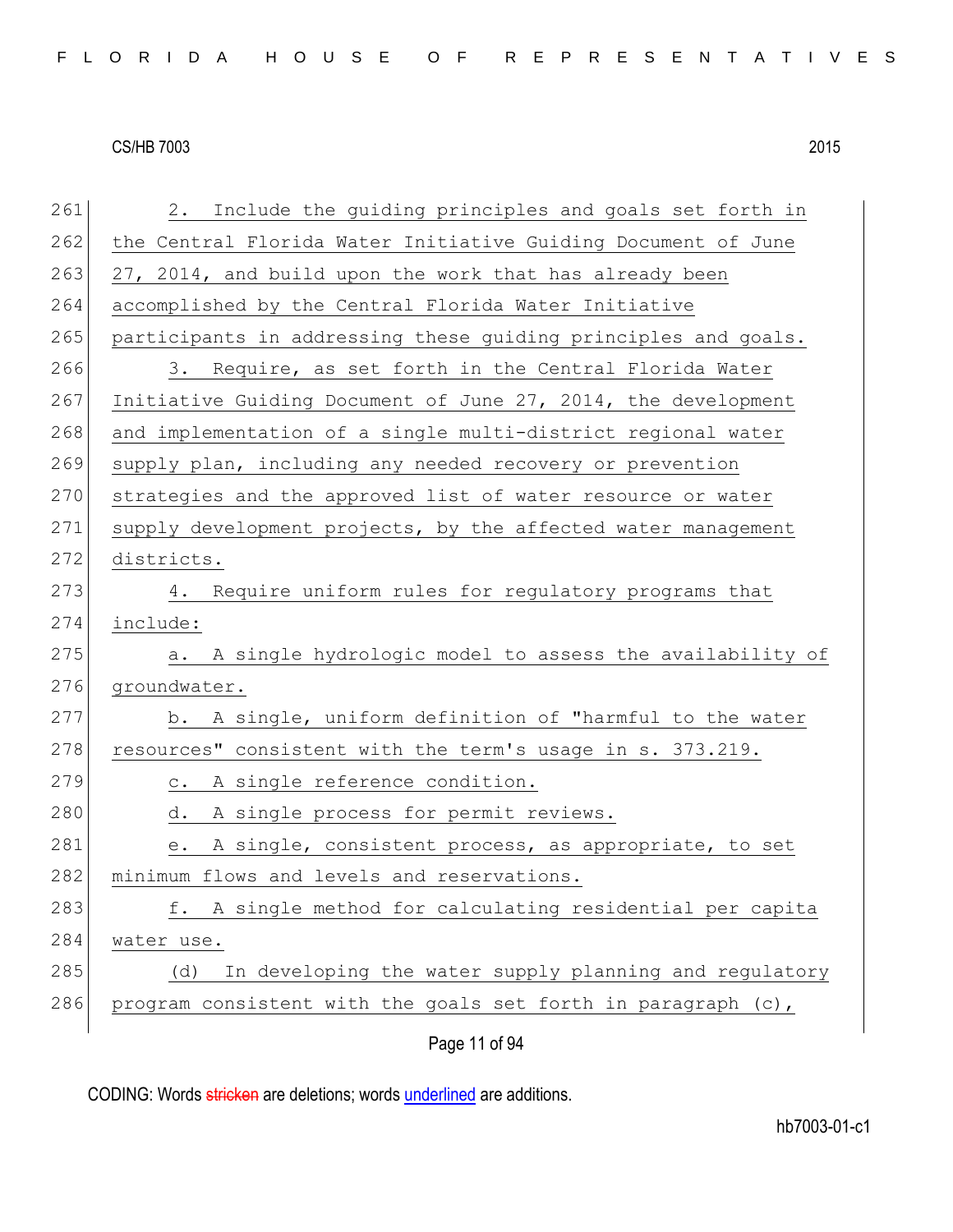Page 11 of 94 261 2. Include the guiding principles and goals set forth in 262 the Central Florida Water Initiative Guiding Document of June  $263$  27, 2014, and build upon the work that has already been 264 accomplished by the Central Florida Water Initiative 265 participants in addressing these quiding principles and goals. 266 3. Require, as set forth in the Central Florida Water 267 Initiative Guiding Document of June 27, 2014, the development 268 and implementation of a single multi-district regional water 269 supply plan, including any needed recovery or prevention 270 strategies and the approved list of water resource or water 271 supply development projects, by the affected water management 272 districts. 273 4. Require uniform rules for regulatory programs that 274 include: 275 a. A single hydrologic model to assess the availability of 276 groundwater. 277 b. A single, uniform definition of "harmful to the water 278 resources" consistent with the term's usage in s. 373.219. 279 c. A single reference condition. 280 d. A single process for permit reviews. 281 e. A single, consistent process, as appropriate, to set 282 minimum flows and levels and reservations. 283 f. A single method for calculating residential per capita 284 water use. 285 (d) In developing the water supply planning and regulatory 286 program consistent with the goals set forth in paragraph (c),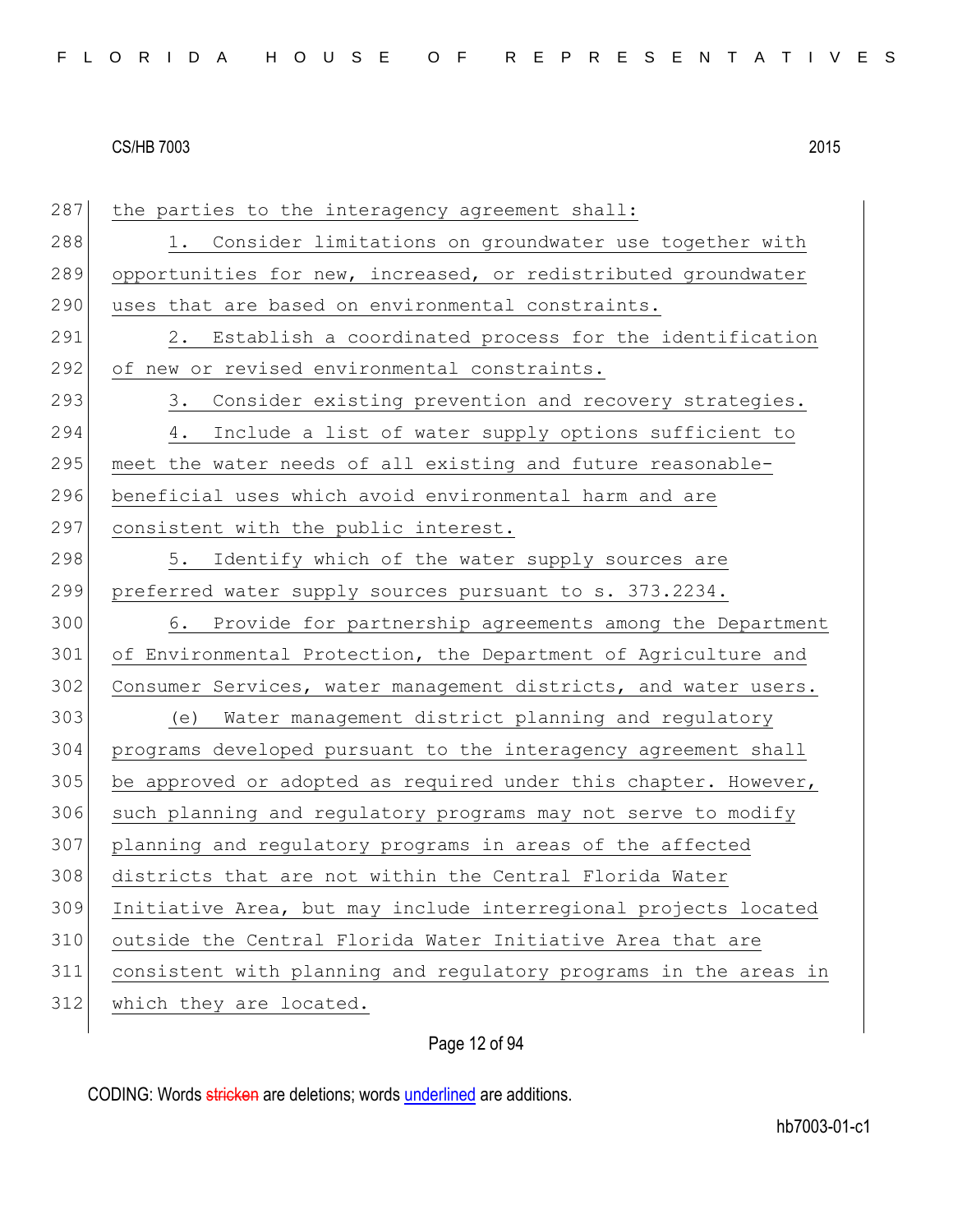287 the parties to the interagency agreement shall: 288 1. Consider limitations on groundwater use together with 289 opportunities for new, increased, or redistributed groundwater 290 uses that are based on environmental constraints. 291 2. Establish a coordinated process for the identification 292 of new or revised environmental constraints. 293 3. Consider existing prevention and recovery strategies. 294 4. Include a list of water supply options sufficient to 295 meet the water needs of all existing and future reasonable-296 beneficial uses which avoid environmental harm and are 297 consistent with the public interest. 298 5. Identify which of the water supply sources are 299 preferred water supply sources pursuant to s. 373.2234. 300 6. Provide for partnership agreements among the Department 301 of Environmental Protection, the Department of Agriculture and 302 Consumer Services, water management districts, and water users. 303 (e) Water management district planning and regulatory 304 programs developed pursuant to the interagency agreement shall 305 be approved or adopted as required under this chapter. However, 306 such planning and regulatory programs may not serve to modify 307 planning and regulatory programs in areas of the affected 308 districts that are not within the Central Florida Water 309 Initiative Area, but may include interregional projects located 310 outside the Central Florida Water Initiative Area that are 311 consistent with planning and regulatory programs in the areas in 312 which they are located.

# Page 12 of 94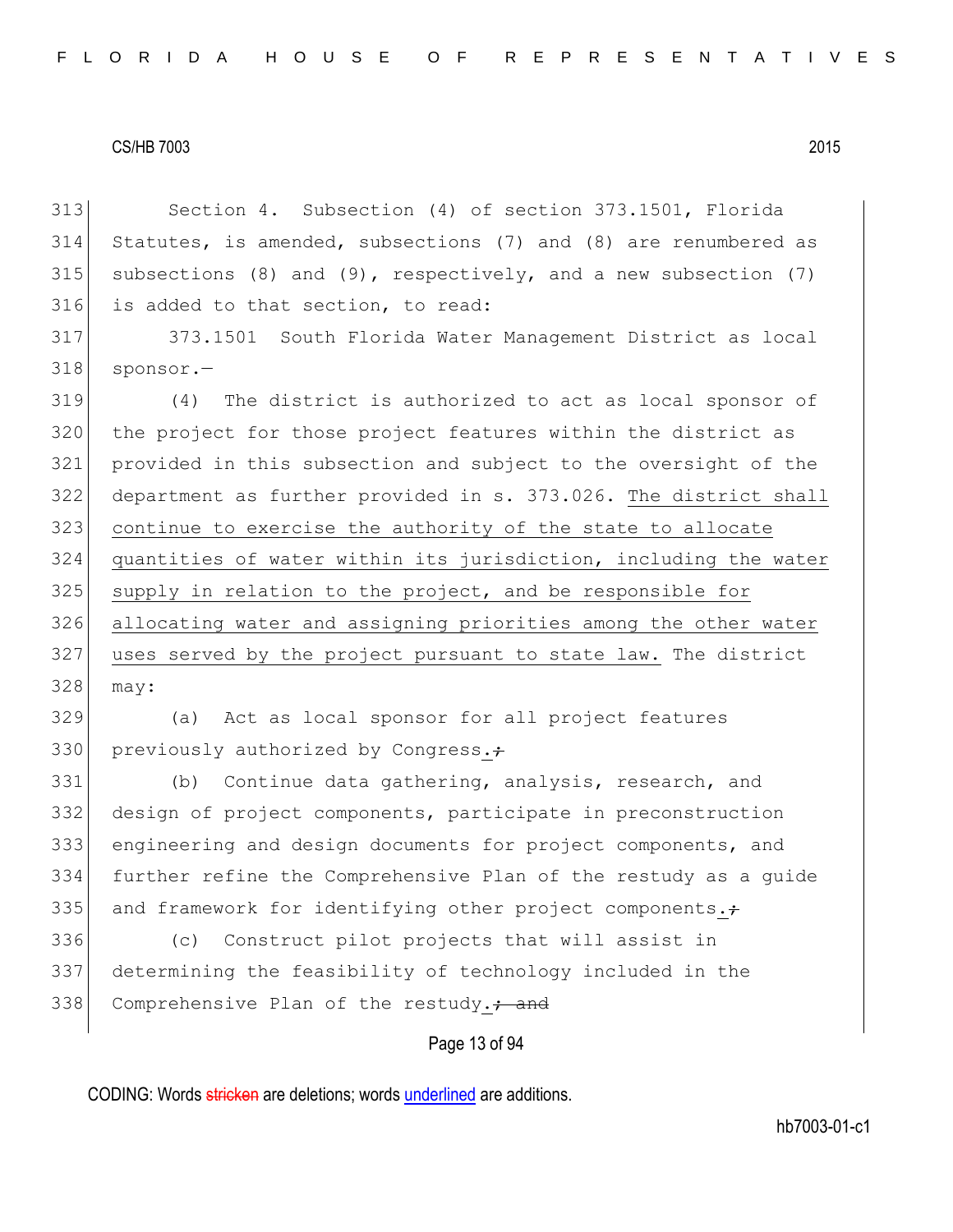Section 4. Subsection (4) of section 373.1501, Florida Statutes, is amended, subsections (7) and (8) are renumbered as 315 subsections (8) and (9), respectively, and a new subsection (7) is added to that section, to read:

 373.1501 South Florida Water Management District as local 318 sponsor.-

 (4) The district is authorized to act as local sponsor of the project for those project features within the district as provided in this subsection and subject to the oversight of the department as further provided in s. 373.026. The district shall continue to exercise the authority of the state to allocate quantities of water within its jurisdiction, including the water supply in relation to the project, and be responsible for allocating water and assigning priorities among the other water uses served by the project pursuant to state law. The district may:

 (a) Act as local sponsor for all project features 330 previously authorized by Congress. $\div$ 

 (b) Continue data gathering, analysis, research, and design of project components, participate in preconstruction engineering and design documents for project components, and further refine the Comprehensive Plan of the restudy as a guide 335 and framework for identifying other project components. $\div$ 

 (c) Construct pilot projects that will assist in determining the feasibility of technology included in the 338 Comprehensive Plan of the restudy.<sup>2</sup> and

# Page 13 of 94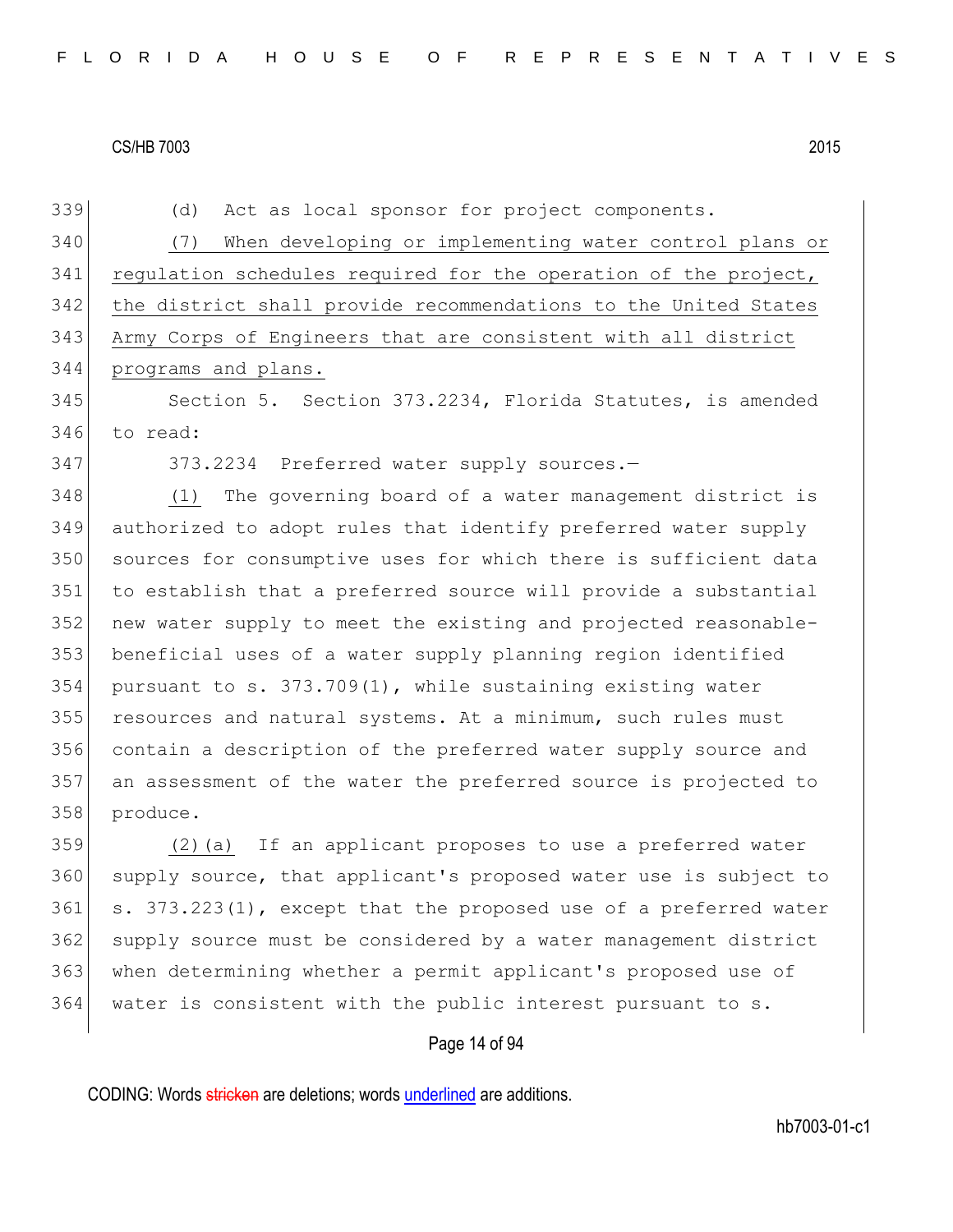(d) Act as local sponsor for project components.

 (7) When developing or implementing water control plans or 341 regulation schedules required for the operation of the project, the district shall provide recommendations to the United States Army Corps of Engineers that are consistent with all district programs and plans.

 Section 5. Section 373.2234, Florida Statutes, is amended to read:

373.2234 Preferred water supply sources.—

 (1) The governing board of a water management district is authorized to adopt rules that identify preferred water supply sources for consumptive uses for which there is sufficient data to establish that a preferred source will provide a substantial new water supply to meet the existing and projected reasonable- beneficial uses of a water supply planning region identified pursuant to s. 373.709(1), while sustaining existing water resources and natural systems. At a minimum, such rules must contain a description of the preferred water supply source and an assessment of the water the preferred source is projected to produce.

 (2)(a) If an applicant proposes to use a preferred water supply source, that applicant's proposed water use is subject to s.  $373.223(1)$ , except that the proposed use of a preferred water 362 supply source must be considered by a water management district when determining whether a permit applicant's proposed use of water is consistent with the public interest pursuant to s.

# Page 14 of 94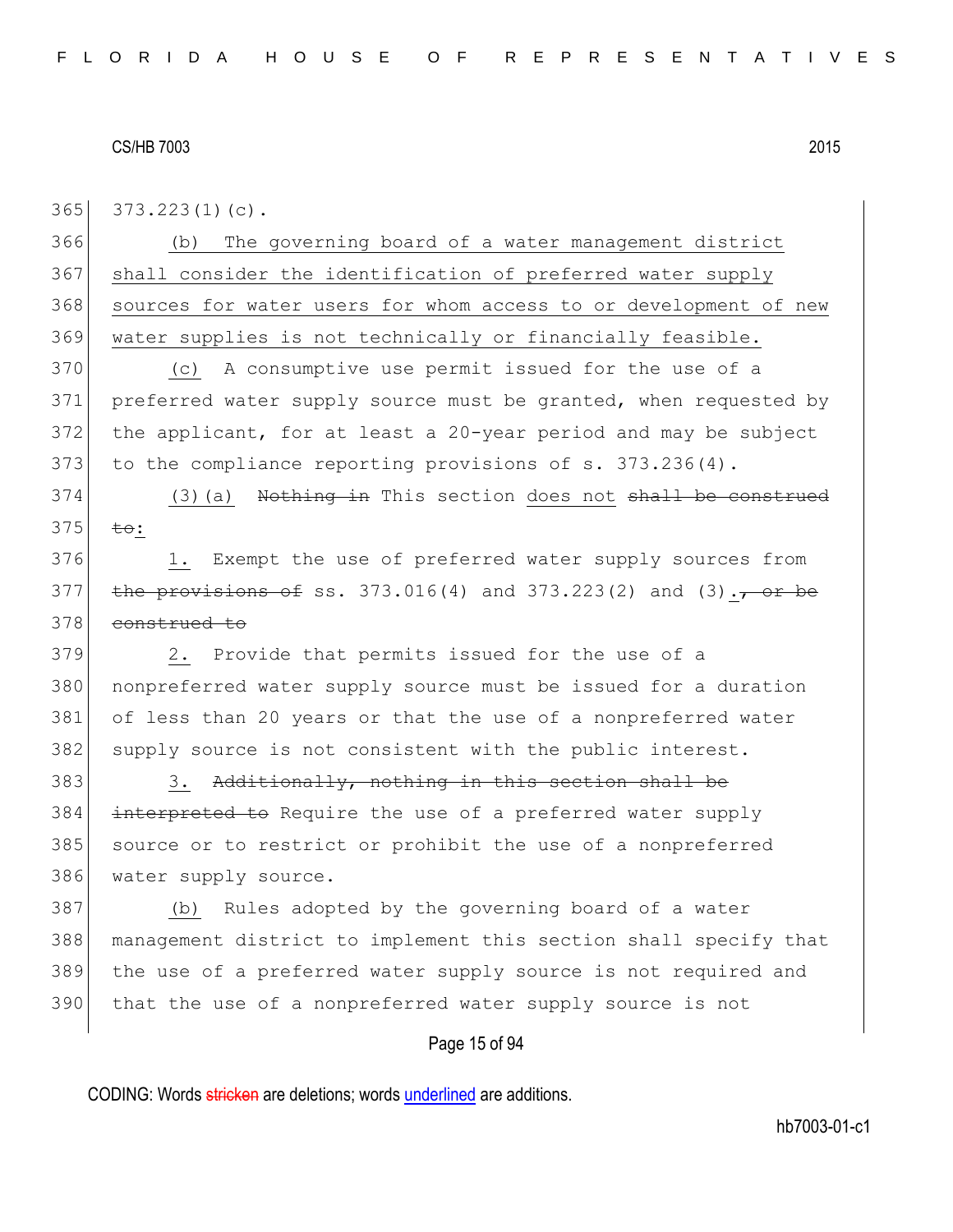365 373.223(1)(c).

366 (b) The governing board of a water management district 367 shall consider the identification of preferred water supply 368 sources for water users for whom access to or development of new 369 water supplies is not technically or financially feasible.

 (c) A consumptive use permit issued for the use of a preferred water supply source must be granted, when requested by the applicant, for at least a 20-year period and may be subject 373 to the compliance reporting provisions of s. 373.236(4).

 $374$  (3)(a) <del>Nothing in</del> This section does not <del>shall be construed</del> 375  $\frac{1}{10}$   $\frac{1}{10}$ 

376 1. Exempt the use of preferred water supply sources from 377 the provisions of ss. 373.016(4) and 373.223(2) and (3).  $\frac{1}{100}$  be 378 construed to

379 2. Provide that permits issued for the use of a 380 | nonpreferred water supply source must be issued for a duration 381 of less than 20 years or that the use of a nonpreferred water 382 supply source is not consistent with the public interest.

383 383 3. Additionally, nothing in this section shall be 384 interpreted to Require the use of a preferred water supply 385 source or to restrict or prohibit the use of a nonpreferred 386 water supply source.

 (b) Rules adopted by the governing board of a water management district to implement this section shall specify that the use of a preferred water supply source is not required and 390 that the use of a nonpreferred water supply source is not

# Page 15 of 94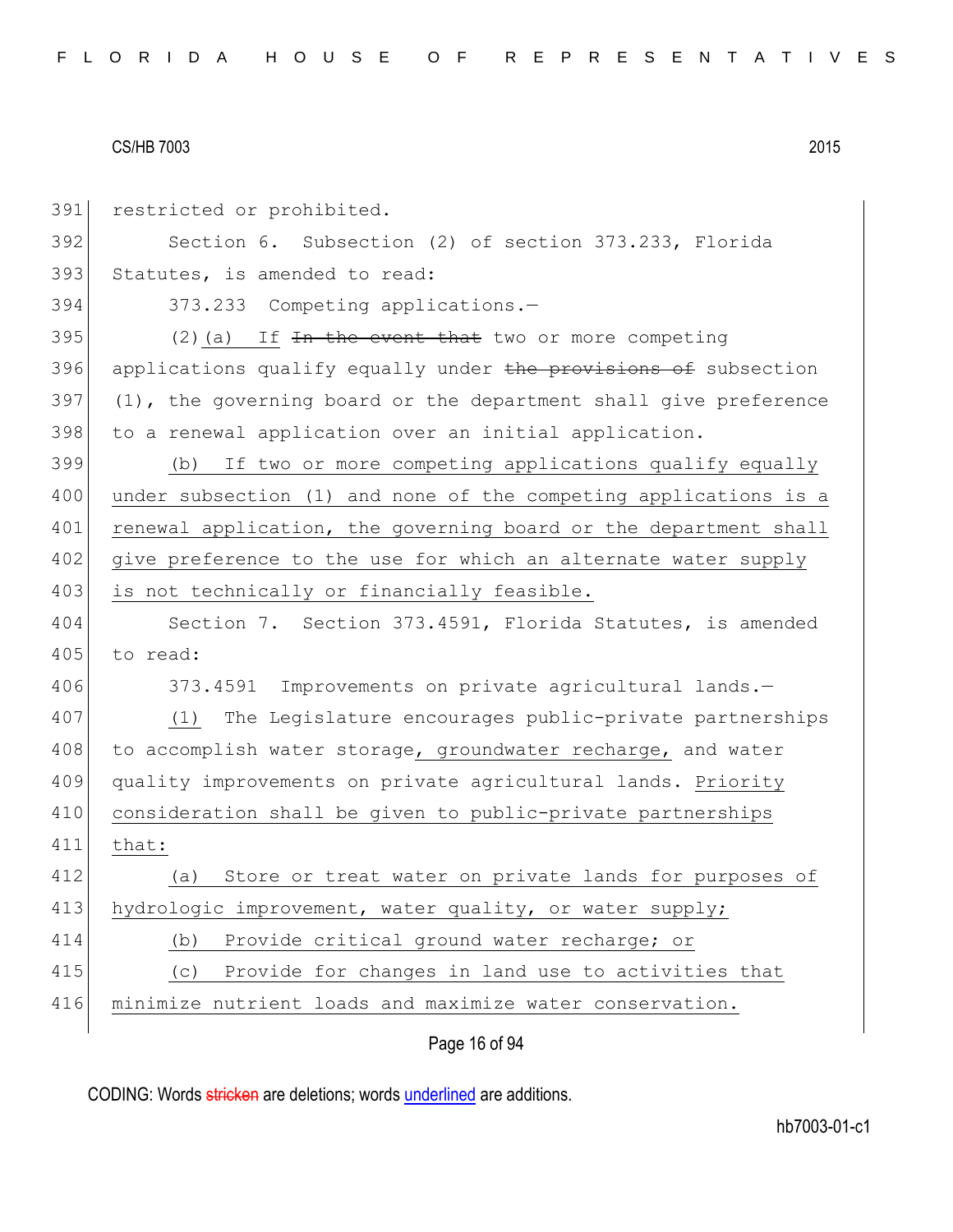| 391 | restricted or prohibited.                                         |
|-----|-------------------------------------------------------------------|
| 392 | Section 6. Subsection (2) of section 373.233, Florida             |
| 393 | Statutes, is amended to read:                                     |
| 394 | 373.233 Competing applications.-                                  |
| 395 | $(2)$ (a) If $\overline{In}$ the event that two or more competing |
| 396 | applications qualify equally under the provisions of subsection   |
| 397 | (1), the governing board or the department shall give preference  |
| 398 | to a renewal application over an initial application.             |
| 399 | (b) If two or more competing applications qualify equally         |
| 400 | under subsection (1) and none of the competing applications is a  |
| 401 | renewal application, the governing board or the department shall  |
| 402 | give preference to the use for which an alternate water supply    |
| 403 | is not technically or financially feasible.                       |
| 404 | Section 7. Section 373.4591, Florida Statutes, is amended         |
| 405 | to read:                                                          |
| 406 | 373.4591 Improvements on private agricultural lands.-             |
| 407 | The Legislature encourages public-private partnerships<br>(1)     |
| 408 | to accomplish water storage, groundwater recharge, and water      |
| 409 | quality improvements on private agricultural lands. Priority      |
| 410 | consideration shall be given to public-private partnerships       |
| 411 | that:                                                             |
| 412 | Store or treat water on private lands for purposes of<br>(a)      |
| 413 | hydrologic improvement, water quality, or water supply;           |
| 414 | Provide critical ground water recharge; or<br>(b)                 |
| 415 | Provide for changes in land use to activities that<br>(C)         |
| 416 | minimize nutrient loads and maximize water conservation.          |
|     | Page 16 of 94                                                     |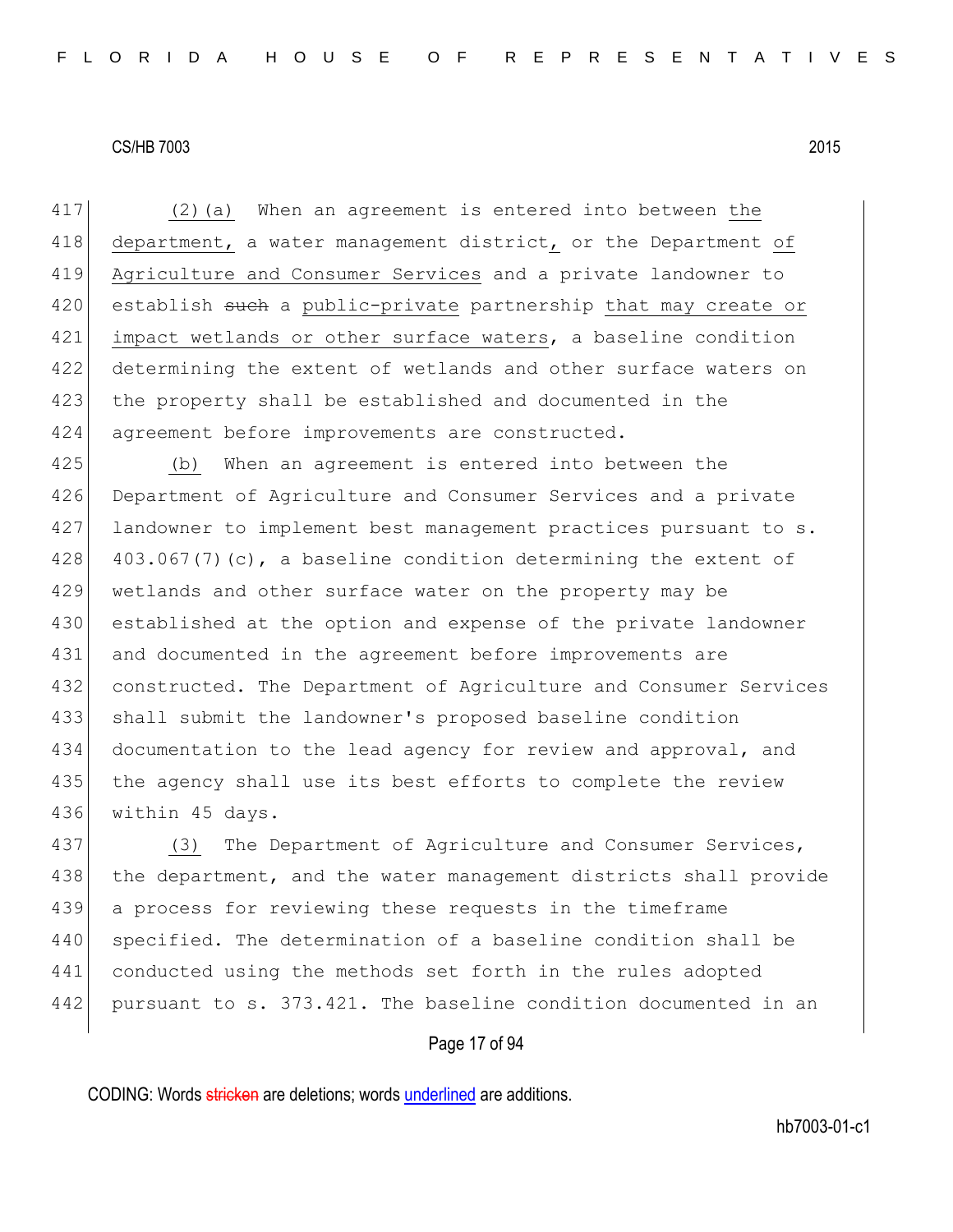417 (2)(a) When an agreement is entered into between the 418 department, a water management district, or the Department of 419 Agriculture and Consumer Services and a private landowner to 420 establish such a public-private partnership that may create or 421 impact wetlands or other surface waters, a baseline condition 422 determining the extent of wetlands and other surface waters on 423 the property shall be established and documented in the 424 agreement before improvements are constructed.

425 (b) When an agreement is entered into between the 426 Department of Agriculture and Consumer Services and a private 427 landowner to implement best management practices pursuant to s. 428 403.067(7)(c), a baseline condition determining the extent of 429 wetlands and other surface water on the property may be 430 established at the option and expense of the private landowner 431 and documented in the agreement before improvements are 432 constructed. The Department of Agriculture and Consumer Services 433 shall submit the landowner's proposed baseline condition 434 documentation to the lead agency for review and approval, and 435 the agency shall use its best efforts to complete the review 436 within 45 days.

437 (3) The Department of Agriculture and Consumer Services, 438 the department, and the water management districts shall provide 439 a process for reviewing these requests in the timeframe 440 specified. The determination of a baseline condition shall be 441 conducted using the methods set forth in the rules adopted 442 pursuant to s. 373.421. The baseline condition documented in an

#### Page 17 of 94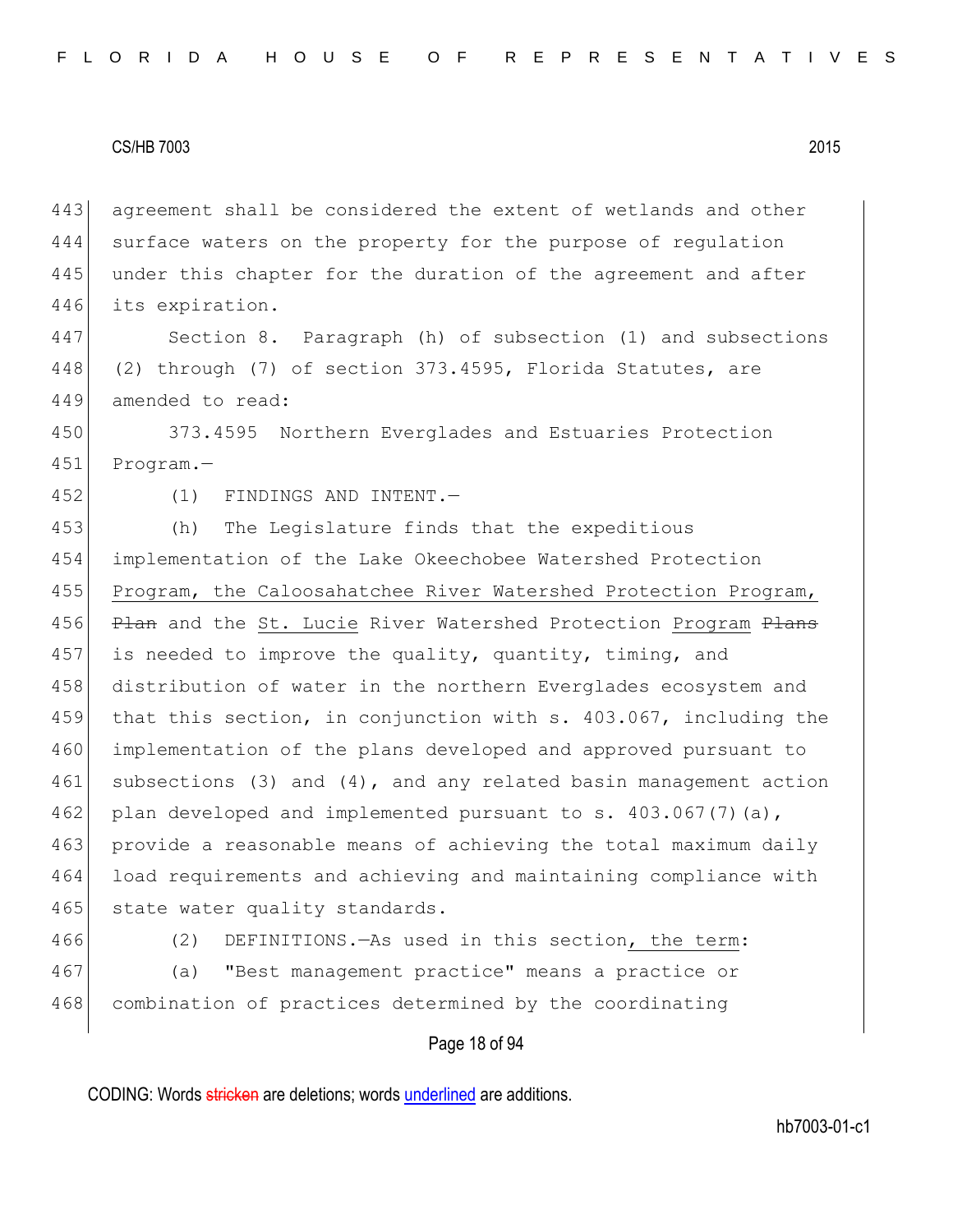agreement shall be considered the extent of wetlands and other surface waters on the property for the purpose of regulation 445 under this chapter for the duration of the agreement and after its expiration.

447 Section 8. Paragraph (h) of subsection (1) and subsections 448 (2) through (7) of section 373.4595, Florida Statutes, are 449 amended to read:

450 373.4595 Northern Everglades and Estuaries Protection 451 Program.—

452 (1) FINDINGS AND INTENT.

453 (h) The Legislature finds that the expeditious 454 implementation of the Lake Okeechobee Watershed Protection 455 Program, the Caloosahatchee River Watershed Protection Program, 456 Plan and the St. Lucie River Watershed Protection Program Plans 457 is needed to improve the quality, quantity, timing, and 458 distribution of water in the northern Everglades ecosystem and 459 that this section, in conjunction with s. 403.067, including the 460 implementation of the plans developed and approved pursuant to 461 subsections (3) and (4), and any related basin management action 462 plan developed and implemented pursuant to s.  $403.067(7)(a)$ , 463 provide a reasonable means of achieving the total maximum daily 464 load requirements and achieving and maintaining compliance with 465 state water quality standards.

466 (2) DEFINITIONS.—As used in this section, the term: 467 (a) "Best management practice" means a practice or 468 combination of practices determined by the coordinating

#### Page 18 of 94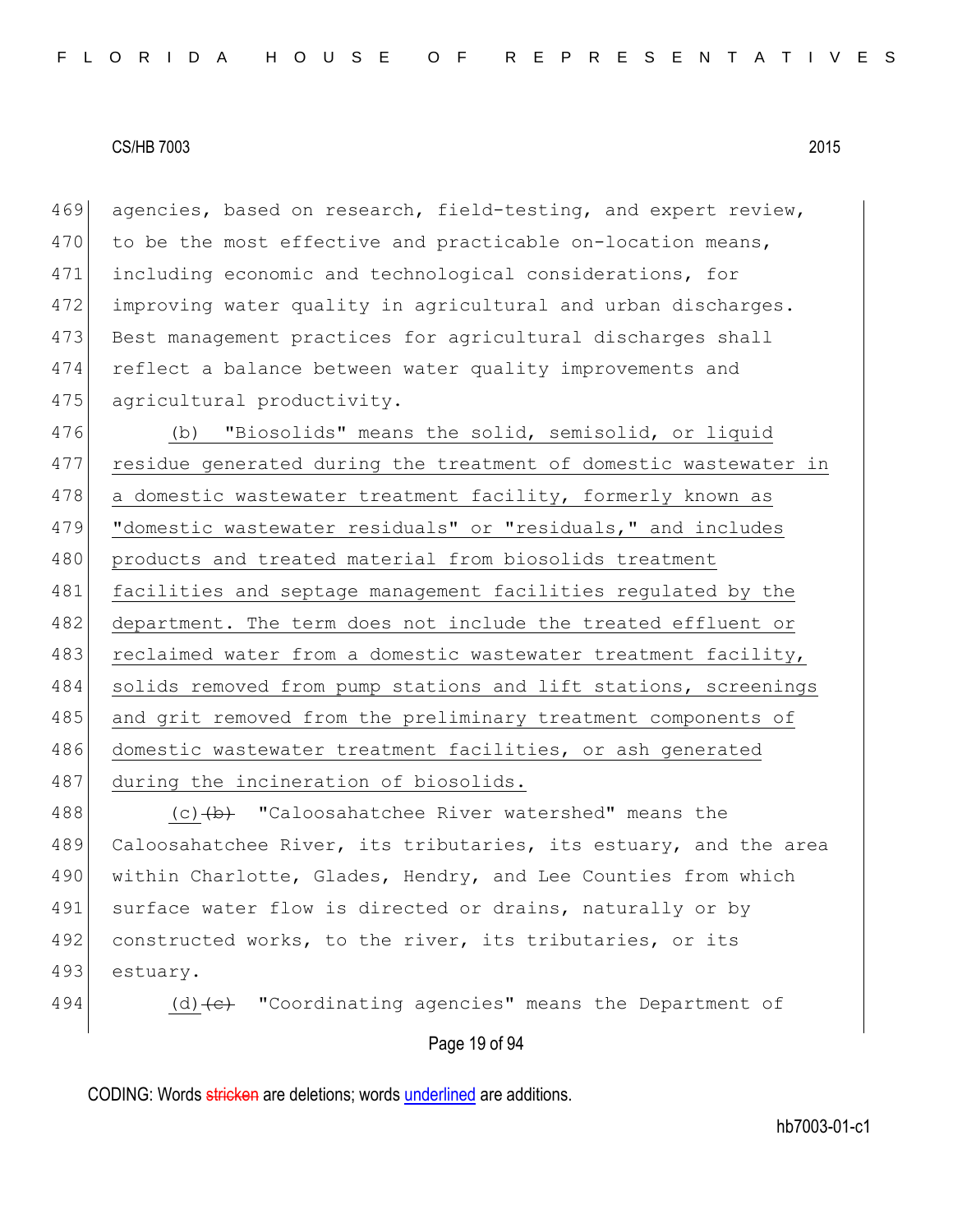469 agencies, based on research, field-testing, and expert review,  $470$  to be the most effective and practicable on-location means, 471 including economic and technological considerations, for 472 improving water quality in agricultural and urban discharges. 473 Best management practices for agricultural discharges shall 474 reflect a balance between water quality improvements and 475 agricultural productivity.

476 (b) "Biosolids" means the solid, semisolid, or liquid 477 residue generated during the treatment of domestic wastewater in 478 a domestic wastewater treatment facility, formerly known as 479 "domestic wastewater residuals" or "residuals," and includes 480 products and treated material from biosolids treatment 481 facilities and septage management facilities regulated by the 482 department. The term does not include the treated effluent or 483 reclaimed water from a domestic wastewater treatment facility, 484 solids removed from pump stations and lift stations, screenings 485 and grit removed from the preliminary treatment components of 486 domestic wastewater treatment facilities, or ash generated 487 during the incineration of biosolids.

488  $(c)$   $(b)$  "Caloosahatchee River watershed" means the 489 Caloosahatchee River, its tributaries, its estuary, and the area 490 within Charlotte, Glades, Hendry, and Lee Counties from which 491 surface water flow is directed or drains, naturally or by 492 constructed works, to the river, its tributaries, or its 493 estuary.

494 (d)  $\left(\text{e}\right)$  "Coordinating agencies" means the Department of

#### Page 19 of 94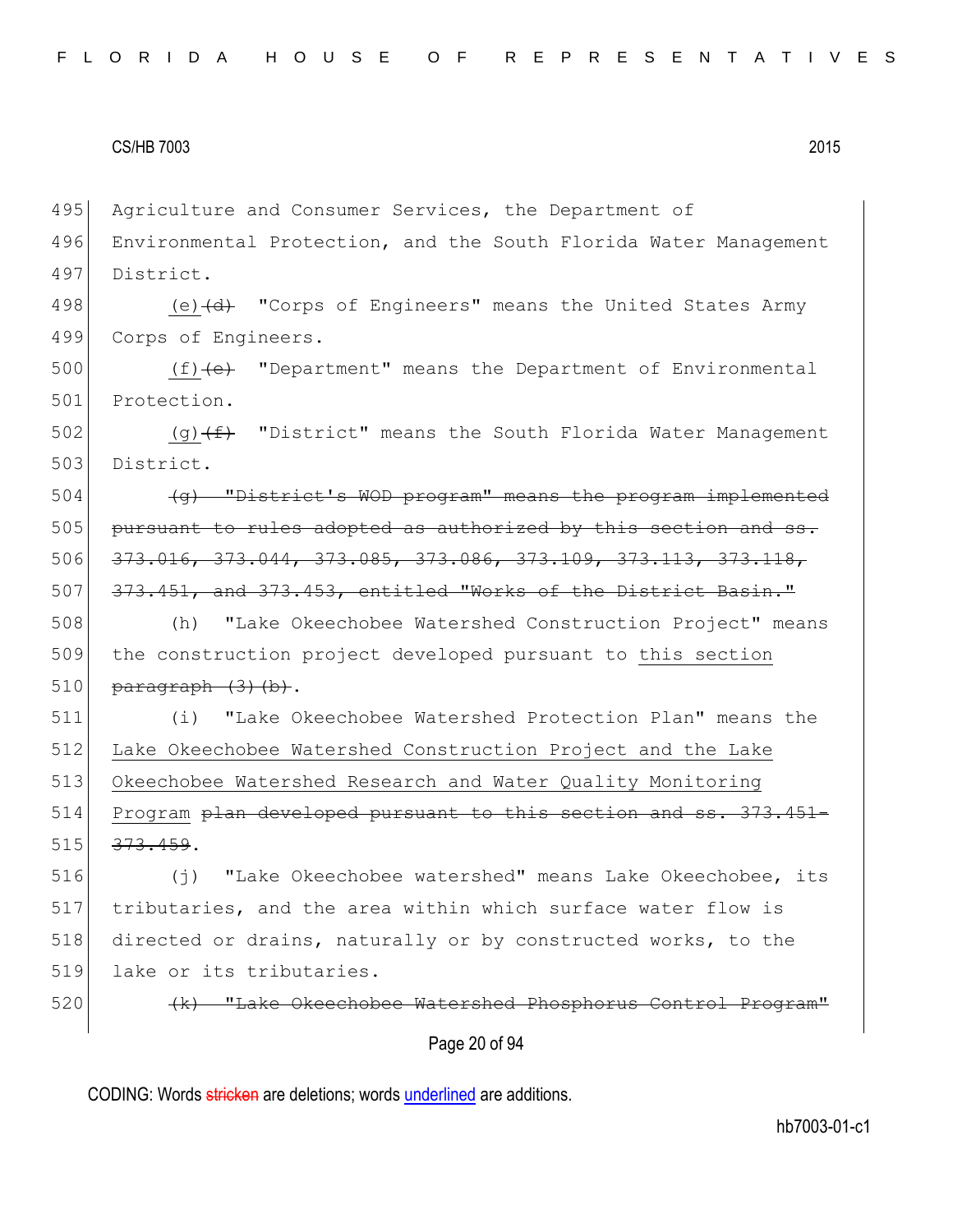495 Agriculture and Consumer Services, the Department of

496 Environmental Protection, and the South Florida Water Management 497 District.

498 (e) (d) "Corps of Engineers" means the United States Army 499 Corps of Engineers.

500  $(f)$  (f)  $(e)$  "Department" means the Department of Environmental 501 Protection.

502  $(q)$   $(f)$  "District" means the South Florida Water Management 503 District.

 $\left( q \right)$  "District's WOD program" means the program implemented pursuant to rules adopted as authorized by this section and ss. 373.016, 373.044, 373.085, 373.086, 373.109, 373.113, 373.118, 507 373.451, and 373.453, entitled "Works of the District Basin."

508 (h) "Lake Okeechobee Watershed Construction Project" means 509 the construction project developed pursuant to this section 510  $\vert$  paragraph  $(3)$  (b).

511 (i) "Lake Okeechobee Watershed Protection Plan" means the 512 Lake Okeechobee Watershed Construction Project and the Lake 513 Okeechobee Watershed Research and Water Quality Monitoring 514 Program <del>plan developed pursuant to this section and ss. 373.451-</del>  $515$   $373.459$ .

516 (j) "Lake Okeechobee watershed" means Lake Okeechobee, its 517 tributaries, and the area within which surface water flow is 518 directed or drains, naturally or by constructed works, to the 519 lake or its tributaries.

520 **(k)** "Lake Okeechobee Watershed Phosphorus Control Program"

Page 20 of 94

CODING: Words stricken are deletions; words underlined are additions.

hb7003-01-c1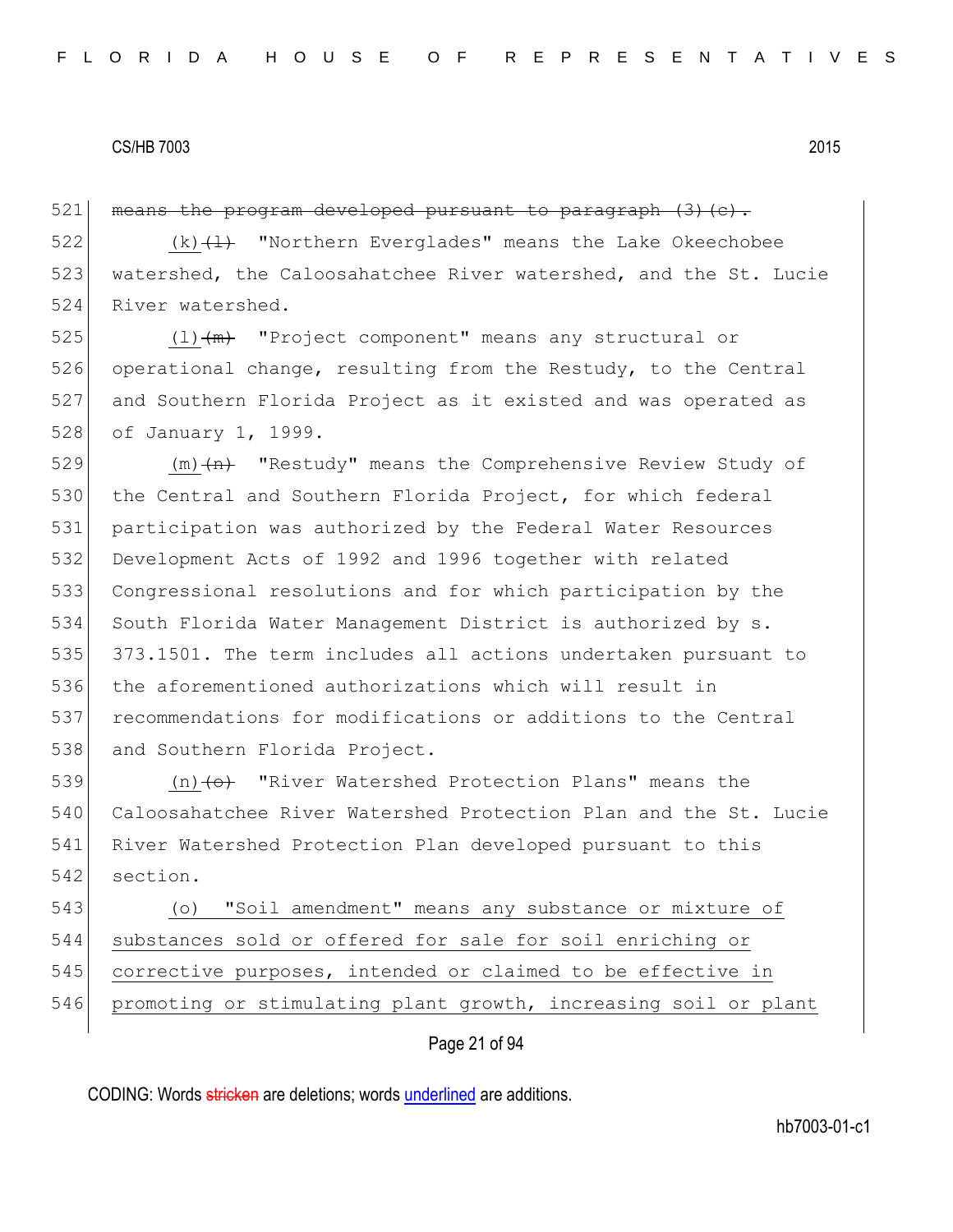$521$  means the program developed pursuant to paragraph  $(3)(c)$ .

522  $(k)$   $\left(\frac{1}{k}\right)$  "Northern Everglades" means the Lake Okeechobee 523 watershed, the Caloosahatchee River watershed, and the St. Lucie 524 River watershed.

525  $(1)$   $(m)$  "Project component" means any structural or 526 operational change, resulting from the Restudy, to the Central 527 and Southern Florida Project as it existed and was operated as 528 of January 1, 1999.

 $(m)$   $(n)$  "Restudy" means the Comprehensive Review Study of 530 the Central and Southern Florida Project, for which federal participation was authorized by the Federal Water Resources Development Acts of 1992 and 1996 together with related Congressional resolutions and for which participation by the South Florida Water Management District is authorized by s. 373.1501. The term includes all actions undertaken pursuant to the aforementioned authorizations which will result in 537 recommendations for modifications or additions to the Central 538 and Southern Florida Project.

539 (n) (o) "River Watershed Protection Plans" means the 540 Caloosahatchee River Watershed Protection Plan and the St. Lucie 541 River Watershed Protection Plan developed pursuant to this 542 section.

 (o) "Soil amendment" means any substance or mixture of substances sold or offered for sale for soil enriching or corrective purposes, intended or claimed to be effective in 546 promoting or stimulating plant growth, increasing soil or plant

# Page 21 of 94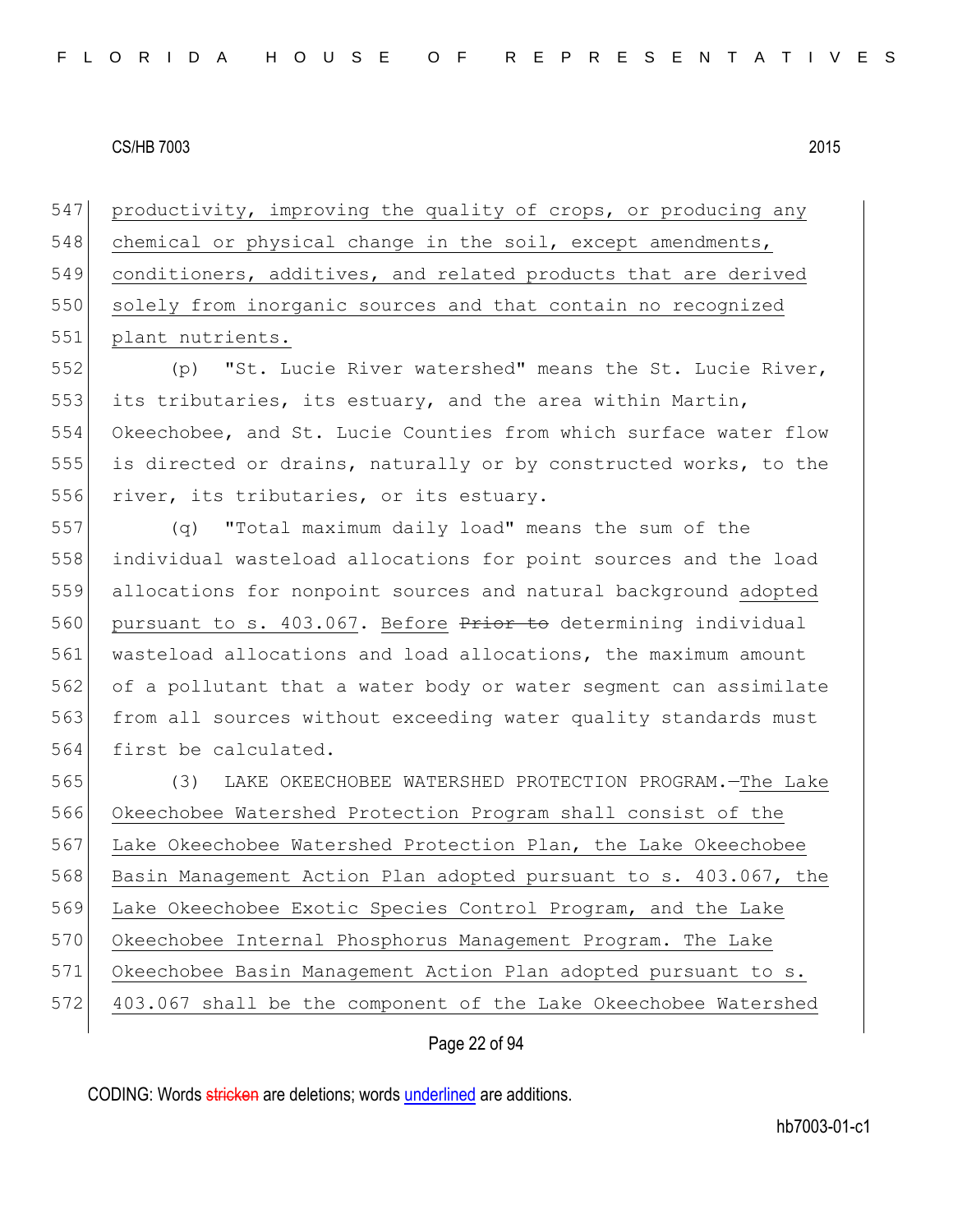547 productivity, improving the quality of crops, or producing any 548 chemical or physical change in the soil, except amendments, 549 conditioners, additives, and related products that are derived 550 solely from inorganic sources and that contain no recognized 551 plant nutrients.

552 (p) "St. Lucie River watershed" means the St. Lucie River, 553 its tributaries, its estuary, and the area within Martin, 554 Okeechobee, and St. Lucie Counties from which surface water flow 555 is directed or drains, naturally or by constructed works, to the 556 river, its tributaries, or its estuary.

 (q) "Total maximum daily load" means the sum of the individual wasteload allocations for point sources and the load allocations for nonpoint sources and natural background adopted 560 pursuant to s. 403.067. Before Prior to determining individual wasteload allocations and load allocations, the maximum amount of a pollutant that a water body or water segment can assimilate 563 from all sources without exceeding water quality standards must 564 first be calculated.

 (3) LAKE OKEECHOBEE WATERSHED PROTECTION PROGRAM.—The Lake Okeechobee Watershed Protection Program shall consist of the Lake Okeechobee Watershed Protection Plan, the Lake Okeechobee 568 Basin Management Action Plan adopted pursuant to s. 403.067, the Lake Okeechobee Exotic Species Control Program, and the Lake Okeechobee Internal Phosphorus Management Program. The Lake Okeechobee Basin Management Action Plan adopted pursuant to s. 403.067 shall be the component of the Lake Okeechobee Watershed

# Page 22 of 94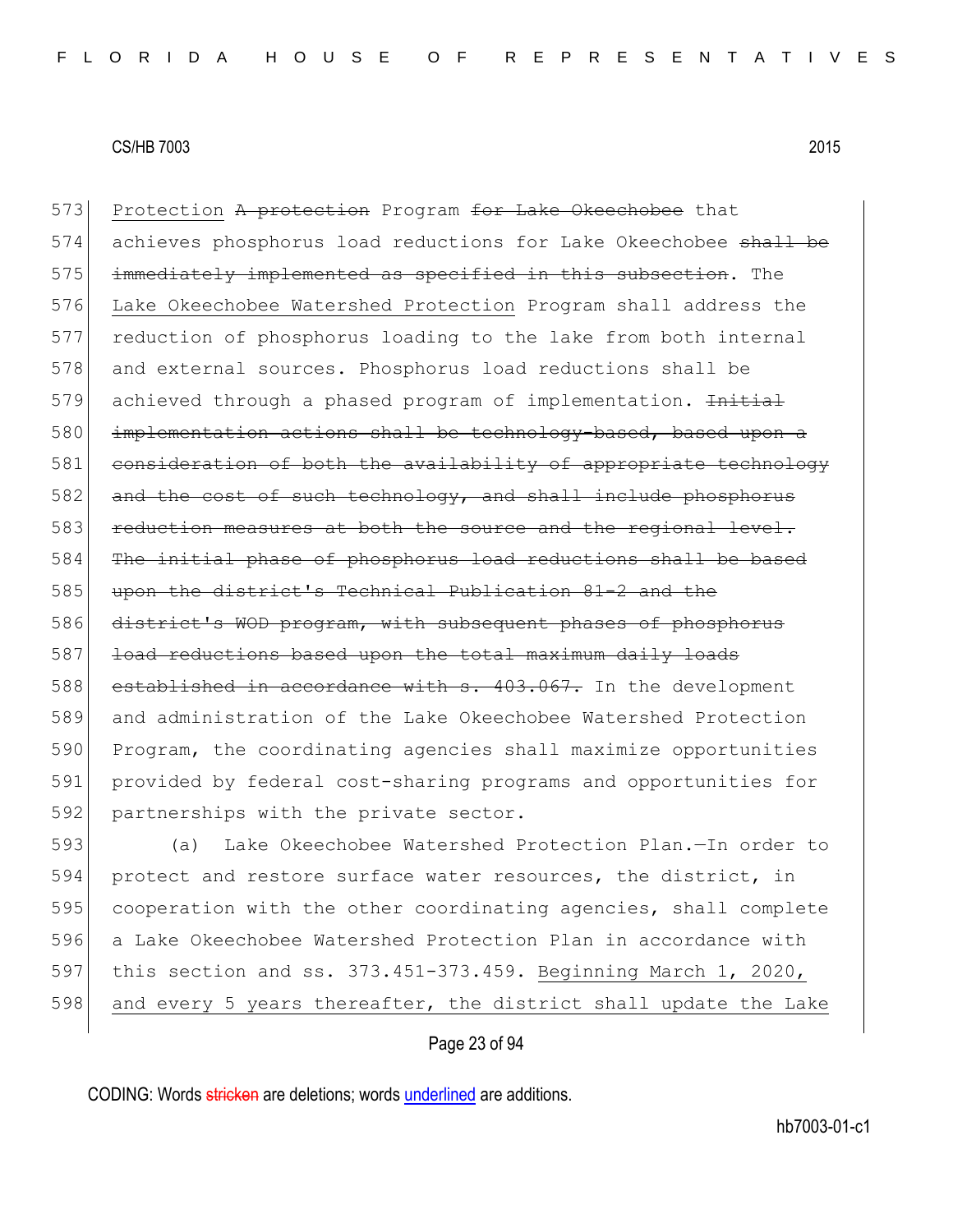573 Protection A protection Program for Lake Okeechobee that 574 achieves phosphorus load reductions for Lake Okeechobee shall be 575 immediately implemented as specified in this subsection. The 576 Lake Okeechobee Watershed Protection Program shall address the 577 reduction of phosphorus loading to the lake from both internal 578 and external sources. Phosphorus load reductions shall be 579 achieved through a phased program of implementation. Initial 580 implementation actions shall be technology-based, based upon a 581 consideration of both the availability of appropriate technology 582 and the cost of such technology, and shall include phosphorus 583 reduction measures at both the source and the regional level. 584 The initial phase of phosphorus load reductions shall be based 585 upon the district's Technical Publication 81-2 and the 586 district's WOD program, with subsequent phases of phosphorus 587 load reductions based upon the total maximum daily loads 588 established in accordance with s. 403.067. In the development 589 and administration of the Lake Okeechobee Watershed Protection 590 Program, the coordinating agencies shall maximize opportunities 591 provided by federal cost-sharing programs and opportunities for 592 partnerships with the private sector.

 (a) Lake Okeechobee Watershed Protection Plan.—In order to 594 protect and restore surface water resources, the district, in cooperation with the other coordinating agencies, shall complete a Lake Okeechobee Watershed Protection Plan in accordance with this section and ss. 373.451-373.459. Beginning March 1, 2020, 598 and every 5 years thereafter, the district shall update the Lake

# Page 23 of 94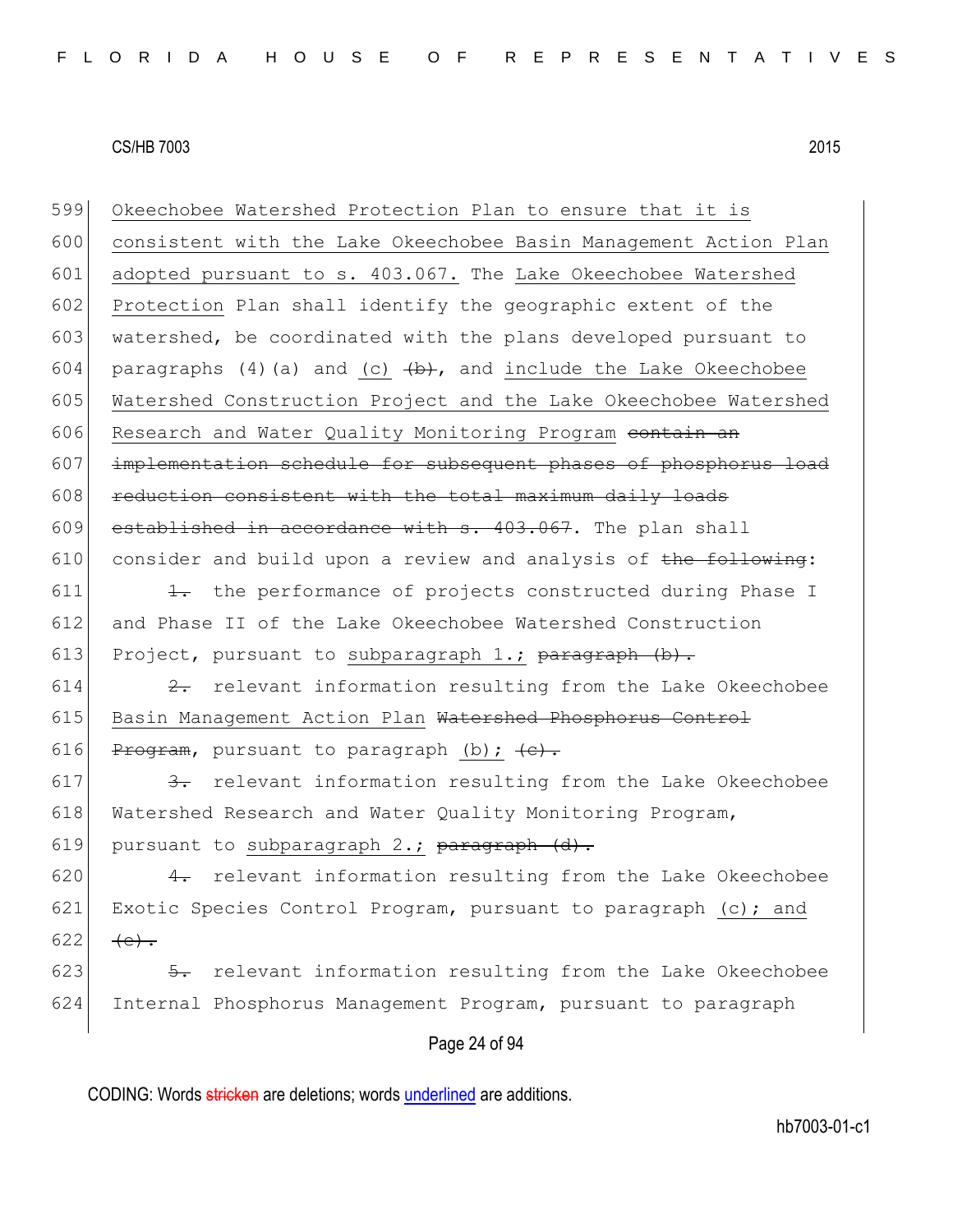| 599 | Okeechobee Watershed Protection Plan to ensure that it is          |
|-----|--------------------------------------------------------------------|
| 600 | consistent with the Lake Okeechobee Basin Management Action Plan   |
| 601 | adopted pursuant to s. 403.067. The Lake Okeechobee Watershed      |
| 602 | Protection Plan shall identify the geographic extent of the        |
| 603 | watershed, be coordinated with the plans developed pursuant to     |
| 604 | paragraphs (4) (a) and (c) $(b)$ , and include the Lake Okeechobee |
| 605 | Watershed Construction Project and the Lake Okeechobee Watershed   |
| 606 | Research and Water Quality Monitoring Program contain an           |
| 607 | implementation schedule for subsequent phases of phosphorus load   |
| 608 | reduction consistent with the total maximum daily loads            |
| 609 | established in accordance with s. 403.067. The plan shall          |
| 610 | consider and build upon a review and analysis of the following:    |
| 611 | 1. the performance of projects constructed during Phase I          |
| 612 | and Phase II of the Lake Okeechobee Watershed Construction         |
| 613 | Project, pursuant to subparagraph $1$ .; paragraph $(b)$ .         |
| 614 | 2. relevant information resulting from the Lake Okeechobee         |
| 615 | Basin Management Action Plan Watershed Phosphorus Control          |
| 616 | Program, pursuant to paragraph (b); $\left\{e\right\}$ .           |
| 617 | 3. relevant information resulting from the Lake Okeechobee         |
| 618 | Watershed Research and Water Quality Monitoring Program,           |
| 619 | pursuant to subparagraph 2.; paragraph (d).                        |
| 620 | 4. relevant information resulting from the Lake Okeechobee         |
| 621 | Exotic Species Control Program, pursuant to paragraph (c); and     |
| 622 | $(e)$ .                                                            |
| 623 | 5. relevant information resulting from the Lake Okeechobee         |
| 624 | Internal Phosphorus Management Program, pursuant to paragraph      |
|     | Page 24 of 94                                                      |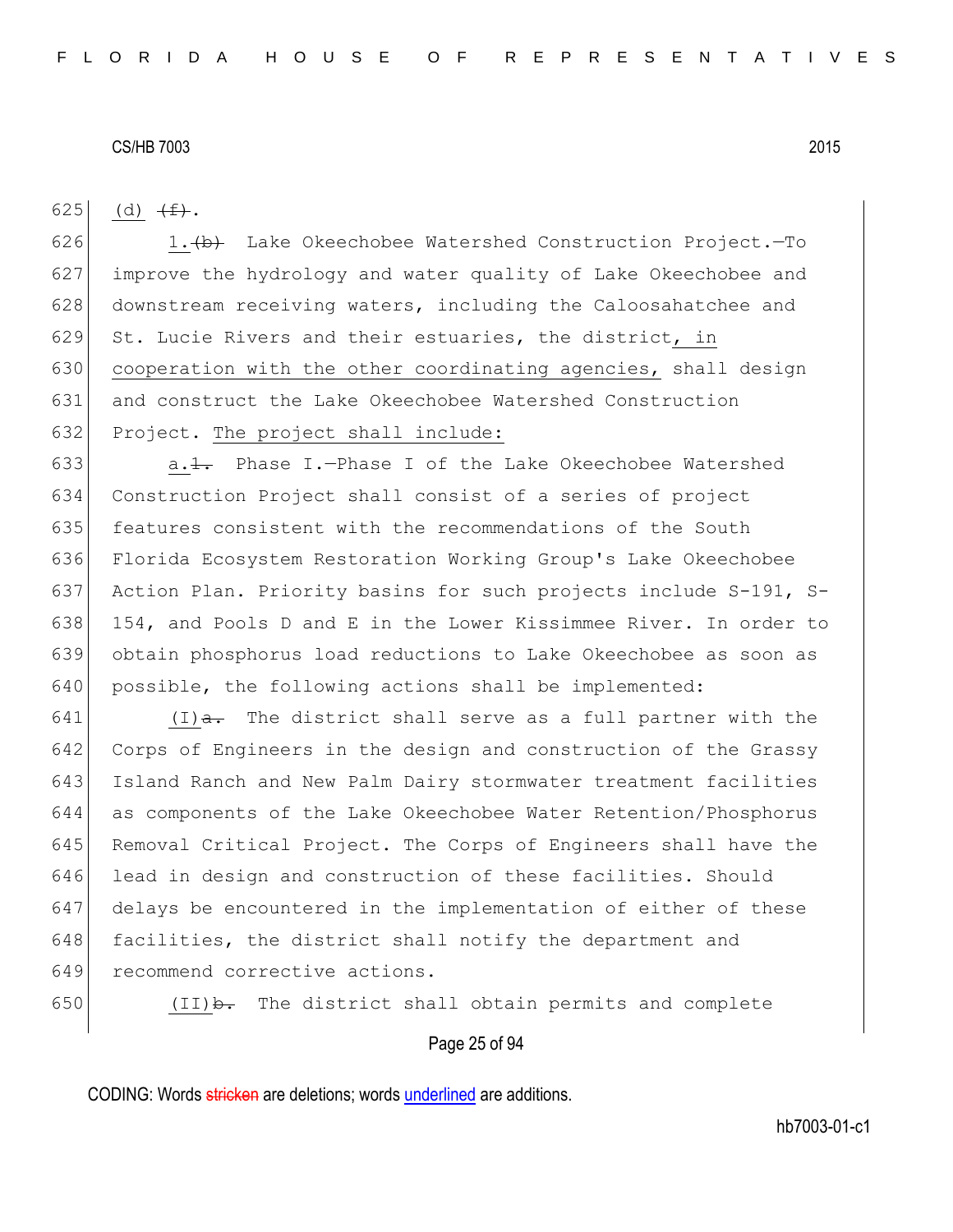625 (d)  $\leftarrow$ .

626 1. $\leftrightarrow$  Lake Okeechobee Watershed Construction Project. - To 627 improve the hydrology and water quality of Lake Okeechobee and 628 downstream receiving waters, including the Caloosahatchee and 629 St. Lucie Rivers and their estuaries, the district, in 630 cooperation with the other coordinating agencies, shall design 631 and construct the Lake Okeechobee Watershed Construction 632 Project. The project shall include:

 $a.1.$  Phase I.-Phase I of the Lake Okeechobee Watershed Construction Project shall consist of a series of project 635 features consistent with the recommendations of the South Florida Ecosystem Restoration Working Group's Lake Okeechobee Action Plan. Priority basins for such projects include S-191, S-638 154, and Pools D and E in the Lower Kissimmee River. In order to obtain phosphorus load reductions to Lake Okeechobee as soon as 640 possible, the following actions shall be implemented:

 $(I)$   $\rightarrow$  The district shall serve as a full partner with the Corps of Engineers in the design and construction of the Grassy Island Ranch and New Palm Dairy stormwater treatment facilities as components of the Lake Okeechobee Water Retention/Phosphorus Removal Critical Project. The Corps of Engineers shall have the 646 lead in design and construction of these facilities. Should delays be encountered in the implementation of either of these 648 facilities, the district shall notify the department and 649 recommend corrective actions.

650  $(II)$   $\rightarrow$  The district shall obtain permits and complete

# Page 25 of 94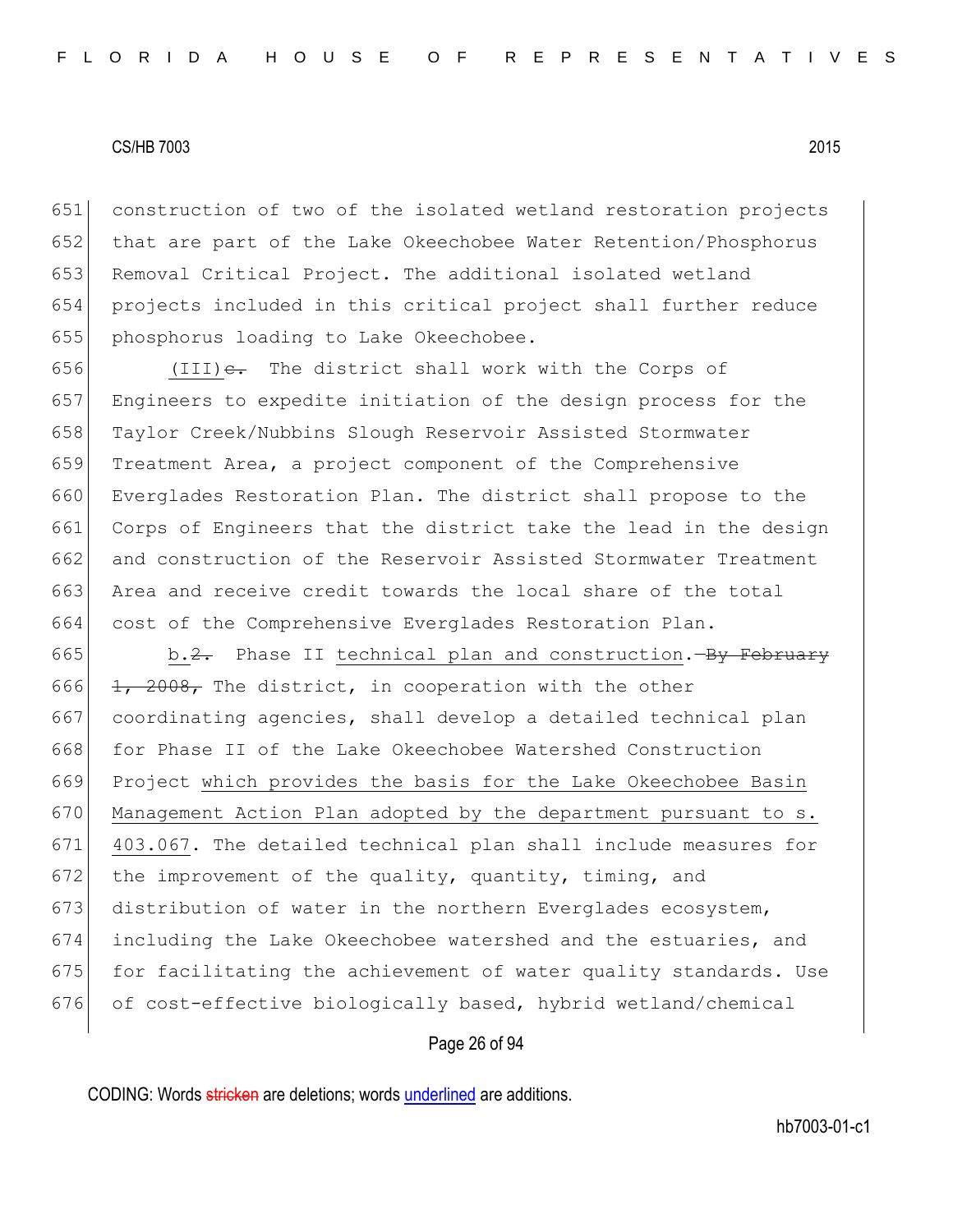651 construction of two of the isolated wetland restoration projects 652 that are part of the Lake Okeechobee Water Retention/Phosphorus 653 Removal Critical Project. The additional isolated wetland 654 projects included in this critical project shall further reduce 655 phosphorus loading to Lake Okeechobee.

656 (III) $e$ . The district shall work with the Corps of Engineers to expedite initiation of the design process for the Taylor Creek/Nubbins Slough Reservoir Assisted Stormwater 659 Treatment Area, a project component of the Comprehensive 660 Everglades Restoration Plan. The district shall propose to the Corps of Engineers that the district take the lead in the design and construction of the Reservoir Assisted Stormwater Treatment Area and receive credit towards the local share of the total cost of the Comprehensive Everglades Restoration Plan.

665 b.2. Phase II technical plan and construction.—By February 666  $\left| \frac{1}{1} \right|$ ,  $2008$ , The district, in cooperation with the other 667 coordinating agencies, shall develop a detailed technical plan 668 for Phase II of the Lake Okeechobee Watershed Construction 669 Project which provides the basis for the Lake Okeechobee Basin 670 Management Action Plan adopted by the department pursuant to s. 671 403.067. The detailed technical plan shall include measures for 672 the improvement of the quality, quantity, timing, and 673 distribution of water in the northern Everglades ecosystem, 674 including the Lake Okeechobee watershed and the estuaries, and 675 for facilitating the achievement of water quality standards. Use 676 of cost-effective biologically based, hybrid wetland/chemical

# Page 26 of 94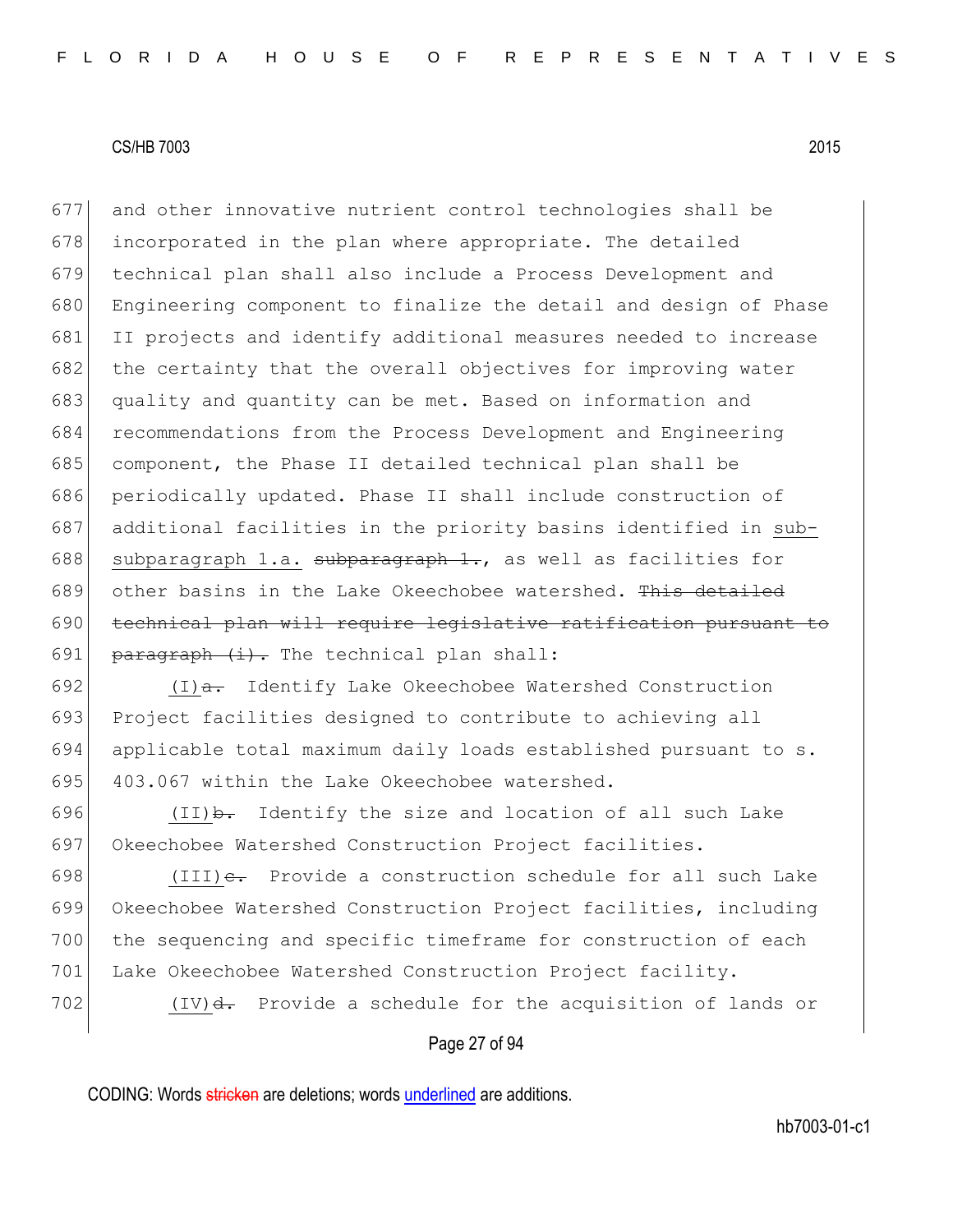and other innovative nutrient control technologies shall be incorporated in the plan where appropriate. The detailed technical plan shall also include a Process Development and Engineering component to finalize the detail and design of Phase II projects and identify additional measures needed to increase 682 the certainty that the overall objectives for improving water quality and quantity can be met. Based on information and recommendations from the Process Development and Engineering component, the Phase II detailed technical plan shall be 686 periodically updated. Phase II shall include construction of additional facilities in the priority basins identified in sub-688 subparagraph 1.a. subparagraph 1., as well as facilities for 689 other basins in the Lake Okeechobee watershed. This detailed technical plan will require legislative ratification pursuant to 691 paragraph  $(i)$ . The technical plan shall:

692  $(I)$ a. Identify Lake Okeechobee Watershed Construction 693 Project facilities designed to contribute to achieving all 694 applicable total maximum daily loads established pursuant to s. 695 403.067 within the Lake Okeechobee watershed.

696  $(II)$ b. Identify the size and location of all such Lake 697 Okeechobee Watershed Construction Project facilities.

698 (III) $e$ . Provide a construction schedule for all such Lake 699 Okeechobee Watershed Construction Project facilities, including 700 the sequencing and specific timeframe for construction of each 701 Lake Okeechobee Watershed Construction Project facility.

702 (IV)<del>d.</del> Provide a schedule for the acquisition of lands or

# Page 27 of 94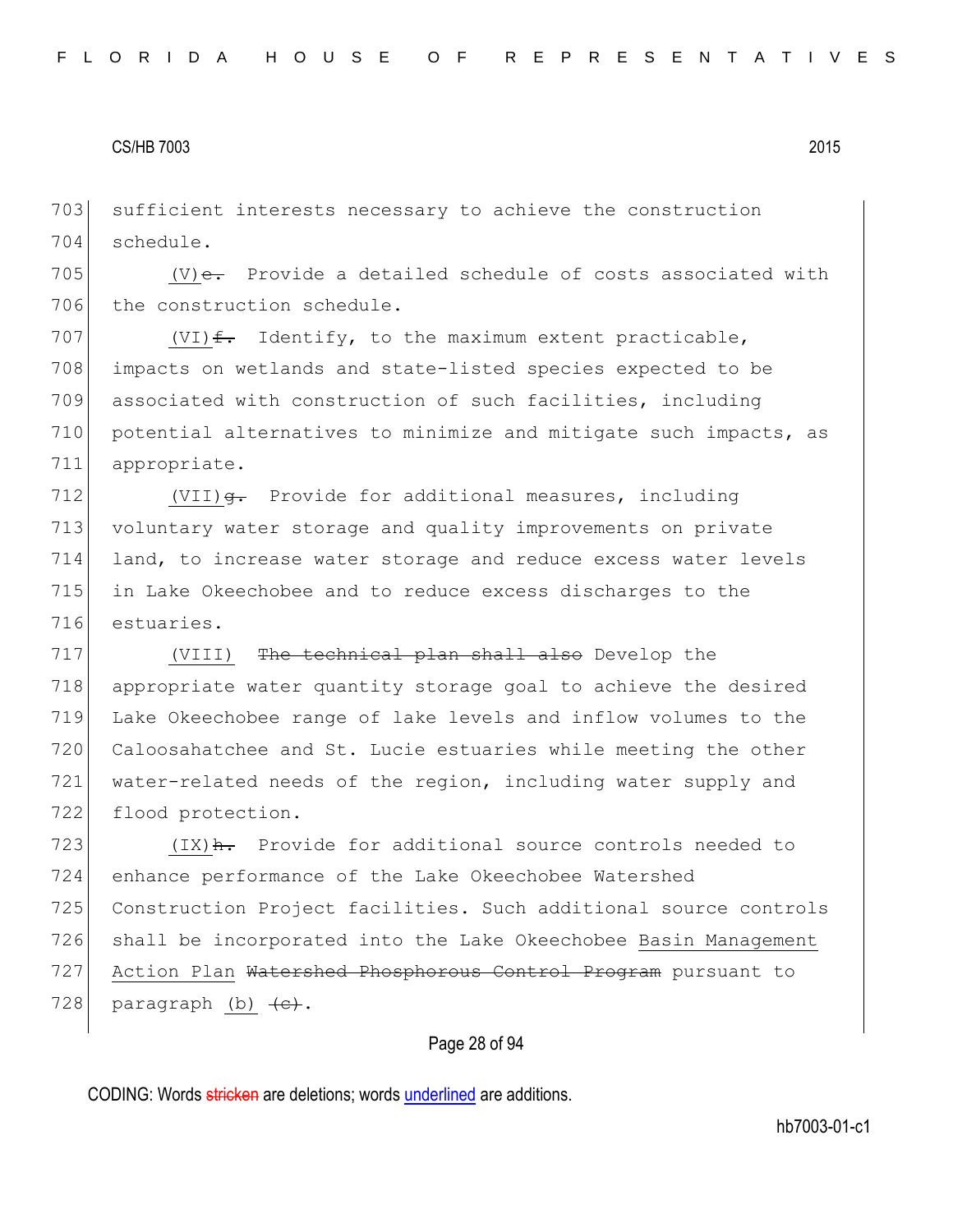703 sufficient interests necessary to achieve the construction 704 schedule.

705  $|V\rangle$  e. Provide a detailed schedule of costs associated with 706 the construction schedule.

707 (VI) $f$ . Identify, to the maximum extent practicable, 708 impacts on wetlands and state-listed species expected to be 709 associated with construction of such facilities, including 710 potential alternatives to minimize and mitigate such impacts, as 711 appropriate.

712 (VII)  $\theta$ . Provide for additional measures, including voluntary water storage and quality improvements on private land, to increase water storage and reduce excess water levels in Lake Okeechobee and to reduce excess discharges to the estuaries.

717 (VIII) <del>The technical plan shall also</del> Develop the appropriate water quantity storage goal to achieve the desired Lake Okeechobee range of lake levels and inflow volumes to the Caloosahatchee and St. Lucie estuaries while meeting the other water-related needs of the region, including water supply and 722 flood protection.

723  $(IX)$   $\frac{h}{1}$  Provide for additional source controls needed to 724 enhance performance of the Lake Okeechobee Watershed 725 Construction Project facilities. Such additional source controls 726 shall be incorporated into the Lake Okeechobee Basin Management 727 Action Plan Watershed Phosphorous Control Program pursuant to 728 paragraph (b)  $\left\{e\right\}$ .

# Page 28 of 94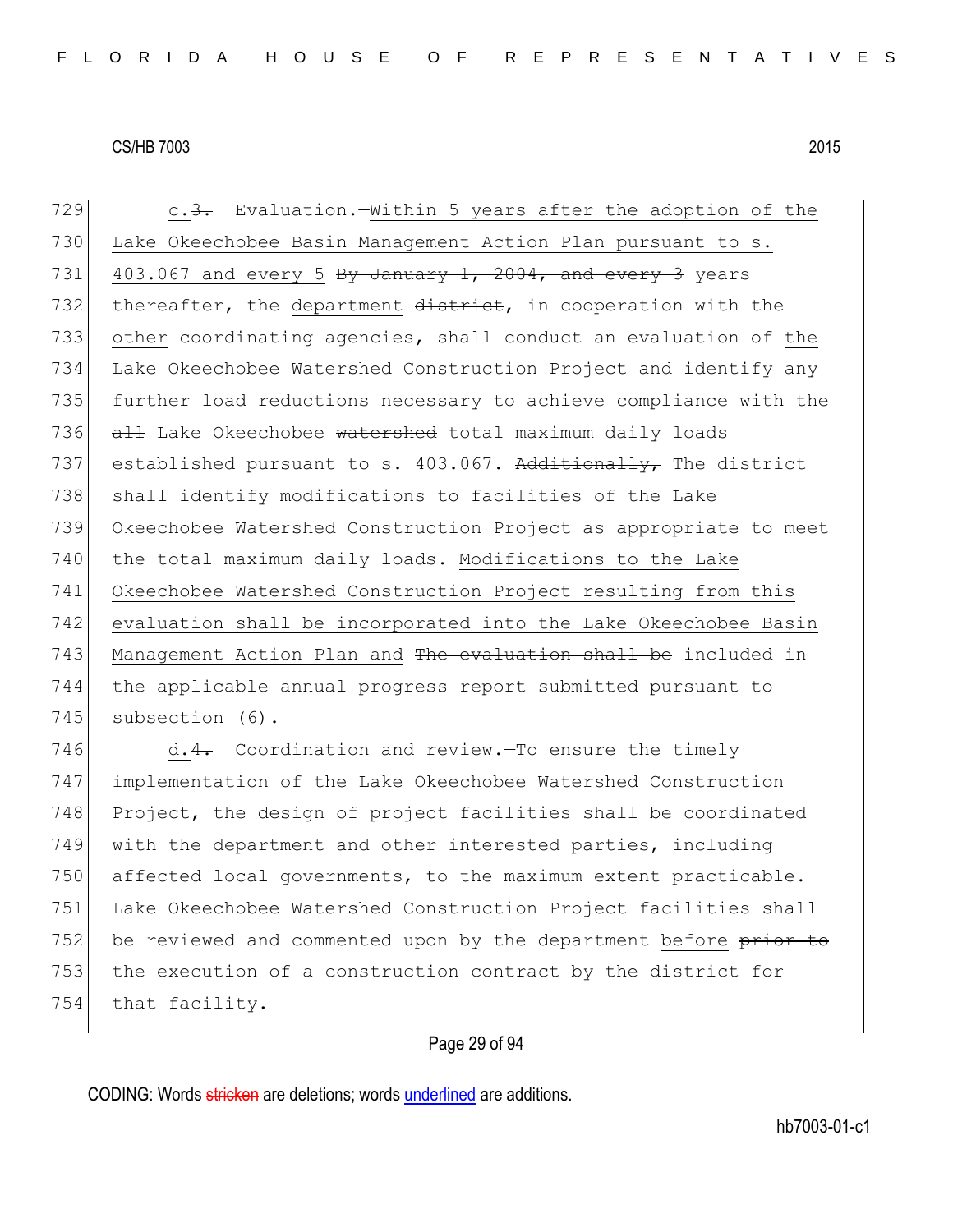729 c.3. Evaluation.—Within 5 years after the adoption of the 730 Lake Okeechobee Basin Management Action Plan pursuant to s. 731 403.067 and every 5 By January 1, 2004, and every 3 years 732 thereafter, the department district, in cooperation with the 733 other coordinating agencies, shall conduct an evaluation of the 734 Lake Okeechobee Watershed Construction Project and identify any 735 further load reductions necessary to achieve compliance with the 736 all Lake Okeechobee watershed total maximum daily loads 737 established pursuant to s. 403.067. Additionally, The district 738 shall identify modifications to facilities of the Lake 739 Okeechobee Watershed Construction Project as appropriate to meet 740 the total maximum daily loads. Modifications to the Lake 741 Okeechobee Watershed Construction Project resulting from this 742 evaluation shall be incorporated into the Lake Okeechobee Basin 743 Management Action Plan and The evaluation shall be included in 744 the applicable annual progress report submitted pursuant to 745 subsection (6). 746  $d.4$ . Coordination and review.—To ensure the timely

 implementation of the Lake Okeechobee Watershed Construction 748 Project, the design of project facilities shall be coordinated with the department and other interested parties, including affected local governments, to the maximum extent practicable. Lake Okeechobee Watershed Construction Project facilities shall 752 be reviewed and commented upon by the department before prior to the execution of a construction contract by the district for 754 that facility.

# Page 29 of 94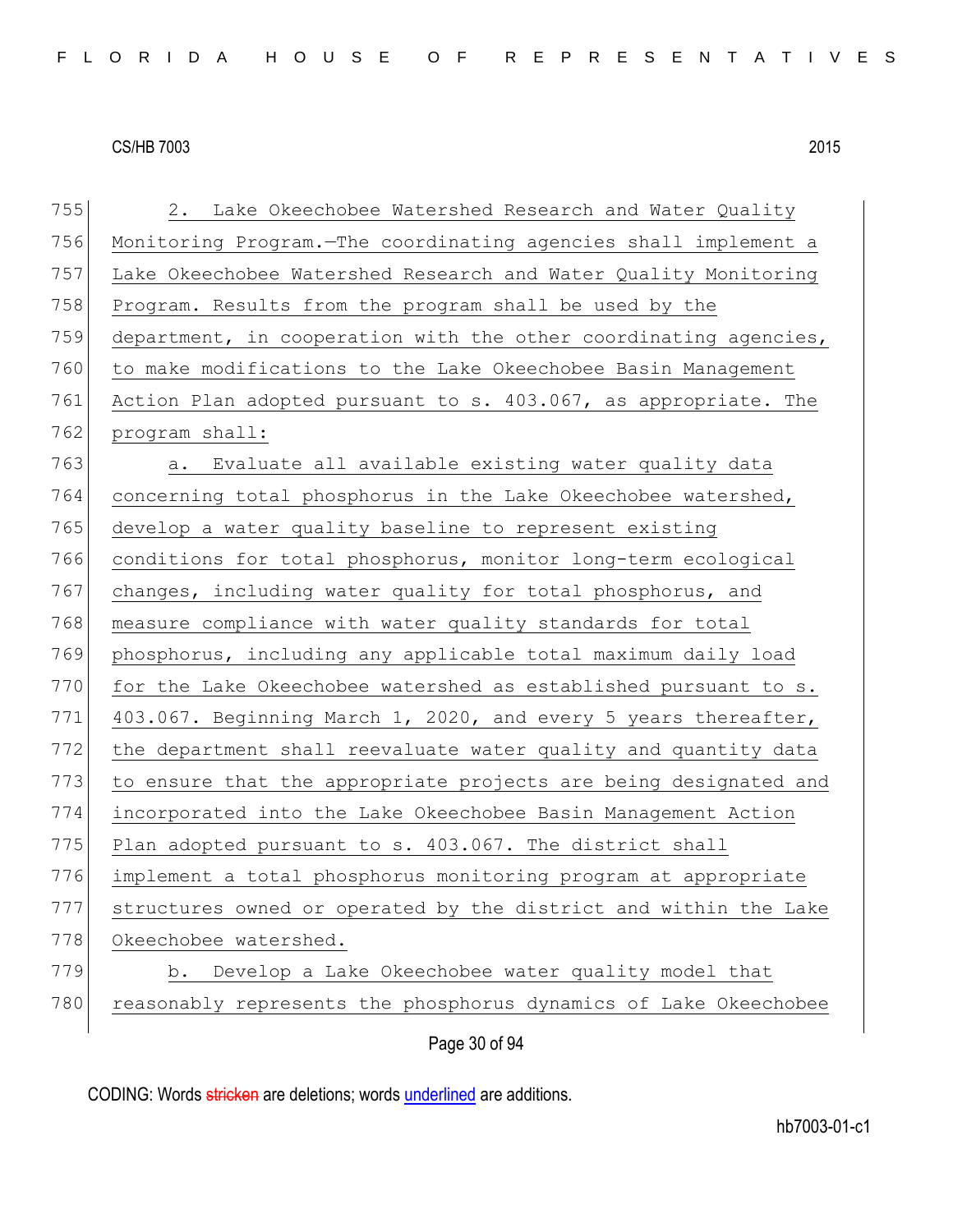Page 30 of 94 755 2. Lake Okeechobee Watershed Research and Water Quality 756 Monitoring Program.—The coordinating agencies shall implement a 757 Lake Okeechobee Watershed Research and Water Quality Monitoring 758 Program. Results from the program shall be used by the 759 department, in cooperation with the other coordinating agencies, 760 to make modifications to the Lake Okeechobee Basin Management 761 Action Plan adopted pursuant to s. 403.067, as appropriate. The 762 program shall: 763 a. Evaluate all available existing water quality data 764 concerning total phosphorus in the Lake Okeechobee watershed, 765 develop a water quality baseline to represent existing 766 conditions for total phosphorus, monitor long-term ecological 767 changes, including water quality for total phosphorus, and 768 measure compliance with water quality standards for total 769 phosphorus, including any applicable total maximum daily load  $770$  for the Lake Okeechobee watershed as established pursuant to s. 771 403.067. Beginning March 1, 2020, and every 5 years thereafter, 772 the department shall reevaluate water quality and quantity data 773 to ensure that the appropriate projects are being designated and 774 incorporated into the Lake Okeechobee Basin Management Action 775 Plan adopted pursuant to s.  $403.067$ . The district shall 776 implement a total phosphorus monitoring program at appropriate 777 structures owned or operated by the district and within the Lake 778 Okeechobee watershed. 779 b. Develop a Lake Okeechobee water quality model that 780 reasonably represents the phosphorus dynamics of Lake Okeechobee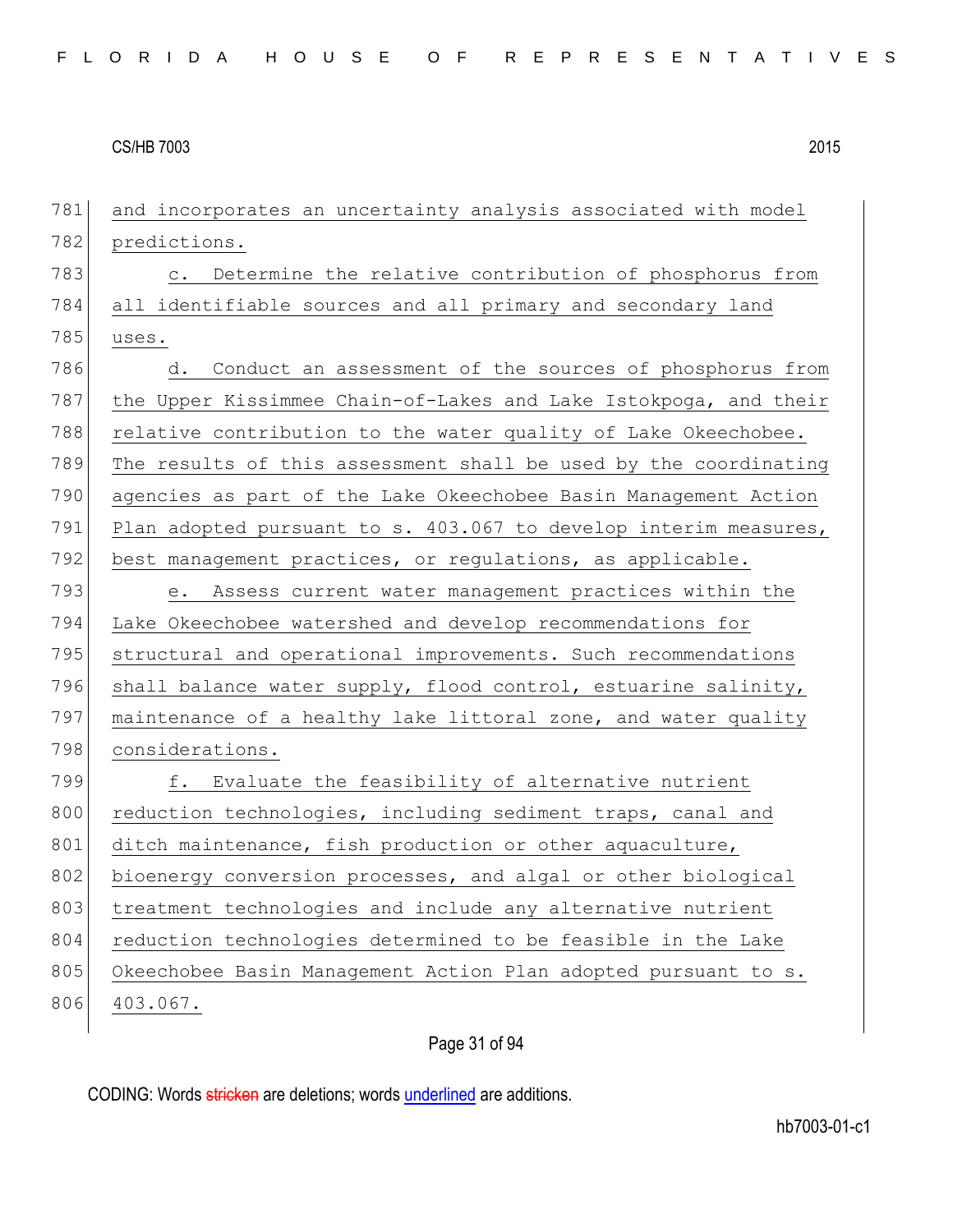781 and incorporates an uncertainty analysis associated with model 782 predictions. 783 c. Determine the relative contribution of phosphorus from 784 all identifiable sources and all primary and secondary land 785 uses. 786 d. Conduct an assessment of the sources of phosphorus from 787 the Upper Kissimmee Chain-of-Lakes and Lake Istokpoga, and their 788 relative contribution to the water quality of Lake Okeechobee. 789 The results of this assessment shall be used by the coordinating 790 agencies as part of the Lake Okeechobee Basin Management Action 791 Plan adopted pursuant to s. 403.067 to develop interim measures, 792 best management practices, or regulations, as applicable. 793 e. Assess current water management practices within the 794 Lake Okeechobee watershed and develop recommendations for 795 structural and operational improvements. Such recommendations 796 shall balance water supply, flood control, estuarine salinity, 797 maintenance of a healthy lake littoral zone, and water quality 798 considerations. 799 f. Evaluate the feasibility of alternative nutrient 800 reduction technologies, including sediment traps, canal and 801 ditch maintenance, fish production or other aquaculture, 802 bioenergy conversion processes, and algal or other biological 803 treatment technologies and include any alternative nutrient 804 reduction technologies determined to be feasible in the Lake 805 Okeechobee Basin Management Action Plan adopted pursuant to s. 806 403.067.

# Page 31 of 94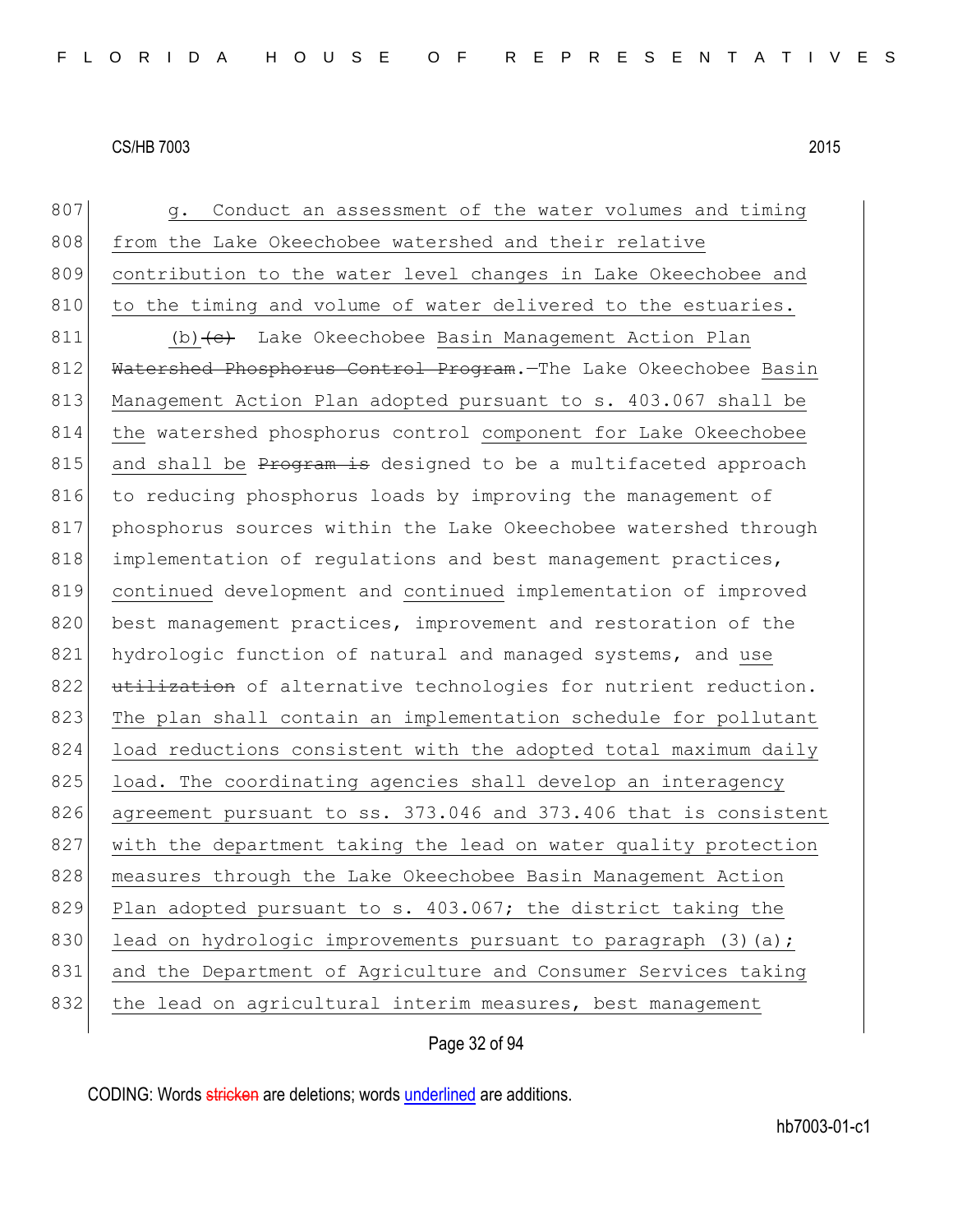807 g. Conduct an assessment of the water volumes and timing 808 from the Lake Okeechobee watershed and their relative 809 contribution to the water level changes in Lake Okeechobee and 810 to the timing and volume of water delivered to the estuaries. 811 (b) (c) Lake Okeechobee Basin Management Action Plan 812 Watershed Phosphorus Control Program. The Lake Okeechobee Basin 813 Management Action Plan adopted pursuant to s. 403.067 shall be 814 the watershed phosphorus control component for Lake Okeechobee 815 and shall be  $P_{\text{F}}$  and  $P_{\text{F}}$  designed to be a multifaceted approach 816 to reducing phosphorus loads by improving the management of 817 phosphorus sources within the Lake Okeechobee watershed through 818 implementation of regulations and best management practices, 819 continued development and continued implementation of improved 820 best management practices, improvement and restoration of the 821 hydrologic function of natural and managed systems, and use 822 utilization of alternative technologies for nutrient reduction. 823 The plan shall contain an implementation schedule for pollutant 824 load reductions consistent with the adopted total maximum daily 825 load. The coordinating agencies shall develop an interagency 826 agreement pursuant to ss. 373.046 and 373.406 that is consistent 827 with the department taking the lead on water quality protection 828 measures through the Lake Okeechobee Basin Management Action 829 Plan adopted pursuant to s. 403.067; the district taking the 830 lead on hydrologic improvements pursuant to paragraph  $(3)$  (a); 831 and the Department of Agriculture and Consumer Services taking 832 the lead on agricultural interim measures, best management

Page 32 of 94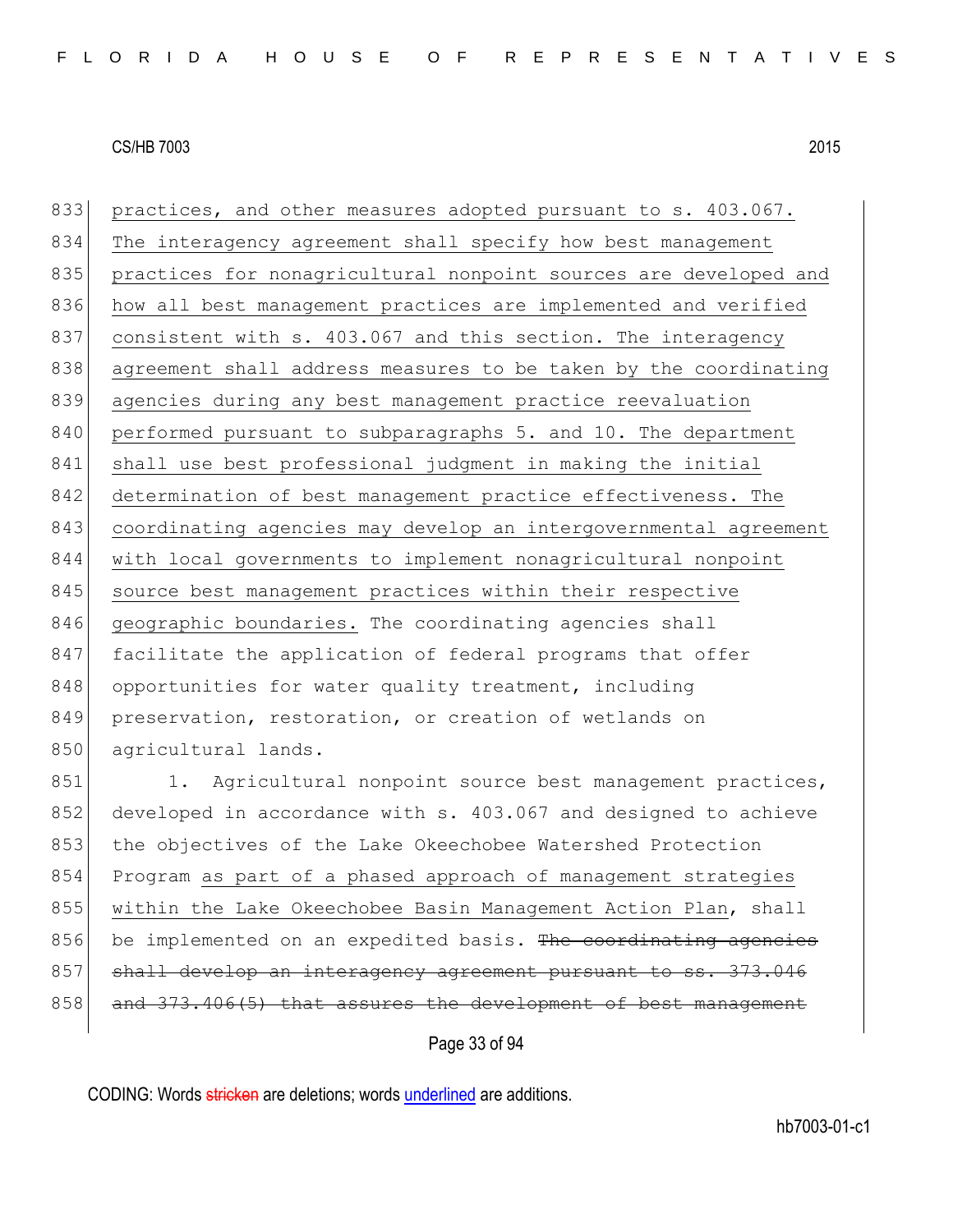833 practices, and other measures adopted pursuant to s. 403.067. 834 The interagency agreement shall specify how best management 835 practices for nonagricultural nonpoint sources are developed and 836 how all best management practices are implemented and verified 837 consistent with s. 403.067 and this section. The interagency 838 agreement shall address measures to be taken by the coordinating 839 agencies during any best management practice reevaluation 840 performed pursuant to subparagraphs 5. and 10. The department 841 shall use best professional judgment in making the initial 842 determination of best management practice effectiveness. The 843 coordinating agencies may develop an intergovernmental agreement 844 with local governments to implement nonagricultural nonpoint 845 source best management practices within their respective 846 geographic boundaries. The coordinating agencies shall 847 facilitate the application of federal programs that offer 848 opportunities for water quality treatment, including 849 preservation, restoration, or creation of wetlands on 850 agricultural lands.

851 1. Agricultural nonpoint source best management practices, 852 developed in accordance with s. 403.067 and designed to achieve 853 the objectives of the Lake Okeechobee Watershed Protection 854 Program as part of a phased approach of management strategies 855 within the Lake Okeechobee Basin Management Action Plan, shall 856 be implemented on an expedited basis. The coordinating agencies 857 shall develop an interagency agreement pursuant  $858$  and  $373.406(5)$  that assures the development of best

# Page 33 of 94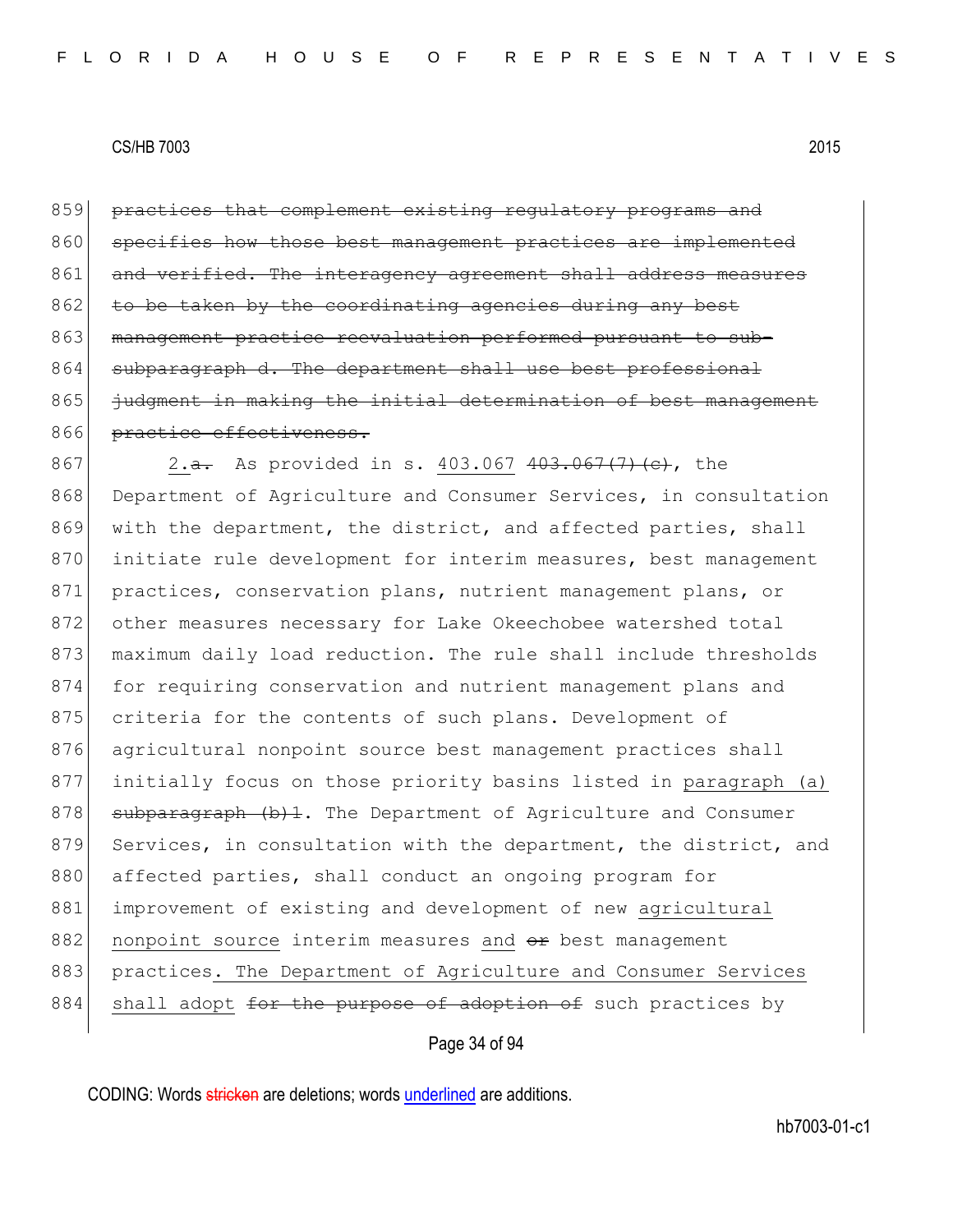859 practices that complement existing regulatory programs and 860 specifies how those best management practices are implemented 861 and verified. The interagency agreement shall address measures 862 to be taken by the coordinating agencies during any best 863 management practice reevaluation performed pursuant to sub-864 subparagraph d. The department shall use best professional 865 | iudgment in making the initial determination of best management 866 practice effectiveness.

867 2.<del>a.</del> As provided in s. 403.067 403.067 (7) (c), the 868 Department of Agriculture and Consumer Services, in consultation 869 with the department, the district, and affected parties, shall 870 initiate rule development for interim measures, best management 871 practices, conservation plans, nutrient management plans, or 872 other measures necessary for Lake Okeechobee watershed total 873 maximum daily load reduction. The rule shall include thresholds 874 for requiring conservation and nutrient management plans and 875 criteria for the contents of such plans. Development of 876 agricultural nonpoint source best management practices shall 877 initially focus on those priority basins listed in paragraph (a) 878 subparagraph (b)1. The Department of Agriculture and Consumer 879 Services, in consultation with the department, the district, and 880 affected parties, shall conduct an ongoing program for 881 improvement of existing and development of new agricultural 882 nonpoint source interim measures and  $\theta$  best management 883 practices. The Department of Agriculture and Consumer Services 884 shall adopt for the purpose of adoption of such practices by

Page 34 of 94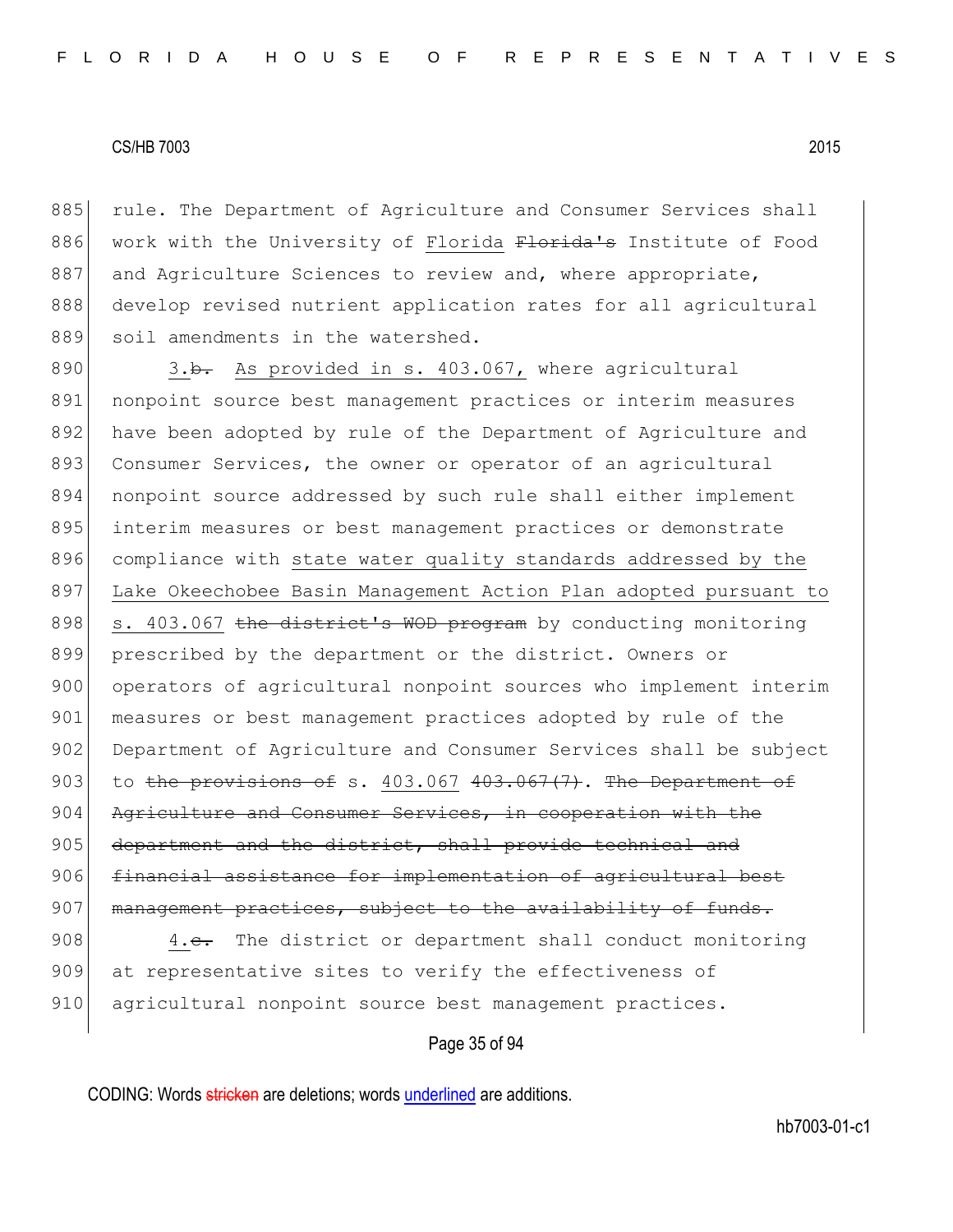885 rule. The Department of Agriculture and Consumer Services shall 886 work with the University of Florida Florida's Institute of Food 887 and Agriculture Sciences to review and, where appropriate, 888 develop revised nutrient application rates for all agricultural 889 soil amendments in the watershed.

890  $\overline{3.b.}$  As provided in s. 403.067, where agricultural 891 nonpoint source best management practices or interim measures 892 have been adopted by rule of the Department of Agriculture and 893 Consumer Services, the owner or operator of an agricultural 894 nonpoint source addressed by such rule shall either implement 895 interim measures or best management practices or demonstrate 896 compliance with state water quality standards addressed by the 897 Lake Okeechobee Basin Management Action Plan adopted pursuant to 898 s. 403.067 the district's WOD program by conducting monitoring 899 prescribed by the department or the district. Owners or 900 operators of agricultural nonpoint sources who implement interim 901 measures or best management practices adopted by rule of the 902 Department of Agriculture and Consumer Services shall be subject 903 to the provisions of s.  $403.067$   $403.067$   $(7)$ . The Department of 904 Agriculture and Consumer Services, in cooperation with the 905 department and the district, shall provide technical and 906 financial assistance for implementation of agricultural best 907 management practices, subject to the availability of funds.

908 4.c. The district or department shall conduct monitoring 909 at representative sites to verify the effectiveness of 910 agricultural nonpoint source best management practices.

Page 35 of 94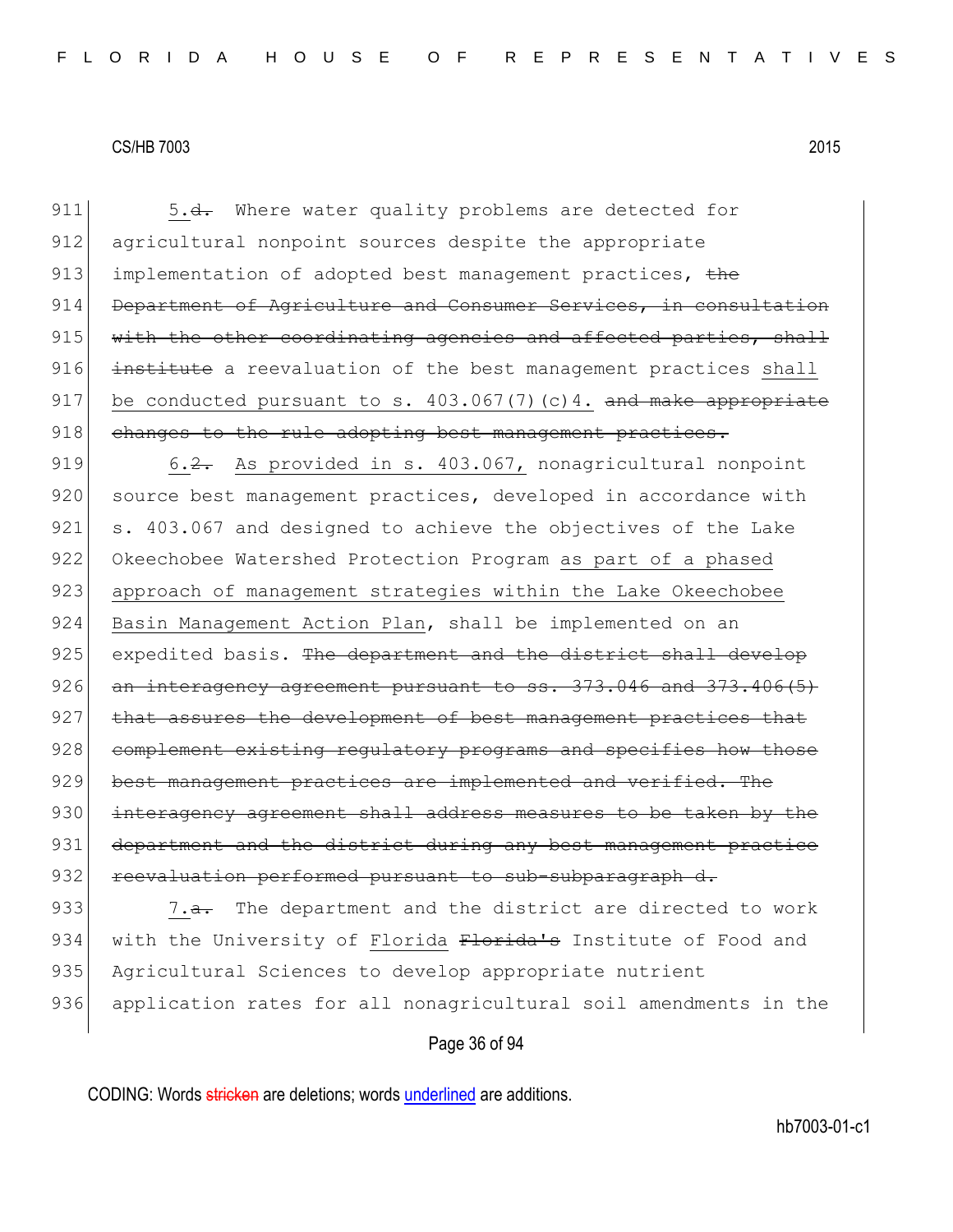911 5.<del>d.</del> Where water quality problems are detected for 912 agricultural nonpoint sources despite the appropriate 913 implementation of adopted best management practices, the 914 Department of Agriculture and Consumer Services, in consultation  $915$  with the other coordinating agencies and affected parties, shall 916 institute a reevaluation of the best management practices shall 917 be conducted pursuant to s.  $403.067(7)(c)4$ . and make appropriate 918 changes to the rule adopting best management practices.

919 6.2. As provided in s. 403.067, nonagricultural nonpoint 920 source best management practices, developed in accordance with 921 s. 403.067 and designed to achieve the objectives of the Lake 922 Okeechobee Watershed Protection Program as part of a phased 923 approach of management strategies within the Lake Okeechobee 924 Basin Management Action Plan, shall be implemented on an 925 expedited basis. The department and the district shall develop  $926$  an interagency agreement pursuant to ss.  $373.046$  and  $373.406(5)$ 927 that assures the development of best management practices that 928 complement existing requlatory programs and specifies how those 929 best management practices are implemented and verified. The 930 interagency agreement shall address measures to be taken by the 931 department and the district during any best management practice 932 reevaluation performed pursuant to sub-subparagraph d.

933  $\sim$  7.<del>a.</del> The department and the district are directed to work 934 with the University of Florida Florida's Institute of Food and 935 Agricultural Sciences to develop appropriate nutrient 936 application rates for all nonagricultural soil amendments in the

# Page 36 of 94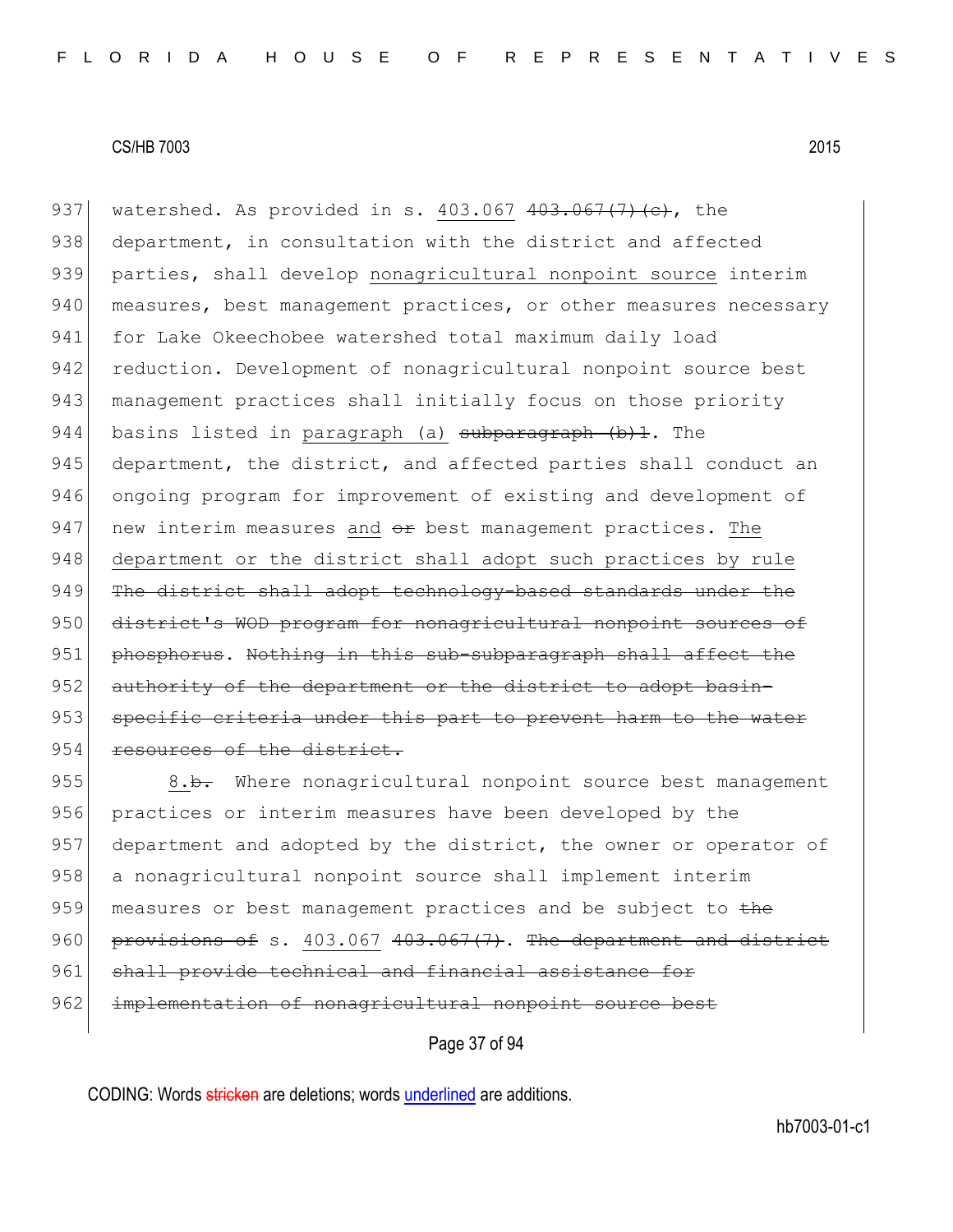937 watershed. As provided in s.  $403.067$   $403.067$   $(7)$   $(e)$ , the 938 department, in consultation with the district and affected 939 parties, shall develop nonagricultural nonpoint source interim 940 measures, best management practices, or other measures necessary 941 for Lake Okeechobee watershed total maximum daily load 942 reduction. Development of nonagricultural nonpoint source best 943 management practices shall initially focus on those priority 944 basins listed in paragraph (a)  $subparam$   $(b)$   $\vdots$  The 945 department, the district, and affected parties shall conduct an 946 ongoing program for improvement of existing and development of 947 new interim measures and  $e_{\text{F}}$  best management practices. The 948 department or the district shall adopt such practices by rule 949 The district shall adopt technology-based standards under the 950 district's WOD program for nonagricultural nonpoint sources of 951 phosphorus. Nothing in this sub-subparagraph shall affect the 952 authority of the department or the district to adopt basin-953 specific criteria under this part to prevent harm to the water 954 resources of the district.

955 8.b. Where nonagricultural nonpoint source best management 956 practices or interim measures have been developed by the 957 department and adopted by the district, the owner or operator of 958 a nonagricultural nonpoint source shall implement interim 959 measures or best management practices and be subject to the 960 provisions of s.  $403.067$   $403.067$  (7). The department and district 961 shall provide technical and financial assistance 962 implementation of nonagricultural nonpoint source best

Page 37 of 94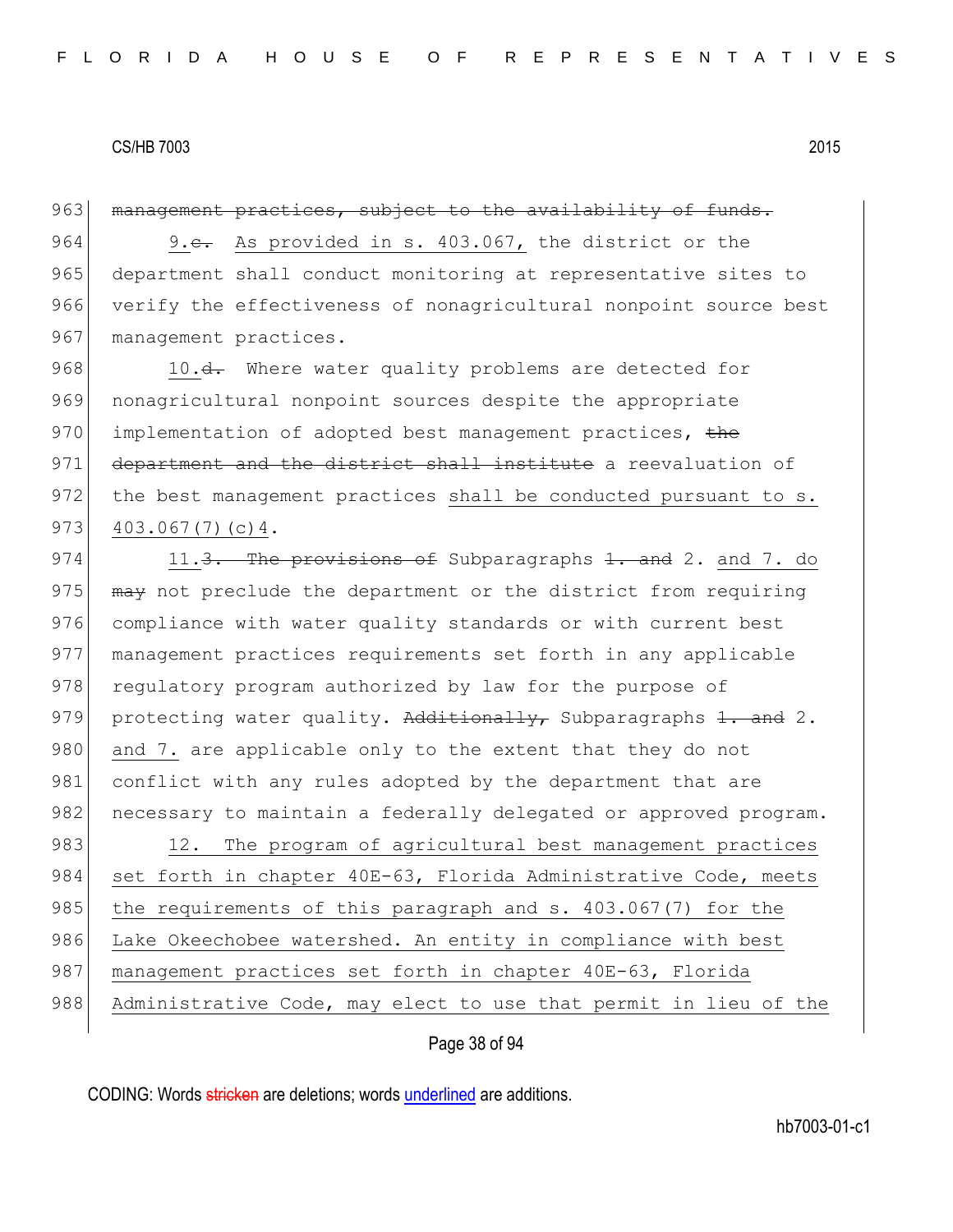963 management practices, subject to the availability of funds.

964 9.e. As provided in s. 403.067, the district or the 965 department shall conduct monitoring at representative sites to 966 verify the effectiveness of nonagricultural nonpoint source best 967 management practices.

968 10.<del>d.</del> Where water quality problems are detected for 969 nonagricultural nonpoint sources despite the appropriate 970 implementation of adopted best management practices, the 971 department and the district shall institute a reevaluation of 972 the best management practices shall be conducted pursuant to s.  $973$  403.067(7)(c)4.

974 11.<del>3. The provisions of</del> Subparagraphs <del>1. and</del> 2. and 7. do 975  $\overline{may}$  not preclude the department or the district from requiring 976 compliance with water quality standards or with current best 977 management practices requirements set forth in any applicable 978 regulatory program authorized by law for the purpose of 979 protecting water quality. Additionally, Subparagraphs 1. and 2. 980 and 7. are applicable only to the extent that they do not 981 conflict with any rules adopted by the department that are 982 necessary to maintain a federally delegated or approved program. 983 12. The program of agricultural best management practices 984 set forth in chapter 40E-63, Florida Administrative Code, meets 985 the requirements of this paragraph and s. 403.067(7) for the 986 Lake Okeechobee watershed. An entity in compliance with best 987 | management practices set forth in chapter 40E-63, Florida 988 Administrative Code, may elect to use that permit in lieu of the

Page 38 of 94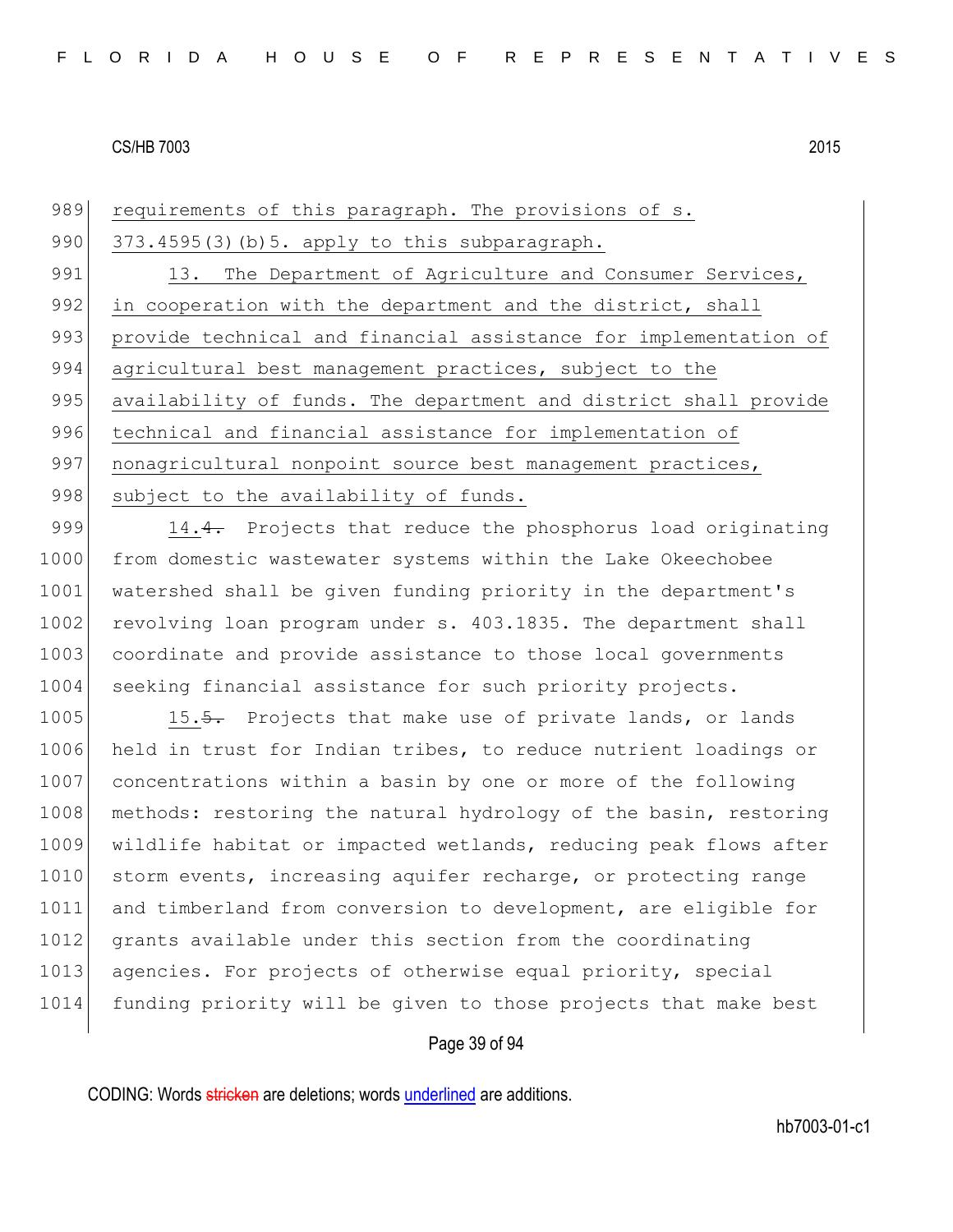989 requirements of this paragraph. The provisions of s. 990  $373.4595(3)$  (b) 5. apply to this subparagraph. 991 13. The Department of Agriculture and Consumer Services, 992 in cooperation with the department and the district, shall 993 provide technical and financial assistance for implementation of 994 agricultural best management practices, subject to the 995 availability of funds. The department and district shall provide 996 technical and financial assistance for implementation of 997 nonagricultural nonpoint source best management practices, 998 subject to the availability of funds.

999 14.4. Projects that reduce the phosphorus load originating 1000 from domestic wastewater systems within the Lake Okeechobee 1001 watershed shall be given funding priority in the department's 1002 revolving loan program under s. 403.1835. The department shall 1003 coordinate and provide assistance to those local governments 1004 seeking financial assistance for such priority projects.

1005 15.5. Projects that make use of private lands, or lands 1006 held in trust for Indian tribes, to reduce nutrient loadings or 1007 concentrations within a basin by one or more of the following 1008 methods: restoring the natural hydrology of the basin, restoring 1009 wildlife habitat or impacted wetlands, reducing peak flows after 1010 storm events, increasing aquifer recharge, or protecting range 1011 and timberland from conversion to development, are eligible for 1012 grants available under this section from the coordinating 1013 agencies. For projects of otherwise equal priority, special 1014 funding priority will be given to those projects that make best

# Page 39 of 94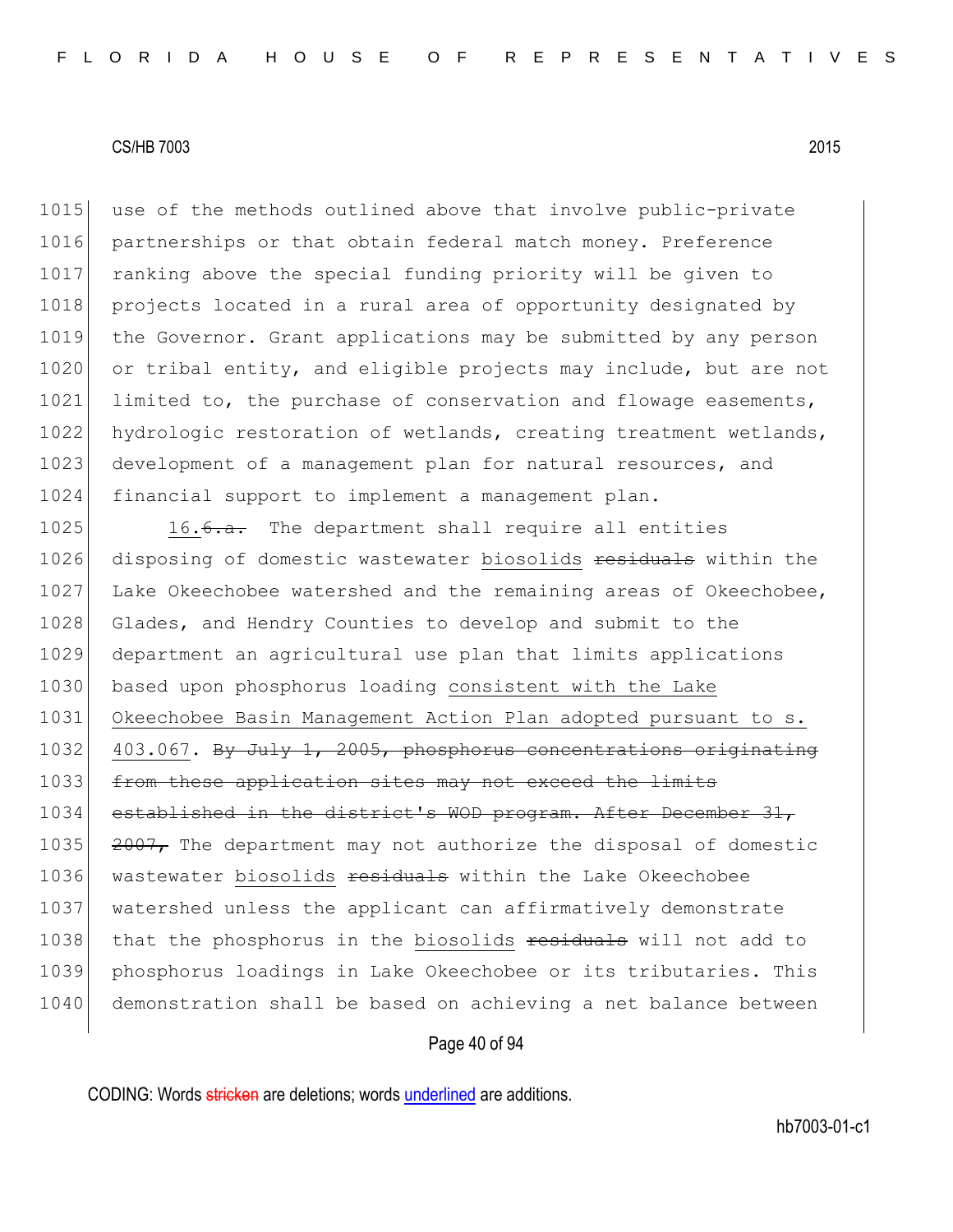1015 use of the methods outlined above that involve public-private 1016 partnerships or that obtain federal match money. Preference 1017 ranking above the special funding priority will be given to 1018 projects located in a rural area of opportunity designated by 1019 the Governor. Grant applications may be submitted by any person 1020 or tribal entity, and eligible projects may include, but are not 1021 limited to, the purchase of conservation and flowage easements, 1022 hydrologic restoration of wetlands, creating treatment wetlands, 1023 development of a management plan for natural resources, and 1024 financial support to implement a management plan.

1025 16.<del>6.a.</del> The department shall require all entities 1026 disposing of domestic wastewater biosolids residuals within the 1027 Lake Okeechobee watershed and the remaining areas of Okeechobee, 1028 Glades, and Hendry Counties to develop and submit to the 1029 department an agricultural use plan that limits applications 1030 based upon phosphorus loading consistent with the Lake 1031 Okeechobee Basin Management Action Plan adopted pursuant to s. 1032 403.067. By July 1, 2005, phosphorus concentrations originating 1033 from these application sites may not exceed the limits 1034 established in the district's WOD program. After December 31, 1035  $\left| \right|$  2007, The department may not authorize the disposal of domestic 1036 wastewater biosolids residuals within the Lake Okeechobee 1037 watershed unless the applicant can affirmatively demonstrate 1038 that the phosphorus in the biosolids residuals will not add to 1039 phosphorus loadings in Lake Okeechobee or its tributaries. This 1040 demonstration shall be based on achieving a net balance between

#### Page 40 of 94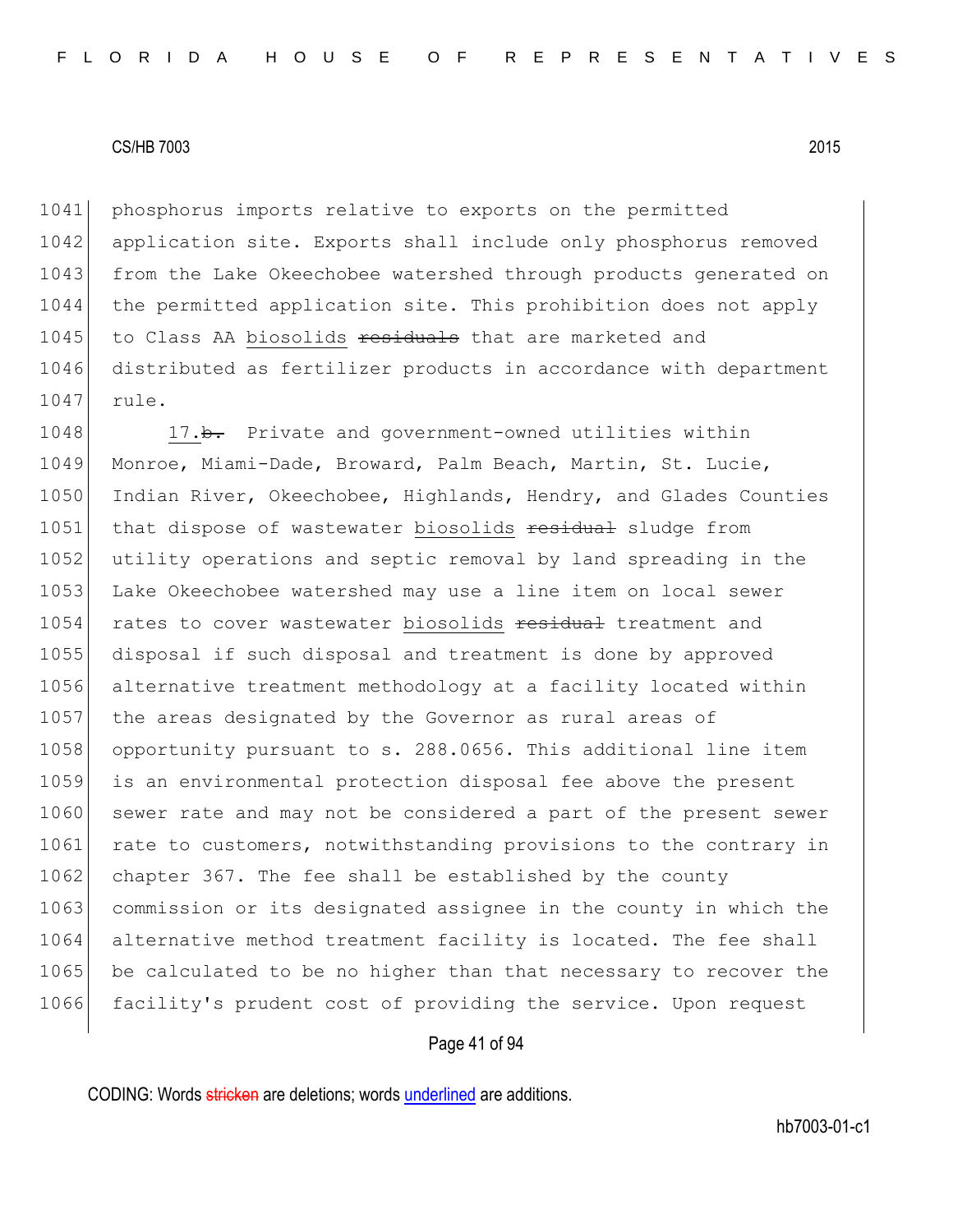1041 phosphorus imports relative to exports on the permitted 1042 application site. Exports shall include only phosphorus removed 1043 from the Lake Okeechobee watershed through products generated on 1044 the permitted application site. This prohibition does not apply 1045 to Class AA biosolids residuals that are marketed and 1046 distributed as fertilizer products in accordance with department 1047 rule.

1048 17.b. Private and government-owned utilities within 1049 Monroe, Miami-Dade, Broward, Palm Beach, Martin, St. Lucie, 1050 Indian River, Okeechobee, Highlands, Hendry, and Glades Counties 1051 that dispose of wastewater biosolids residual sludge from 1052 utility operations and septic removal by land spreading in the 1053 Lake Okeechobee watershed may use a line item on local sewer 1054 rates to cover wastewater biosolids residual treatment and 1055 disposal if such disposal and treatment is done by approved 1056 alternative treatment methodology at a facility located within 1057 the areas designated by the Governor as rural areas of 1058 opportunity pursuant to s. 288.0656. This additional line item 1059 is an environmental protection disposal fee above the present 1060 sewer rate and may not be considered a part of the present sewer 1061 rate to customers, notwithstanding provisions to the contrary in 1062 chapter 367. The fee shall be established by the county 1063 commission or its designated assignee in the county in which the 1064 alternative method treatment facility is located. The fee shall 1065 be calculated to be no higher than that necessary to recover the 1066 facility's prudent cost of providing the service. Upon request

#### Page 41 of 94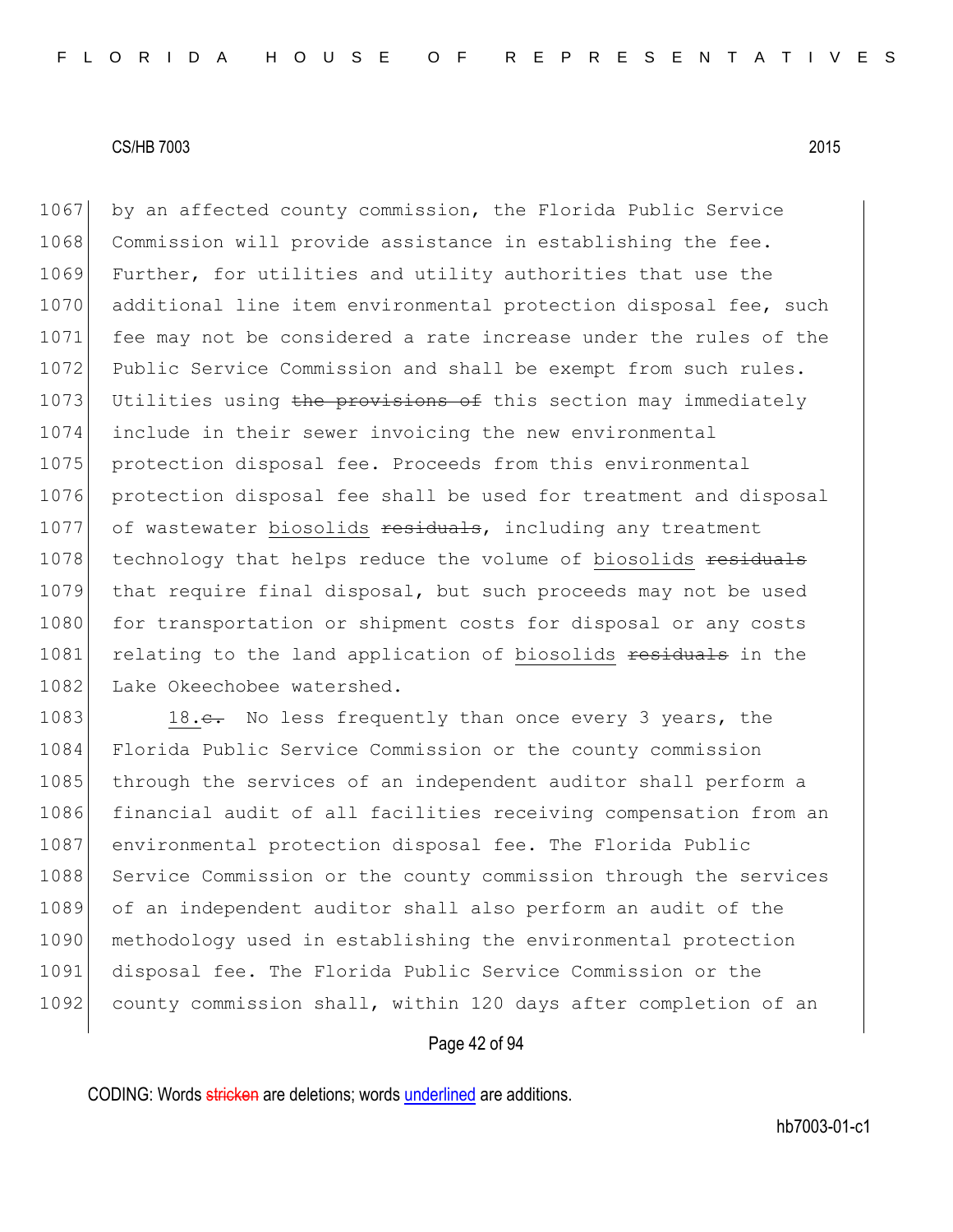1067 by an affected county commission, the Florida Public Service 1068 Commission will provide assistance in establishing the fee. 1069 Further, for utilities and utility authorities that use the 1070 additional line item environmental protection disposal fee, such 1071 fee may not be considered a rate increase under the rules of the 1072 Public Service Commission and shall be exempt from such rules. 1073 Utilities using the provisions of this section may immediately 1074 include in their sewer invoicing the new environmental 1075 | protection disposal fee. Proceeds from this environmental 1076 protection disposal fee shall be used for treatment and disposal 1077 of wastewater biosolids residuals, including any treatment 1078 technology that helps reduce the volume of biosolids residuals 1079 that require final disposal, but such proceeds may not be used 1080 for transportation or shipment costs for disposal or any costs 1081 relating to the land application of biosolids residuals in the 1082 Lake Okeechobee watershed.

1083 18.<del>c.</del> No less frequently than once every 3 years, the 1084 Florida Public Service Commission or the county commission 1085 through the services of an independent auditor shall perform a 1086 financial audit of all facilities receiving compensation from an 1087 environmental protection disposal fee. The Florida Public 1088 Service Commission or the county commission through the services 1089 of an independent auditor shall also perform an audit of the 1090 methodology used in establishing the environmental protection 1091 disposal fee. The Florida Public Service Commission or the 1092 county commission shall, within 120 days after completion of an

#### Page 42 of 94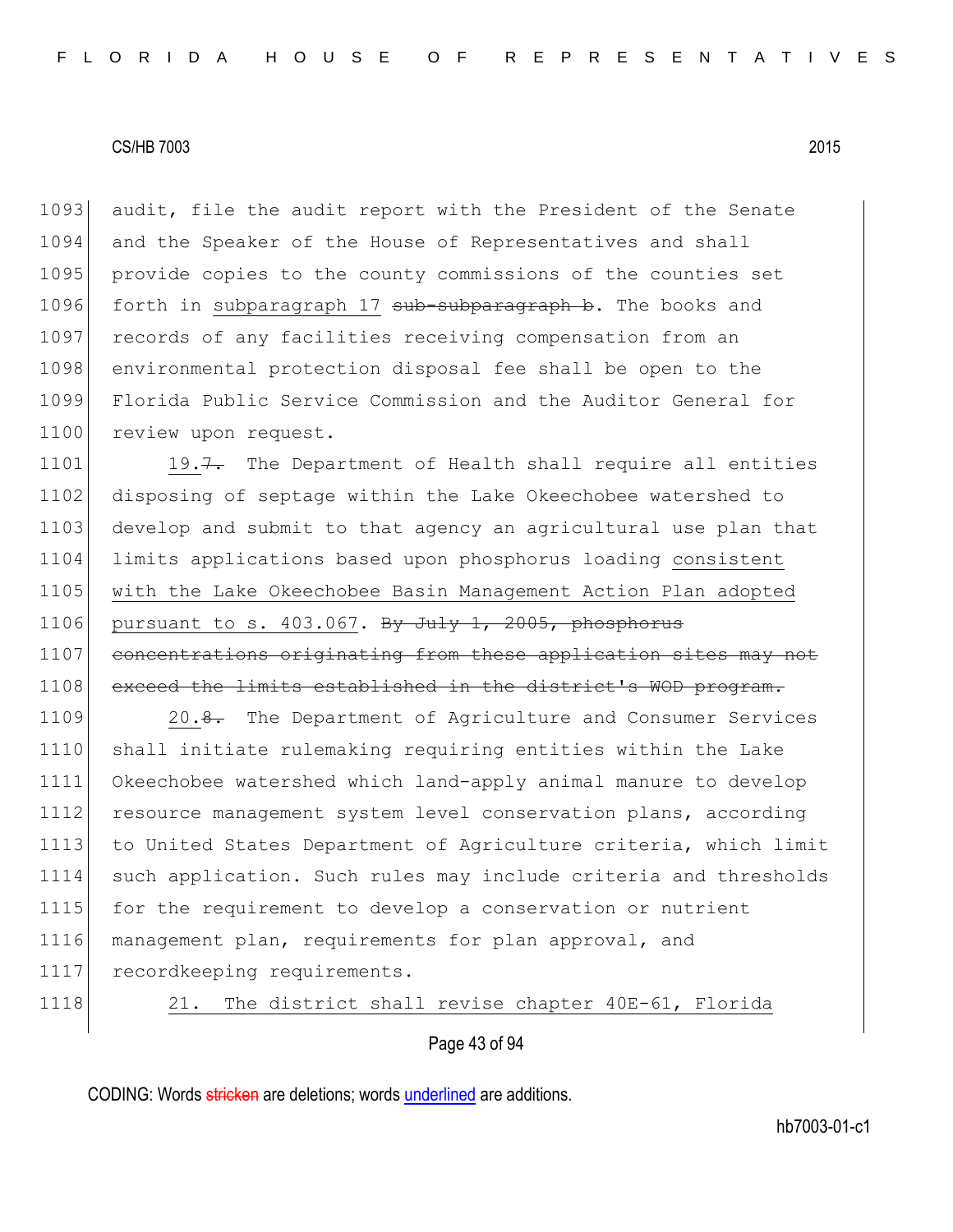1093 audit, file the audit report with the President of the Senate 1094 and the Speaker of the House of Representatives and shall 1095 provide copies to the county commissions of the counties set 1096 forth in subparagraph 17 sub-subparagraph b. The books and 1097 records of any facilities receiving compensation from an 1098 environmental protection disposal fee shall be open to the 1099 Florida Public Service Commission and the Auditor General for 1100 review upon request.

1101 19.7. The Department of Health shall require all entities 1102 disposing of septage within the Lake Okeechobee watershed to 1103 develop and submit to that agency an agricultural use plan that 1104 limits applications based upon phosphorus loading consistent 1105 with the Lake Okeechobee Basin Management Action Plan adopted 1106 pursuant to s.  $403.067$ . By July 1, 2005, phosphorus 1107 concentrations originating from these application sites may not 1108 exceed the limits established in the district's WOD program.

1109 20.8. The Department of Agriculture and Consumer Services 1110 shall initiate rulemaking requiring entities within the Lake 1111 Okeechobee watershed which land-apply animal manure to develop 1112 resource management system level conservation plans, according 1113 to United States Department of Agriculture criteria, which limit 1114 such application. Such rules may include criteria and thresholds 1115 for the requirement to develop a conservation or nutrient 1116 management plan, requirements for plan approval, and 1117 recordkeeping requirements.

1118 21. The district shall revise chapter 40E-61, Florida

Page 43 of 94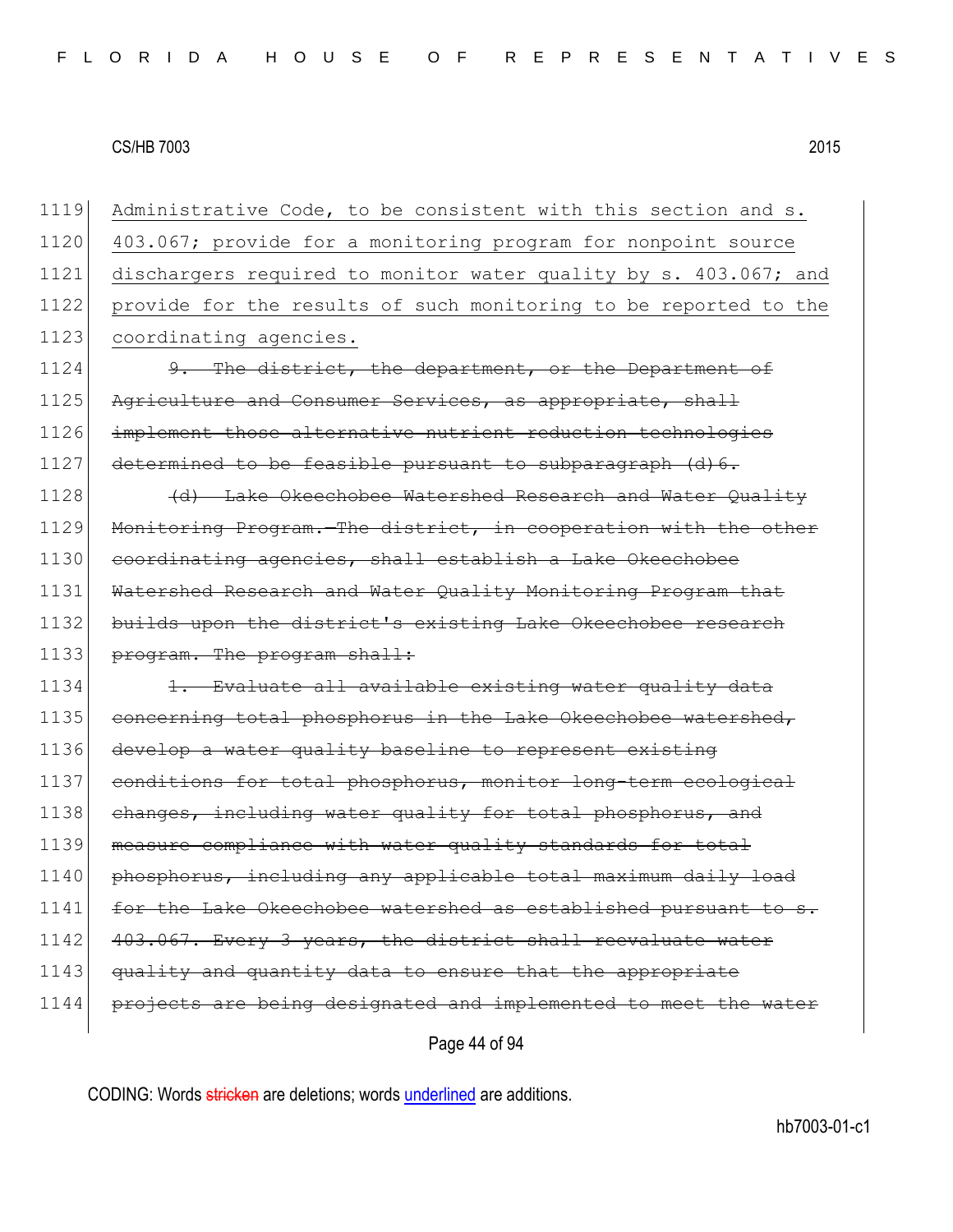Administrative Code, to be consistent with this section and s. 403.067; provide for a monitoring program for nonpoint source dischargers required to monitor water quality by s. 403.067; and provide for the results of such monitoring to be reported to the 1123 coordinating agencies. 9. The district, the department, or the Department of

1125 Agriculture and Consumer Services, as appropriate, shall 1126 implement those alternative nutrient reduction technologies 1127 determined to be feasible pursuant to subparagraph (d) 6.

1128 (d) Lake Okeechobee Watershed Research and Water Quality 1129 Monitoring Program. The district, in cooperation with the other 1130 coordinating agencies, shall establish a Lake Okeechobee 1131 Watershed Research and Water Quality Monitoring Program that 1132 builds upon the district's existing Lake Okeechobee research 1133 program. The program shall:

1134 1. Evaluate all available existing water quality data 1135 concerning total phosphorus in the Lake Okeechobee watershed, 1136 develop a water quality baseline to represent existing 1137 conditions for total phosphorus, monitor long-term ecological 1138 changes, including water quality for total phosphorus, and 1139 measure compliance with water quality standards for total 1140 phosphorus, including any applicable total maximum daily load 1141 for the Lake Okeechobee watershed as established pursuant to s. 1142 403.067. Every 3 years, the district shall reevaluate water 1143 quality and quantity data to ensure that the appropriate 1144 projects are being designated and implemented to meet the water

Page 44 of 94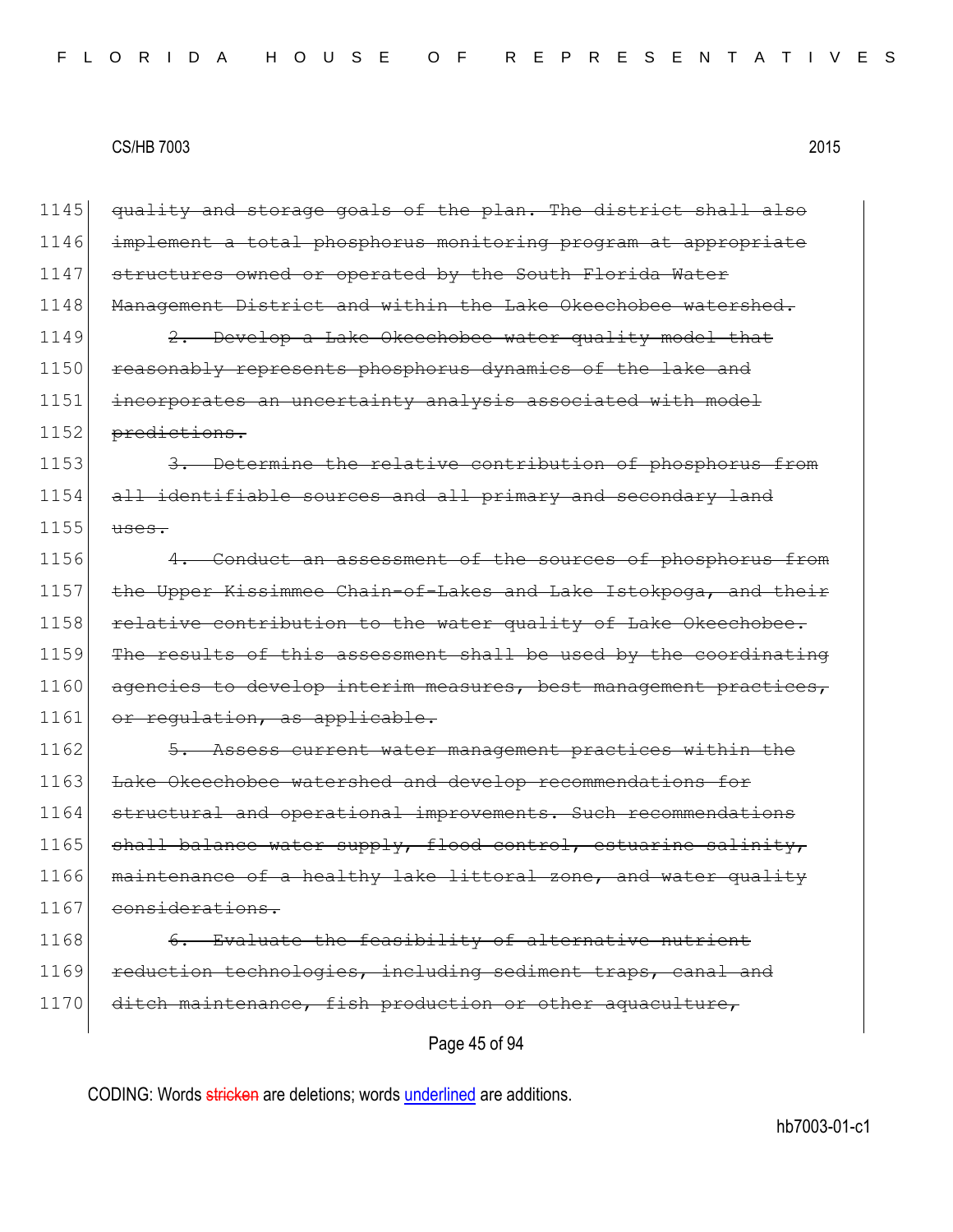| 1145 | quality and storage goals of the plan. The district shall also    |
|------|-------------------------------------------------------------------|
| 1146 | implement a total phosphorus monitoring program at appropriate    |
| 1147 | structures owned or operated by the South Florida Water           |
| 1148 | Management District and within the Lake Okeechobee watershed.     |
| 1149 | 2. Develop a Lake Okeechobee water quality model that             |
| 1150 | reasonably represents phosphorus dynamics of the lake and         |
| 1151 | incorporates an uncertainty analysis associated with model        |
| 1152 | predictions.                                                      |
| 1153 | 3. Determine the relative contribution of phosphorus from         |
| 1154 | all identifiable sources and all primary and secondary land       |
| 1155 | uses.                                                             |
| 1156 | 4. Conduct an assessment of the sources of phosphorus from        |
| 1157 | the Upper Kissimmee Chain-of-Lakes and Lake Istokpoga, and their  |
| 1158 | relative contribution to the water quality of Lake Okeechobee.    |
| 1159 | The results of this assessment shall be used by the coordinating  |
| 1160 | agencies to develop interim measures, best management practices,  |
| 1161 | or regulation, as applicable.                                     |
| 1162 | 5. Assess current water management practices within the           |
| 1163 | Lake Okeechobee watershed and develop recommendations for         |
| 1164 | structural and operational improvements. Such recommendations     |
| 1165 | shall balance water supply, flood control, estuarine salinity,    |
| 1166 | maintenance of a healthy lake littoral zone, and water quality    |
| 1167 | considerations.                                                   |
| 1168 | Evaluate the feasibility of alternative nutrient<br><del>6.</del> |
| 1169 | reduction technologies, including sediment traps, canal and       |
| 1170 | ditch maintenance, fish production or other aquaculture,          |
|      | Page 45 of 94                                                     |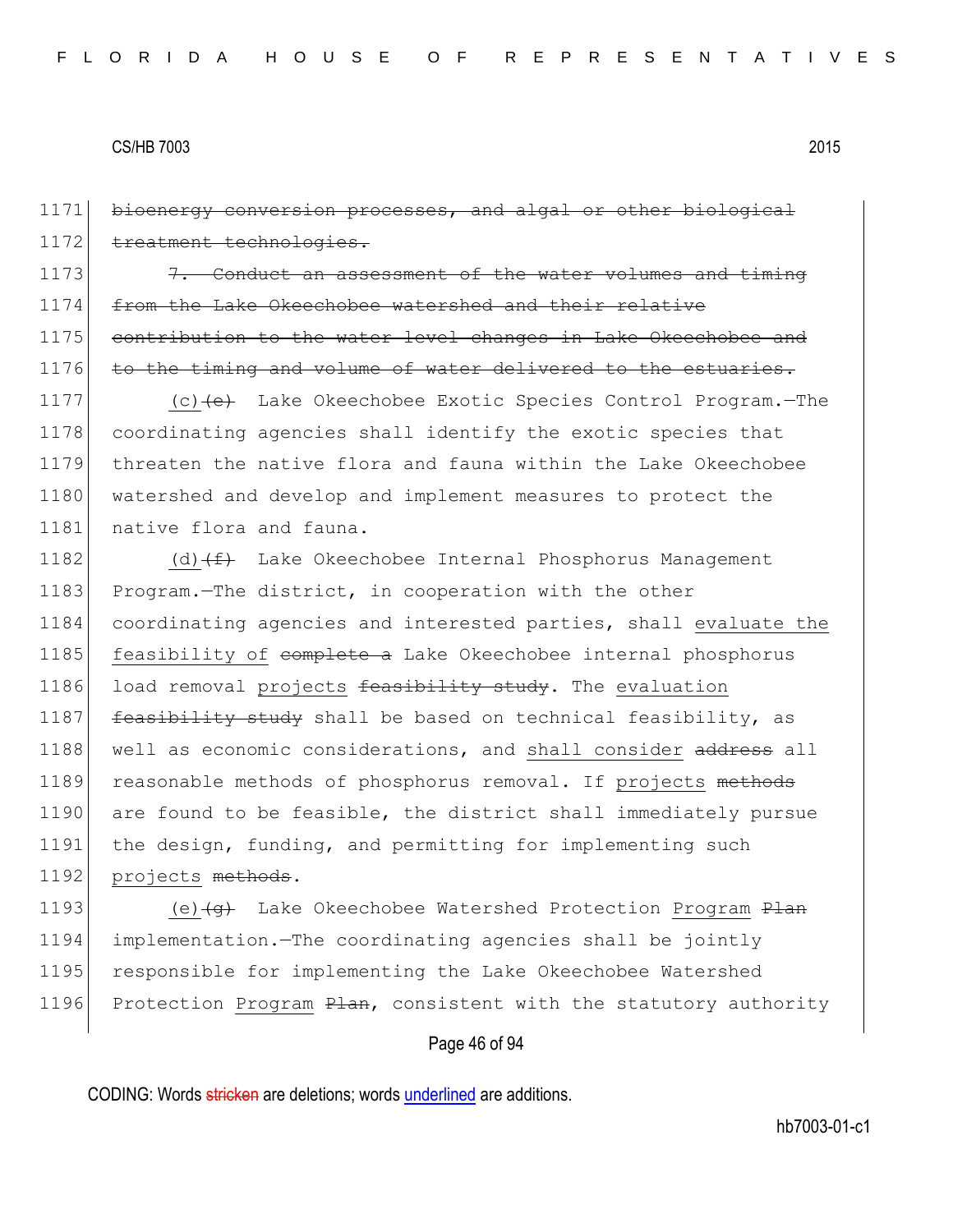1171 bioenergy conversion processes, and algal or other biological 1172 treatment technologies.

1173  $\left| \right|$  7. Conduct an assessment of the water volumes and timing 1174 from the Lake Okeechobee watershed and their relative 1175 contribution to the water level changes in Lake Okeechobee and 1176 to the timing and volume of water delivered to the estuaries.

1177 (c) (e) Lake Okeechobee Exotic Species Control Program. - The 1178 coordinating agencies shall identify the exotic species that 1179 threaten the native flora and fauna within the Lake Okeechobee 1180 watershed and develop and implement measures to protect the 1181 native flora and fauna.

1182 (d) $(f+$  Lake Okeechobee Internal Phosphorus Management 1183 Program.—The district, in cooperation with the other 1184 coordinating agencies and interested parties, shall evaluate the 1185 feasibility of complete a Lake Okeechobee internal phosphorus 1186 load removal projects  $f$ easibility study. The evaluation 1187 feasibility study shall be based on technical feasibility, as 1188 well as economic considerations, and shall consider address all 1189 reasonable methods of phosphorus removal. If projects methods 1190 are found to be feasible, the district shall immediately pursue 1191 the design, funding, and permitting for implementing such 1192 projects methods.

1193 (e) $\left\{\theta\right\}$  Lake Okeechobee Watershed Protection Program Plan 1194 implementation.—The coordinating agencies shall be jointly 1195 responsible for implementing the Lake Okeechobee Watershed 1196 Protection Program Plan, consistent with the statutory authority

#### Page 46 of 94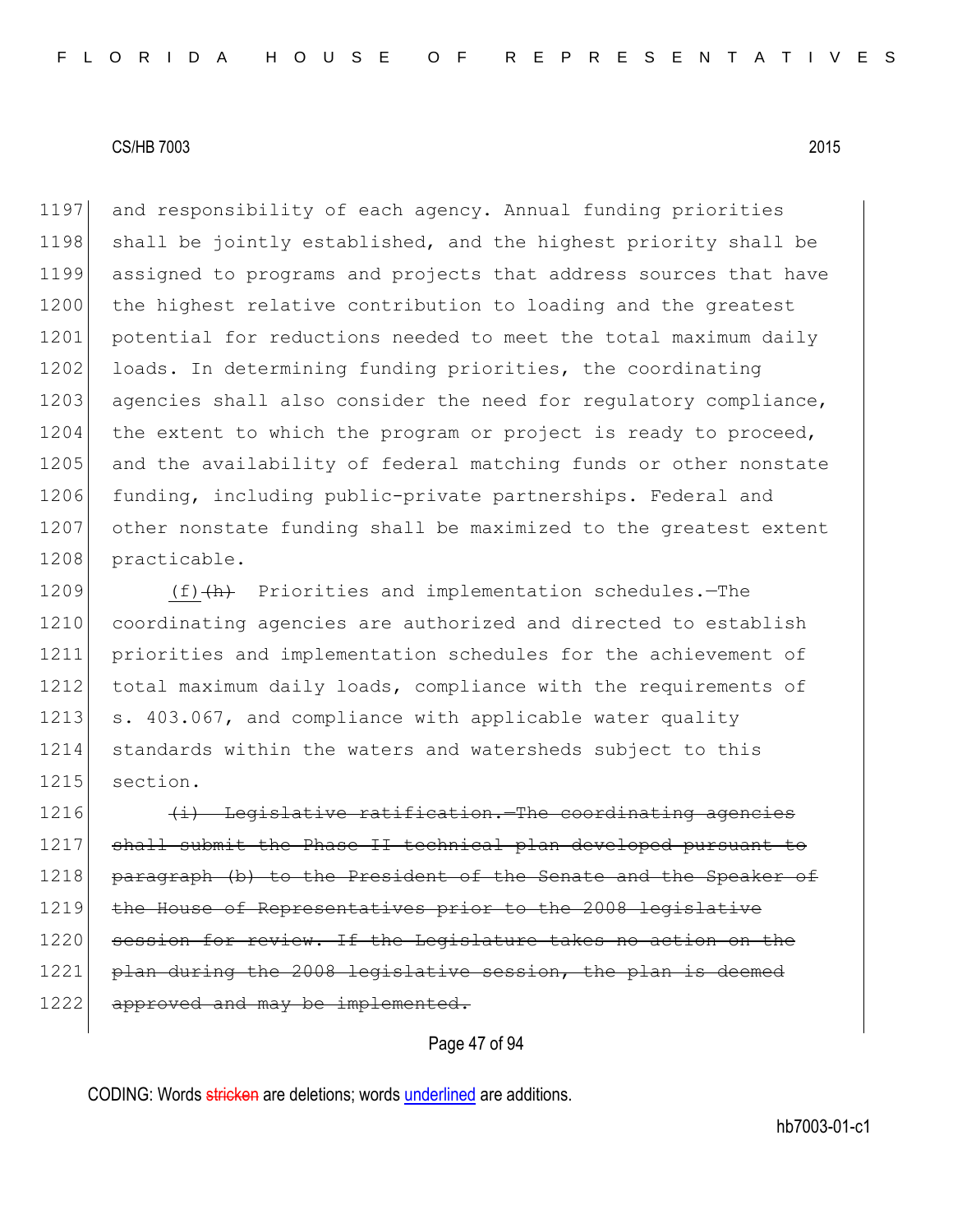1197 and responsibility of each agency. Annual funding priorities 1198 shall be jointly established, and the highest priority shall be 1199 assigned to programs and projects that address sources that have 1200 the highest relative contribution to loading and the greatest 1201 potential for reductions needed to meet the total maximum daily 1202 loads. In determining funding priorities, the coordinating 1203 agencies shall also consider the need for regulatory compliance, 1204 the extent to which the program or project is ready to proceed, 1205 and the availability of federal matching funds or other nonstate 1206 funding, including public-private partnerships. Federal and 1207 other nonstate funding shall be maximized to the greatest extent 1208 practicable.

1209 (f)(h) Priorities and implementation schedules.—The 1210 coordinating agencies are authorized and directed to establish 1211 priorities and implementation schedules for the achievement of 1212 total maximum daily loads, compliance with the requirements of 1213 s. 403.067, and compliance with applicable water quality 1214 standards within the waters and watersheds subject to this 1215 section.

 $1216$  (i) Legislative ratification. The coordinating agencies 1217 shall submit the Phase II technical plan developed pursuant to 1218 paragraph (b) to the President of the Senate and the Speaker of 1219 the House of Representatives prior to the 2008 legislative 1220 session for review. If the Legislature takes no action on the 1221 plan during the 2008 legislative session, the plan is deemed 1222 approved and may be implemented.

Page 47 of 94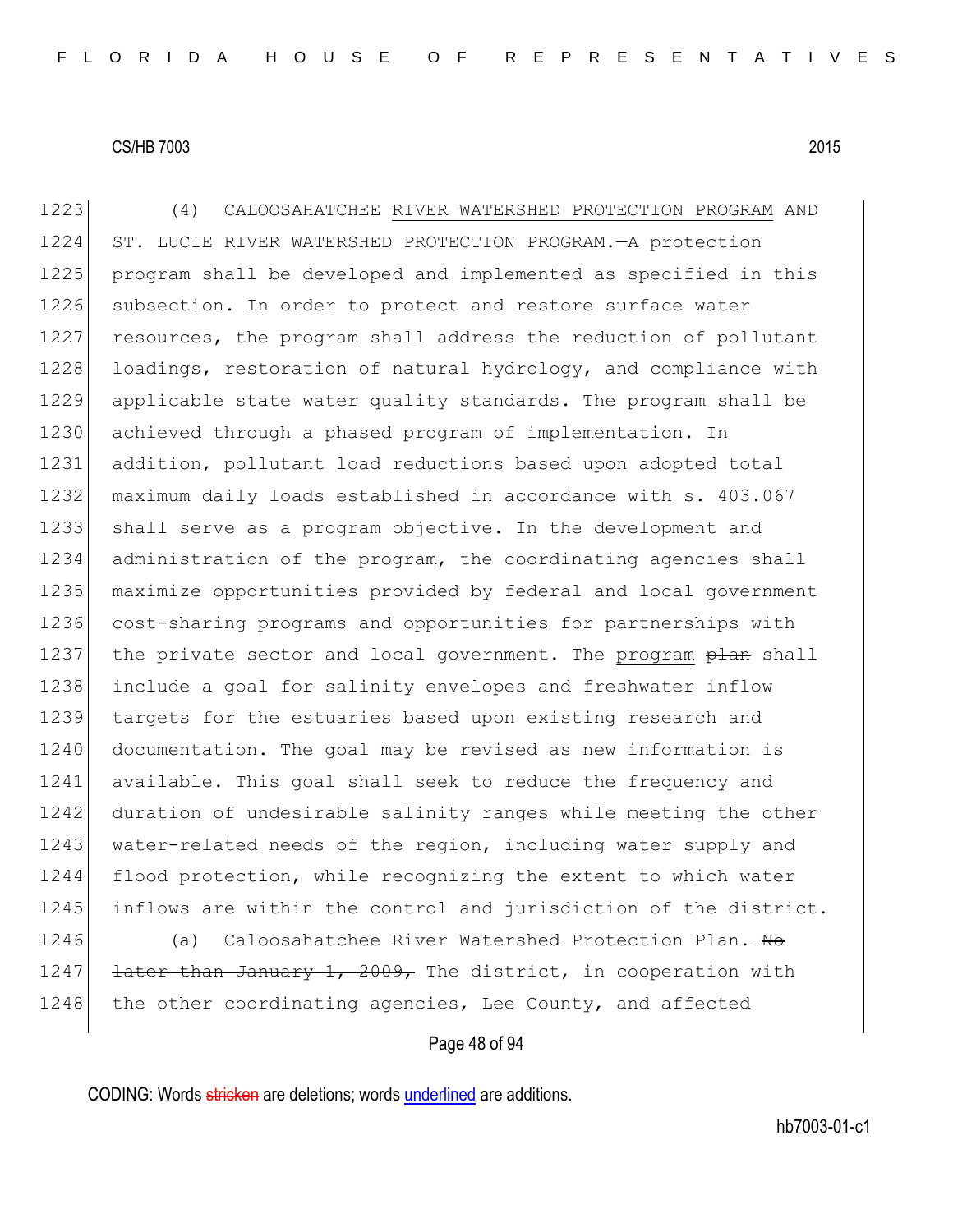1223 (4) CALOOSAHATCHEE RIVER WATERSHED PROTECTION PROGRAM AND 1224 ST. LUCIE RIVER WATERSHED PROTECTION PROGRAM.—A protection 1225 program shall be developed and implemented as specified in this 1226 subsection. In order to protect and restore surface water 1227 resources, the program shall address the reduction of pollutant 1228 loadings, restoration of natural hydrology, and compliance with 1229 applicable state water quality standards. The program shall be 1230 achieved through a phased program of implementation. In 1231 addition, pollutant load reductions based upon adopted total 1232 maximum daily loads established in accordance with s. 403.067 1233 shall serve as a program objective. In the development and 1234 administration of the program, the coordinating agencies shall 1235 maximize opportunities provided by federal and local government 1236 cost-sharing programs and opportunities for partnerships with 1237 the private sector and local government. The program plan shall 1238 include a goal for salinity envelopes and freshwater inflow 1239 targets for the estuaries based upon existing research and 1240 documentation. The goal may be revised as new information is 1241 available. This goal shall seek to reduce the frequency and 1242 duration of undesirable salinity ranges while meeting the other 1243 water-related needs of the region, including water supply and 1244 flood protection, while recognizing the extent to which water 1245 inflows are within the control and jurisdiction of the district. 1246 (a) Caloosahatchee River Watershed Protection Plan. - No

1247 <del>later than January 1, 2009,</del> The district, in cooperation with 1248 the other coordinating agencies, Lee County, and affected

#### Page 48 of 94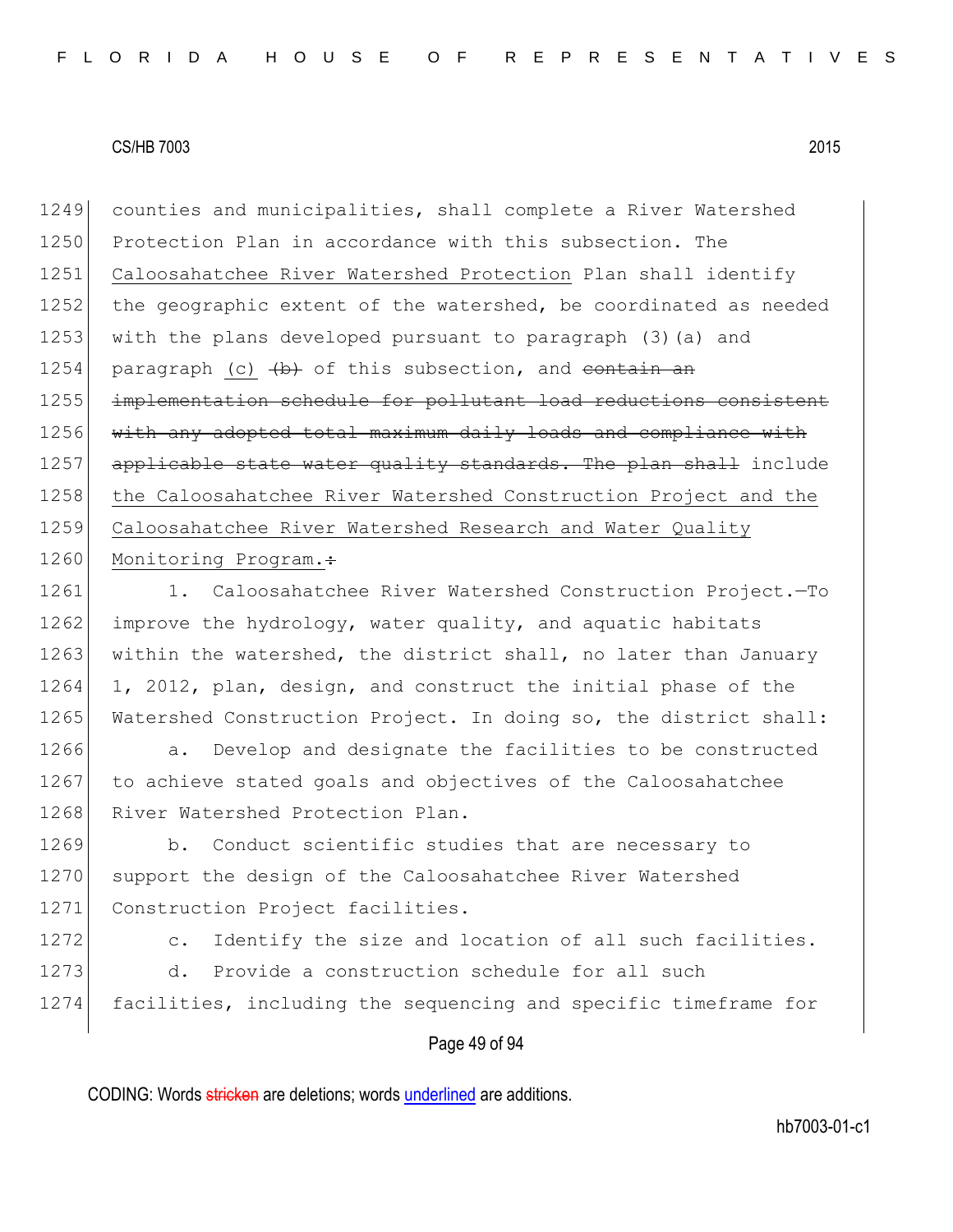1249 counties and municipalities, shall complete a River Watershed 1250 Protection Plan in accordance with this subsection. The 1251 Caloosahatchee River Watershed Protection Plan shall identify 1252 the geographic extent of the watershed, be coordinated as needed 1253 with the plans developed pursuant to paragraph (3)(a) and 1254 paragraph (c)  $\left\{\rightarrow\right\}$  of this subsection, and contain an 1255 implementation schedule for pollutant load reductions consistent 1256 with any adopted total maximum daily loads and compliance with 1257 applicable state water quality standards. The plan shall include 1258 the Caloosahatchee River Watershed Construction Project and the 1259 Caloosahatchee River Watershed Research and Water Quality 1260 Monitoring Program.:

1261 1. Caloosahatchee River Watershed Construction Project.—To 1262 improve the hydrology, water quality, and aquatic habitats 1263 within the watershed, the district shall, no later than January 1264 1, 2012, plan, design, and construct the initial phase of the 1265 Watershed Construction Project. In doing so, the district shall:

1266 a. Develop and designate the facilities to be constructed 1267 to achieve stated goals and objectives of the Caloosahatchee 1268 River Watershed Protection Plan.

1269 b. Conduct scientific studies that are necessary to 1270 support the design of the Caloosahatchee River Watershed 1271 Construction Project facilities.

1272 c. Identify the size and location of all such facilities. 1273 d. Provide a construction schedule for all such

1274 facilities, including the sequencing and specific timeframe for

# Page 49 of 94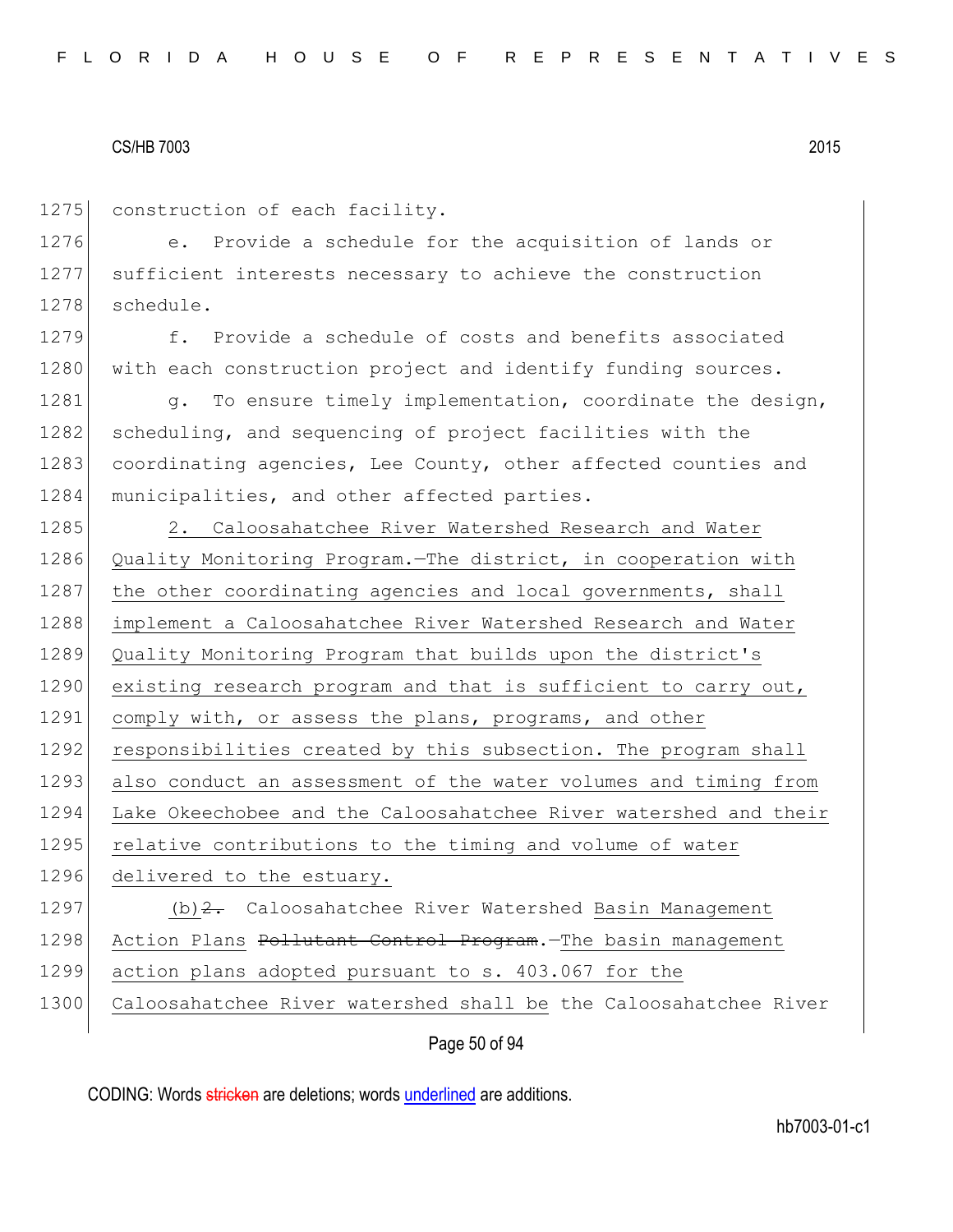1275 construction of each facility.

1276 e. Provide a schedule for the acquisition of lands or 1277 sufficient interests necessary to achieve the construction 1278 schedule.

1279 f. Provide a schedule of costs and benefits associated 1280 with each construction project and identify funding sources.

1281 g. To ensure timely implementation, coordinate the design, 1282 scheduling, and sequencing of project facilities with the 1283 coordinating agencies, Lee County, other affected counties and 1284 municipalities, and other affected parties.

1285 2. Caloosahatchee River Watershed Research and Water 1286 Quality Monitoring Program.—The district, in cooperation with 1287 the other coordinating agencies and local governments, shall 1288 implement a Caloosahatchee River Watershed Research and Water 1289 Quality Monitoring Program that builds upon the district's 1290 existing research program and that is sufficient to carry out, 1291 comply with, or assess the plans, programs, and other 1292 responsibilities created by this subsection. The program shall 1293 also conduct an assessment of the water volumes and timing from 1294 Lake Okeechobee and the Caloosahatchee River watershed and their 1295 relative contributions to the timing and volume of water 1296 delivered to the estuary. 1297 (b) 2. Caloosahatchee River Watershed Basin Management 1298 Action Plans Pollutant Control Program. The basin management 1299 action plans adopted pursuant to s. 403.067 for the

1300 Caloosahatchee River watershed shall be the Caloosahatchee River

Page 50 of 94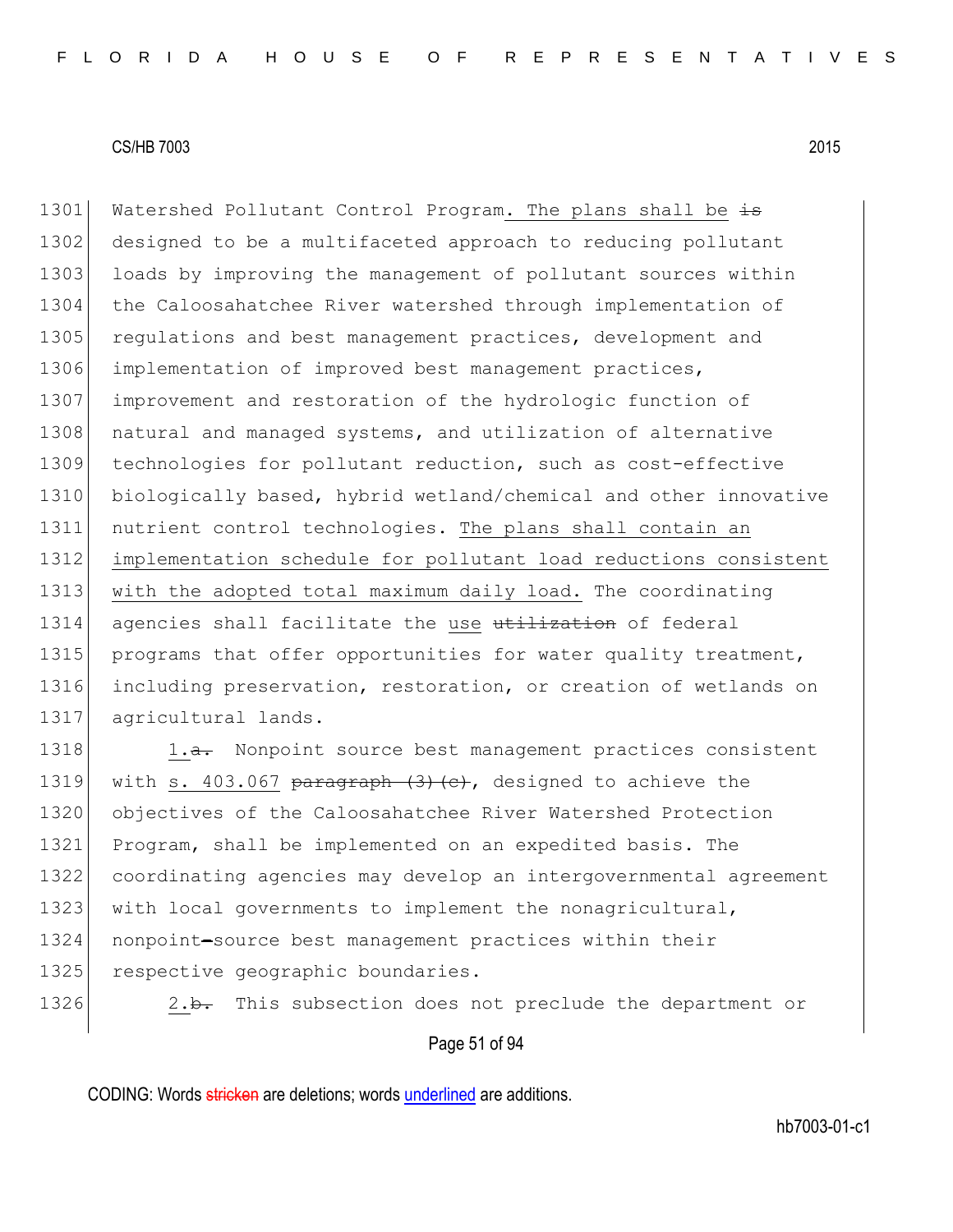1301 Watershed Pollutant Control Program. The plans shall be  $\pm$ 1302 designed to be a multifaceted approach to reducing pollutant 1303 loads by improving the management of pollutant sources within 1304 the Caloosahatchee River watershed through implementation of 1305 regulations and best management practices, development and 1306 implementation of improved best management practices, 1307 improvement and restoration of the hydrologic function of 1308 natural and managed systems, and utilization of alternative 1309 technologies for pollutant reduction, such as cost-effective 1310 biologically based, hybrid wetland/chemical and other innovative 1311 nutrient control technologies. The plans shall contain an 1312 implementation schedule for pollutant load reductions consistent 1313 with the adopted total maximum daily load. The coordinating 1314 agencies shall facilitate the use utilization of federal 1315 programs that offer opportunities for water quality treatment, 1316 including preservation, restoration, or creation of wetlands on 1317 agricultural lands.

1318 1.a. Nonpoint source best management practices consistent 1319 with s. 403.067 paragraph  $(3)$   $(e)$ , designed to achieve the 1320 objectives of the Caloosahatchee River Watershed Protection 1321 Program, shall be implemented on an expedited basis. The 1322 coordinating agencies may develop an intergovernmental agreement 1323 with local governments to implement the nonagricultural, 1324 nonpoint-source best management practices within their 1325 respective geographic boundaries.

1326 2.b. This subsection does not preclude the department or

#### Page 51 of 94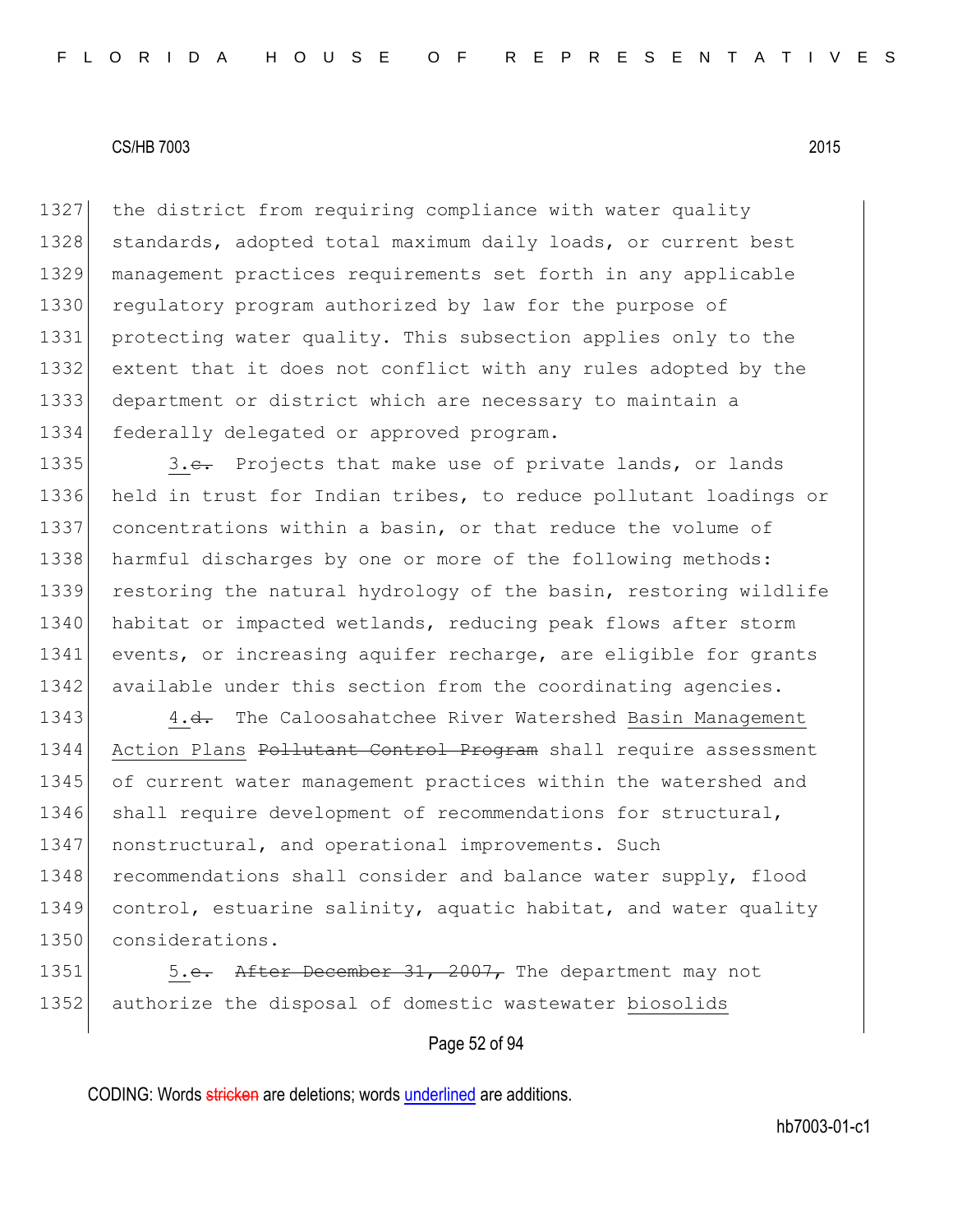1327 the district from requiring compliance with water quality 1328 standards, adopted total maximum daily loads, or current best management practices requirements set forth in any applicable 1330 regulatory program authorized by law for the purpose of protecting water quality. This subsection applies only to the extent that it does not conflict with any rules adopted by the department or district which are necessary to maintain a federally delegated or approved program.

1335 3.e. Projects that make use of private lands, or lands 1336 held in trust for Indian tribes, to reduce pollutant loadings or 1337 concentrations within a basin, or that reduce the volume of 1338 harmful discharges by one or more of the following methods: 1339 restoring the natural hydrology of the basin, restoring wildlife 1340 habitat or impacted wetlands, reducing peak flows after storm 1341 events, or increasing aquifer recharge, are eligible for grants 1342 available under this section from the coordinating agencies.

1343 4.<del>d.</del> The Caloosahatchee River Watershed Basin Management 1344 Action Plans Pollutant Control Program shall require assessment 1345 of current water management practices within the watershed and 1346 shall require development of recommendations for structural, 1347 | nonstructural, and operational improvements. Such 1348 recommendations shall consider and balance water supply, flood 1349 control, estuarine salinity, aquatic habitat, and water quality 1350 considerations.

1351 5.e. After December 31, 2007, The department may not 1352 authorize the disposal of domestic wastewater biosolids

#### Page 52 of 94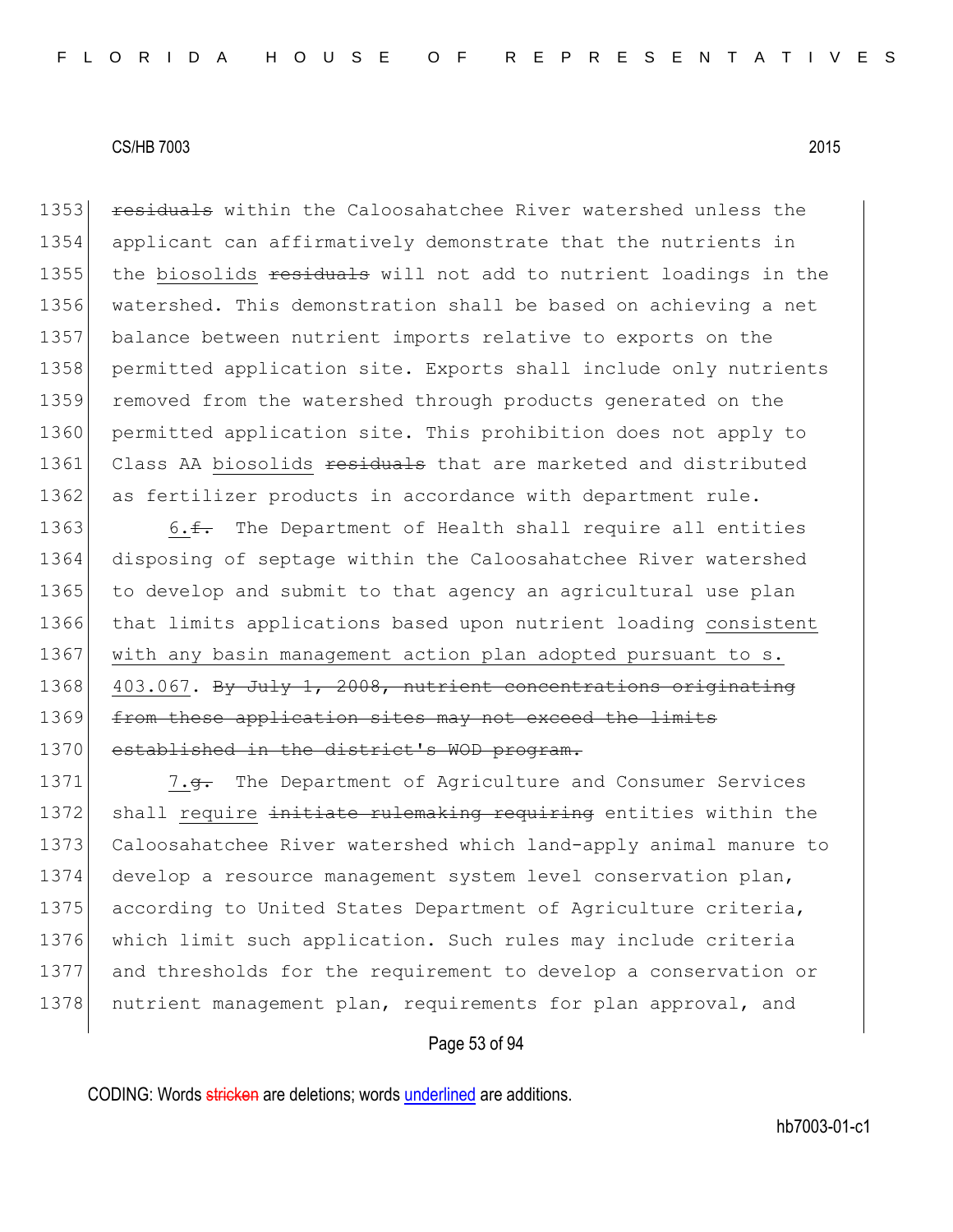1353 residuals within the Caloosahatchee River watershed unless the 1354 applicant can affirmatively demonstrate that the nutrients in 1355 the biosolids residuals will not add to nutrient loadings in the 1356 watershed. This demonstration shall be based on achieving a net 1357 balance between nutrient imports relative to exports on the 1358 permitted application site. Exports shall include only nutrients 1359 removed from the watershed through products generated on the 1360 permitted application site. This prohibition does not apply to 1361 Class AA biosolids residuals that are marketed and distributed 1362 as fertilizer products in accordance with department rule.

1363 6. $\text{f}$ . The Department of Health shall require all entities 1364 disposing of septage within the Caloosahatchee River watershed 1365 to develop and submit to that agency an agricultural use plan 1366 that limits applications based upon nutrient loading consistent 1367 with any basin management action plan adopted pursuant to s. 1368 403.067. By July 1, 2008, nutrient concentrations originating 1369 from these application sites may not exceed the limits 1370 established in the district's WOD program.

1371 7.<del>g.</del> The Department of Agriculture and Consumer Services 1372 shall require initiate rulemaking requiring entities within the 1373 Caloosahatchee River watershed which land-apply animal manure to 1374 develop a resource management system level conservation plan, 1375 according to United States Department of Agriculture criteria, 1376 which limit such application. Such rules may include criteria 1377 and thresholds for the requirement to develop a conservation or 1378 nutrient management plan, requirements for plan approval, and

#### Page 53 of 94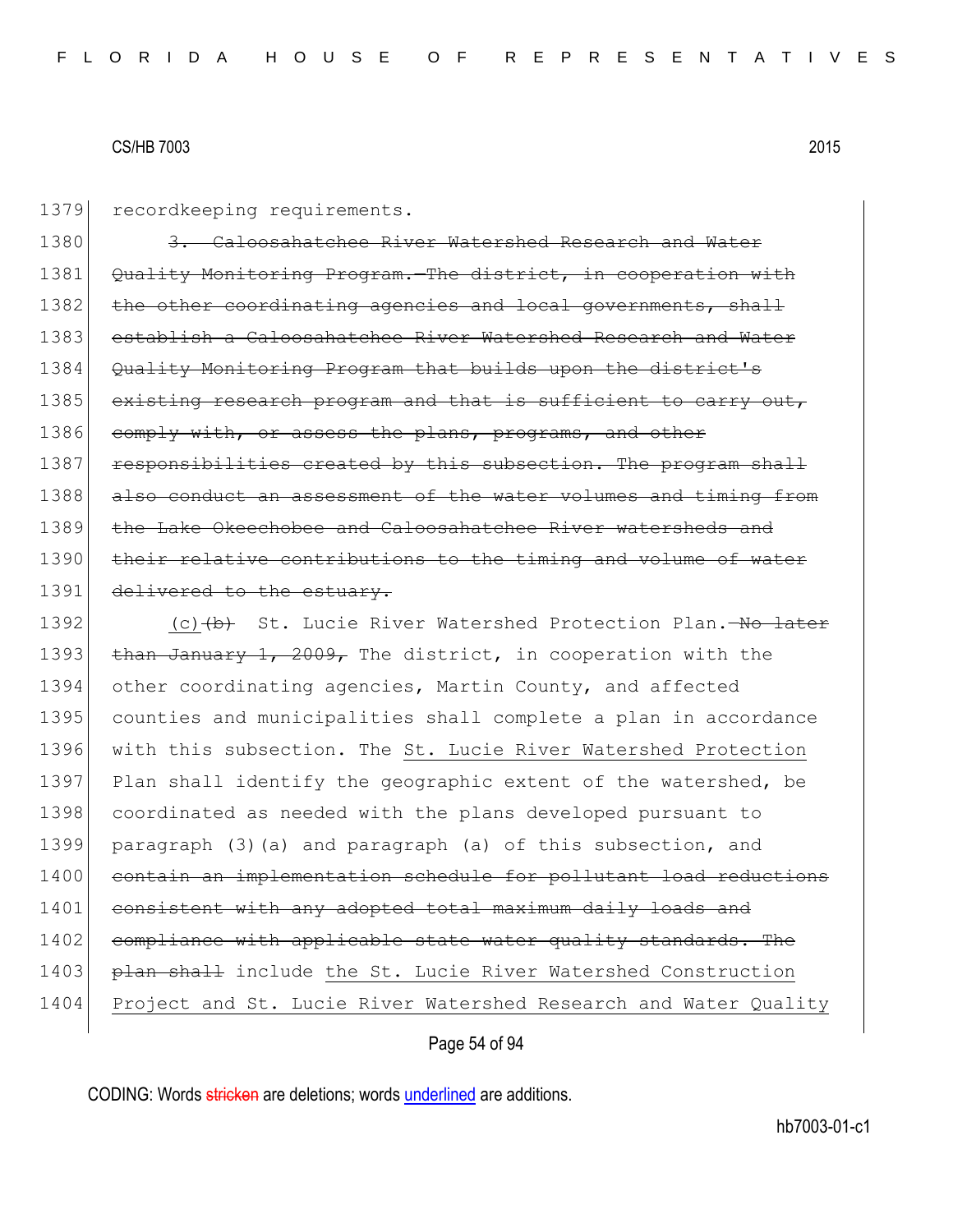1379 recordkeeping requirements.

1380 3. Caloosahatchee River Watershed Research and Water 1381 Quality Monitoring Program. The district, in cooperation with 1382 the other coordinating agencies and local governments, shall 1383 establish a Caloosahatchee River Watershed Research and Water 1384 Quality Monitoring Program that builds upon the district's 1385 existing research program and that is sufficient to carry out, 1386 comply with, or assess the plans, programs, and other 1387 responsibilities created by this subsection. The program shall 1388 also conduct an assessment of the water volumes and timing from 1389 the Lake Okeechobee and Caloosahatchee River watersheds and 1390 their relative contributions to the timing and volume of water 1391 delivered to the estuary.

1392 (c) (d) St. Lucie River Watershed Protection Plan.—No later 1393 than January 1, 2009, The district, in cooperation with the 1394 other coordinating agencies, Martin County, and affected 1395 counties and municipalities shall complete a plan in accordance 1396 with this subsection. The St. Lucie River Watershed Protection 1397 Plan shall identify the geographic extent of the watershed, be 1398 coordinated as needed with the plans developed pursuant to 1399 paragraph (3)(a) and paragraph (a) of this subsection, and 1400 contain an implementation schedule for pollutant load reductions 1401 consistent with any adopted total maximum daily loads and 1402 compliance with applicable state water quality standards. The 1403 **plan shall** include the St. Lucie River Watershed Construction 1404 Project and St. Lucie River Watershed Research and Water Quality

#### Page 54 of 94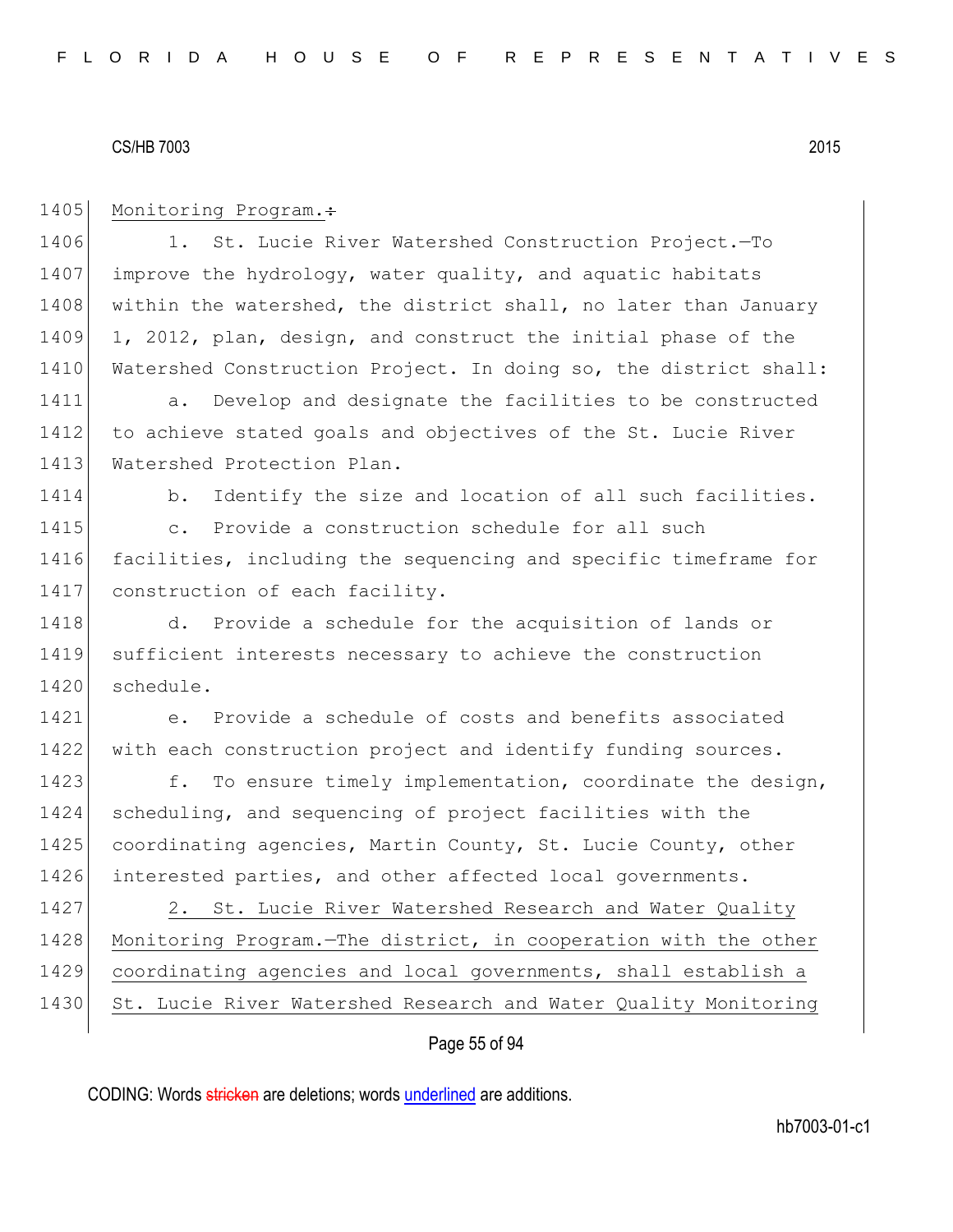1405 Monitoring Program.: 1406 1. St. Lucie River Watershed Construction Project.-To 1407 improve the hydrology, water quality, and aquatic habitats 1408 within the watershed, the district shall, no later than January 1409 1, 2012, plan, design, and construct the initial phase of the 1410 Watershed Construction Project. In doing so, the district shall: 1411 a. Develop and designate the facilities to be constructed 1412 to achieve stated goals and objectives of the St. Lucie River 1413 Watershed Protection Plan. 1414 b. Identify the size and location of all such facilities. 1415 c. Provide a construction schedule for all such 1416 facilities, including the sequencing and specific timeframe for 1417 construction of each facility. 1418 d. Provide a schedule for the acquisition of lands or 1419 sufficient interests necessary to achieve the construction 1420 schedule. 1421 e. Provide a schedule of costs and benefits associated 1422 with each construction project and identify funding sources. 1423 f. To ensure timely implementation, coordinate the design, 1424 scheduling, and sequencing of project facilities with the 1425 coordinating agencies, Martin County, St. Lucie County, other 1426 interested parties, and other affected local governments. 1427 2. St. Lucie River Watershed Research and Water Quality 1428 Monitoring Program.—The district, in cooperation with the other 1429 coordinating agencies and local governments, shall establish a 1430 St. Lucie River Watershed Research and Water Quality Monitoring

# Page 55 of 94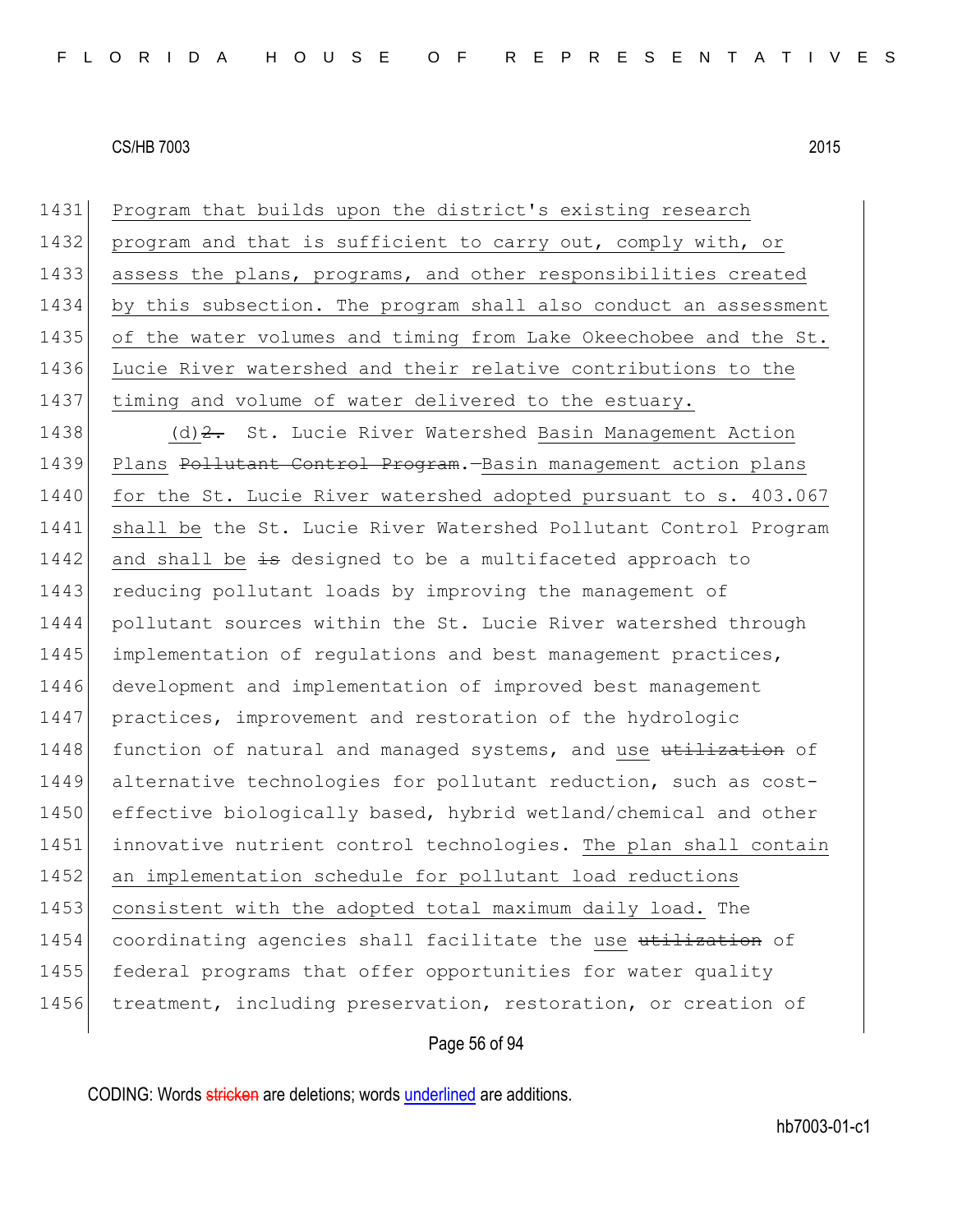1431 Program that builds upon the district's existing research 1432 program and that is sufficient to carry out, comply with, or 1433 assess the plans, programs, and other responsibilities created 1434 by this subsection. The program shall also conduct an assessment 1435 of the water volumes and timing from Lake Okeechobee and the St. 1436 Lucie River watershed and their relative contributions to the 1437 timing and volume of water delivered to the estuary.

1438 (d) 2. St. Lucie River Watershed Basin Management Action 1439 Plans Pollutant Control Program. - Basin management action plans 1440 for the St. Lucie River watershed adopted pursuant to s. 403.067 1441 shall be the St. Lucie River Watershed Pollutant Control Program 1442 and shall be  $\pm$ s designed to be a multifaceted approach to 1443 reducing pollutant loads by improving the management of 1444 pollutant sources within the St. Lucie River watershed through 1445 implementation of regulations and best management practices, 1446 development and implementation of improved best management 1447 practices, improvement and restoration of the hydrologic 1448 function of natural and managed systems, and use utilization of 1449 alternative technologies for pollutant reduction, such as cost-1450 effective biologically based, hybrid wetland/chemical and other 1451 innovative nutrient control technologies. The plan shall contain 1452 an implementation schedule for pollutant load reductions 1453 consistent with the adopted total maximum daily load. The 1454 coordinating agencies shall facilitate the use utilization of 1455 federal programs that offer opportunities for water quality 1456 treatment, including preservation, restoration, or creation of

#### Page 56 of 94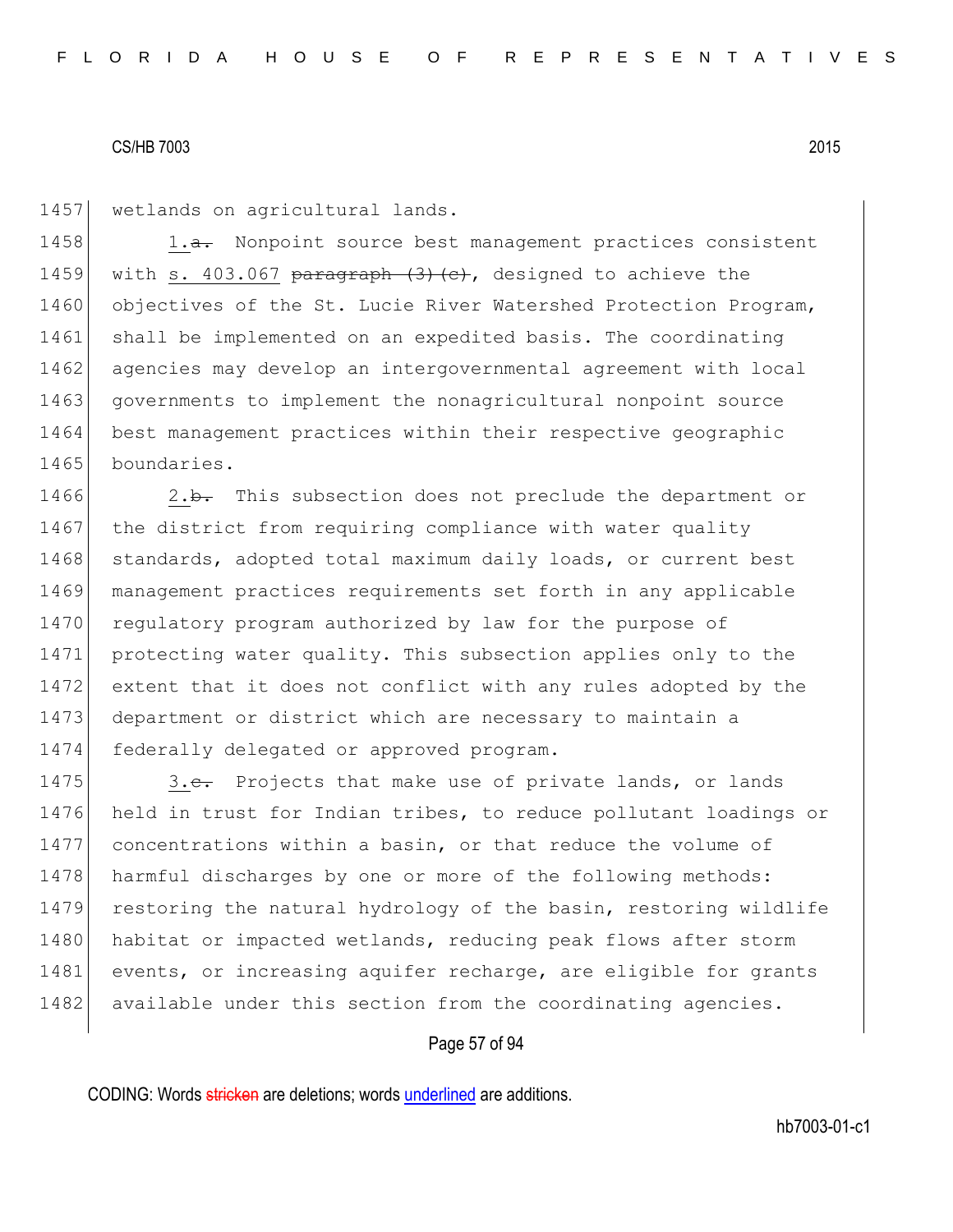1457 | wetlands on agricultural lands.

1458  $\vert$  1.<del>a.</del> Nonpoint source best management practices consistent 1459 with s. 403.067 paragraph  $(3)$  (c), designed to achieve the 1460 objectives of the St. Lucie River Watershed Protection Program, 1461 shall be implemented on an expedited basis. The coordinating 1462 agencies may develop an intergovernmental agreement with local 1463 governments to implement the nonagricultural nonpoint source 1464 best management practices within their respective geographic 1465 boundaries.

1466 2.b. This subsection does not preclude the department or 1467 the district from requiring compliance with water quality 1468 standards, adopted total maximum daily loads, or current best 1469 management practices requirements set forth in any applicable 1470 regulatory program authorized by law for the purpose of 1471 protecting water quality. This subsection applies only to the 1472 extent that it does not conflict with any rules adopted by the 1473 department or district which are necessary to maintain a 1474 federally delegated or approved program.

1475 3.e. Projects that make use of private lands, or lands 1476 held in trust for Indian tribes, to reduce pollutant loadings or 1477 concentrations within a basin, or that reduce the volume of 1478 harmful discharges by one or more of the following methods: 1479 restoring the natural hydrology of the basin, restoring wildlife 1480 habitat or impacted wetlands, reducing peak flows after storm 1481 events, or increasing aquifer recharge, are eligible for grants 1482 available under this section from the coordinating agencies.

#### Page 57 of 94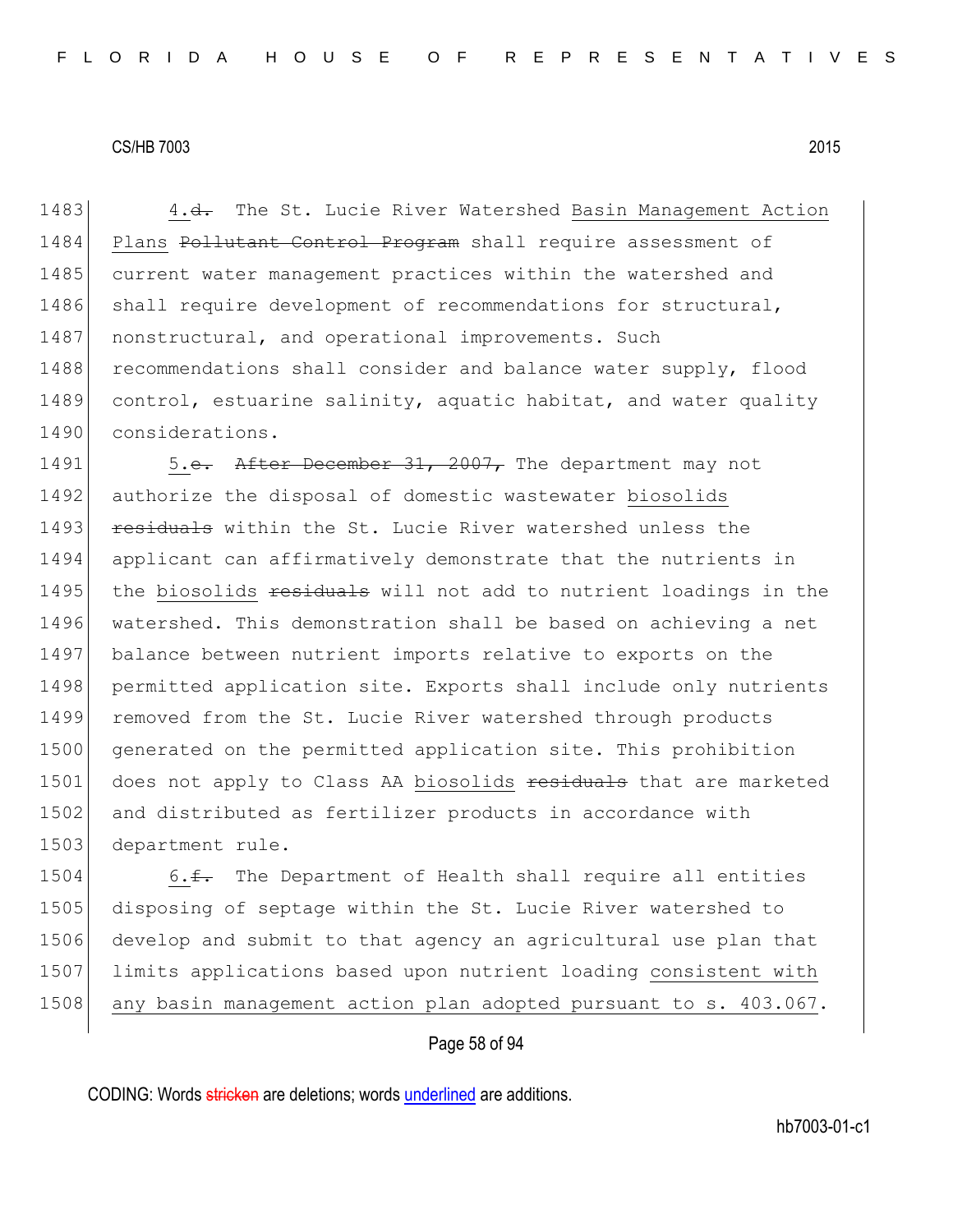1483 4.<del>d.</del> The St. Lucie River Watershed Basin Management Action 1484 Plans Pollutant Control Program shall require assessment of 1485 current water management practices within the watershed and 1486 shall require development of recommendations for structural, 1487 | nonstructural, and operational improvements. Such 1488 recommendations shall consider and balance water supply, flood 1489 control, estuarine salinity, aquatic habitat, and water quality 1490 considerations.

1491 5.e. After December 31, 2007, The department may not 1492 authorize the disposal of domestic wastewater biosolids 1493 residuals within the St. Lucie River watershed unless the 1494 applicant can affirmatively demonstrate that the nutrients in 1495 the biosolids residuals will not add to nutrient loadings in the 1496 watershed. This demonstration shall be based on achieving a net 1497 balance between nutrient imports relative to exports on the 1498 permitted application site. Exports shall include only nutrients 1499 removed from the St. Lucie River watershed through products 1500 generated on the permitted application site. This prohibition 1501 does not apply to Class AA biosolids residuals that are marketed 1502 and distributed as fertilizer products in accordance with 1503 department rule.

1504 6. $\text{f}$ . The Department of Health shall require all entities 1505 disposing of septage within the St. Lucie River watershed to 1506 develop and submit to that agency an agricultural use plan that 1507 limits applications based upon nutrient loading consistent with 1508 any basin management action plan adopted pursuant to s. 403.067.

# Page 58 of 94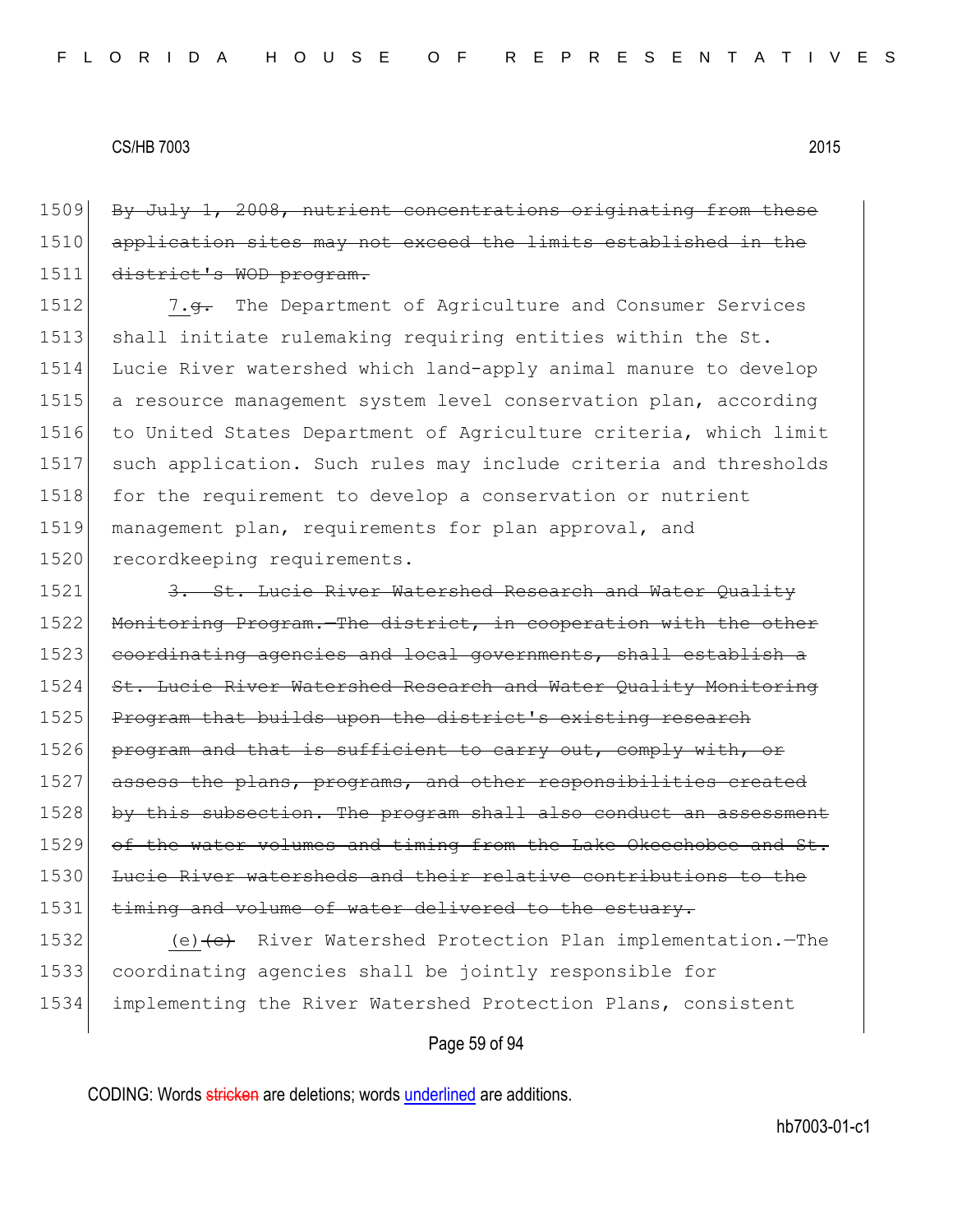1509 By July 1, 2008, nutrient concentrations originating from these 1510 application sites may not exceed the limits established in the 1511 district's WOD program.

1512 7.g. The Department of Agriculture and Consumer Services 1513 shall initiate rulemaking requiring entities within the St. 1514 Lucie River watershed which land-apply animal manure to develop 1515 a resource management system level conservation plan, according 1516 to United States Department of Agriculture criteria, which limit 1517 such application. Such rules may include criteria and thresholds 1518 for the requirement to develop a conservation or nutrient 1519 management plan, requirements for plan approval, and 1520 recordkeeping requirements.

1521 3. St. Lucie River Watershed Research and Water Quality 1522 Monitoring Program. The district, in cooperation with the other 1523 coordinating agencies and local governments, shall establish a 1524 St. Lucie River Watershed Research and Water Quality Monitoring 1525 Program that builds upon the district's existing research 1526 program and that is sufficient to carry out, comply with, or 1527 assess the plans, programs, and other responsibilities created 1528 by this subsection. The program shall also conduct an assessment 1529 of the water volumes and timing from the Lake Okeechobee and St. 1530 Lucie River watersheds and their relative contributions to the 1531 timing and volume of water delivered to the estuary.

1532 (e) (e) River Watershed Protection Plan implementation.—The 1533 coordinating agencies shall be jointly responsible for 1534 implementing the River Watershed Protection Plans, consistent

#### Page 59 of 94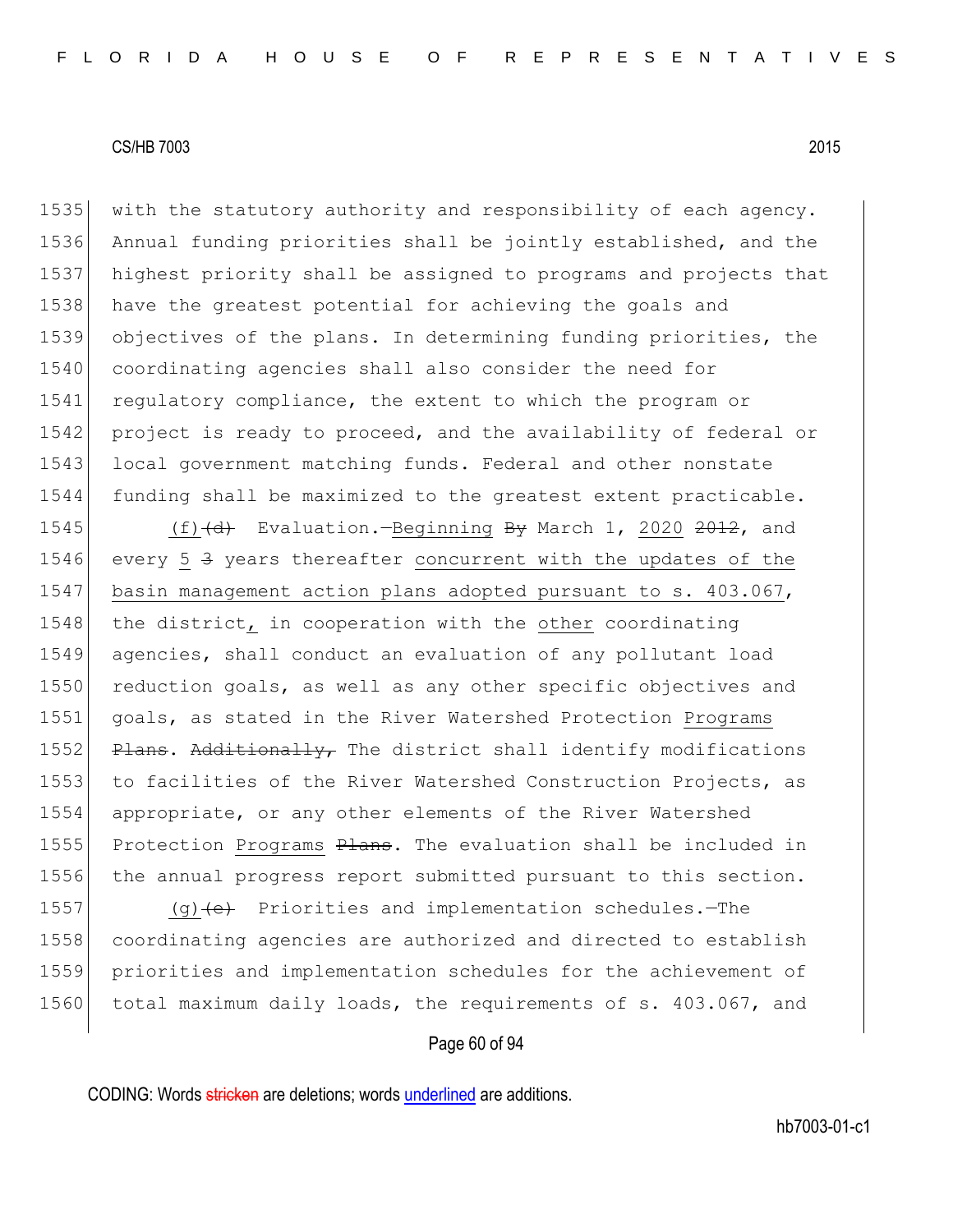1535 with the statutory authority and responsibility of each agency. 1536 Annual funding priorities shall be jointly established, and the 1537 highest priority shall be assigned to programs and projects that 1538 have the greatest potential for achieving the goals and 1539 objectives of the plans. In determining funding priorities, the 1540 coordinating agencies shall also consider the need for 1541 regulatory compliance, the extent to which the program or 1542 project is ready to proceed, and the availability of federal or 1543 local government matching funds. Federal and other nonstate 1544 funding shall be maximized to the greatest extent practicable.

1545  $(f)$   $(d)$  Evaluation.—Beginning By March 1, 2020 2012, and 1546 every 5 3 years thereafter concurrent with the updates of the 1547 basin management action plans adopted pursuant to s. 403.067, 1548 the district, in cooperation with the other coordinating 1549 agencies, shall conduct an evaluation of any pollutant load 1550 reduction goals, as well as any other specific objectives and 1551 goals, as stated in the River Watershed Protection Programs 1552 P<del>lans. Additionally,</del> The district shall identify modifications 1553 to facilities of the River Watershed Construction Projects, as 1554 appropriate, or any other elements of the River Watershed 1555 Protection Programs Plans. The evaluation shall be included in 1556 the annual progress report submitted pursuant to this section.

1557 (g) $(e)$  Priorities and implementation schedules. -The 1558 coordinating agencies are authorized and directed to establish 1559 priorities and implementation schedules for the achievement of 1560 total maximum daily loads, the requirements of s. 403.067, and

# Page 60 of 94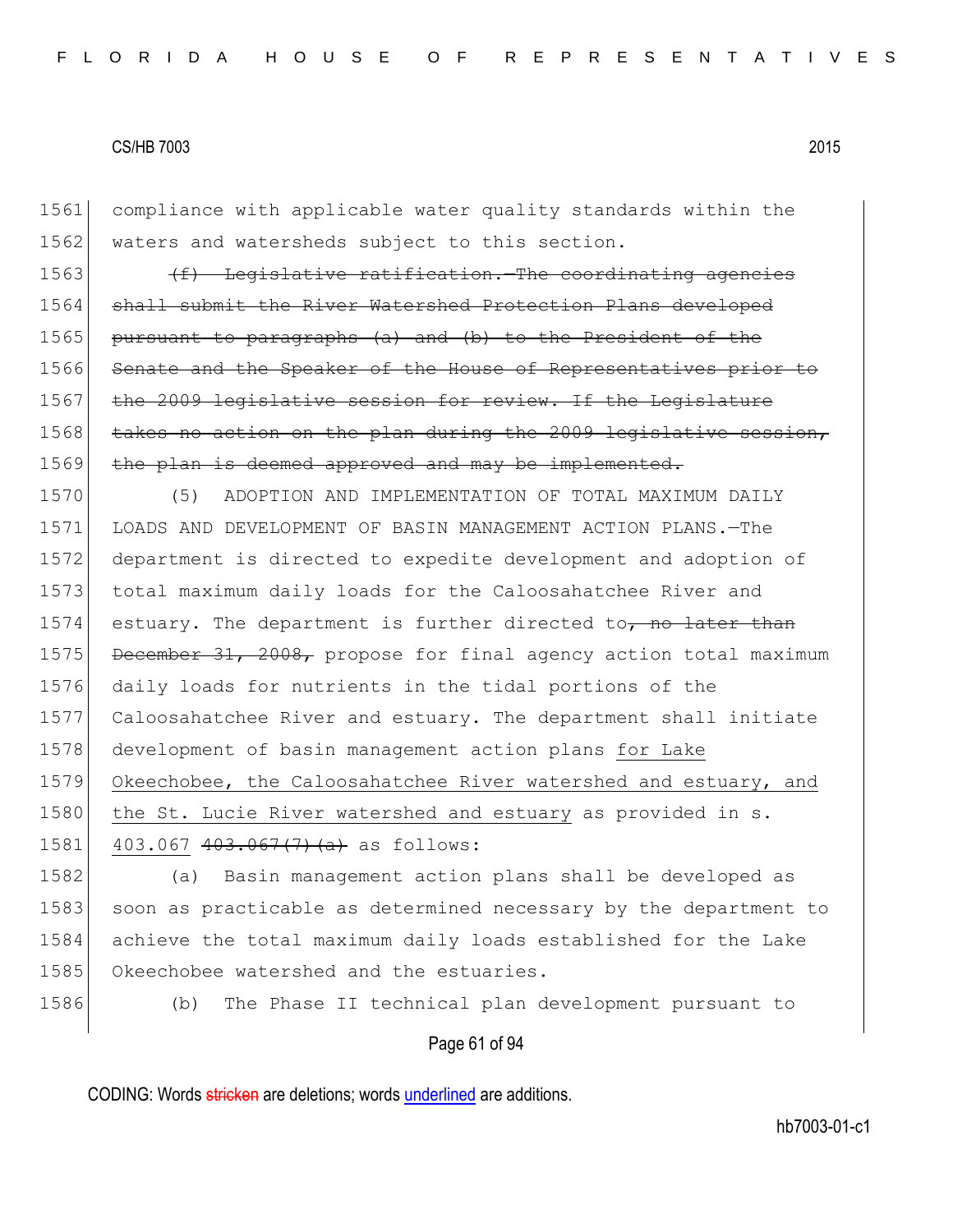1561 compliance with applicable water quality standards within the 1562 waters and watersheds subject to this section. 1563  $(f)$  Legislative ratification.—The coordinating agencies 1564 shall submit the River Watershed Protection Plans developed 1565 pursuant to paragraphs (a) and (b) to the President of the 1566 Senate and the Speaker of the House of Representatives prior to 1567 the 2009 legislative session for review. If the Legislature 1568 takes no action on the plan during the 2009 legislative session, 1569 the plan is deemed approved and may be implemented. 1570 (5) ADOPTION AND IMPLEMENTATION OF TOTAL MAXIMUM DAILY 1571 LOADS AND DEVELOPMENT OF BASIN MANAGEMENT ACTION PLANS.—The 1572 department is directed to expedite development and adoption of 1573 total maximum daily loads for the Caloosahatchee River and 1574 estuary. The department is further directed to, no later than 1575 December 31, 2008, propose for final agency action total maximum 1576 daily loads for nutrients in the tidal portions of the 1577 Caloosahatchee River and estuary. The department shall initiate 1578 development of basin management action plans for Lake 1579 Okeechobee, the Caloosahatchee River watershed and estuary, and 1580 the St. Lucie River watershed and estuary as provided in s. 1581 403.067  $403.067$   $(7)$   $(a)$  as follows: 1582 (a) Basin management action plans shall be developed as 1583 soon as practicable as determined necessary by the department to 1584 achieve the total maximum daily loads established for the Lake 1585 Okeechobee watershed and the estuaries. 1586 (b) The Phase II technical plan development pursuant to

# Page 61 of 94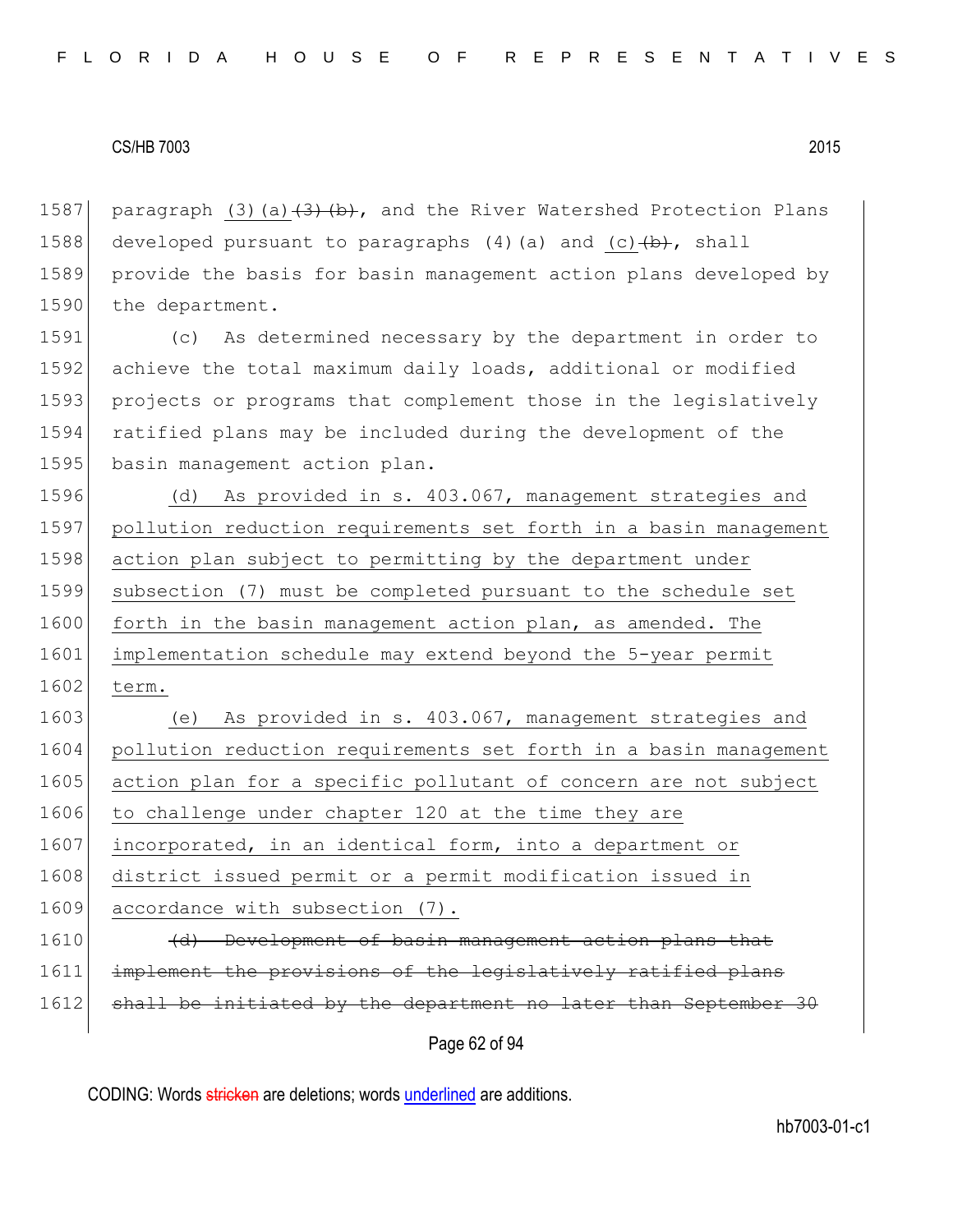1587 paragraph (3)(a) $\left(3\right)$  (b), and the River Watershed Protection Plans 1588 developed pursuant to paragraphs  $(4)$  (a) and (c) $\left(\frac{b}{b}\right)$ , shall 1589 provide the basis for basin management action plans developed by 1590 the department.

1591 (c) As determined necessary by the department in order to 1592 achieve the total maximum daily loads, additional or modified 1593 projects or programs that complement those in the legislatively 1594 ratified plans may be included during the development of the 1595 basin management action plan.

1596 (d) As provided in s. 403.067, management strategies and 1597 pollution reduction requirements set forth in a basin management 1598 action plan subject to permitting by the department under 1599 subsection (7) must be completed pursuant to the schedule set 1600 forth in the basin management action plan, as amended. The 1601 implementation schedule may extend beyond the 5-year permit 1602 term.

1603 (e) As provided in s. 403.067, management strategies and 1604 pollution reduction requirements set forth in a basin management 1605 action plan for a specific pollutant of concern are not subject 1606 to challenge under chapter 120 at the time they are 1607 incorporated, in an identical form, into a department or 1608 district issued permit or a permit modification issued in 1609 accordance with subsection (7). 1610 (d) Development of basin management action plans that

1611 implement the provisions of the legislatively ratified plans

1612 shall be initiated by the department no later than September 30

Page 62 of 94

CODING: Words stricken are deletions; words underlined are additions.

hb7003-01-c1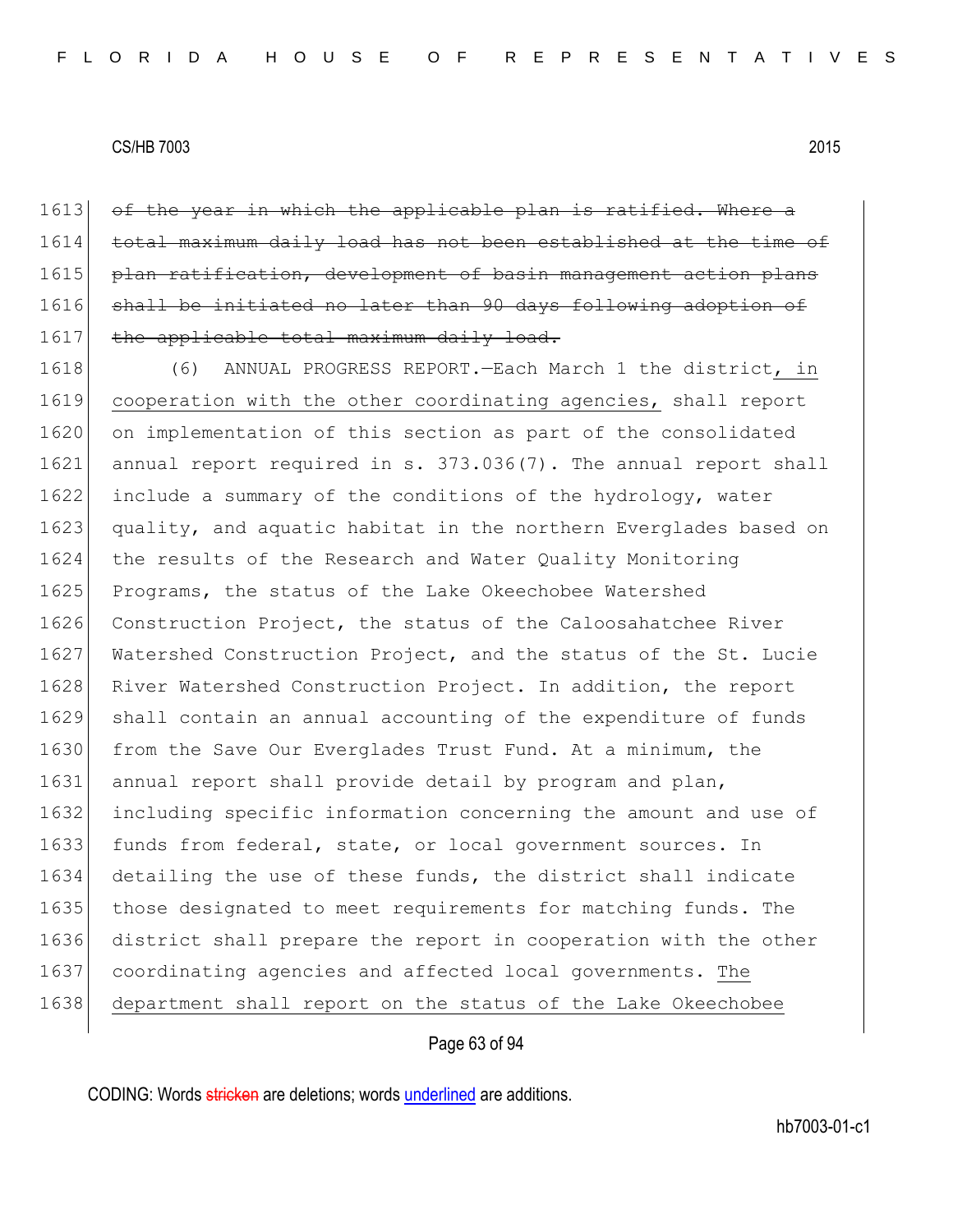1613 of the year in which the applicable plan is ratified. Where a 1614 total maximum daily load has not been established at the time of 1615 plan ratification, development of basin management action plans 1616 shall be initiated no later than 90 days following adoption of 1617 the applicable total maximum daily load.

1618 (6) ANNUAL PROGRESS REPORT.—Each March 1 the district, in 1619 cooperation with the other coordinating agencies, shall report 1620 on implementation of this section as part of the consolidated 1621 annual report required in s. 373.036(7). The annual report shall 1622 include a summary of the conditions of the hydrology, water 1623 quality, and aquatic habitat in the northern Everglades based on 1624 the results of the Research and Water Quality Monitoring 1625 Programs, the status of the Lake Okeechobee Watershed 1626 Construction Project, the status of the Caloosahatchee River 1627 Watershed Construction Project, and the status of the St. Lucie 1628 River Watershed Construction Project. In addition, the report 1629 shall contain an annual accounting of the expenditure of funds 1630 from the Save Our Everglades Trust Fund. At a minimum, the 1631 annual report shall provide detail by program and plan, 1632 including specific information concerning the amount and use of 1633 funds from federal, state, or local government sources. In 1634 detailing the use of these funds, the district shall indicate 1635 those designated to meet requirements for matching funds. The 1636 district shall prepare the report in cooperation with the other 1637 coordinating agencies and affected local governments. The 1638 department shall report on the status of the Lake Okeechobee

# Page 63 of 94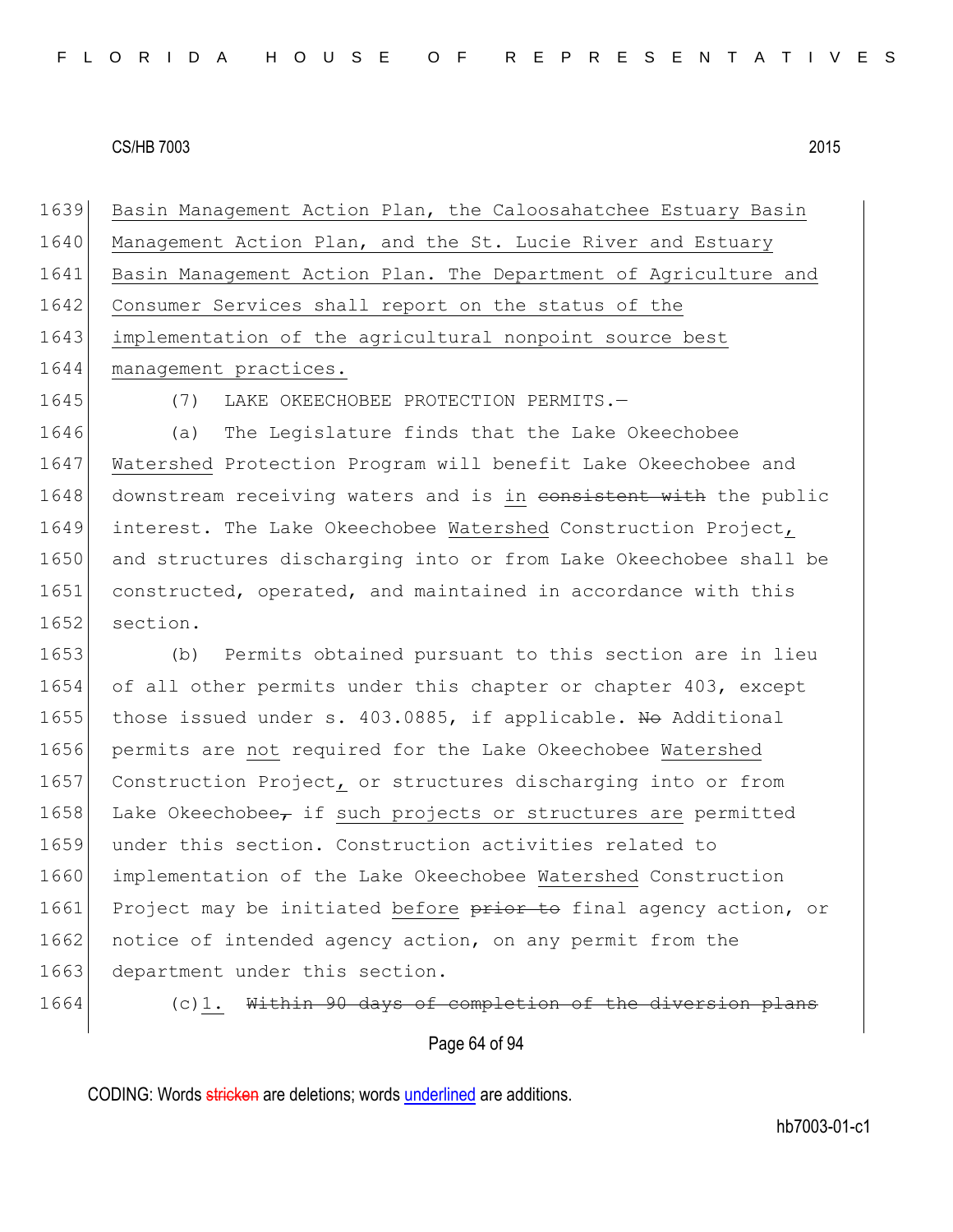1639 Basin Management Action Plan, the Caloosahatchee Estuary Basin 1640 Management Action Plan, and the St. Lucie River and Estuary 1641 Basin Management Action Plan. The Department of Agriculture and 1642 Consumer Services shall report on the status of the 1643 implementation of the agricultural nonpoint source best 1644 management practices.

1645 (7) LAKE OKEECHOBEE PROTECTION PERMITS.—

1646 (a) The Legislature finds that the Lake Okeechobee 1647 Watershed Protection Program will benefit Lake Okeechobee and 1648 downstream receiving waters and is in consistent with the public 1649 interest. The Lake Okeechobee Watershed Construction Project, 1650 and structures discharging into or from Lake Okeechobee shall be 1651 constructed, operated, and maintained in accordance with this 1652 section.

1653 (b) Permits obtained pursuant to this section are in lieu 1654 of all other permits under this chapter or chapter 403, except 1655 those issued under s. 403.0885, if applicable. No Additional 1656 permits are not required for the Lake Okeechobee Watershed 1657 Construction Project, or structures discharging into or from 1658 Lake Okeechobee, if such projects or structures are permitted 1659 under this section. Construction activities related to 1660 implementation of the Lake Okeechobee Watershed Construction 1661 Project may be initiated before prior to final agency action, or 1662 notice of intended agency action, on any permit from the 1663 department under this section.

1664 (c)1. Within 90 days of completion of the diversion plans

Page 64 of 94

CODING: Words stricken are deletions; words underlined are additions.

hb7003-01-c1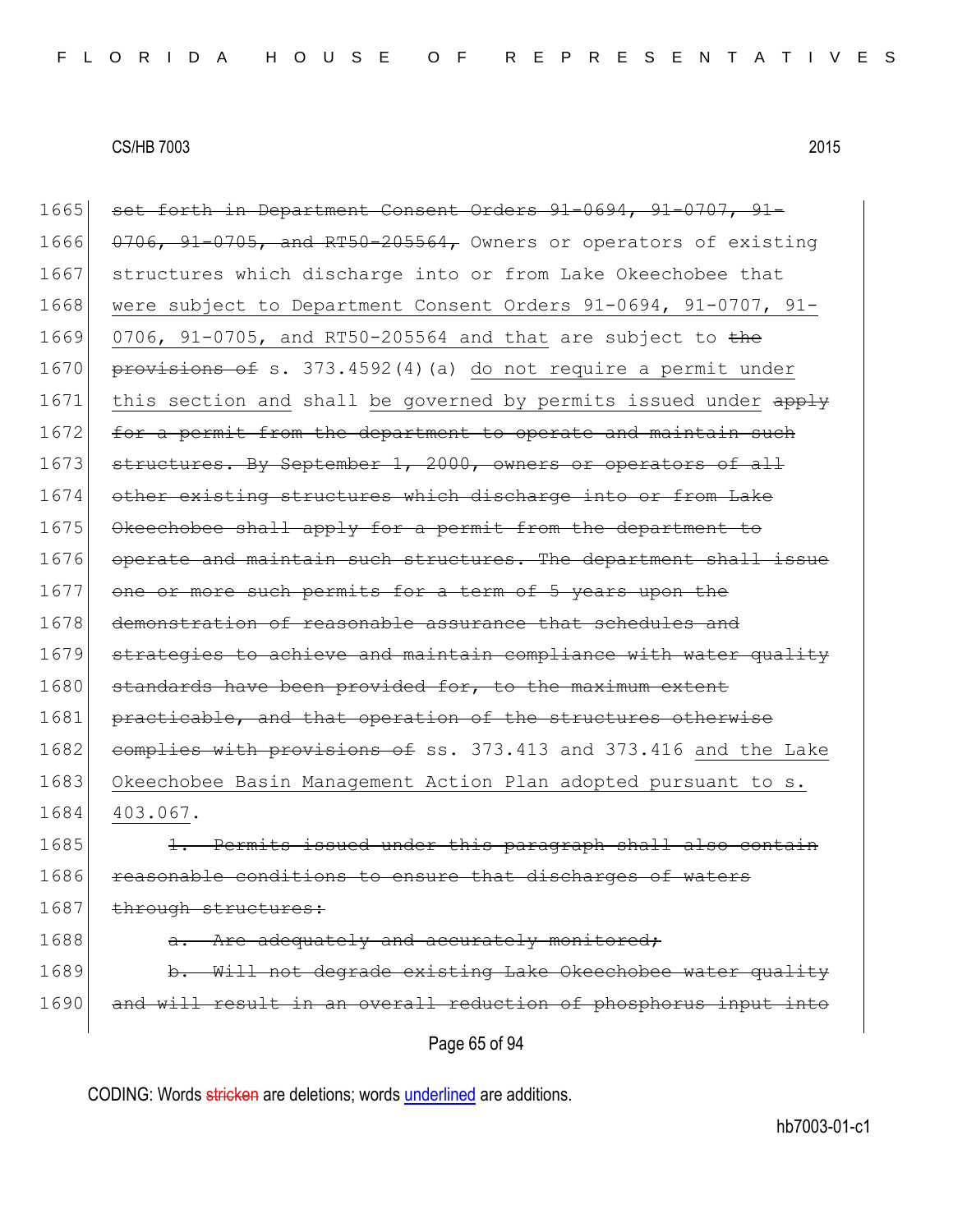| 1665 | set forth in Department Consent Orders 91-0694, 91-0707, 91-          |
|------|-----------------------------------------------------------------------|
| 1666 | 0706, 91-0705, and RT50-205564, Owners or operators of existing       |
| 1667 | structures which discharge into or from Lake Okeechobee that          |
| 1668 | were subject to Department Consent Orders 91-0694, 91-0707, 91-       |
| 1669 | 0706, 91-0705, and RT50-205564 and that are subject to the            |
| 1670 | provisions of s. 373.4592(4) (a) do not require a permit under        |
| 1671 | this section and shall be governed by permits issued under apply      |
| 1672 | for a permit from the department to operate and maintain such         |
| 1673 | structures. By September 1, 2000, owners or operators of all          |
| 1674 | other existing structures which discharge into or from Lake           |
| 1675 | Okeechobee shall apply for a permit from the department to            |
| 1676 | operate and maintain such structures. The department shall issue      |
| 1677 | one or more such permits for a term of 5 years upon the               |
| 1678 | demonstration of reasonable assurance that schedules and              |
| 1679 | strategies to achieve and maintain compliance with water quality      |
| 1680 | standards have been provided for, to the maximum extent               |
| 1681 | practicable, and that operation of the structures otherwise           |
| 1682 | complies with provisions of ss. 373.413 and 373.416 and the Lake      |
| 1683 | Okeechobee Basin Management Action Plan adopted pursuant to s.        |
| 1684 | 403.067.                                                              |
| 1685 | 1. Permits issued under this paragraph shall also contain             |
| 1686 | reasonable conditions to ensure that discharges of waters             |
| 1687 | through structures:                                                   |
| 1688 | Are adequately and accurately monitored;                              |
| 1689 | Will not degrade existing Lake Okeechobee water quality<br>$\theta$ . |
| 1690 | and will result in an overall reduction of phosphorus input into      |
|      | Page 65 of 94                                                         |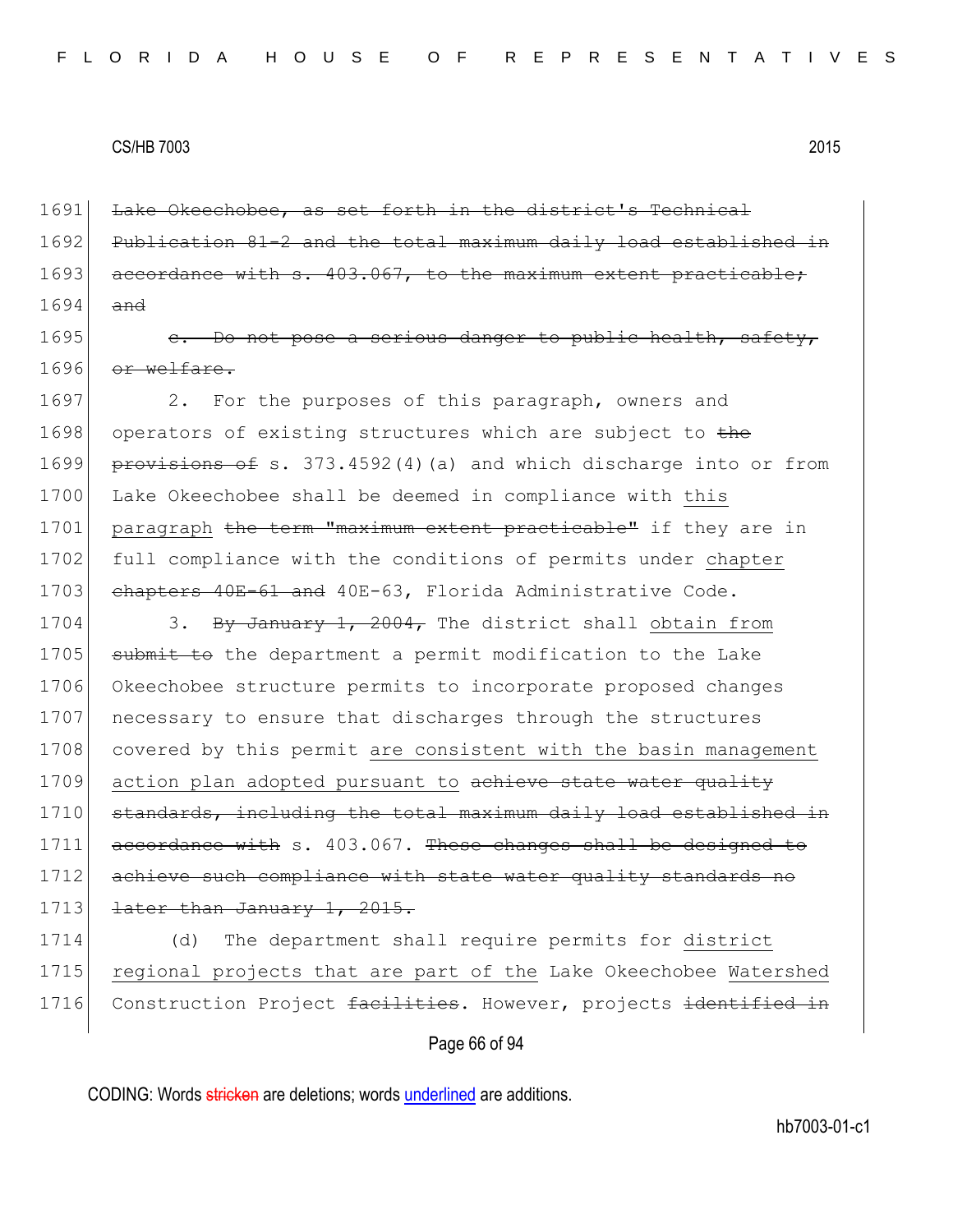1691 Lake Okeechobee, as set forth in the district's Technical 1692 Publication 81-2 and the total maximum daily load established in 1693 accordance with s. 403.067, to the maximum extent practicable; 1694 and

1695 c. Do not pose a serious danger to public health, safety,  $1696$  or welfare.

1697 2. For the purposes of this paragraph, owners and 1698 operators of existing structures which are subject to the 1699 provisions of s. 373.4592(4)(a) and which discharge into or from 1700 Lake Okeechobee shall be deemed in compliance with this 1701 paragraph the term "maximum extent practicable" if they are in 1702 full compliance with the conditions of permits under chapter 1703 chapters 40E-61 and 40E-63, Florida Administrative Code.

1704 3. By January 1, 2004, The district shall obtain from 1705 submit to the department a permit modification to the Lake 1706 Okeechobee structure permits to incorporate proposed changes 1707 necessary to ensure that discharges through the structures 1708 covered by this permit are consistent with the basin management 1709 action plan adopted pursuant to achieve state water quality 1710 standards, including the total maximum daily load established in 1711 accordance with s. 403.067. These changes shall be designed to 1712 achieve such compliance with state water quality standards no 1713 <del>later than January 1, 2015.</del>

1714 (d) The department shall require permits for district 1715 regional projects that are part of the Lake Okeechobee Watershed 1716 Construction Project facilities. However, projects identified in

#### Page 66 of 94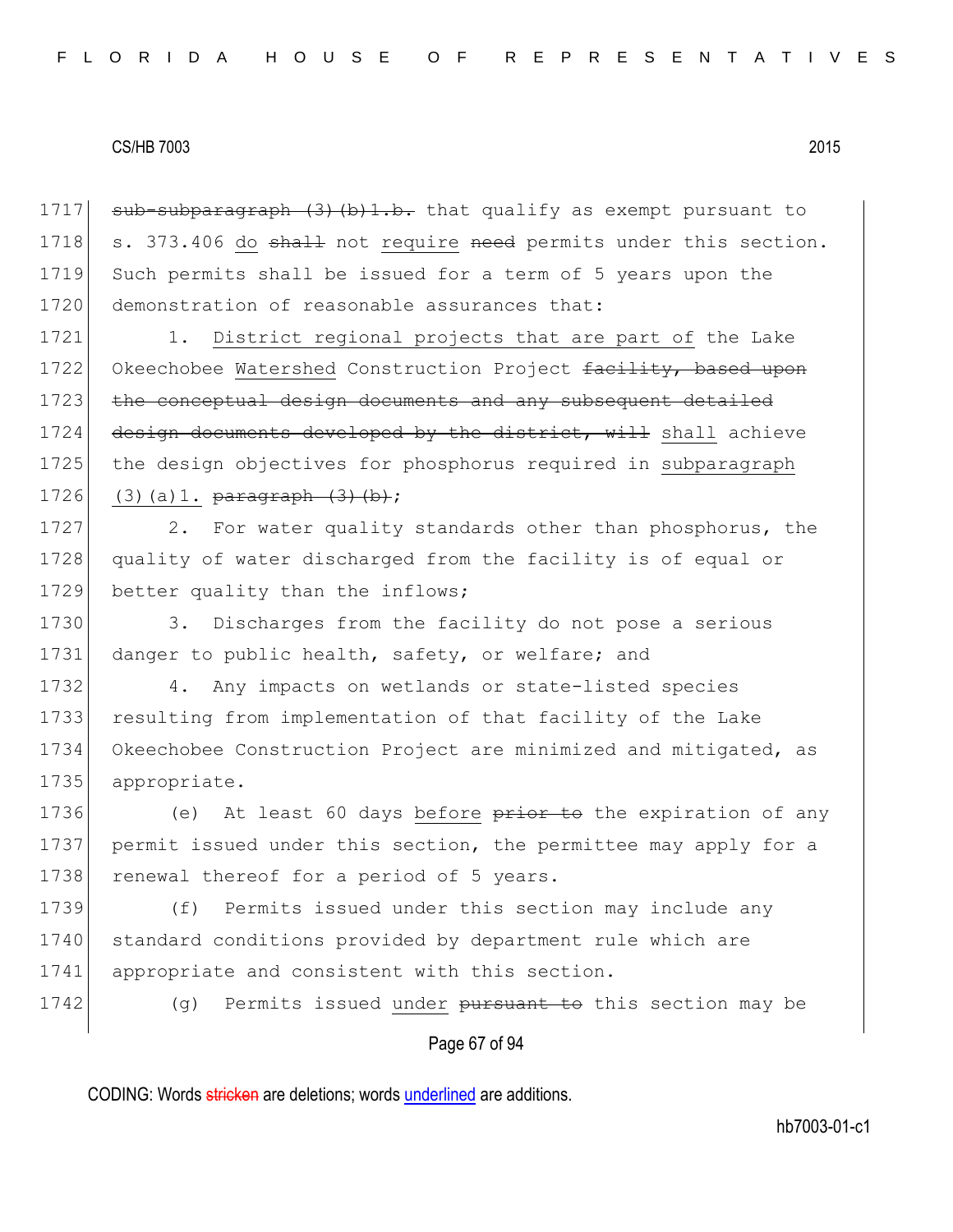1717  $\rightarrow$  sub-subparagraph (3) (b) 1.b. that qualify as exempt pursuant to 1718 s. 373.406 do shall not require need permits under this section. 1719 Such permits shall be issued for a term of 5 years upon the 1720 demonstration of reasonable assurances that:

1721 1. District regional projects that are part of the Lake 1722 Okeechobee Watershed Construction Project facility, based upon 1723 the conceptual design documents and any subsequent detailed 1724 design documents developed by the district, will shall achieve 1725 the design objectives for phosphorus required in subparagraph 1726 (3)(a)1.  $\frac{\text{b}}{\text{b}}$  (3)(b);

1727 2. For water quality standards other than phosphorus, the 1728 quality of water discharged from the facility is of equal or 1729 better quality than the inflows;

1730 3. Discharges from the facility do not pose a serious 1731 danger to public health, safety, or welfare; and

 4. Any impacts on wetlands or state-listed species resulting from implementation of that facility of the Lake Okeechobee Construction Project are minimized and mitigated, as 1735 appropriate.

1736 (e) At least 60 days before prior to the expiration of any 1737 permit issued under this section, the permittee may apply for a 1738 renewal thereof for a period of 5 years.

1739 (f) Permits issued under this section may include any 1740 standard conditions provided by department rule which are 1741 appropriate and consistent with this section.

1742 (g) Permits issued under pursuant to this section may be

# Page 67 of 94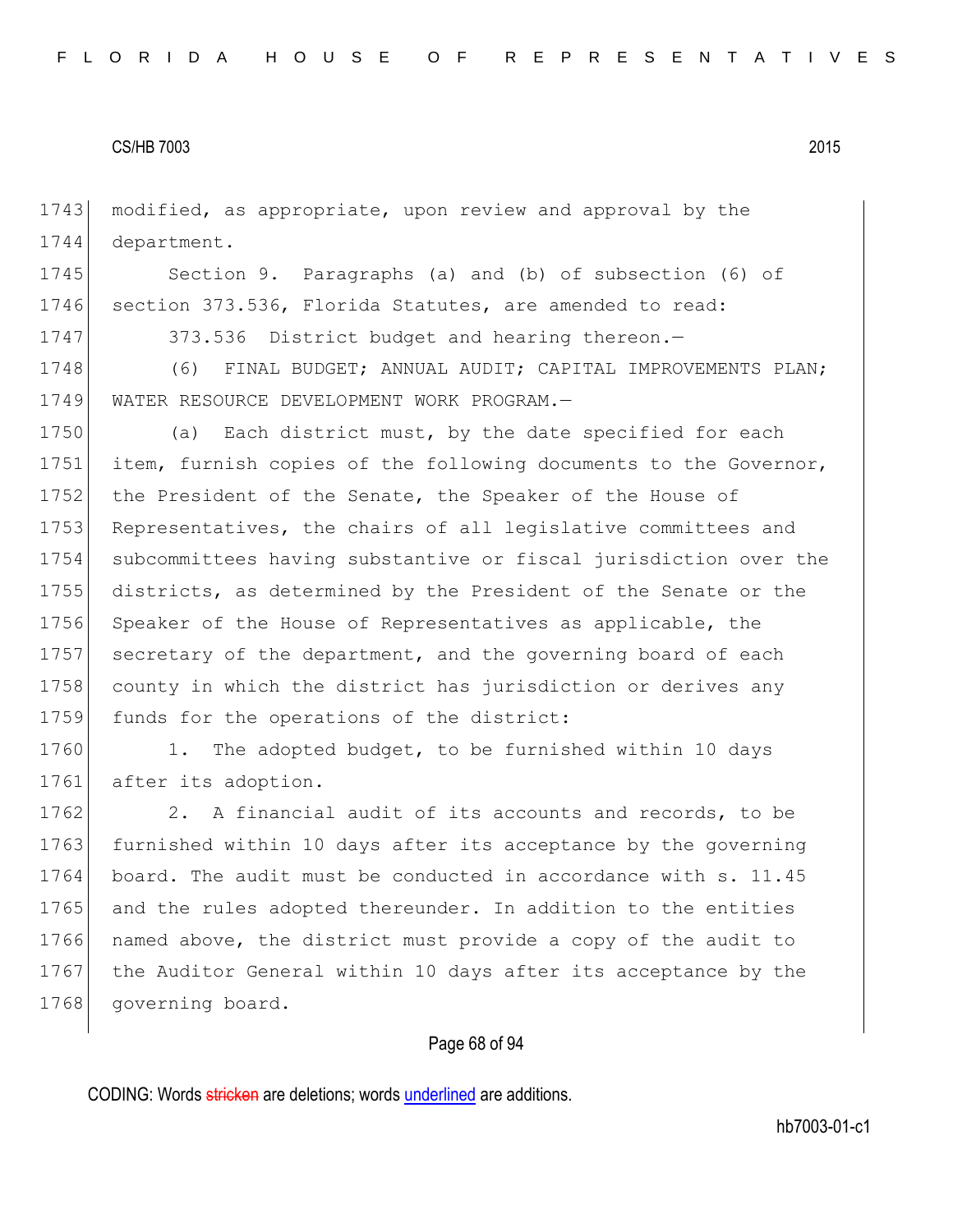1743 modified, as appropriate, upon review and approval by the 1744 department.

1745 Section 9. Paragraphs (a) and (b) of subsection (6) of 1746 section 373.536, Florida Statutes, are amended to read:

1747 373.536 District budget and hearing thereon.-

1748 (6) FINAL BUDGET; ANNUAL AUDIT; CAPITAL IMPROVEMENTS PLAN; 1749 WATER RESOURCE DEVELOPMENT WORK PROGRAM.—

1750 (a) Each district must, by the date specified for each 1751 item, furnish copies of the following documents to the Governor, 1752 the President of the Senate, the Speaker of the House of 1753 Representatives, the chairs of all legislative committees and 1754 subcommittees having substantive or fiscal jurisdiction over the 1755 districts, as determined by the President of the Senate or the 1756 Speaker of the House of Representatives as applicable, the 1757 secretary of the department, and the governing board of each 1758 county in which the district has jurisdiction or derives any 1759 funds for the operations of the district:

1760 1. The adopted budget, to be furnished within 10 days 1761 after its adoption.

1762 2. A financial audit of its accounts and records, to be 1763 furnished within 10 days after its acceptance by the governing 1764 board. The audit must be conducted in accordance with s. 11.45 1765 and the rules adopted thereunder. In addition to the entities 1766 named above, the district must provide a copy of the audit to 1767 | the Auditor General within 10 days after its acceptance by the 1768 governing board.

# Page 68 of 94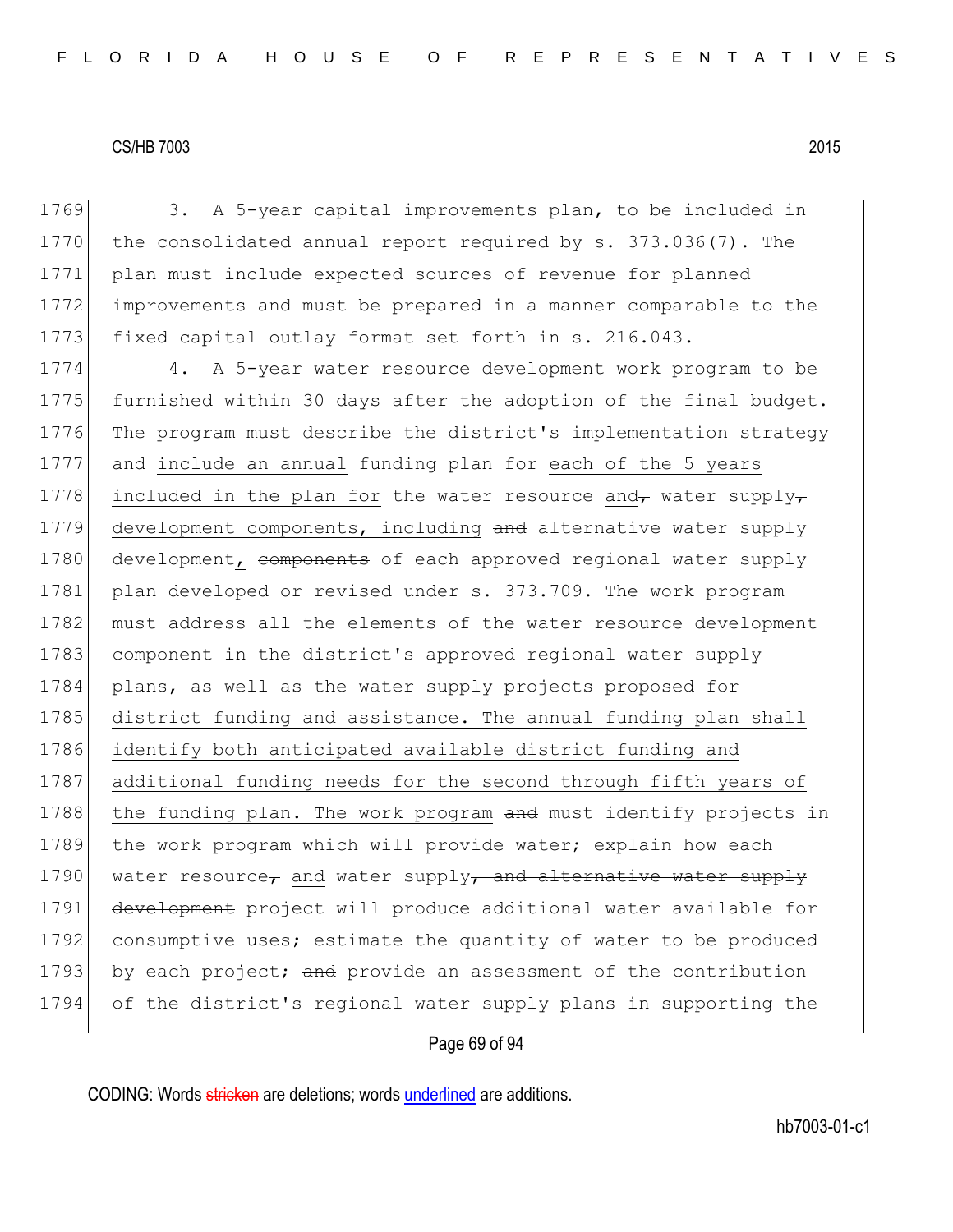1769 3. A 5-year capital improvements plan, to be included in 1770 the consolidated annual report required by s. 373.036(7). The 1771 plan must include expected sources of revenue for planned 1772 improvements and must be prepared in a manner comparable to the 1773 fixed capital outlay format set forth in s. 216.043. 1774 4. A 5-year water resource development work program to be 1775 furnished within 30 days after the adoption of the final budget. 1776 The program must describe the district's implementation strategy 1777 and include an annual funding plan for each of the 5 years 1778 included in the plan for the water resource and, water supply, 1779 development components, including and alternative water supply 1780 development, components of each approved regional water supply 1781 plan developed or revised under s. 373.709. The work program 1782 must address all the elements of the water resource development 1783 component in the district's approved regional water supply 1784 plans, as well as the water supply projects proposed for 1785 district funding and assistance. The annual funding plan shall 1786 identify both anticipated available district funding and 1787 additional funding needs for the second through fifth years of 1788 the funding plan. The work program and must identify projects in 1789 the work program which will provide water; explain how each 1790 water resource, and water supply, and alternative water supply 1791 development project will produce additional water available for 1792 consumptive uses; estimate the quantity of water to be produced 1793 by each project; and provide an assessment of the contribution 1794 of the district's regional water supply plans in supporting the

# Page 69 of 94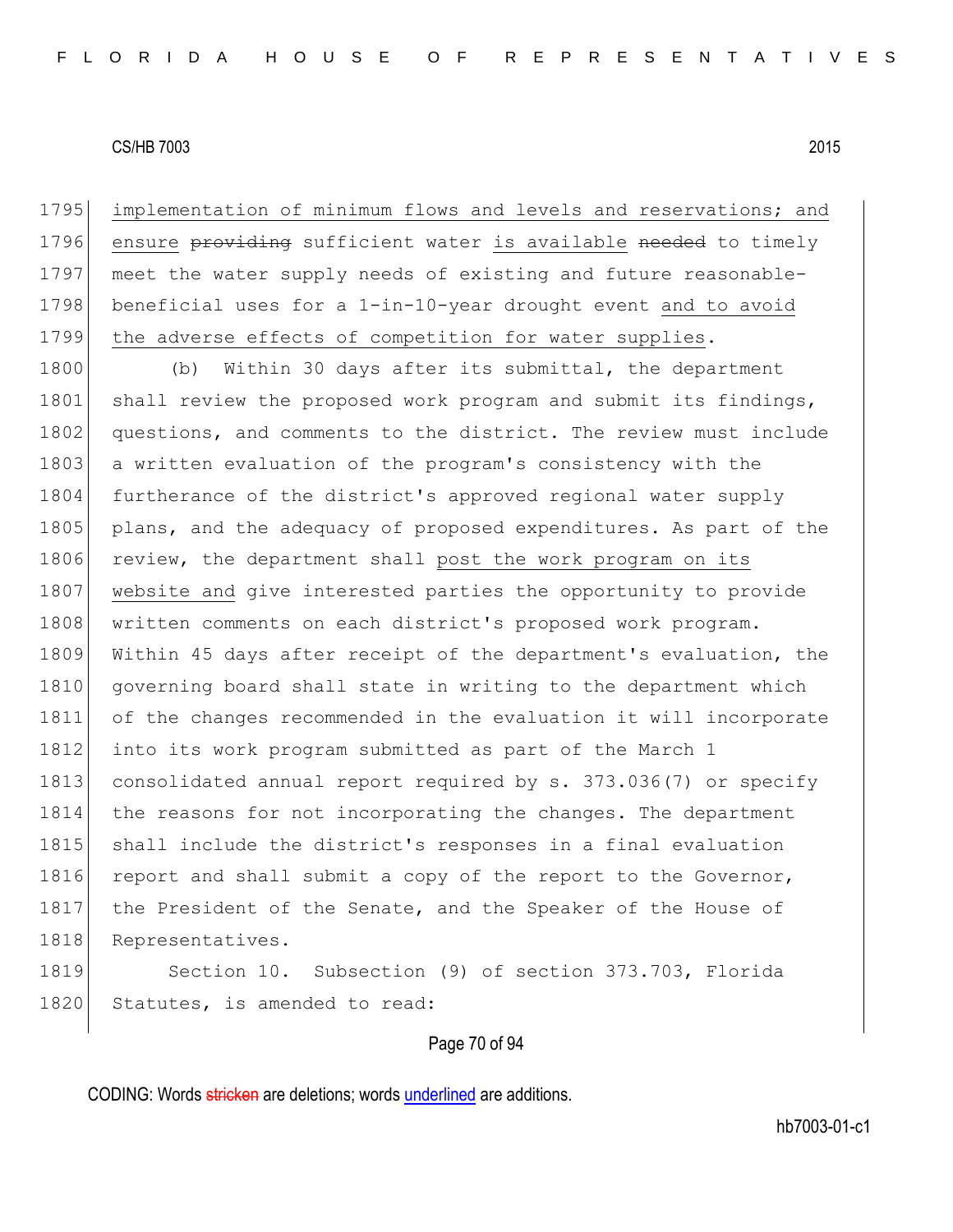implementation of minimum flows and levels and reservations; and 1796 ensure providing sufficient water is available needed to timely meet the water supply needs of existing and future reasonable- beneficial uses for a 1-in-10-year drought event and to avoid the adverse effects of competition for water supplies.

1800 (b) Within 30 days after its submittal, the department 1801 shall review the proposed work program and submit its findings, 1802 questions, and comments to the district. The review must include 1803 a written evaluation of the program's consistency with the 1804 furtherance of the district's approved regional water supply 1805 plans, and the adequacy of proposed expenditures. As part of the 1806 review, the department shall post the work program on its 1807 website and give interested parties the opportunity to provide 1808 | written comments on each district's proposed work program. 1809 Within 45 days after receipt of the department's evaluation, the 1810 governing board shall state in writing to the department which 1811 of the changes recommended in the evaluation it will incorporate 1812 into its work program submitted as part of the March 1 1813 consolidated annual report required by s. 373.036(7) or specify 1814 the reasons for not incorporating the changes. The department 1815 shall include the district's responses in a final evaluation 1816 report and shall submit a copy of the report to the Governor, 1817 the President of the Senate, and the Speaker of the House of 1818 Representatives.

1819 Section 10. Subsection (9) of section 373.703, Florida 1820 Statutes, is amended to read:

#### Page 70 of 94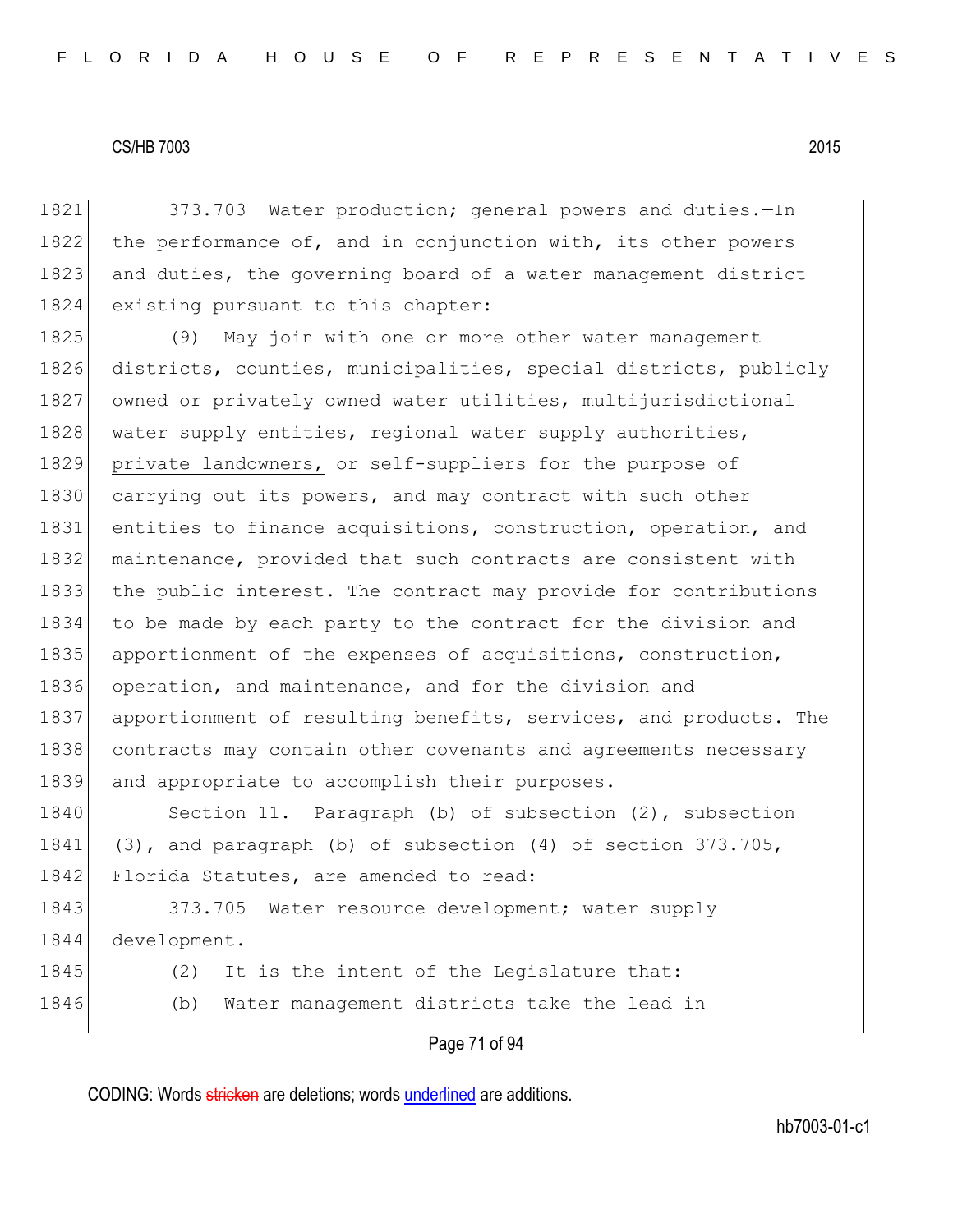1821 373.703 Water production; general powers and duties. - In 1822 the performance of, and in conjunction with, its other powers 1823 and duties, the governing board of a water management district 1824 existing pursuant to this chapter:

1825 (9) May join with one or more other water management 1826 districts, counties, municipalities, special districts, publicly 1827 owned or privately owned water utilities, multijurisdictional 1828 water supply entities, regional water supply authorities, 1829 private landowners, or self-suppliers for the purpose of 1830 carrying out its powers, and may contract with such other 1831 entities to finance acquisitions, construction, operation, and 1832 maintenance, provided that such contracts are consistent with 1833 the public interest. The contract may provide for contributions 1834 to be made by each party to the contract for the division and 1835 apportionment of the expenses of acquisitions, construction, 1836 operation, and maintenance, and for the division and 1837 apportionment of resulting benefits, services, and products. The 1838 contracts may contain other covenants and agreements necessary 1839 and appropriate to accomplish their purposes.

1840 Section 11. Paragraph (b) of subsection (2), subsection 1841 (3), and paragraph (b) of subsection (4) of section 373.705, 1842 Florida Statutes, are amended to read:

1843 373.705 Water resource development; water supply 1844 development.-

- 1845 (2) It is the intent of the Legislature that:
- 1846 (b) Water management districts take the lead in

Page 71 of 94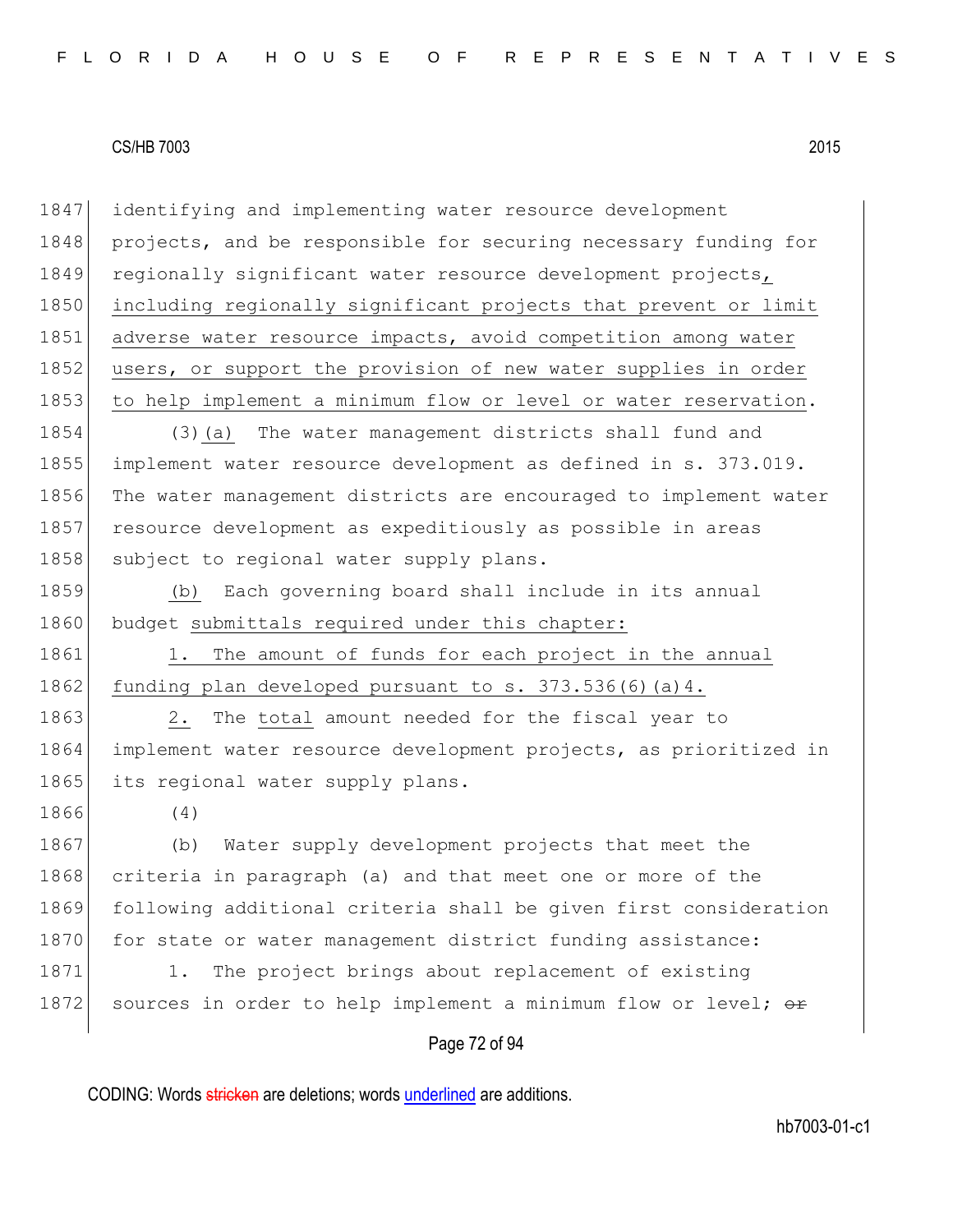1847 identifying and implementing water resource development 1848 projects, and be responsible for securing necessary funding for 1849 regionally significant water resource development projects, 1850 including regionally significant projects that prevent or limit 1851 adverse water resource impacts, avoid competition among water 1852 users, or support the provision of new water supplies in order 1853 to help implement a minimum flow or level or water reservation.

1854 (3)(a) The water management districts shall fund and 1855 implement water resource development as defined in s. 373.019. 1856 The water management districts are encouraged to implement water 1857 resource development as expeditiously as possible in areas 1858 subject to regional water supply plans.

1859 (b) Each governing board shall include in its annual 1860 budget submittals required under this chapter:

1861 1. The amount of funds for each project in the annual 1862 funding plan developed pursuant to  $s. 373.536(6)(a)4.$ 

1863 2. The total amount needed for the fiscal year to 1864 implement water resource development projects, as prioritized in 1865 its regional water supply plans.

1866 (4)

1867 (b) Water supply development projects that meet the 1868 criteria in paragraph (a) and that meet one or more of the 1869 following additional criteria shall be given first consideration 1870 for state or water management district funding assistance: 1871 1. The project brings about replacement of existing

1872 sources in order to help implement a minimum flow or level;  $\theta$ re

#### Page 72 of 94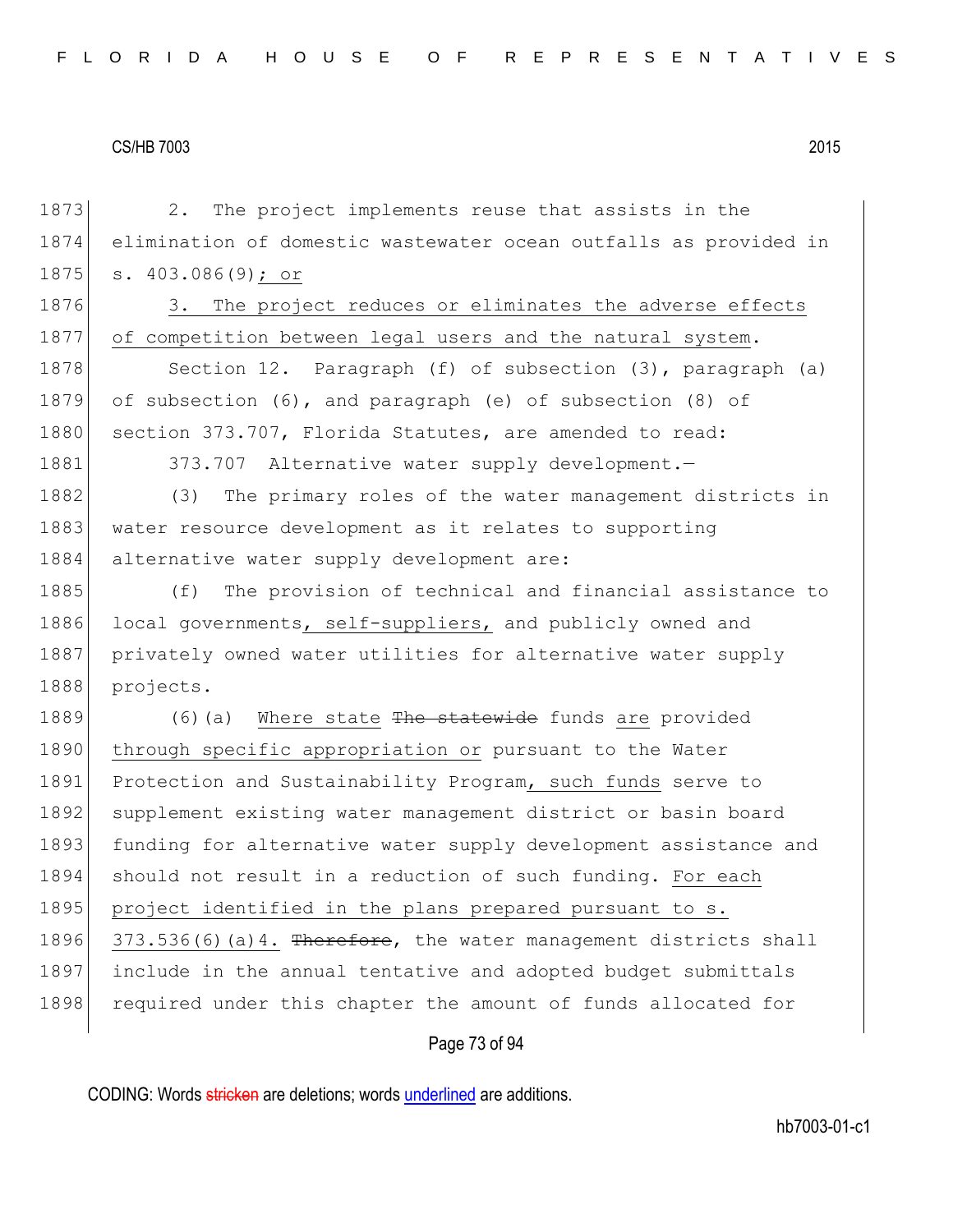Page 73 of 94 1873 2. The project implements reuse that assists in the 1874 elimination of domestic wastewater ocean outfalls as provided in 1875 s. 403.086(9); or 1876 3. The project reduces or eliminates the adverse effects 1877 of competition between legal users and the natural system. 1878 Section 12. Paragraph (f) of subsection (3), paragraph (a) 1879 of subsection (6), and paragraph (e) of subsection (8) of 1880 section 373.707, Florida Statutes, are amended to read: 1881 373.707 Alternative water supply development. 1882 (3) The primary roles of the water management districts in 1883 water resource development as it relates to supporting 1884 alternative water supply development are: 1885 (f) The provision of technical and financial assistance to 1886 local governments, self-suppliers, and publicly owned and 1887 privately owned water utilities for alternative water supply 1888 projects. 1889 (6)(a) Where state The statewide funds are provided 1890 through specific appropriation or pursuant to the Water 1891 Protection and Sustainability Program, such funds serve to 1892 supplement existing water management district or basin board 1893 funding for alternative water supply development assistance and 1894 should not result in a reduction of such funding. For each 1895 project identified in the plans prepared pursuant to s. 1896 373.536(6)(a)4. Therefore, the water management districts shall 1897 include in the annual tentative and adopted budget submittals 1898 required under this chapter the amount of funds allocated for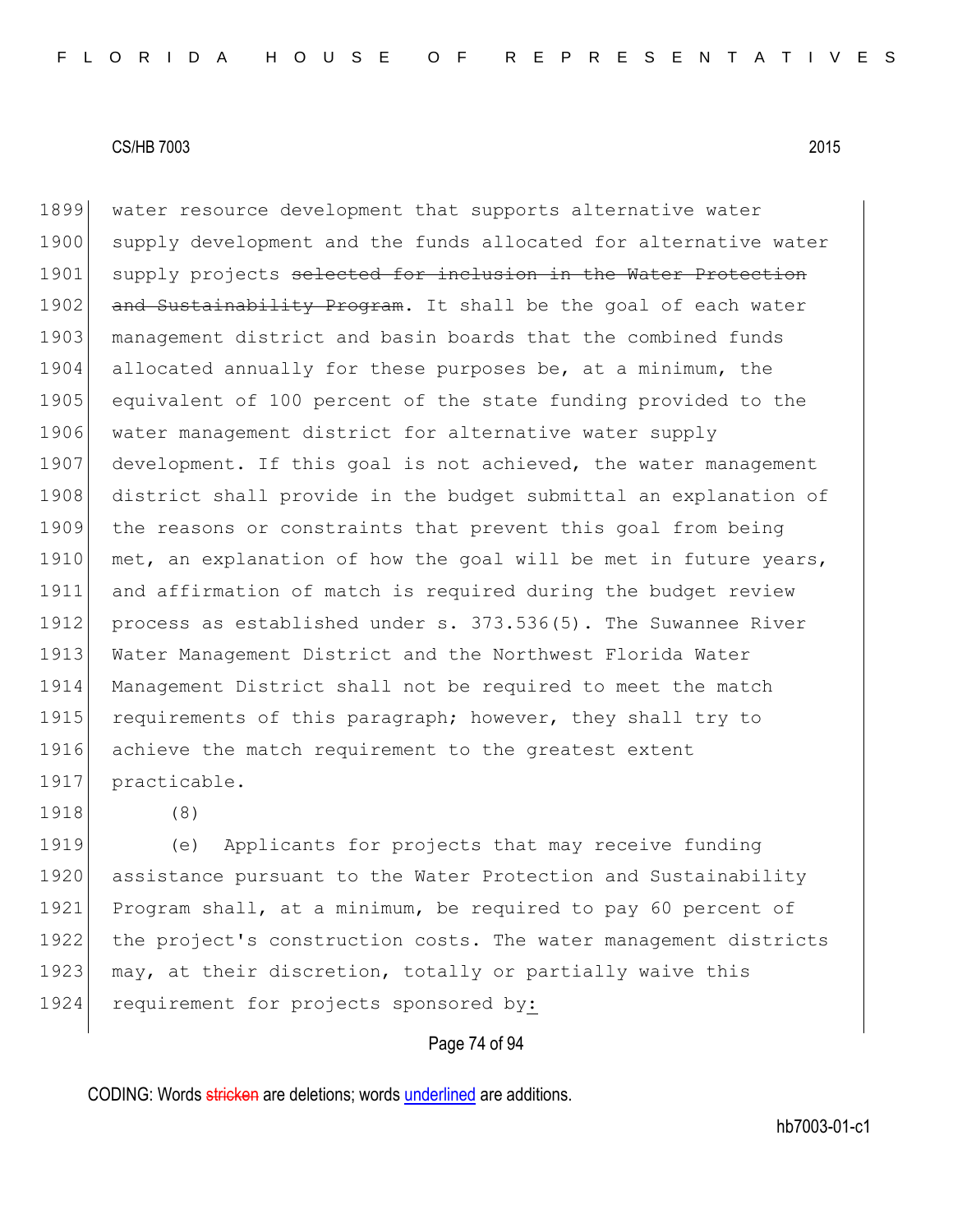1899 water resource development that supports alternative water 1900 supply development and the funds allocated for alternative water 1901 supply projects selected for inclusion in the Water Protection 1902 and Sustainability Program. It shall be the goal of each water 1903 management district and basin boards that the combined funds 1904 allocated annually for these purposes be, at a minimum, the 1905 equivalent of 100 percent of the state funding provided to the 1906 water management district for alternative water supply 1907 development. If this goal is not achieved, the water management 1908 district shall provide in the budget submittal an explanation of 1909 the reasons or constraints that prevent this goal from being 1910 met, an explanation of how the goal will be met in future years, 1911 and affirmation of match is required during the budget review 1912 process as established under s. 373.536(5). The Suwannee River 1913 Water Management District and the Northwest Florida Water 1914 Management District shall not be required to meet the match 1915 requirements of this paragraph; however, they shall try to 1916 achieve the match requirement to the greatest extent 1917 practicable.

1918 (8)

1919 (e) Applicants for projects that may receive funding 1920 assistance pursuant to the Water Protection and Sustainability 1921 Program shall, at a minimum, be required to pay 60 percent of 1922 the project's construction costs. The water management districts 1923 may, at their discretion, totally or partially waive this 1924 requirement for projects sponsored by:

#### Page 74 of 94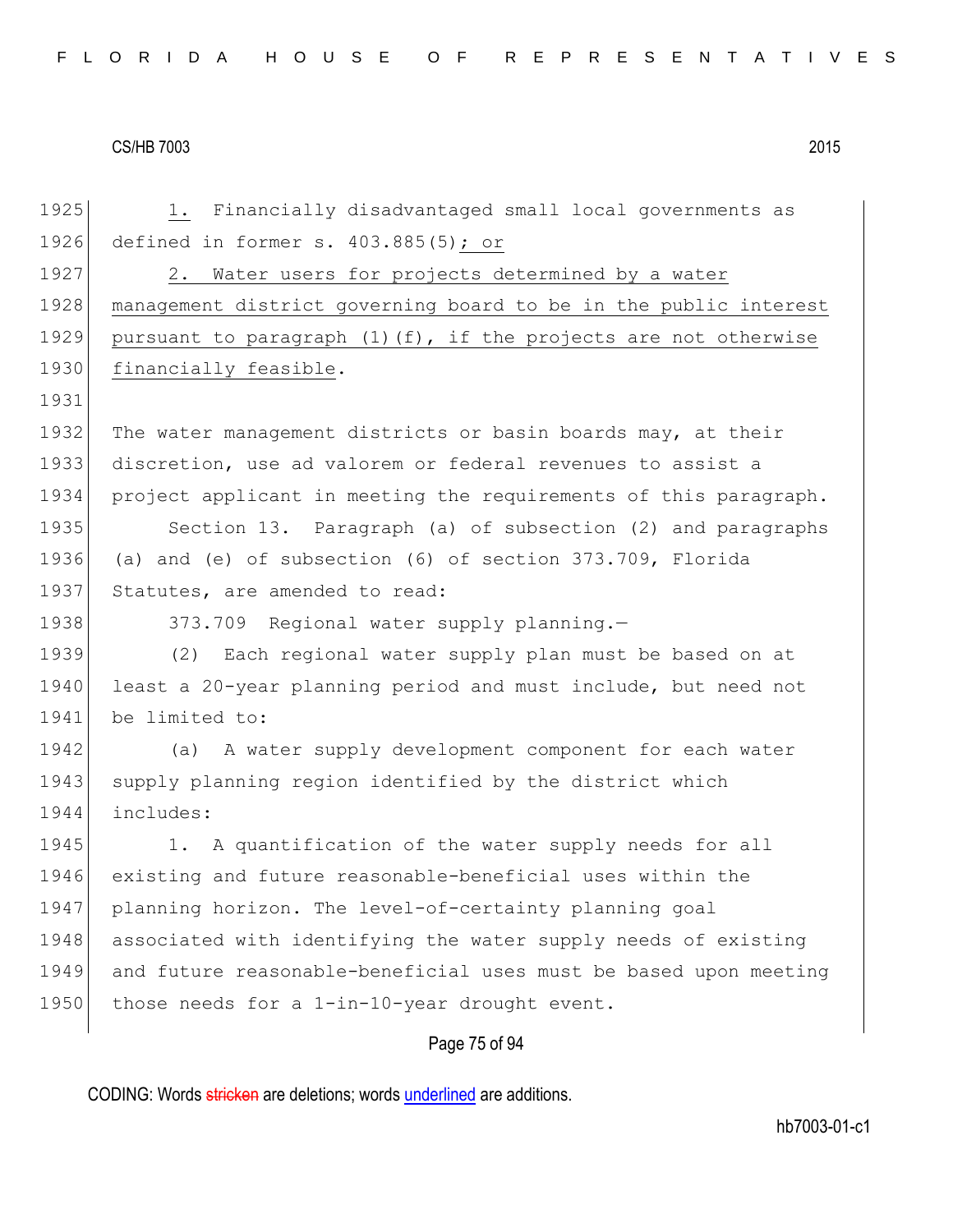| FLORIDA HOUSE OF REPRESENTATIVES |  |  |  |  |  |  |  |  |  |  |  |  |  |  |  |  |  |  |  |  |  |  |  |  |
|----------------------------------|--|--|--|--|--|--|--|--|--|--|--|--|--|--|--|--|--|--|--|--|--|--|--|--|
|----------------------------------|--|--|--|--|--|--|--|--|--|--|--|--|--|--|--|--|--|--|--|--|--|--|--|--|

1925 1. Financially disadvantaged small local governments as 1926 defined in former s. 403.885(5); or 1927 2. Water users for projects determined by a water 1928 | management district governing board to be in the public interest 1929 pursuant to paragraph  $(1)$  (f), if the projects are not otherwise 1930 financially feasible. 1931 1932 The water management districts or basin boards may, at their 1933 discretion, use ad valorem or federal revenues to assist a 1934 project applicant in meeting the requirements of this paragraph. 1935 Section 13. Paragraph (a) of subsection (2) and paragraphs 1936 (a) and (e) of subsection (6) of section 373.709, Florida 1937 Statutes, are amended to read: 1938 373.709 Regional water supply planning. 1939 (2) Each regional water supply plan must be based on at 1940 least a 20-year planning period and must include, but need not 1941 be limited to: 1942 (a) A water supply development component for each water 1943 supply planning region identified by the district which 1944 includes: 1945 1. A quantification of the water supply needs for all 1946 existing and future reasonable-beneficial uses within the 1947 planning horizon. The level-of-certainty planning goal 1948 associated with identifying the water supply needs of existing 1949 and future reasonable-beneficial uses must be based upon meeting 1950 those needs for a 1-in-10-year drought event.

# Page 75 of 94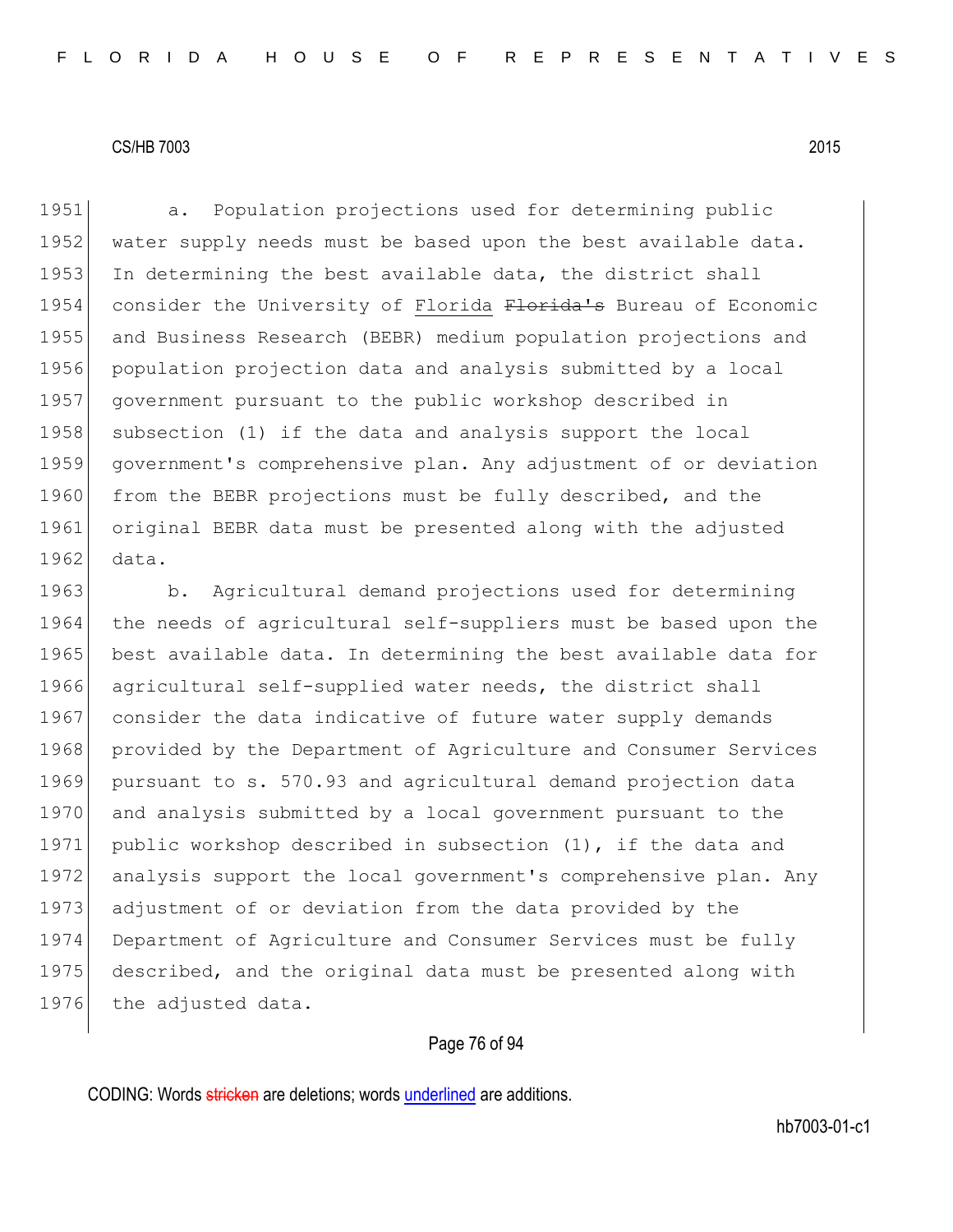1951 a. Population projections used for determining public 1952 water supply needs must be based upon the best available data. 1953 In determining the best available data, the district shall 1954 consider the University of Florida Florida's Bureau of Economic 1955 and Business Research (BEBR) medium population projections and 1956 population projection data and analysis submitted by a local 1957 government pursuant to the public workshop described in 1958 subsection (1) if the data and analysis support the local 1959 government's comprehensive plan. Any adjustment of or deviation 1960 from the BEBR projections must be fully described, and the 1961 original BEBR data must be presented along with the adjusted 1962 data.

1963 b. Agricultural demand projections used for determining 1964 the needs of agricultural self-suppliers must be based upon the 1965 best available data. In determining the best available data for 1966 agricultural self-supplied water needs, the district shall 1967 consider the data indicative of future water supply demands 1968 provided by the Department of Agriculture and Consumer Services 1969 pursuant to s. 570.93 and agricultural demand projection data 1970 and analysis submitted by a local government pursuant to the 1971 public workshop described in subsection (1), if the data and 1972 analysis support the local government's comprehensive plan. Any 1973 adjustment of or deviation from the data provided by the 1974 Department of Agriculture and Consumer Services must be fully 1975 described, and the original data must be presented along with 1976 the adjusted data.

# Page 76 of 94

CODING: Words stricken are deletions; words underlined are additions.

hb7003-01-c1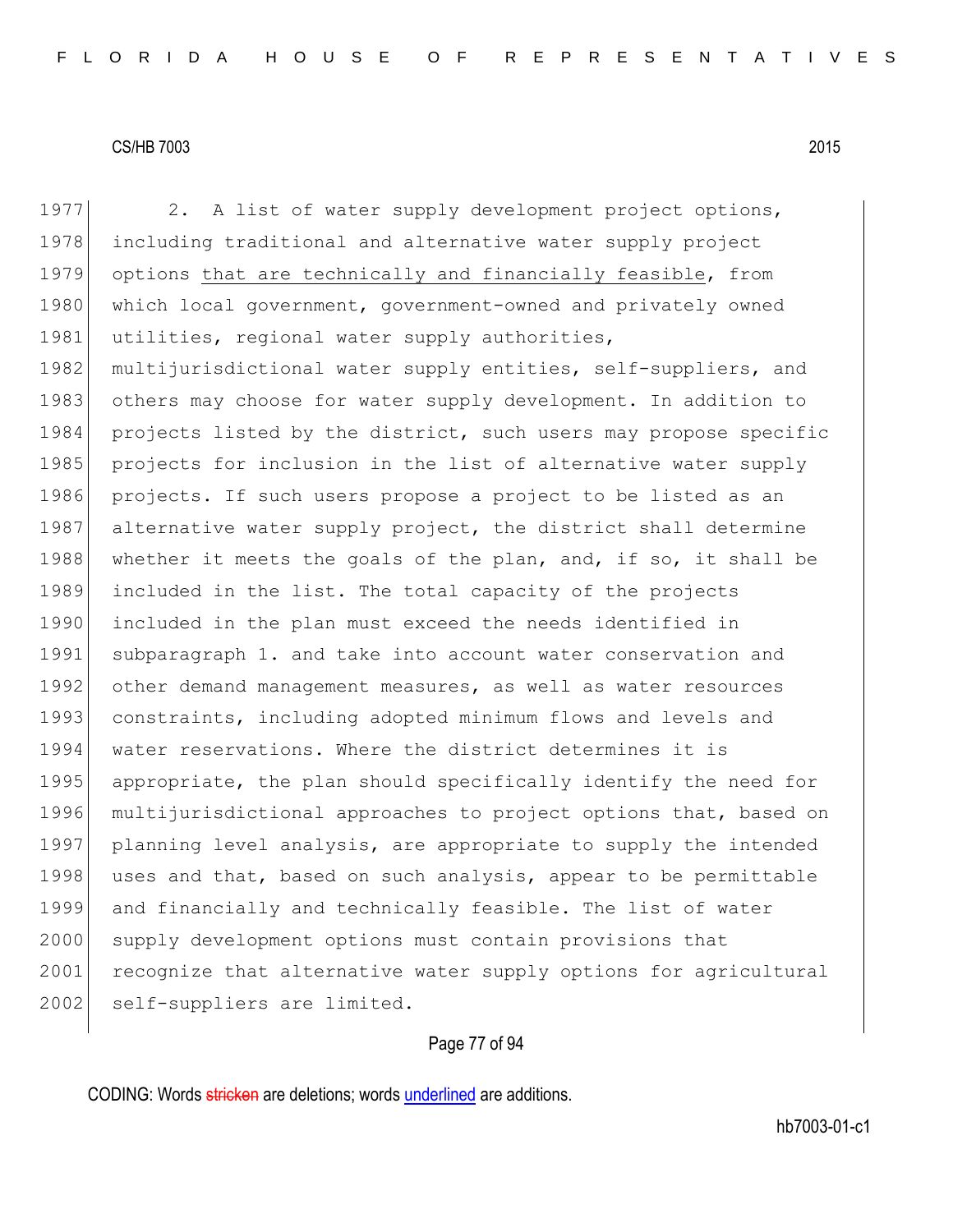1977 2. A list of water supply development project options, 1978 including traditional and alternative water supply project 1979 options that are technically and financially feasible, from 1980 which local government, government-owned and privately owned 1981 utilities, regional water supply authorities, 1982 multijurisdictional water supply entities, self-suppliers, and 1983 others may choose for water supply development. In addition to 1984 projects listed by the district, such users may propose specific 1985 projects for inclusion in the list of alternative water supply 1986 projects. If such users propose a project to be listed as an 1987 alternative water supply project, the district shall determine 1988 whether it meets the goals of the plan, and, if so, it shall be 1989 included in the list. The total capacity of the projects 1990 included in the plan must exceed the needs identified in 1991 subparagraph 1. and take into account water conservation and 1992 other demand management measures, as well as water resources 1993 constraints, including adopted minimum flows and levels and 1994 water reservations. Where the district determines it is 1995 appropriate, the plan should specifically identify the need for 1996 multijurisdictional approaches to project options that, based on 1997 planning level analysis, are appropriate to supply the intended 1998 uses and that, based on such analysis, appear to be permittable 1999 and financially and technically feasible. The list of water 2000 supply development options must contain provisions that 2001 recognize that alternative water supply options for agricultural 2002 self-suppliers are limited.

# Page 77 of 94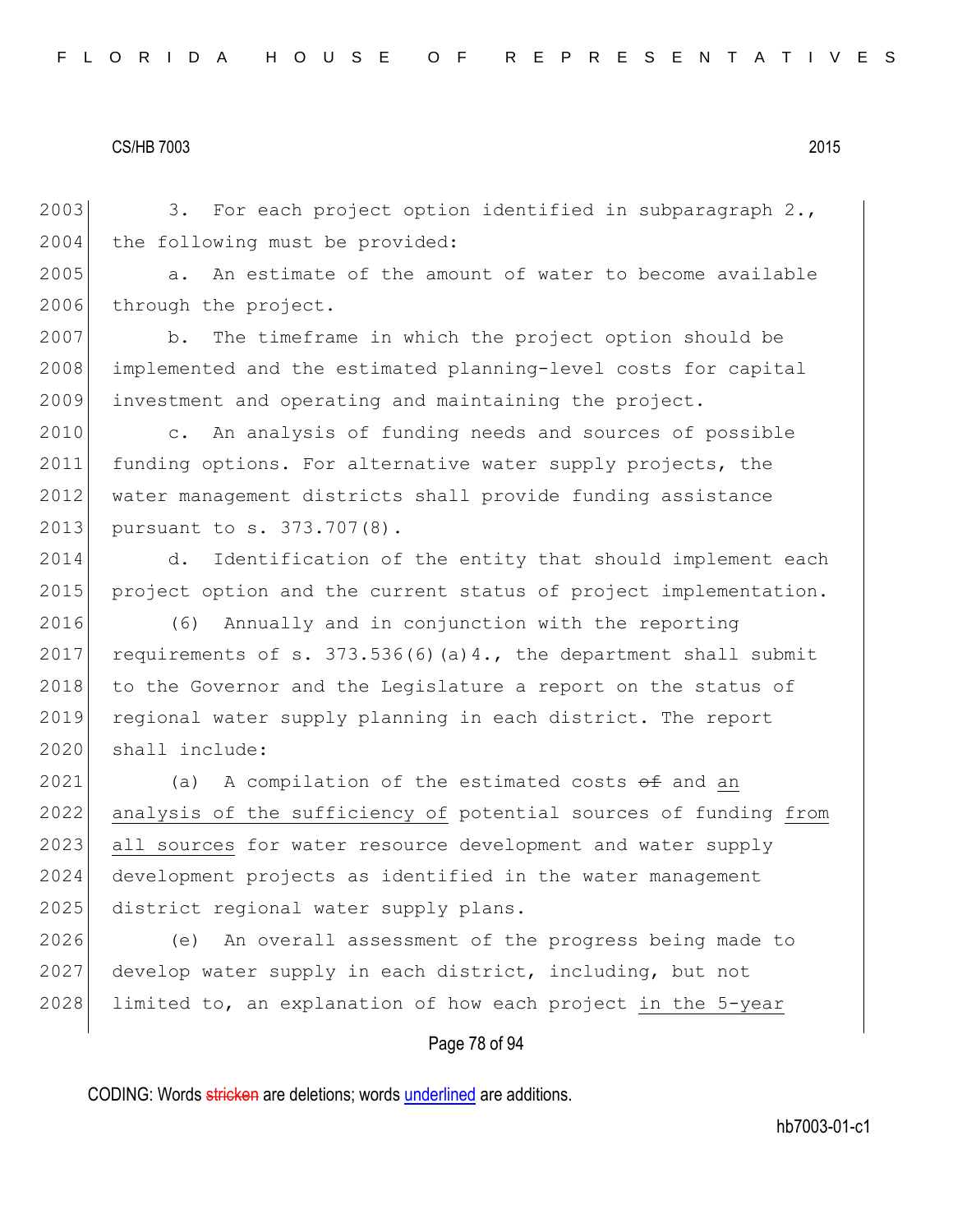2003 3. For each project option identified in subparagraph 2., 2004 the following must be provided:

2005 a. An estimate of the amount of water to become available 2006 through the project.

2007 b. The timeframe in which the project option should be 2008 implemented and the estimated planning-level costs for capital 2009 investment and operating and maintaining the project.

2010 c. An analysis of funding needs and sources of possible 2011 funding options. For alternative water supply projects, the 2012 water management districts shall provide funding assistance 2013 pursuant to s. 373.707(8).

2014 d. Identification of the entity that should implement each 2015 project option and the current status of project implementation.

2016 (6) Annually and in conjunction with the reporting 2017 requirements of s.  $373.536(6)(a)4$ ., the department shall submit 2018 to the Governor and the Legislature a report on the status of 2019 regional water supply planning in each district. The report 2020 shall include:

 $2021$  (a) A compilation of the estimated costs  $\theta$  f and an 2022 analysis of the sufficiency of potential sources of funding from 2023 all sources for water resource development and water supply 2024 development projects as identified in the water management 2025 district regional water supply plans.

2026 (e) An overall assessment of the progress being made to 2027 develop water supply in each district, including, but not 2028 limited to, an explanation of how each project in the 5-year

#### Page 78 of 94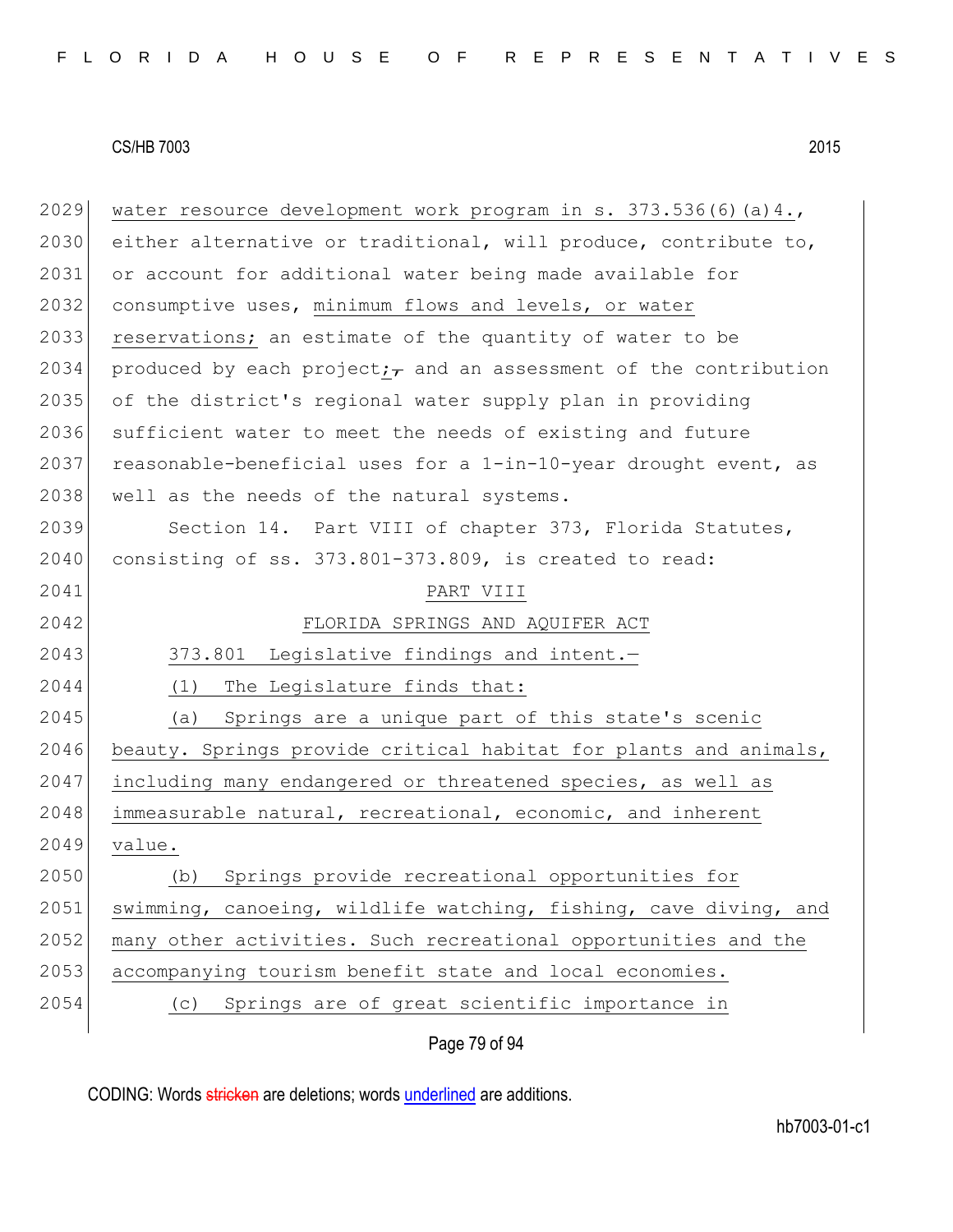| 2029 | water resource development work program in s. $373.536(6)(a)4.$        |
|------|------------------------------------------------------------------------|
| 2030 | either alternative or traditional, will produce, contribute to,        |
| 2031 | or account for additional water being made available for               |
| 2032 | consumptive uses, minimum flows and levels, or water                   |
| 2033 | reservations; an estimate of the quantity of water to be               |
| 2034 | produced by each project; $\tau$ and an assessment of the contribution |
| 2035 | of the district's regional water supply plan in providing              |
| 2036 | sufficient water to meet the needs of existing and future              |
| 2037 | reasonable-beneficial uses for a 1-in-10-year drought event, as        |
| 2038 | well as the needs of the natural systems.                              |
| 2039 | Section 14. Part VIII of chapter 373, Florida Statutes,                |
| 2040 | consisting of ss. 373.801-373.809, is created to read:                 |
| 2041 | PART VIII                                                              |
| 2042 | FLORIDA SPRINGS AND AQUIFER ACT                                        |
| 2043 | Legislative findings and intent.-<br>373.801                           |
| 2044 | The Legislature finds that:<br>(1)                                     |
| 2045 | Springs are a unique part of this state's scenic<br>(a)                |
| 2046 | beauty. Springs provide critical habitat for plants and animals,       |
| 2047 | including many endangered or threatened species, as well as            |
| 2048 | immeasurable natural, recreational, economic, and inherent             |
| 2049 | value.                                                                 |
| 2050 | Springs provide recreational opportunities for<br>(b)                  |
| 2051 | swimming, canoeing, wildlife watching, fishing, cave diving, and       |
| 2052 | many other activities. Such recreational opportunities and the         |
| 2053 | accompanying tourism benefit state and local economies.                |
| 2054 | Springs are of great scientific importance in<br>(C)                   |
|      | Page 79 of 94                                                          |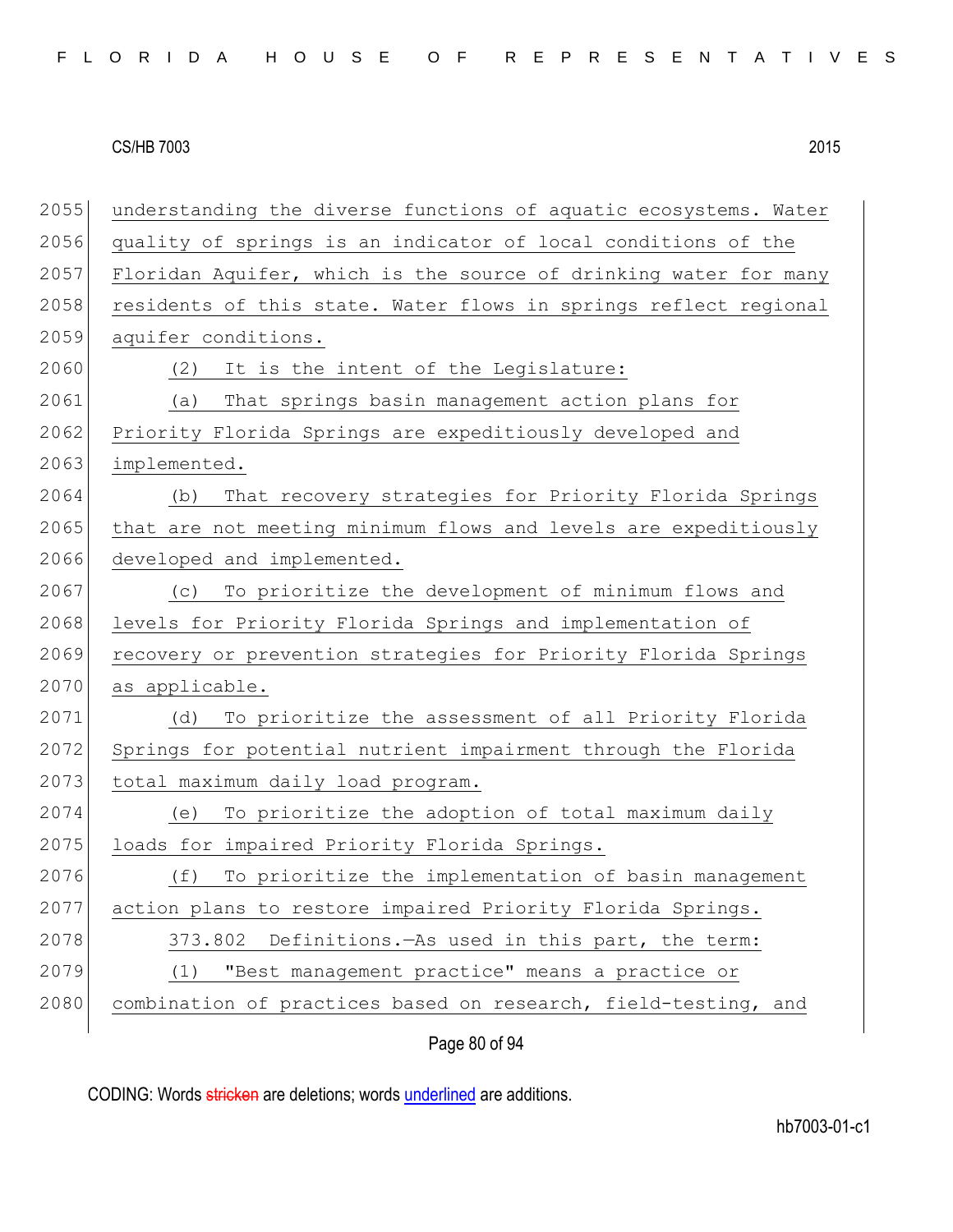| FLORIDA HOUSE OF REPRESENTATIVES |  |  |  |  |  |  |  |  |  |  |  |  |  |  |  |  |  |  |  |  |  |  |  |  |
|----------------------------------|--|--|--|--|--|--|--|--|--|--|--|--|--|--|--|--|--|--|--|--|--|--|--|--|
|----------------------------------|--|--|--|--|--|--|--|--|--|--|--|--|--|--|--|--|--|--|--|--|--|--|--|--|

| 2055 | understanding the diverse functions of aquatic ecosystems. Water |
|------|------------------------------------------------------------------|
| 2056 | quality of springs is an indicator of local conditions of the    |
| 2057 | Floridan Aquifer, which is the source of drinking water for many |
| 2058 | residents of this state. Water flows in springs reflect regional |
| 2059 | aquifer conditions.                                              |
| 2060 | It is the intent of the Legislature:<br>(2)                      |
| 2061 | That springs basin management action plans for<br>(a)            |
| 2062 | Priority Florida Springs are expeditiously developed and         |
| 2063 | implemented.                                                     |
| 2064 | That recovery strategies for Priority Florida Springs<br>(b)     |
| 2065 | that are not meeting minimum flows and levels are expeditiously  |
| 2066 | developed and implemented.                                       |
| 2067 | To prioritize the development of minimum flows and<br>(C)        |
| 2068 | levels for Priority Florida Springs and implementation of        |
| 2069 | recovery or prevention strategies for Priority Florida Springs   |
| 2070 | as applicable.                                                   |
| 2071 | To prioritize the assessment of all Priority Florida<br>(d)      |
| 2072 | Springs for potential nutrient impairment through the Florida    |
| 2073 | total maximum daily load program.                                |
| 2074 | To prioritize the adoption of total maximum daily<br>(e)         |
| 2075 | loads for impaired Priority Florida Springs.                     |
| 2076 | (f)<br>To prioritize the implementation of basin management      |
| 2077 | action plans to restore impaired Priority Florida Springs.       |
| 2078 | Definitions. - As used in this part, the term:<br>373.802        |
| 2079 | "Best management practice" means a practice or<br>(1)            |
| 2080 | combination of practices based on research, field-testing, and   |
|      |                                                                  |

Page 80 of 94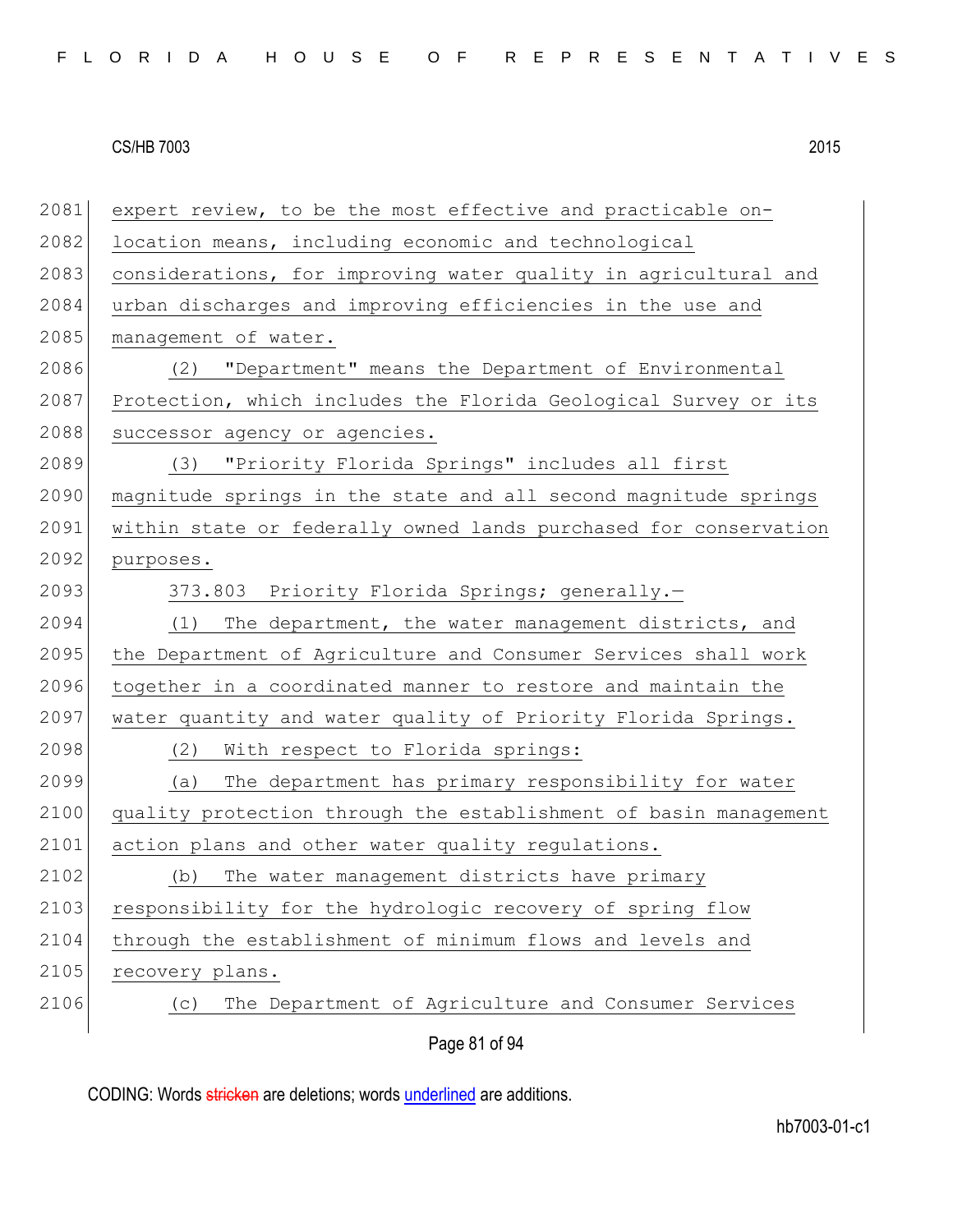| 2081 | expert review, to be the most effective and practicable on-      |
|------|------------------------------------------------------------------|
| 2082 | location means, including economic and technological             |
| 2083 | considerations, for improving water quality in agricultural and  |
| 2084 | urban discharges and improving efficiencies in the use and       |
| 2085 | management of water.                                             |
| 2086 | (2) "Department" means the Department of Environmental           |
| 2087 | Protection, which includes the Florida Geological Survey or its  |
| 2088 | successor agency or agencies.                                    |
| 2089 | (3) "Priority Florida Springs" includes all first                |
| 2090 | magnitude springs in the state and all second magnitude springs  |
| 2091 | within state or federally owned lands purchased for conservation |
| 2092 | purposes.                                                        |
| 2093 | 373.803 Priority Florida Springs; generally.-                    |
| 2094 | (1) The department, the water management districts, and          |
| 2095 | the Department of Agriculture and Consumer Services shall work   |
| 2096 | together in a coordinated manner to restore and maintain the     |
| 2097 | water quantity and water quality of Priority Florida Springs.    |
| 2098 | With respect to Florida springs:<br>(2)                          |
| 2099 | The department has primary responsibility for water<br>(a)       |
| 2100 | quality protection through the establishment of basin management |
| 2101 | action plans and other water quality regulations.                |
| 2102 | The water management districts have primary<br>(b)               |
| 2103 | responsibility for the hydrologic recovery of spring flow        |
| 2104 | through the establishment of minimum flows and levels and        |
| 2105 | recovery plans.                                                  |
| 2106 | The Department of Agriculture and Consumer Services<br>(C)       |
|      | Page 81 of 94                                                    |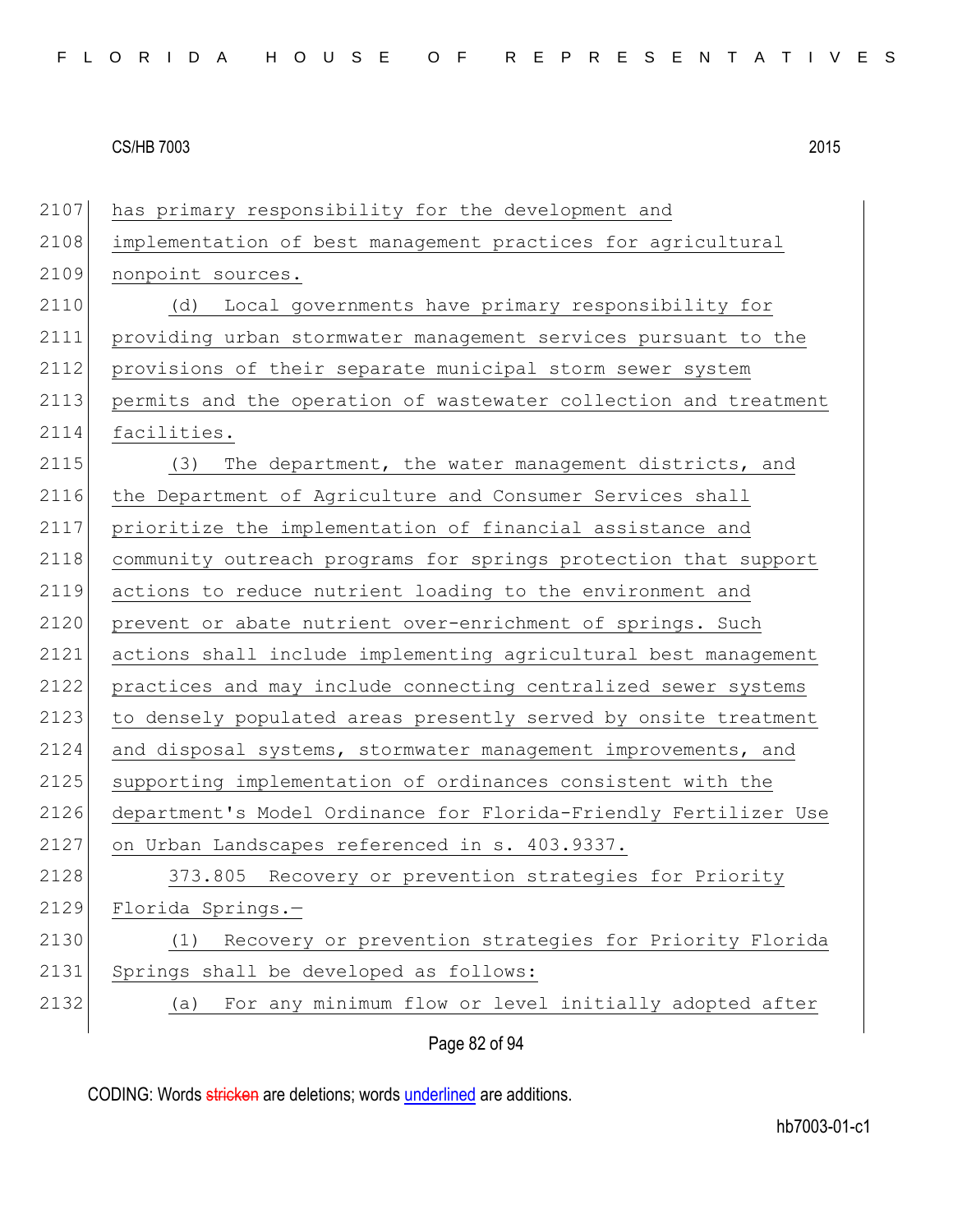| 2107 | has primary responsibility for the development and               |
|------|------------------------------------------------------------------|
| 2108 | implementation of best management practices for agricultural     |
| 2109 | nonpoint sources.                                                |
| 2110 | Local governments have primary responsibility for<br>(d)         |
| 2111 | providing urban stormwater management services pursuant to the   |
| 2112 | provisions of their separate municipal storm sewer system        |
| 2113 | permits and the operation of wastewater collection and treatment |
| 2114 | facilities.                                                      |
| 2115 | The department, the water management districts, and<br>(3)       |
| 2116 | the Department of Agriculture and Consumer Services shall        |
| 2117 | prioritize the implementation of financial assistance and        |
| 2118 | community outreach programs for springs protection that support  |
| 2119 | actions to reduce nutrient loading to the environment and        |
| 2120 | prevent or abate nutrient over-enrichment of springs. Such       |
| 2121 | actions shall include implementing agricultural best management  |
| 2122 | practices and may include connecting centralized sewer systems   |
| 2123 | to densely populated areas presently served by onsite treatment  |
| 2124 | and disposal systems, stormwater management improvements, and    |
| 2125 | supporting implementation of ordinances consistent with the      |
| 2126 | department's Model Ordinance for Florida-Friendly Fertilizer Use |
| 2127 | on Urban Landscapes referenced in s. 403.9337.                   |
| 2128 | 373.805<br>Recovery or prevention strategies for Priority        |
| 2129 | Florida Springs.-                                                |
| 2130 | Recovery or prevention strategies for Priority Florida<br>(1)    |
| 2131 | Springs shall be developed as follows:                           |
| 2132 | For any minimum flow or level initially adopted after<br>(a)     |
|      | Page 82 of 94                                                    |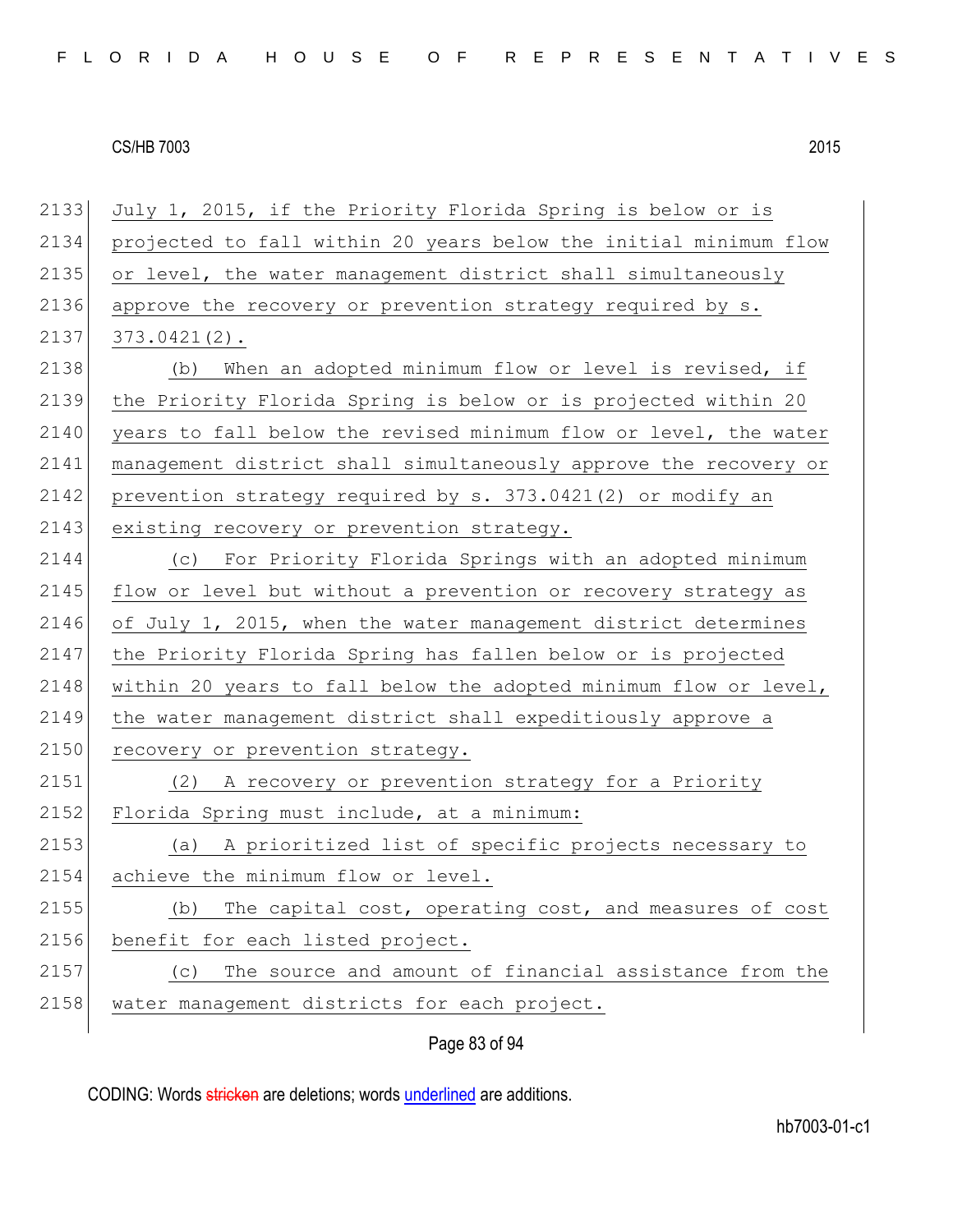2133 July 1, 2015, if the Priority Florida Spring is below or is 2134 projected to fall within 20 years below the initial minimum flow 2135 or level, the water management district shall simultaneously 2136 approve the recovery or prevention strategy required by s.  $2137$   $373.0421(2)$ . 2138 (b) When an adopted minimum flow or level is revised, if 2139 the Priority Florida Spring is below or is projected within 20 2140 years to fall below the revised minimum flow or level, the water 2141 management district shall simultaneously approve the recovery or 2142 prevention strategy required by s.  $373.0421(2)$  or modify an 2143 existing recovery or prevention strategy. 2144 (c) For Priority Florida Springs with an adopted minimum 2145 flow or level but without a prevention or recovery strategy as 2146 of July 1, 2015, when the water management district determines 2147 the Priority Florida Spring has fallen below or is projected 2148 within 20 years to fall below the adopted minimum flow or level, 2149 the water management district shall expeditiously approve a 2150 recovery or prevention strategy. 2151 (2) A recovery or prevention strategy for a Priority 2152 Florida Spring must include, at a minimum: 2153 (a) A prioritized list of specific projects necessary to 2154 achieve the minimum flow or level. 2155 (b) The capital cost, operating cost, and measures of cost 2156 benefit for each listed project. 2157 (c) The source and amount of financial assistance from the 2158 water management districts for each project.

Page 83 of 94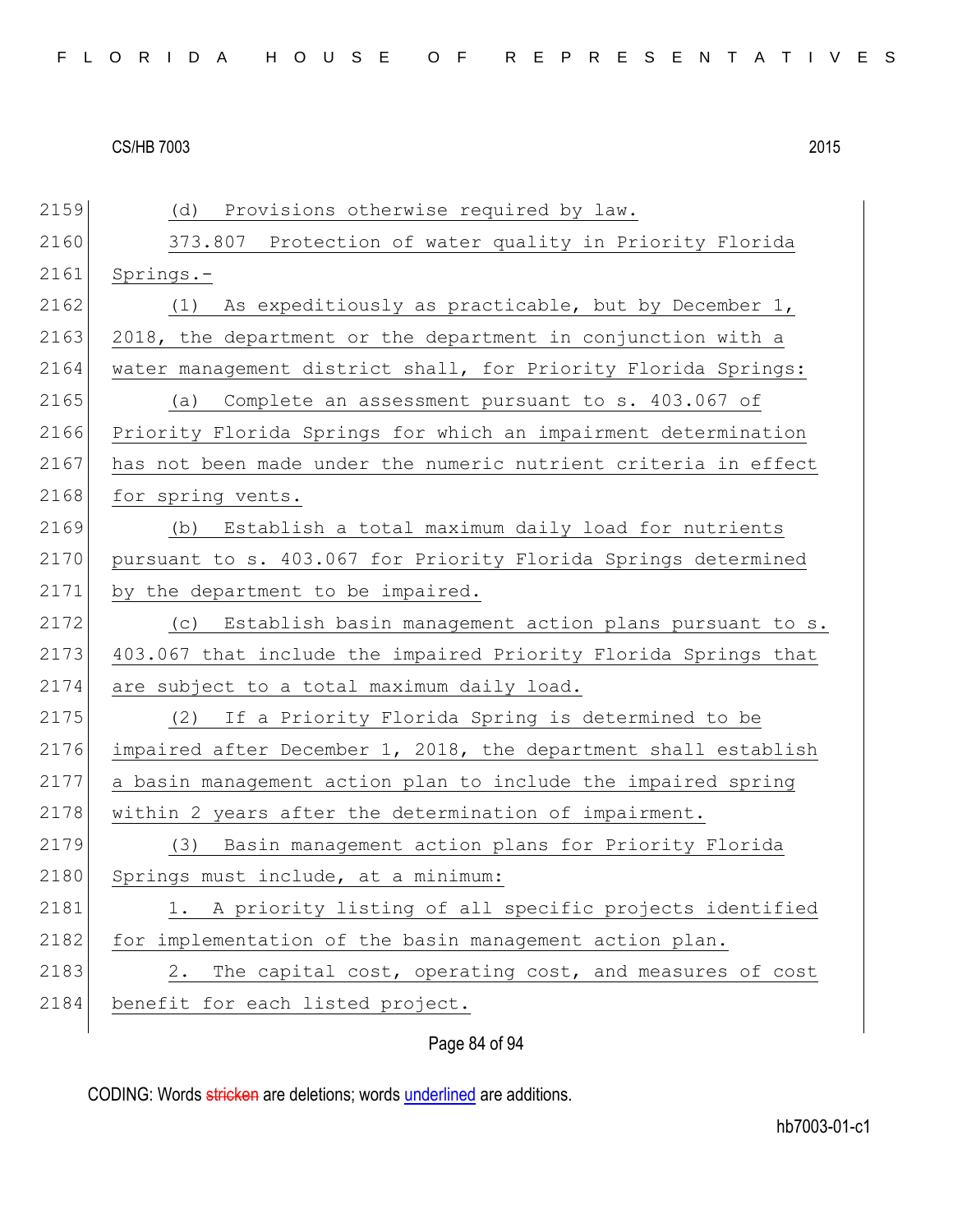| 2159 | (d)<br>Provisions otherwise required by law.                    |
|------|-----------------------------------------------------------------|
| 2160 | 373.807 Protection of water quality in Priority Florida         |
| 2161 | Springs.-                                                       |
| 2162 | As expeditiously as practicable, but by December 1,<br>(1)      |
| 2163 | 2018, the department or the department in conjunction with a    |
| 2164 | water management district shall, for Priority Florida Springs:  |
| 2165 | Complete an assessment pursuant to s. 403.067 of<br>(a)         |
| 2166 | Priority Florida Springs for which an impairment determination  |
| 2167 | has not been made under the numeric nutrient criteria in effect |
| 2168 | for spring vents.                                               |
| 2169 | Establish a total maximum daily load for nutrients<br>(b)       |
| 2170 | pursuant to s. 403.067 for Priority Florida Springs determined  |
| 2171 | by the department to be impaired.                               |
| 2172 | (c) Establish basin management action plans pursuant to s.      |
| 2173 | 403.067 that include the impaired Priority Florida Springs that |
| 2174 | are subject to a total maximum daily load.                      |
| 2175 | If a Priority Florida Spring is determined to be<br>(2)         |
| 2176 | impaired after December 1, 2018, the department shall establish |
| 2177 | a basin management action plan to include the impaired spring   |
| 2178 | within 2 years after the determination of impairment.           |
| 2179 | Basin management action plans for Priority Florida<br>(3)       |
| 2180 | Springs must include, at a minimum:                             |
| 2181 | 1. A priority listing of all specific projects identified       |
| 2182 | for implementation of the basin management action plan.         |
| 2183 | The capital cost, operating cost, and measures of cost<br>2.    |
| 2184 | benefit for each listed project.                                |
|      | Page 84 of 94                                                   |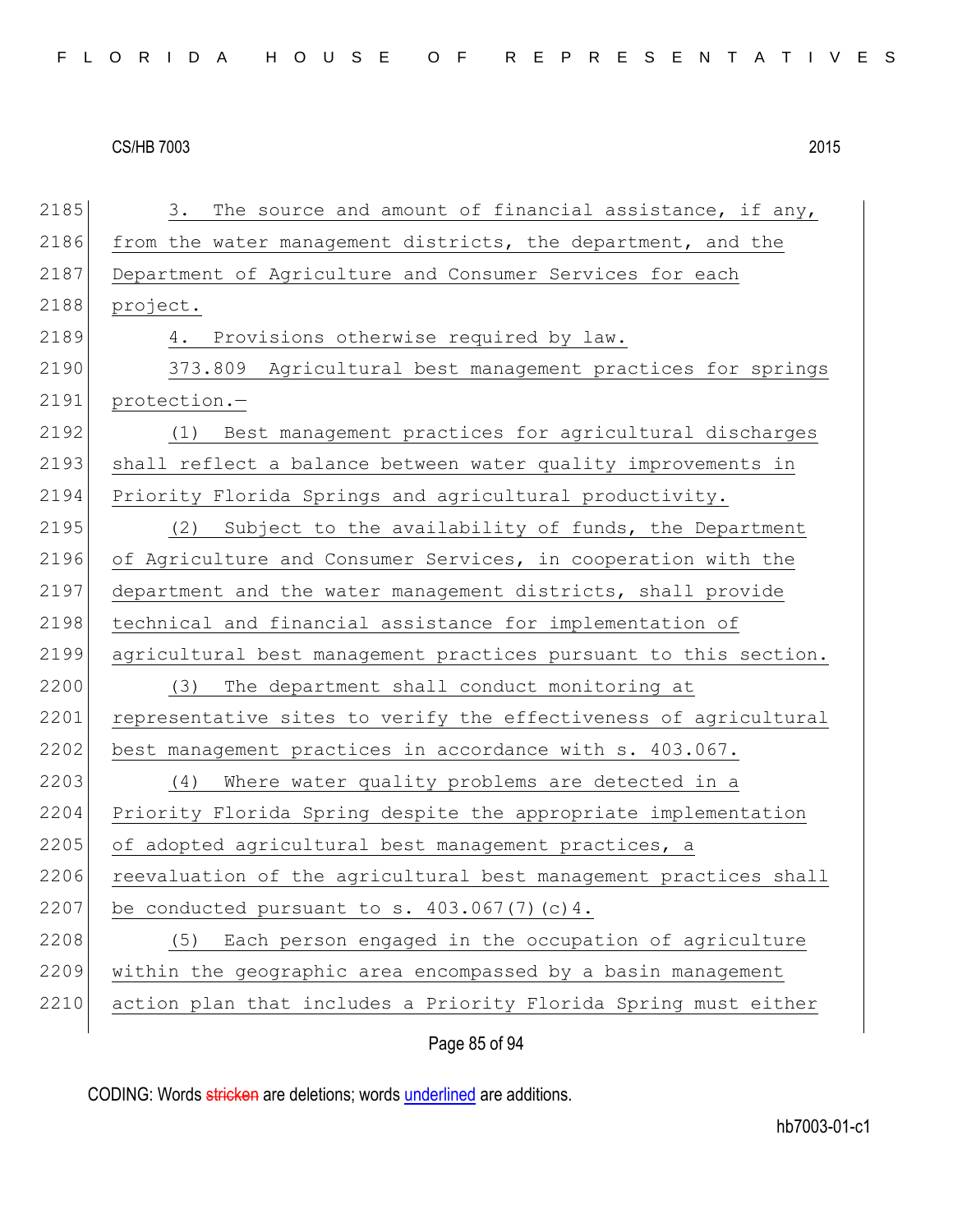2185 3. The source and amount of financial assistance, if any, 2186 from the water management districts, the department, and the 2187 Department of Agriculture and Consumer Services for each 2188 project. 2189 4. Provisions otherwise required by law. 2190 373.809 Agricultural best management practices for springs 2191 protection.— 2192 (1) Best management practices for agricultural discharges 2193 shall reflect a balance between water quality improvements in 2194 Priority Florida Springs and agricultural productivity. 2195 (2) Subject to the availability of funds, the Department 2196 of Agriculture and Consumer Services, in cooperation with the 2197 department and the water management districts, shall provide 2198 technical and financial assistance for implementation of 2199 agricultural best management practices pursuant to this section. 2200 (3) The department shall conduct monitoring at 2201 representative sites to verify the effectiveness of agricultural 2202 best management practices in accordance with s. 403.067. 2203 (4) Where water quality problems are detected in a 2204 Priority Florida Spring despite the appropriate implementation 2205 of adopted agricultural best management practices, a 2206 reevaluation of the agricultural best management practices shall 2207 be conducted pursuant to s.  $403.067(7)(c)4$ . 2208 (5) Each person engaged in the occupation of agriculture 2209 within the geographic area encompassed by a basin management 2210 action plan that includes a Priority Florida Spring must either

Page 85 of 94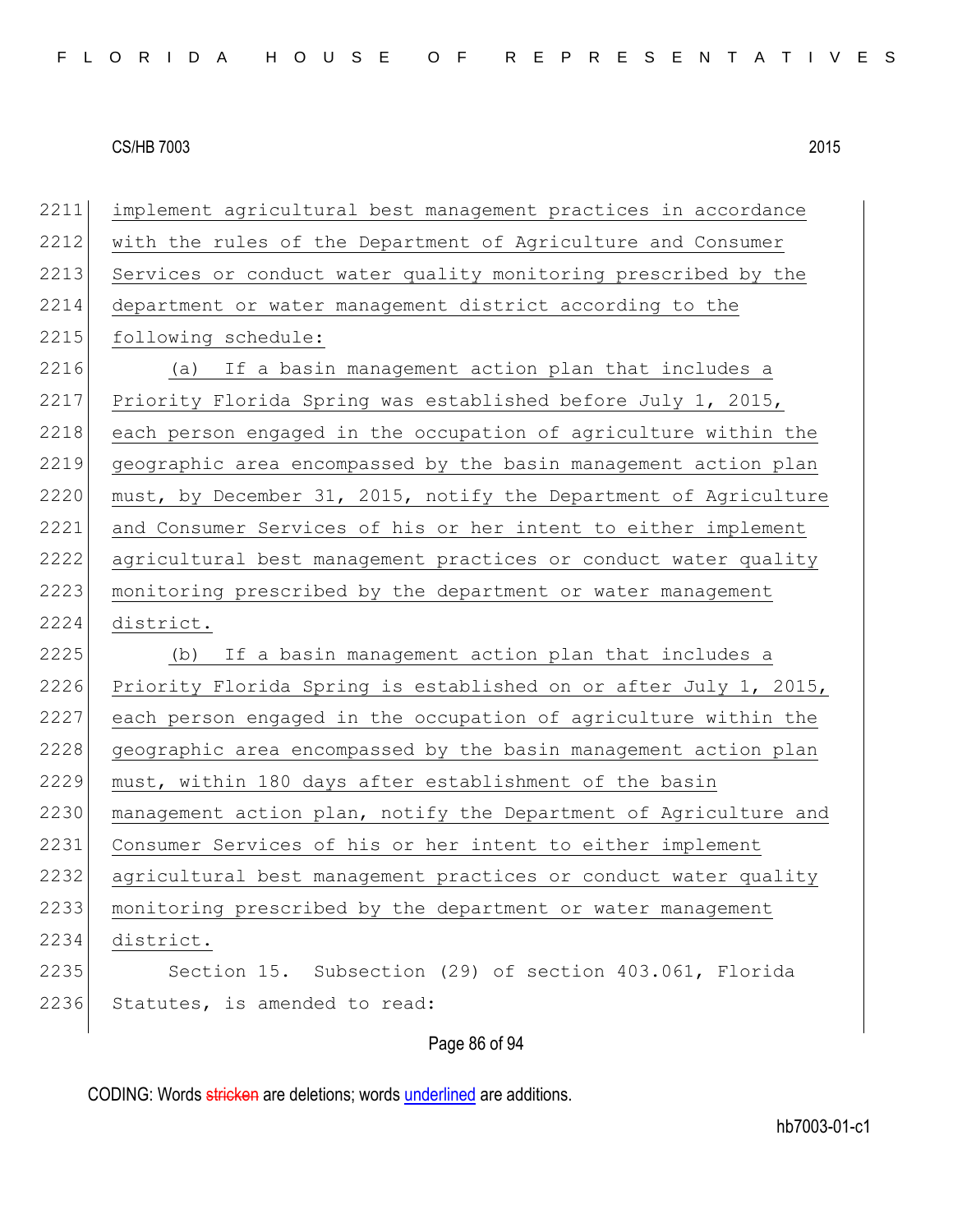2211 implement agricultural best management practices in accordance 2212 with the rules of the Department of Agriculture and Consumer 2213 Services or conduct water quality monitoring prescribed by the 2214 department or water management district according to the 2215 following schedule: 2216 (a) If a basin management action plan that includes a 2217 Priority Florida Spring was established before July 1, 2015, 2218 each person engaged in the occupation of agriculture within the 2219 geographic area encompassed by the basin management action plan 2220 must, by December 31, 2015, notify the Department of Agriculture 2221 and Consumer Services of his or her intent to either implement 2222 agricultural best management practices or conduct water quality 2223 monitoring prescribed by the department or water management 2224 district. 2225 (b) If a basin management action plan that includes a 2226 Priority Florida Spring is established on or after July 1, 2015, 2227 each person engaged in the occupation of agriculture within the 2228 geographic area encompassed by the basin management action plan 2229 must, within 180 days after establishment of the basin 2230 management action plan, notify the Department of Agriculture and 2231 Consumer Services of his or her intent to either implement 2232 agricultural best management practices or conduct water quality 2233 monitoring prescribed by the department or water management 2234 district. 2235 Section 15. Subsection (29) of section 403.061, Florida 2236 Statutes, is amended to read:

Page 86 of 94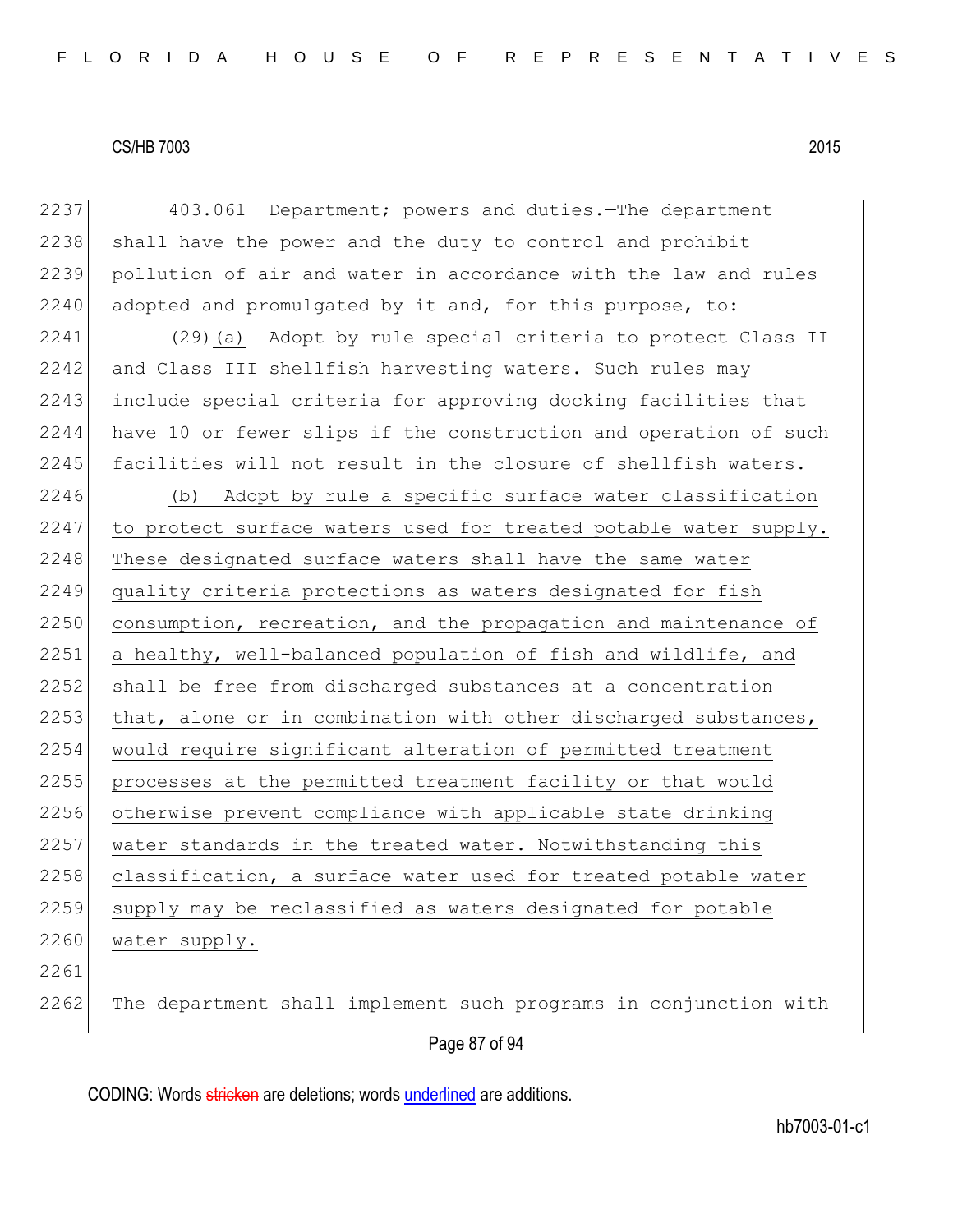| 2237 | 403.061 Department; powers and duties. The department            |
|------|------------------------------------------------------------------|
| 2238 | shall have the power and the duty to control and prohibit        |
| 2239 | pollution of air and water in accordance with the law and rules  |
| 2240 | adopted and promulgated by it and, for this purpose, to:         |
| 2241 | (29) (a) Adopt by rule special criteria to protect Class II      |
| 2242 | and Class III shellfish harvesting waters. Such rules may        |
| 2243 | include special criteria for approving docking facilities that   |
| 2244 | have 10 or fewer slips if the construction and operation of such |
| 2245 | facilities will not result in the closure of shellfish waters.   |
| 2246 | (b) Adopt by rule a specific surface water classification        |
| 2247 | to protect surface waters used for treated potable water supply. |
| 2248 | These designated surface waters shall have the same water        |
| 2249 | quality criteria protections as waters designated for fish       |
| 2250 | consumption, recreation, and the propagation and maintenance of  |
| 2251 | a healthy, well-balanced population of fish and wildlife, and    |
| 2252 | shall be free from discharged substances at a concentration      |
| 2253 | that, alone or in combination with other discharged substances,  |
| 2254 | would require significant alteration of permitted treatment      |
| 2255 | processes at the permitted treatment facility or that would      |
| 2256 | otherwise prevent compliance with applicable state drinking      |
| 2257 | water standards in the treated water. Notwithstanding this       |
| 2258 | classification, a surface water used for treated potable water   |
| 2259 | supply may be reclassified as waters designated for potable      |
| 2260 | water supply.                                                    |
| 2261 |                                                                  |
| 2262 | The department shall implement such programs in conjunction with |

# Page 87 of 94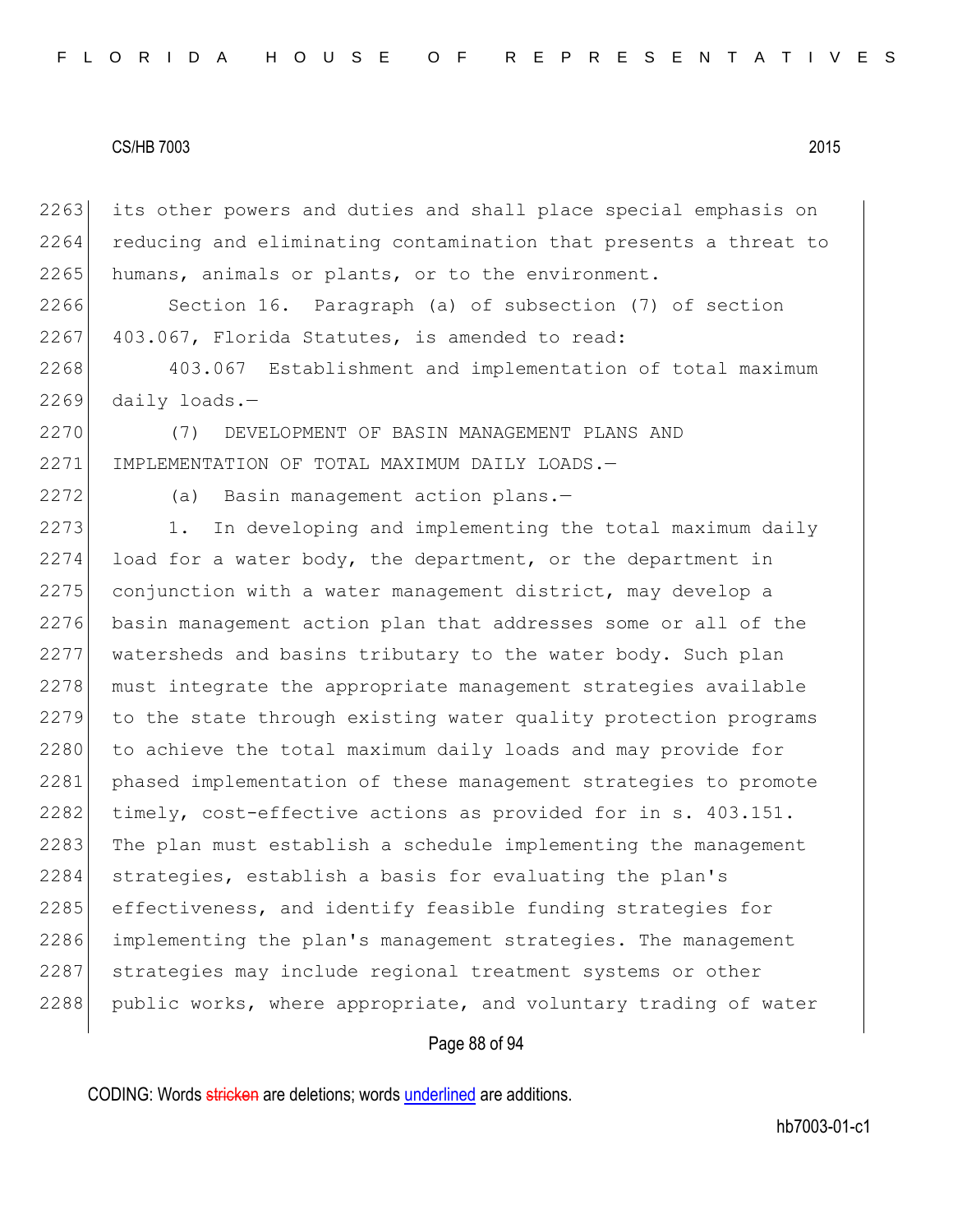2263 its other powers and duties and shall place special emphasis on 2264 reducing and eliminating contamination that presents a threat to  $2265$  humans, animals or plants, or to the environment.

2266 Section 16. Paragraph (a) of subsection (7) of section  $2267$  403.067, Florida Statutes, is amended to read:

2268 403.067 Establishment and implementation of total maximum  $2269$  daily loads.-

2270 (7) DEVELOPMENT OF BASIN MANAGEMENT PLANS AND 2271 IMPLEMENTATION OF TOTAL MAXIMUM DAILY LOADS.—

2272 (a) Basin management action plans.-

2273 1. In developing and implementing the total maximum daily  $2274$  load for a water body, the department, or the department in  $2275$  conjunction with a water management district, may develop a 2276 basin management action plan that addresses some or all of the 2277 watersheds and basins tributary to the water body. Such plan 2278 must integrate the appropriate management strategies available 2279 to the state through existing water quality protection programs 2280 to achieve the total maximum daily loads and may provide for 2281 phased implementation of these management strategies to promote 2282 timely, cost-effective actions as provided for in s. 403.151. 2283 The plan must establish a schedule implementing the management 2284 strategies, establish a basis for evaluating the plan's 2285 effectiveness, and identify feasible funding strategies for 2286 implementing the plan's management strategies. The management 2287 strategies may include regional treatment systems or other 2288 public works, where appropriate, and voluntary trading of water

#### Page 88 of 94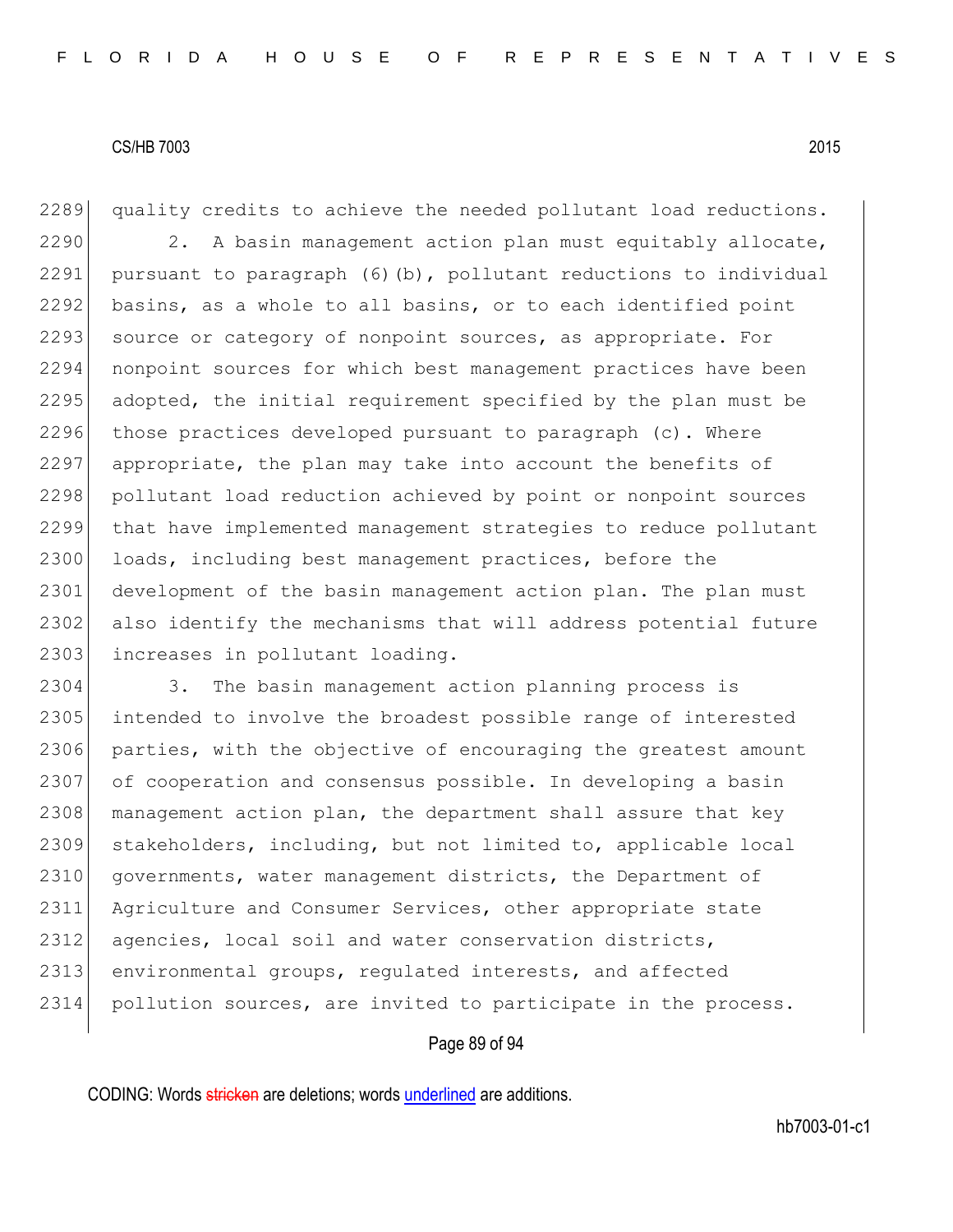2289 quality credits to achieve the needed pollutant load reductions.  $2290$  2. A basin management action plan must equitably allocate, 2291 pursuant to paragraph  $(6)$  (b), pollutant reductions to individual 2292 basins, as a whole to all basins, or to each identified point 2293 source or category of nonpoint sources, as appropriate. For 2294 nonpoint sources for which best management practices have been 2295 adopted, the initial requirement specified by the plan must be 2296 those practices developed pursuant to paragraph  $(c)$ . Where 2297 appropriate, the plan may take into account the benefits of 2298 pollutant load reduction achieved by point or nonpoint sources 2299 that have implemented management strategies to reduce pollutant 2300 loads, including best management practices, before the 2301 development of the basin management action plan. The plan must 2302 also identify the mechanisms that will address potential future 2303 increases in pollutant loading.

2304 3. The basin management action planning process is 2305 intended to involve the broadest possible range of interested 2306 parties, with the objective of encouraging the greatest amount 2307 of cooperation and consensus possible. In developing a basin 2308 management action plan, the department shall assure that key 2309 stakeholders, including, but not limited to, applicable local 2310 governments, water management districts, the Department of 2311 Agriculture and Consumer Services, other appropriate state 2312 agencies, local soil and water conservation districts, 2313 environmental groups, regulated interests, and affected 2314 pollution sources, are invited to participate in the process.

#### Page 89 of 94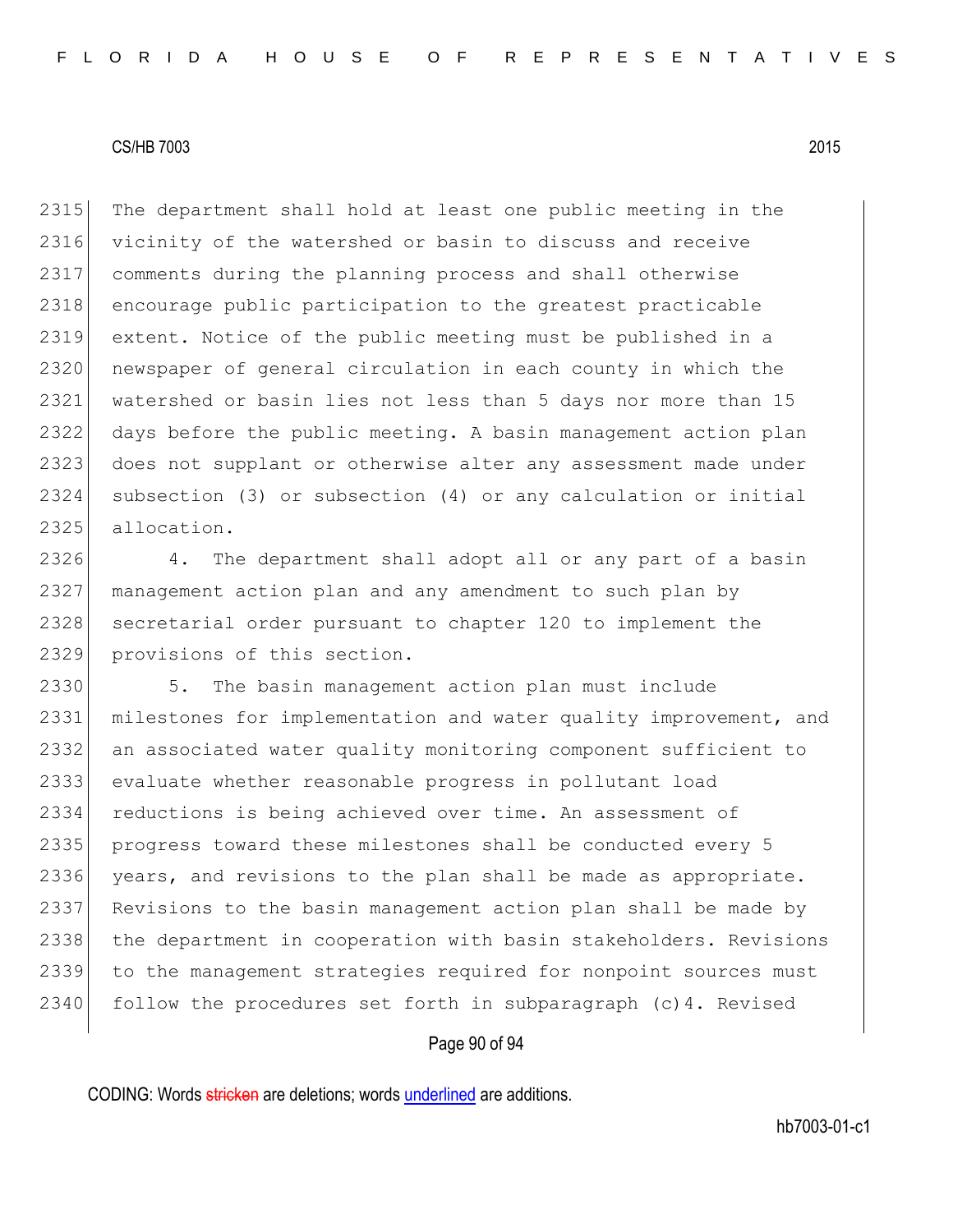2315 The department shall hold at least one public meeting in the vicinity of the watershed or basin to discuss and receive comments during the planning process and shall otherwise 2318 encourage public participation to the greatest practicable extent. Notice of the public meeting must be published in a 2320 newspaper of general circulation in each county in which the watershed or basin lies not less than 5 days nor more than 15 days before the public meeting. A basin management action plan does not supplant or otherwise alter any assessment made under subsection (3) or subsection (4) or any calculation or initial allocation.

2326 4. The department shall adopt all or any part of a basin 2327 management action plan and any amendment to such plan by 2328 secretarial order pursuant to chapter 120 to implement the 2329 provisions of this section.

2330 5. The basin management action plan must include 2331 milestones for implementation and water quality improvement, and 2332 an associated water quality monitoring component sufficient to 2333 evaluate whether reasonable progress in pollutant load 2334 reductions is being achieved over time. An assessment of 2335 progress toward these milestones shall be conducted every 5 2336 years, and revisions to the plan shall be made as appropriate. 2337 Revisions to the basin management action plan shall be made by 2338 the department in cooperation with basin stakeholders. Revisions 2339 to the management strategies required for nonpoint sources must 2340 follow the procedures set forth in subparagraph  $(c)$ 4. Revised

#### Page 90 of 94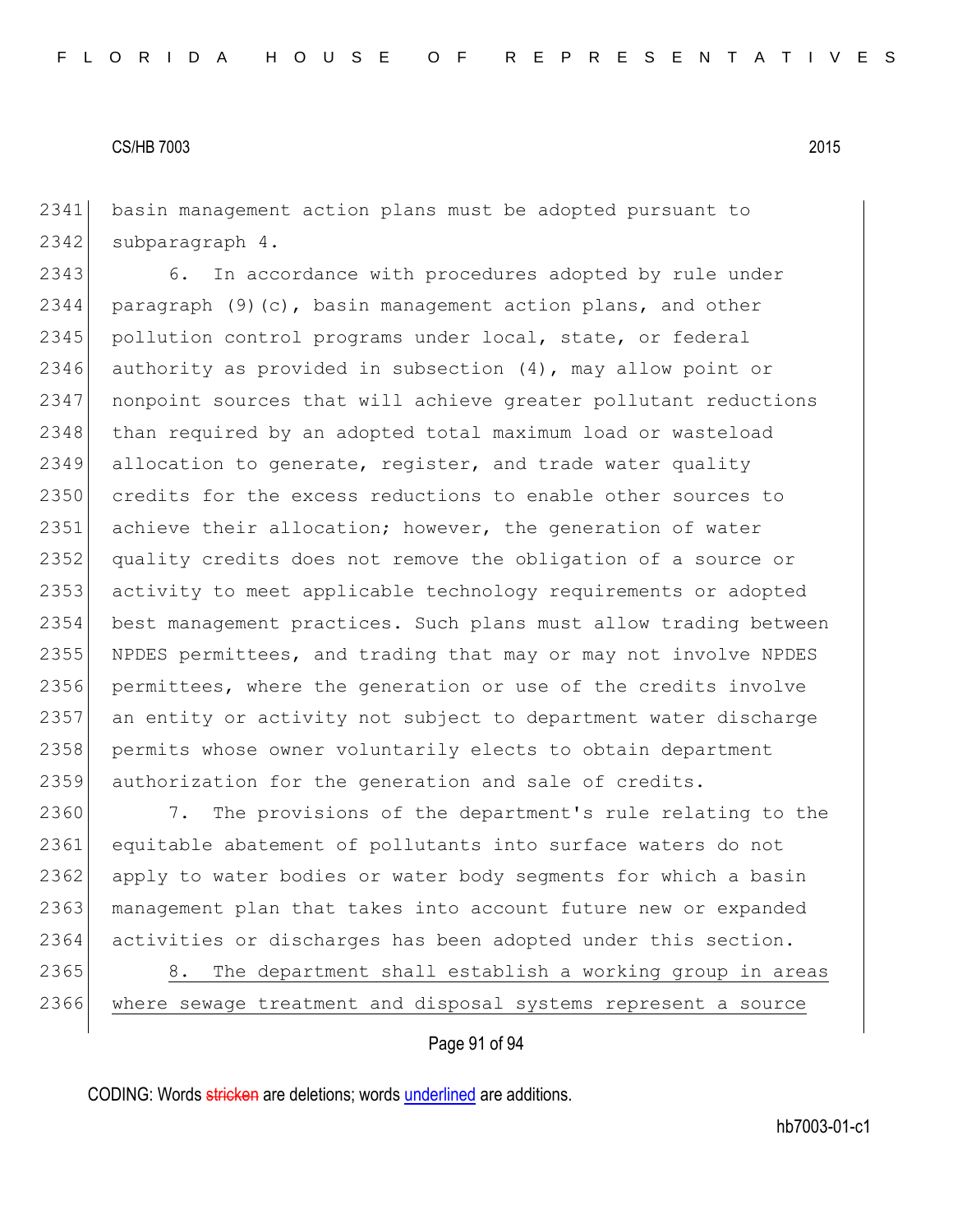2341 basin management action plans must be adopted pursuant to 2342 subparagraph 4.

2343 6. In accordance with procedures adopted by rule under 2344 paragraph  $(9)(c)$ , basin management action plans, and other 2345 pollution control programs under local, state, or federal 2346 authority as provided in subsection (4), may allow point or 2347 nonpoint sources that will achieve greater pollutant reductions 2348 than required by an adopted total maximum load or wasteload 2349 allocation to generate, register, and trade water quality 2350 credits for the excess reductions to enable other sources to 2351 achieve their allocation; however, the generation of water 2352 quality credits does not remove the obligation of a source or 2353 activity to meet applicable technology requirements or adopted 2354 best management practices. Such plans must allow trading between 2355 NPDES permittees, and trading that may or may not involve NPDES 2356 permittees, where the generation or use of the credits involve 2357 an entity or activity not subject to department water discharge 2358 permits whose owner voluntarily elects to obtain department 2359 authorization for the generation and sale of credits.

2360 7. The provisions of the department's rule relating to the 2361 equitable abatement of pollutants into surface waters do not 2362 apply to water bodies or water body segments for which a basin 2363 management plan that takes into account future new or expanded 2364 activities or discharges has been adopted under this section.

2365 8. The department shall establish a working group in areas 2366 where sewage treatment and disposal systems represent a source

#### Page 91 of 94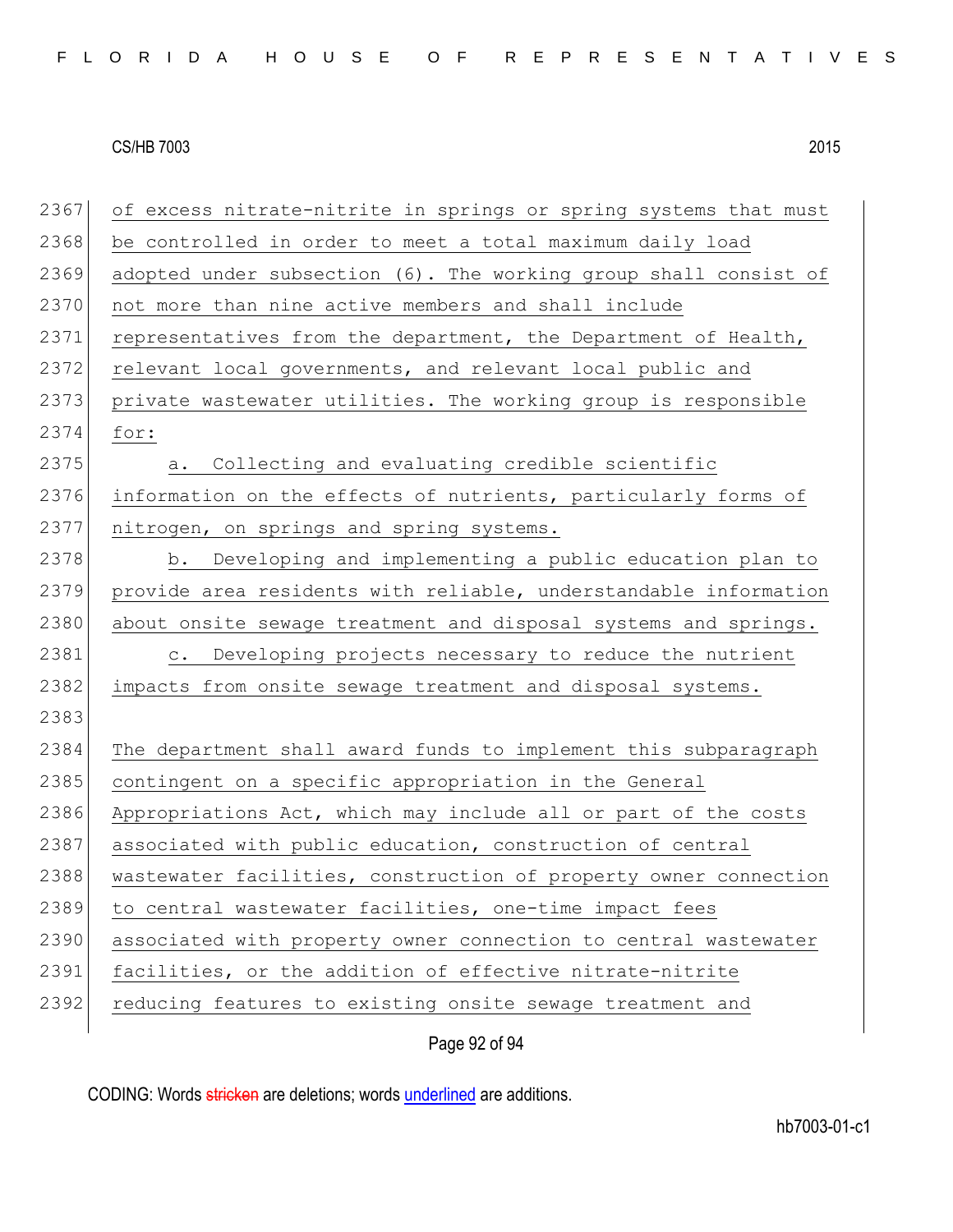2367 of excess nitrate-nitrite in springs or spring systems that must 2368 be controlled in order to meet a total maximum daily load 2369 adopted under subsection (6). The working group shall consist of 2370 not more than nine active members and shall include 2371 representatives from the department, the Department of Health, 2372 relevant local governments, and relevant local public and 2373 private wastewater utilities. The working group is responsible 2374 for: 2375 a. Collecting and evaluating credible scientific 2376 information on the effects of nutrients, particularly forms of 2377 nitrogen, on springs and spring systems. 2378 b. Developing and implementing a public education plan to 2379 provide area residents with reliable, understandable information 2380 about onsite sewage treatment and disposal systems and springs. 2381 c. Developing projects necessary to reduce the nutrient 2382 impacts from onsite sewage treatment and disposal systems. 2383 2384 The department shall award funds to implement this subparagraph 2385 contingent on a specific appropriation in the General 2386 Appropriations Act, which may include all or part of the costs 2387 associated with public education, construction of central 2388 wastewater facilities, construction of property owner connection 2389 to central wastewater facilities, one-time impact fees 2390 associated with property owner connection to central wastewater 2391 facilities, or the addition of effective nitrate-nitrite 2392 reducing features to existing onsite sewage treatment and

Page 92 of 94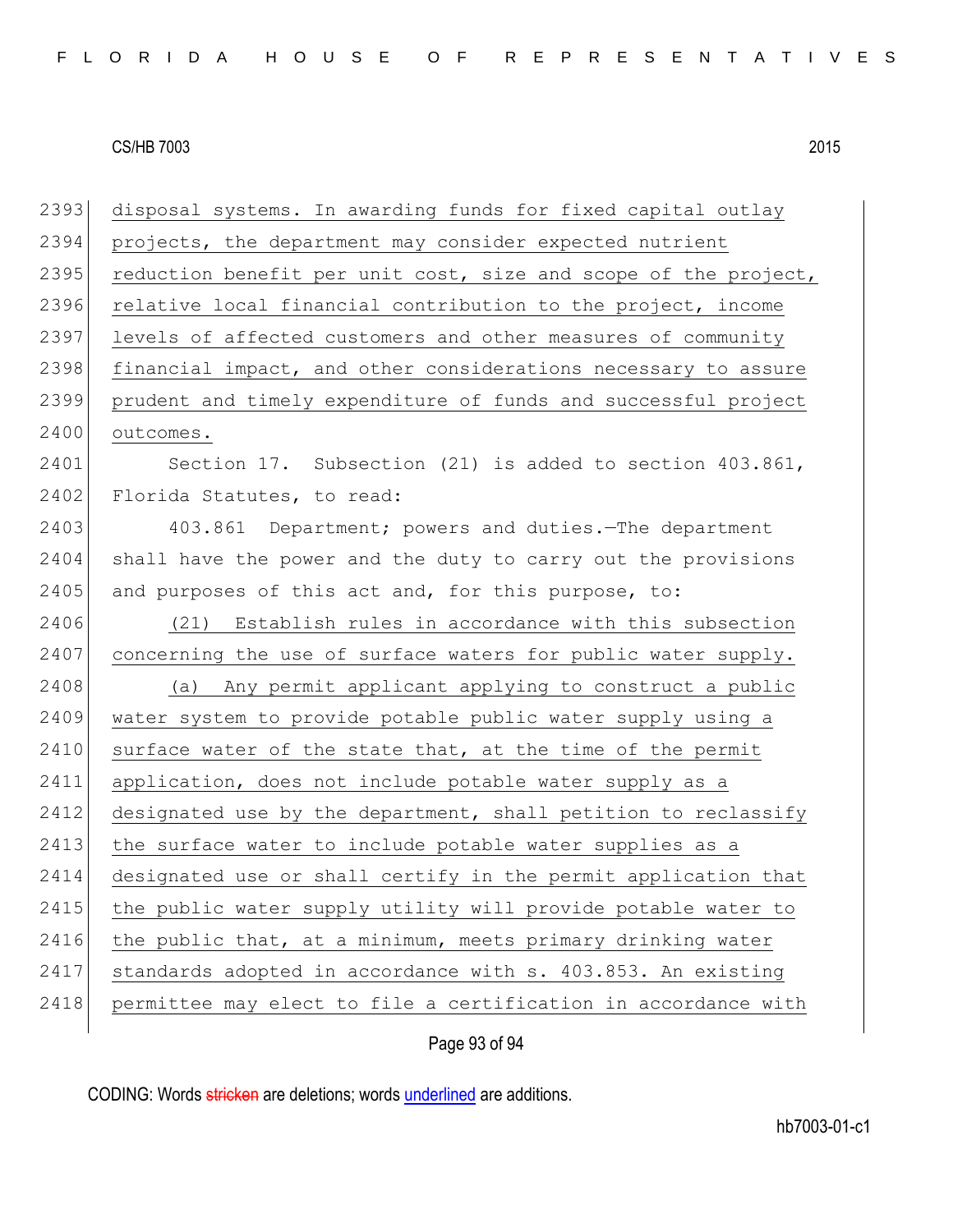2393 disposal systems. In awarding funds for fixed capital outlay 2394 projects, the department may consider expected nutrient 2395 reduction benefit per unit cost, size and scope of the project, 2396 relative local financial contribution to the project, income 2397 levels of affected customers and other measures of community 2398 financial impact, and other considerations necessary to assure 2399 prudent and timely expenditure of funds and successful project 2400 outcomes. 2401 Section 17. Subsection (21) is added to section 403.861, 2402 Florida Statutes, to read: 2403 403.861 Department; powers and duties. The department 2404 shall have the power and the duty to carry out the provisions 2405 and purposes of this act and, for this purpose, to: 2406 (21) Establish rules in accordance with this subsection 2407 concerning the use of surface waters for public water supply. 2408 (a) Any permit applicant applying to construct a public 2409 water system to provide potable public water supply using a 2410 surface water of the state that, at the time of the permit 2411 application, does not include potable water supply as a 2412 designated use by the department, shall petition to reclassify 2413 the surface water to include potable water supplies as a 2414 designated use or shall certify in the permit application that 2415 the public water supply utility will provide potable water to  $2416$  the public that, at a minimum, meets primary drinking water 2417 standards adopted in accordance with s. 403.853. An existing 2418 permittee may elect to file a certification in accordance with

Page 93 of 94